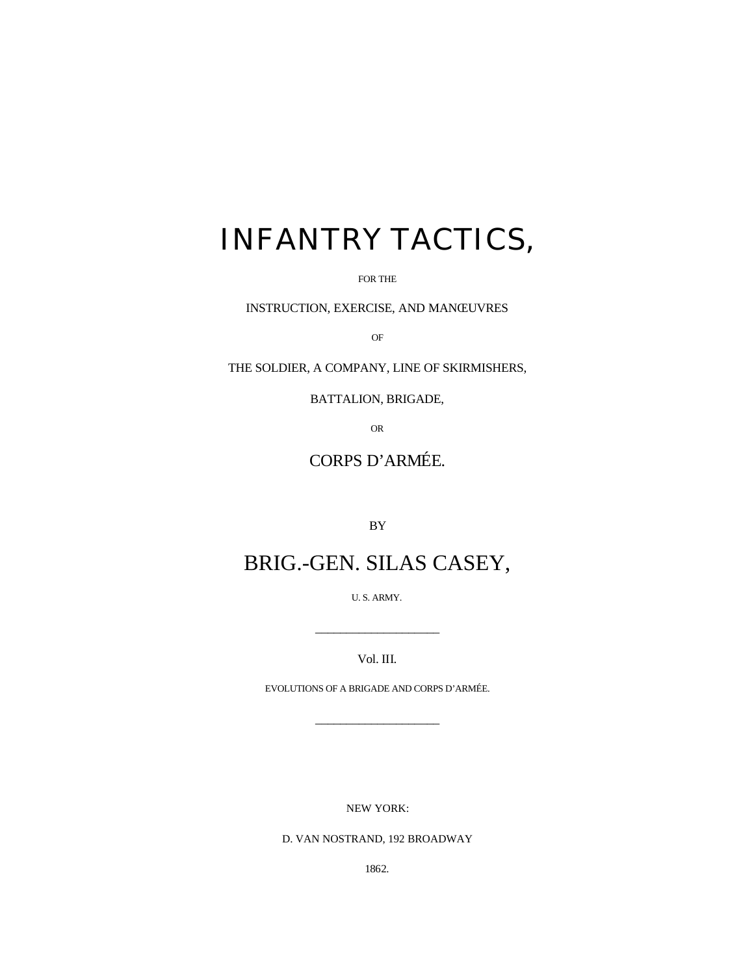# INFANTRY TACTICS,

FOR THE

INSTRUCTION, EXERCISE, AND MANŒUVRES

OF

THE SOLDIER, A COMPANY, LINE OF SKIRMISHERS,

BATTALION, BRIGADE,

OR

## CORPS D'ARMÉE.

BY

## BRIG.-GEN. SILAS CASEY,

U. S. ARMY.

Vol. III.

 $\frac{1}{\sqrt{2\pi}}$ 

EVOLUTIONS OF A BRIGADE AND CORPS D'ARMÉE.

\_\_\_\_\_\_\_\_\_\_\_\_\_\_\_\_\_\_\_\_

NEW YORK:

D. VAN NOSTRAND, 192 BROADWAY

1862.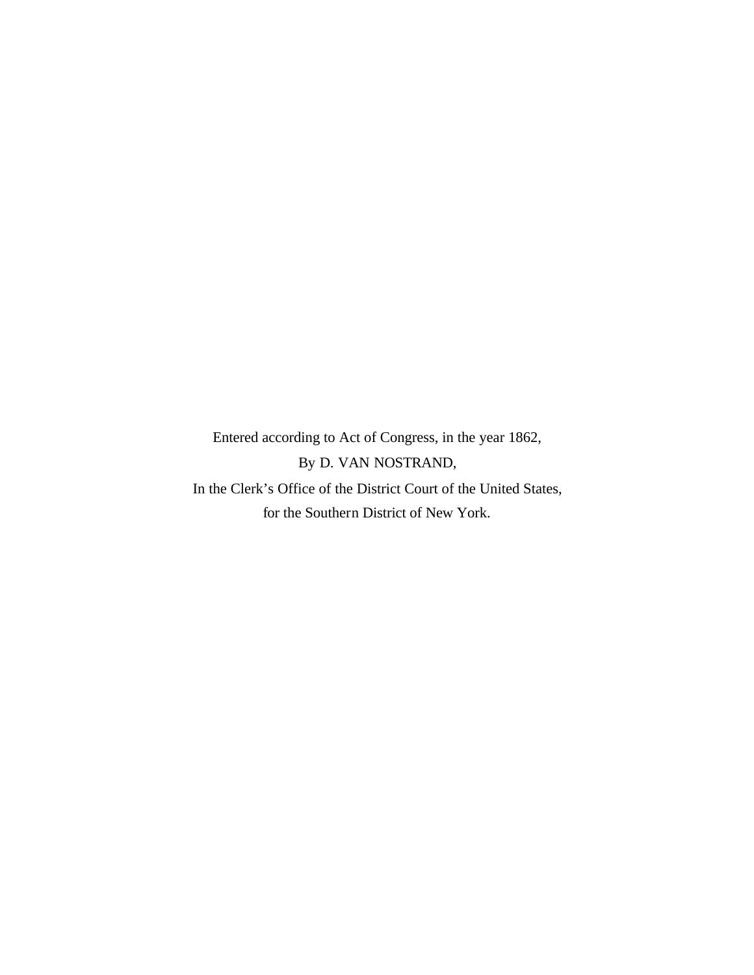Entered according to Act of Congress, in the year 1862, By D. VAN NOSTRAND, In the Clerk's Office of the District Court of the United States,

for the Southern District of New York.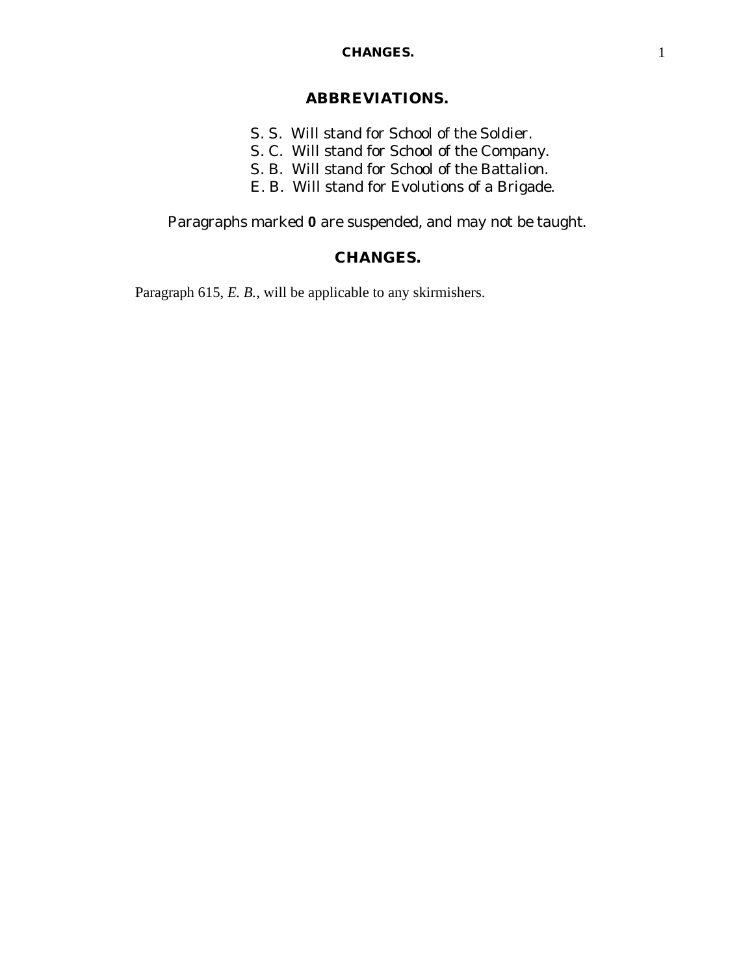#### **CHANGES.** 1

## **ABBREVIATIONS.**

- *S. S.* Will stand for School of the Soldier.
- *S. C.* Will stand for School of the Company.
- *S. B.* Will stand for School of the Battalion.
- *E. B.* Will stand for Evolutions of a Brigade.

Paragraphs marked **0** are suspended, and may not be taught.

## **CHANGES.**

Paragraph 615, *E. B.*, will be applicable to any skirmishers.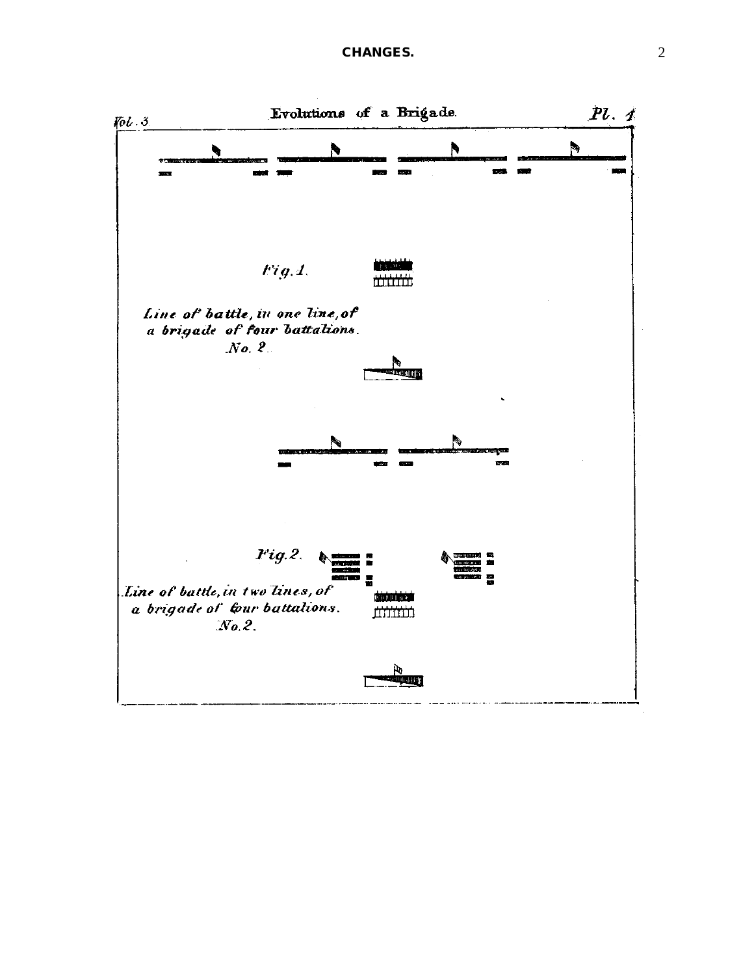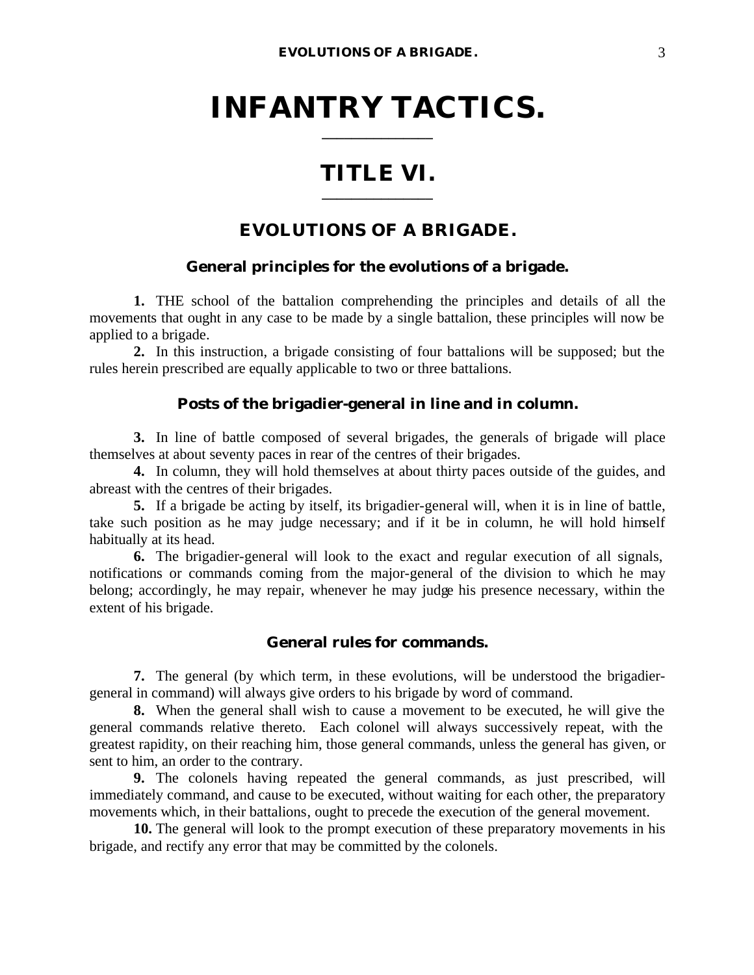## **INFANTRY TACTICS. \_\_\_\_\_\_\_\_\_\_\_\_\_\_\_**

## **TITLE VI. \_\_\_\_\_\_\_\_\_\_\_\_\_\_\_**

## **EVOLUTIONS OF A BRIGADE.**

## **General principles for the evolutions of a brigade.**

**1.** THE school of the battalion comprehending the principles and details of all the movements that ought in any case to be made by a single battalion, these principles will now be applied to a brigade.

**2.** In this instruction, a brigade consisting of four battalions will be supposed; but the rules herein prescribed are equally applicable to two or three battalions.

#### **Posts of the brigadier-general in line and in column.**

**3.** In line of battle composed of several brigades, the generals of brigade will place themselves at about seventy paces in rear of the centres of their brigades.

**4.** In column, they will hold themselves at about thirty paces outside of the guides, and abreast with the centres of their brigades.

**5.** If a brigade be acting by itself, its brigadier-general will, when it is in line of battle, take such position as he may judge necessary; and if it be in column, he will hold himself habitually at its head.

**6.** The brigadier-general will look to the exact and regular execution of all signals, notifications or commands coming from the major-general of the division to which he may belong; accordingly, he may repair, whenever he may judge his presence necessary, within the extent of his brigade.

#### **General rules for commands.**

**7.** The general (by which term, in these evolutions, will be understood the brigadiergeneral in command) will always give orders to his brigade by word of command.

**8.** When the general shall wish to cause a movement to be executed, he will give the general commands relative thereto. Each colonel will always successively repeat, with the greatest rapidity, on their reaching him, those general commands, unless the general has given, or sent to him, an order to the contrary.

**9.** The colonels having repeated the general commands, as just prescribed, will immediately command, and cause to be executed, without waiting for each other, the preparatory movements which, in their battalions, ought to precede the execution of the general movement.

**10.** The general will look to the prompt execution of these preparatory movements in his brigade, and rectify any error that may be committed by the colonels.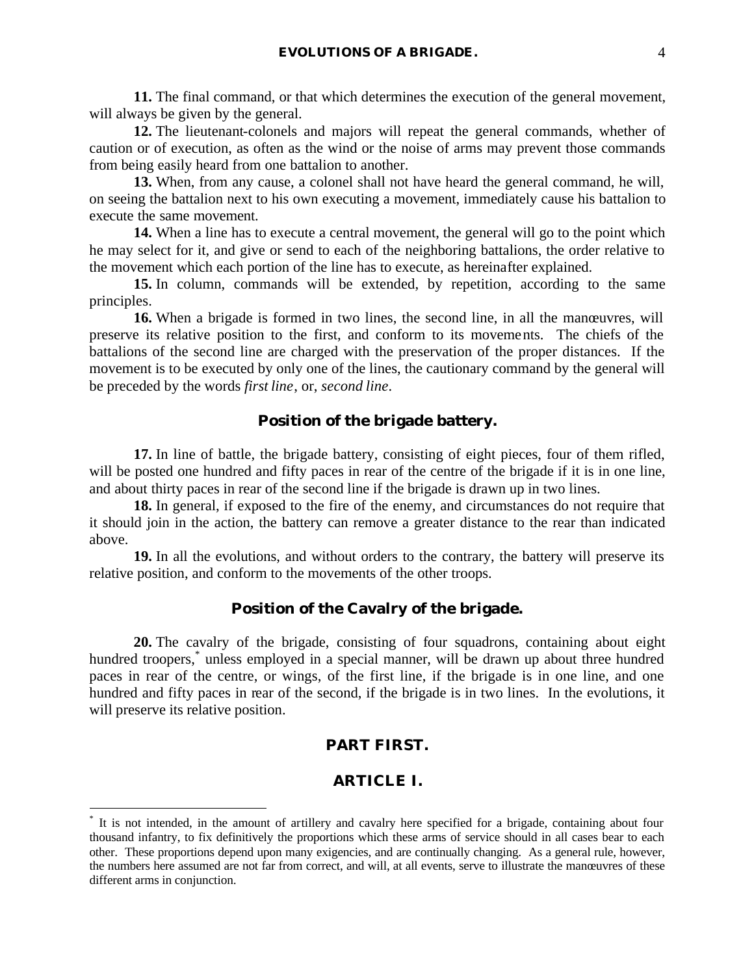**11.** The final command, or that which determines the execution of the general movement, will always be given by the general.

**12.** The lieutenant-colonels and majors will repeat the general commands, whether of caution or of execution, as often as the wind or the noise of arms may prevent those commands from being easily heard from one battalion to another.

**13.** When, from any cause, a colonel shall not have heard the general command, he will, on seeing the battalion next to his own executing a movement, immediately cause his battalion to execute the same movement.

**14.** When a line has to execute a central movement, the general will go to the point which he may select for it, and give or send to each of the neighboring battalions, the order relative to the movement which each portion of the line has to execute, as hereinafter explained.

**15.** In column, commands will be extended, by repetition, according to the same principles.

**16.** When a brigade is formed in two lines, the second line, in all the manœuvres, will preserve its relative position to the first, and conform to its movements. The chiefs of the battalions of the second line are charged with the preservation of the proper distances. If the movement is to be executed by only one of the lines, the cautionary command by the general will be preceded by the words *first line*, or, *second line*.

## **Position of the brigade battery.**

**17.** In line of battle, the brigade battery, consisting of eight pieces, four of them rifled, will be posted one hundred and fifty paces in rear of the centre of the brigade if it is in one line, and about thirty paces in rear of the second line if the brigade is drawn up in two lines.

**18.** In general, if exposed to the fire of the enemy, and circumstances do not require that it should join in the action, the battery can remove a greater distance to the rear than indicated above.

**19.** In all the evolutions, and without orders to the contrary, the battery will preserve its relative position, and conform to the movements of the other troops.

## **Position of the Cavalry of the brigade.**

**20.** The cavalry of the brigade, consisting of four squadrons, containing about eight hundred troopers,<sup>\*</sup> unless employed in a special manner, will be drawn up about three hundred paces in rear of the centre, or wings, of the first line, if the brigade is in one line, and one hundred and fifty paces in rear of the second, if the brigade is in two lines. In the evolutions, it will preserve its relative position.

#### **PART FIRST.**

#### **ARTICLE I.**

 $\overline{a}$ 

<sup>\*</sup> It is not intended, in the amount of artillery and cavalry here specified for a brigade, containing about four thousand infantry, to fix definitively the proportions which these arms of service should in all cases bear to each other. These proportions depend upon many exigencies, and are continually changing. As a general rule, however, the numbers here assumed are not far from correct, and will, at all events, serve to illustrate the manœuvres of these different arms in conjunction.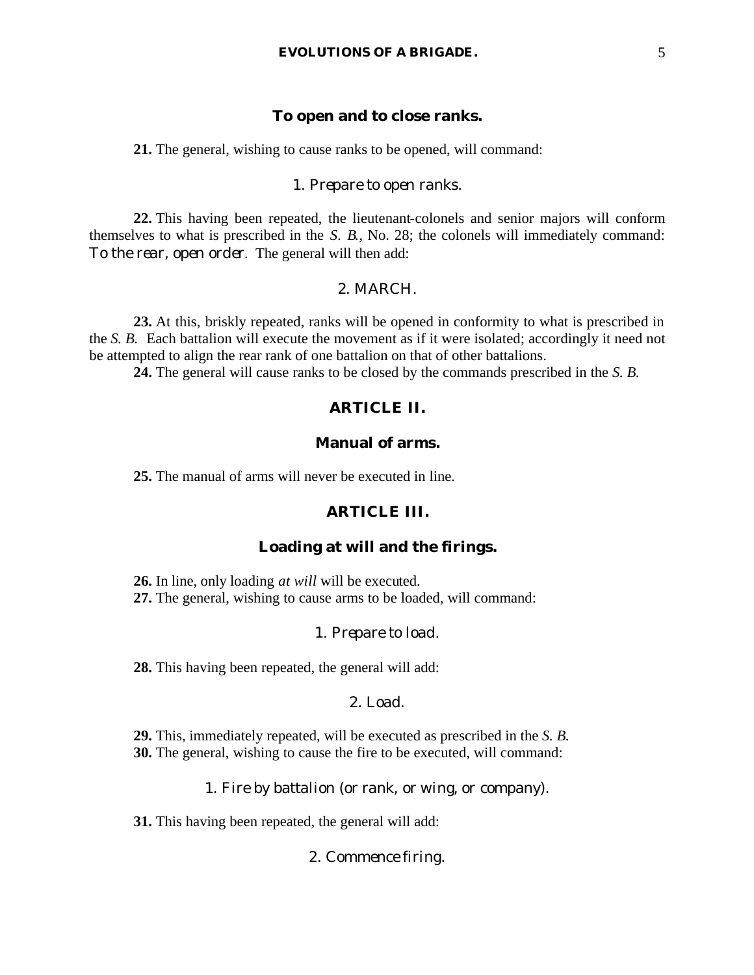## **To open and to close ranks.**

**21.** The general, wishing to cause ranks to be opened, will command:

#### 1. *Prepare to open ranks.*

**22.** This having been repeated, the lieutenant-colonels and senior majors will conform themselves to what is prescribed in the *S. B.*, No. 28; the colonels will immediately command: *To the rear, open order*. The general will then add:

#### 2. MARCH.

**23.** At this, briskly repeated, ranks will be opened in conformity to what is prescribed in the *S. B.* Each battalion will execute the movement as if it were isolated; accordingly it need not be attempted to align the rear rank of one battalion on that of other battalions.

**24.** The general will cause ranks to be closed by the commands prescribed in the *S. B.*

## **ARTICLE II.**

## **Manual of arms.**

**25.** The manual of arms will never be executed in line.

## **ARTICLE III.**

#### **Loading at will and the firings.**

- **26.** In line, only loading *at will* will be executed.
- **27.** The general, wishing to cause arms to be loaded, will command:

#### 1. *Prepare to load*.

**28.** This having been repeated, the general will add:

## 2. *Load*.

**29.** This, immediately repeated, will be executed as prescribed in the *S. B.* **30.** The general, wishing to cause the fire to be executed, will command:

1. *Fire by battalion* (or *rank*, or *wing*, or *company*).

**31.** This having been repeated, the general will add:

#### 2. *Commence firing*.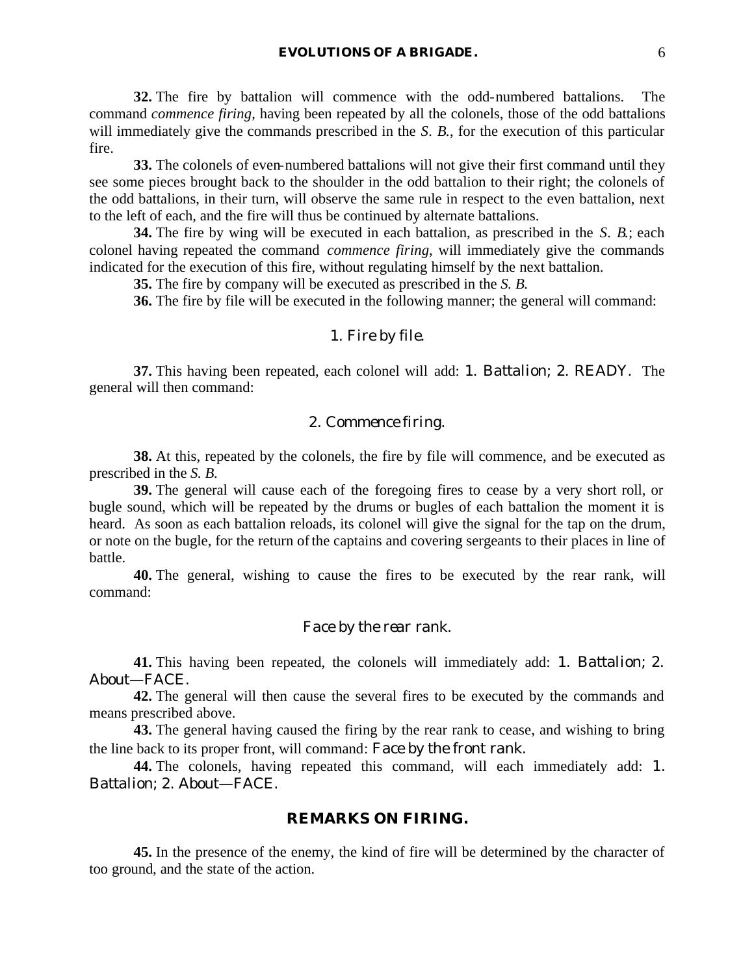**32.** The fire by battalion will commence with the odd-numbered battalions. The command *commence firing*, having been repeated by all the colonels, those of the odd battalions will immediately give the commands prescribed in the *S. B.*, for the execution of this particular fire.

**33.** The colonels of even-numbered battalions will not give their first command until they see some pieces brought back to the shoulder in the odd battalion to their right; the colonels of the odd battalions, in their turn, will observe the same rule in respect to the even battalion, next to the left of each, and the fire will thus be continued by alternate battalions.

**34.** The fire by wing will be executed in each battalion, as prescribed in the *S. B.*; each colonel having repeated the command *commence firing*, will immediately give the commands indicated for the execution of this fire, without regulating himself by the next battalion.

**35.** The fire by company will be executed as prescribed in the *S. B.*

**36.** The fire by file will be executed in the following manner; the general will command:

#### 1. *Fire by file*.

**37.** This having been repeated, each colonel will add: 1. *Battalion*; 2. READY. The general will then command:

## 2. *Commence firing*.

**38.** At this, repeated by the colonels, the fire by file will commence, and be executed as prescribed in the *S. B.*

**39.** The general will cause each of the foregoing fires to cease by a very short roll, or bugle sound, which will be repeated by the drums or bugles of each battalion the moment it is heard. As soon as each battalion reloads, its colonel will give the signal for the tap on the drum, or note on the bugle, for the return of the captains and covering sergeants to their places in line of battle.

**40.** The general, wishing to cause the fires to be executed by the rear rank, will command:

#### *Face by the rear rank.*

**41.** This having been repeated, the colonels will immediately add: 1. *Battalion*; 2. *About*—FACE.

**42.** The general will then cause the several fires to be executed by the commands and means prescribed above.

**43.** The general having caused the firing by the rear rank to cease, and wishing to bring the line back to its proper front, will command: *Face by the front rank.*

**44.** The colonels, having repeated this command, will each immediately add: 1. *Battalion*; 2. *About*—FACE.

#### **REMARKS ON FIRING.**

**45.** In the presence of the enemy, the kind of fire will be determined by the character of too ground, and the state of the action.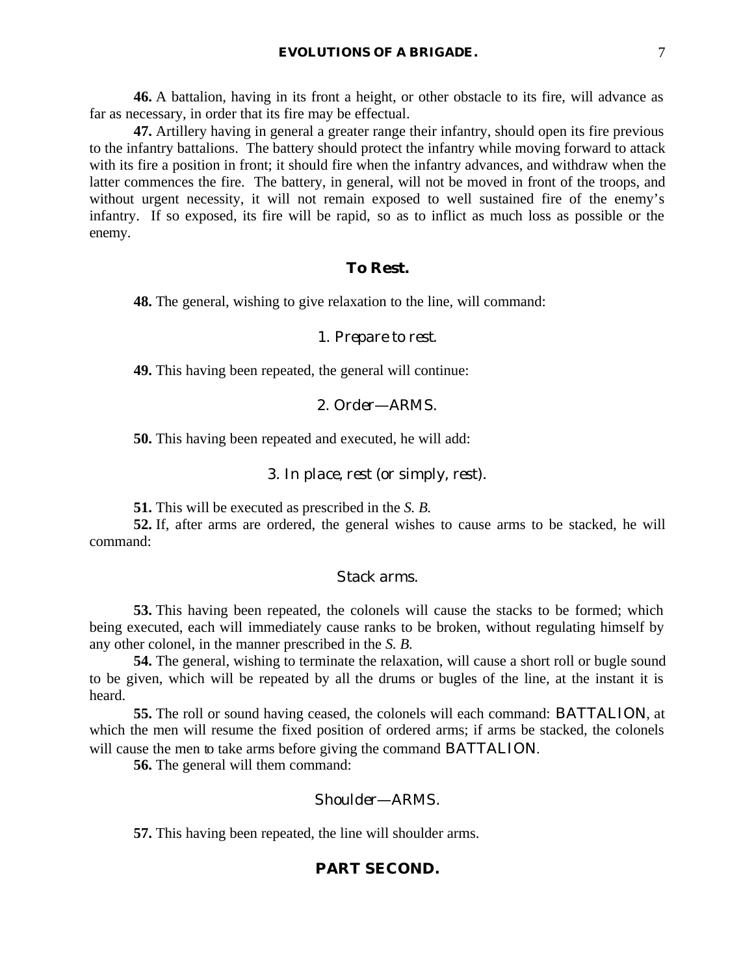**46.** A battalion, having in its front a height, or other obstacle to its fire, will advance as far as necessary, in order that its fire may be effectual.

**47.** Artillery having in general a greater range their infantry, should open its fire previous to the infantry battalions. The battery should protect the infantry while moving forward to attack with its fire a position in front; it should fire when the infantry advances, and withdraw when the latter commences the fire. The battery, in general, will not be moved in front of the troops, and without urgent necessity, it will not remain exposed to well sustained fire of the enemy's infantry. If so exposed, its fire will be rapid, so as to inflict as much loss as possible or the enemy.

#### **To Rest.**

**48.** The general, wishing to give relaxation to the line, will command:

#### 1. *Prepare to rest*.

**49.** This having been repeated, the general will continue:

#### 2. *Order*—ARMS.

**50.** This having been repeated and executed, he will add:

#### 3. *In place, rest* (or simply, *rest*).

**51.** This will be executed as prescribed in the *S. B.*

**52.** If, after arms are ordered, the general wishes to cause arms to be stacked, he will command:

#### *Stack arms.*

**53.** This having been repeated, the colonels will cause the stacks to be formed; which being executed, each will immediately cause ranks to be broken, without regulating himself by any other colonel, in the manner prescribed in the *S. B.*

**54.** The general, wishing to terminate the relaxation, will cause a short roll or bugle sound to be given, which will be repeated by all the drums or bugles of the line, at the instant it is heard.

**55.** The roll or sound having ceased, the colonels will each command: BATTALION, at which the men will resume the fixed position of ordered arms; if arms be stacked, the colonels will cause the men to take arms before giving the command BATTALION.

**56.** The general will them command:

#### *Shoulder*—ARMS.

**57.** This having been repeated, the line will shoulder arms.

#### **PART SECOND.**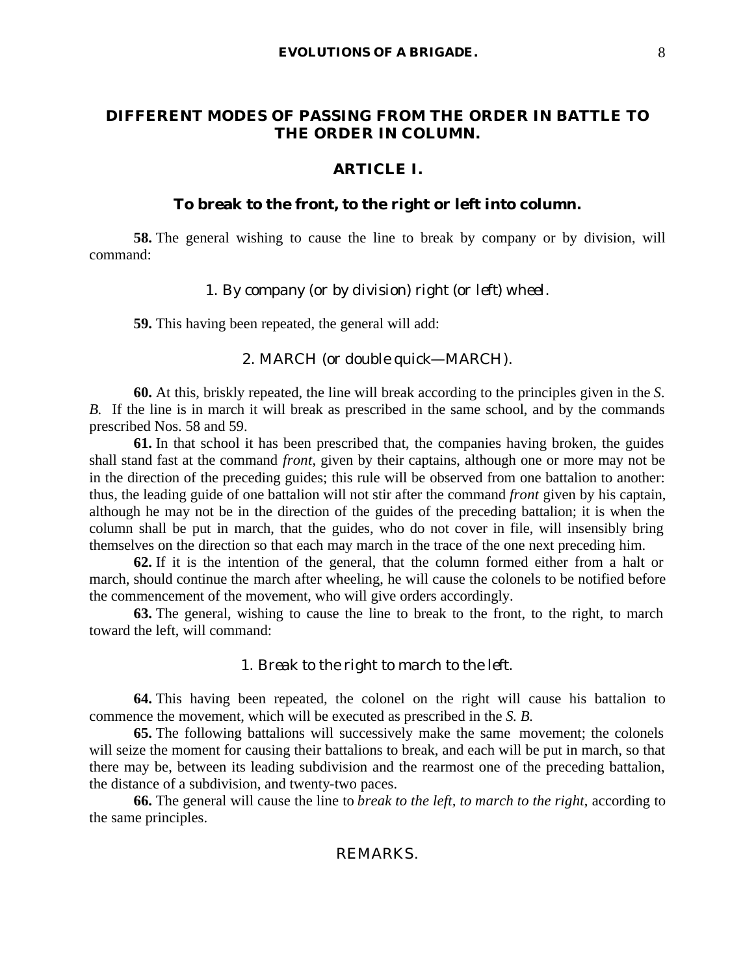## **DIFFERENT MODES OF PASSING FROM THE ORDER IN BATTLE TO THE ORDER IN COLUMN.**

#### **ARTICLE I.**

#### **To break to the front, to the right or left into column.**

**58.** The general wishing to cause the line to break by company or by division, will command:

#### 1. *By company* (or *by division*) *right* (or *left*) *wheel*.

**59.** This having been repeated, the general will add:

## 2. MARCH (or *double quick*—MARCH).

**60.** At this, briskly repeated, the line will break according to the principles given in the *S. B.* If the line is in march it will break as prescribed in the same school, and by the commands prescribed Nos. 58 and 59.

**61.** In that school it has been prescribed that, the companies having broken, the guides shall stand fast at the command *front*, given by their captains, although one or more may not be in the direction of the preceding guides; this rule will be observed from one battalion to another: thus, the leading guide of one battalion will not stir after the command *front* given by his captain, although he may not be in the direction of the guides of the preceding battalion; it is when the column shall be put in march, that the guides, who do not cover in file, will insensibly bring themselves on the direction so that each may march in the trace of the one next preceding him.

**62.** If it is the intention of the general, that the column formed either from a halt or march, should continue the march after wheeling, he will cause the colonels to be notified before the commencement of the movement, who will give orders accordingly.

**63.** The general, wishing to cause the line to break to the front, to the right, to march toward the left, will command:

#### 1. *Break to the right to march to the left.*

**64.** This having been repeated, the colonel on the right will cause his battalion to commence the movement, which will be executed as prescribed in the *S. B.*

**65.** The following battalions will successively make the same movement; the colonels will seize the moment for causing their battalions to break, and each will be put in march, so that there may be, between its leading subdivision and the rearmost one of the preceding battalion, the distance of a subdivision, and twenty-two paces.

**66.** The general will cause the line to *break to the left, to march to the right*, according to the same principles.

## REMARKS.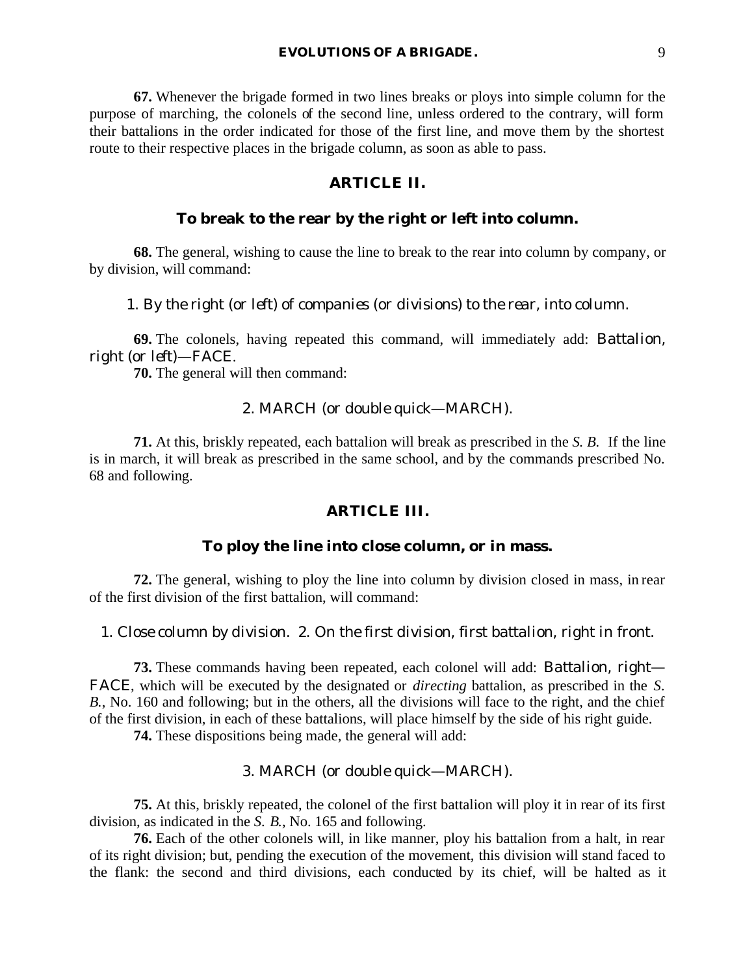**67.** Whenever the brigade formed in two lines breaks or ploys into simple column for the purpose of marching, the colonels of the second line, unless ordered to the contrary, will form their battalions in the order indicated for those of the first line, and move them by the shortest route to their respective places in the brigade column, as soon as able to pass.

## **ARTICLE II.**

## **To break to the rear by the right or left into column.**

**68.** The general, wishing to cause the line to break to the rear into column by company, or by division, will command:

1. *By the right* (or *left*) *of companies* (or *divisions*) *to the rear, into column*.

**69.** The colonels, having repeated this command, will immediately add: *Battalion, right* (or *left*)—FACE.

**70.** The general will then command:

#### 2. MARCH (or *double quick*—MARCH).

**71.** At this, briskly repeated, each battalion will break as prescribed in the *S. B.* If the line is in march, it will break as prescribed in the same school, and by the commands prescribed No. 68 and following.

#### **ARTICLE III.**

#### **To ploy the line into close column, or in mass.**

**72.** The general, wishing to ploy the line into column by division closed in mass, in rear of the first division of the first battalion, will command:

1. *Close column by division*. 2. *On the first division, first battalion, right in front*.

**73.** These commands having been repeated, each colonel will add: *Battalion, right*— FACE, which will be executed by the designated or *directing* battalion, as prescribed in the *S. B.*, No. 160 and following; but in the others, all the divisions will face to the right, and the chief of the first division, in each of these battalions, will place himself by the side of his right guide.

**74.** These dispositions being made, the general will add:

## 3. MARCH (or *double quick*—MARCH).

**75.** At this, briskly repeated, the colonel of the first battalion will ploy it in rear of its first division, as indicated in the *S. B.*, No. 165 and following.

**76.** Each of the other colonels will, in like manner, ploy his battalion from a halt, in rear of its right division; but, pending the execution of the movement, this division will stand faced to the flank: the second and third divisions, each conducted by its chief, will be halted as it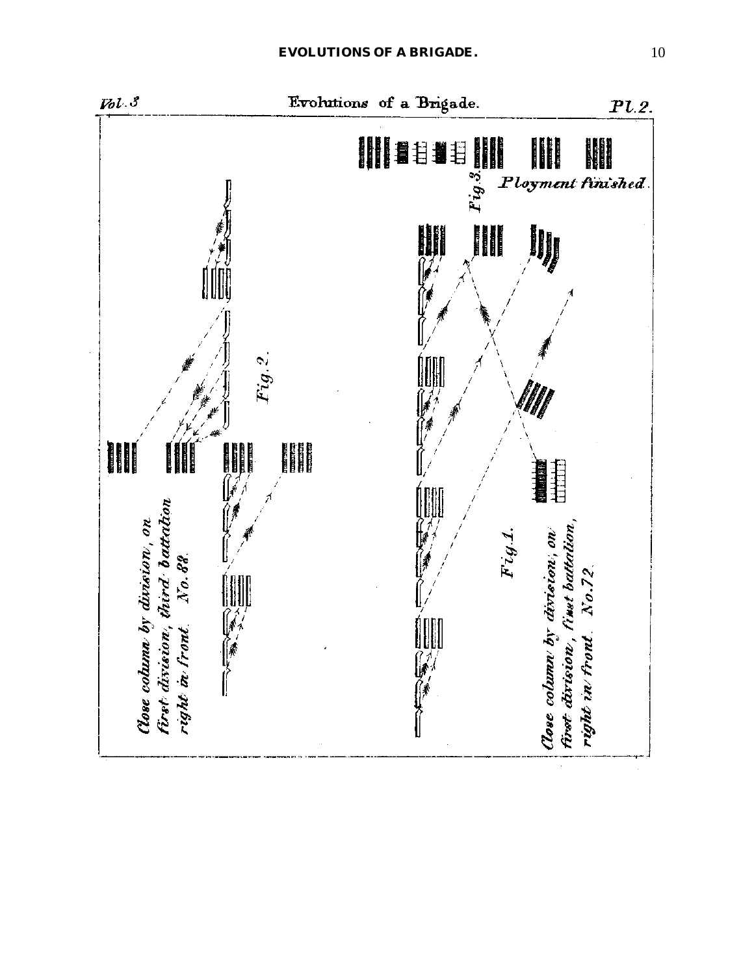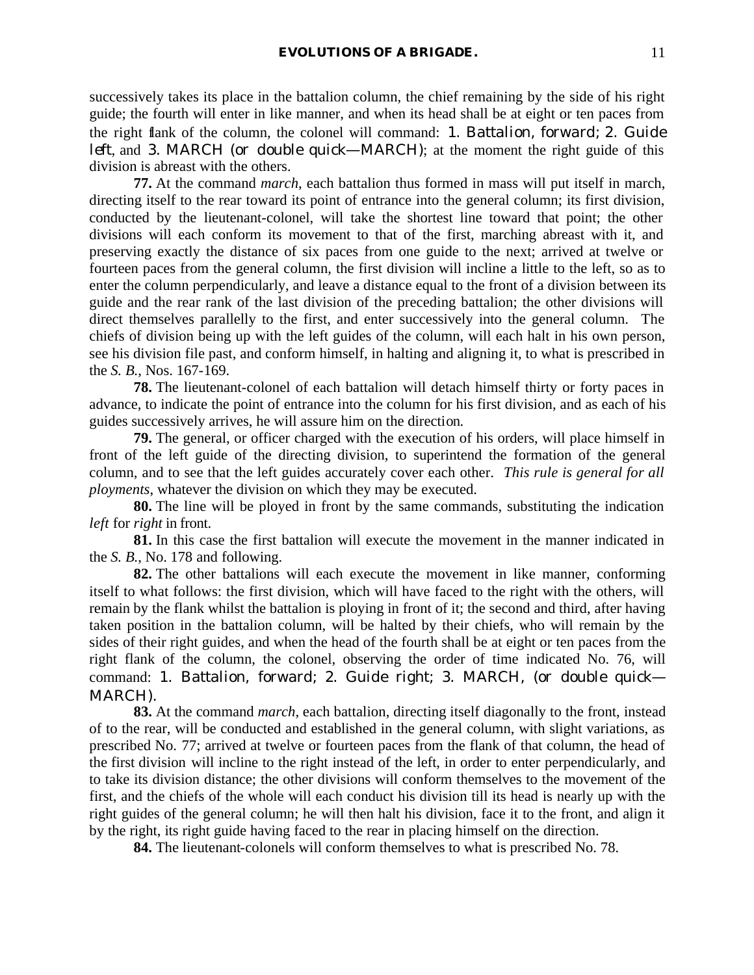successively takes its place in the battalion column, the chief remaining by the side of his right guide; the fourth will enter in like manner, and when its head shall be at eight or ten paces from the right flank of the column, the colonel will command: 1. *Battalion, forward*; 2. *Guide left*, and 3. MARCH (or *double quick*—MARCH); at the moment the right guide of this division is abreast with the others.

**77.** At the command *march*, each battalion thus formed in mass will put itself in march, directing itself to the rear toward its point of entrance into the general column; its first division, conducted by the lieutenant-colonel, will take the shortest line toward that point; the other divisions will each conform its movement to that of the first, marching abreast with it, and preserving exactly the distance of six paces from one guide to the next; arrived at twelve or fourteen paces from the general column, the first division will incline a little to the left, so as to enter the column perpendicularly, and leave a distance equal to the front of a division between its guide and the rear rank of the last division of the preceding battalion; the other divisions will direct themselves parallelly to the first, and enter successively into the general column. The chiefs of division being up with the left guides of the column, will each halt in his own person, see his division file past, and conform himself, in halting and aligning it, to what is prescribed in the *S. B.*, Nos. 167-169.

**78.** The lieutenant-colonel of each battalion will detach himself thirty or forty paces in advance, to indicate the point of entrance into the column for his first division, and as each of his guides successively arrives, he will assure him on the direction.

**79.** The general, or officer charged with the execution of his orders, will place himself in front of the left guide of the directing division, to superintend the formation of the general column, and to see that the left guides accurately cover each other. *This rule is general for all ployments*, whatever the division on which they may be executed.

**80.** The line will be ployed in front by the same commands, substituting the indication *left* for *right* in front.

**81.** In this case the first battalion will execute the movement in the manner indicated in the *S. B.*, No. 178 and following.

**82.** The other battalions will each execute the movement in like manner, conforming itself to what follows: the first division, which will have faced to the right with the others, will remain by the flank whilst the battalion is ploying in front of it; the second and third, after having taken position in the battalion column, will be halted by their chiefs, who will remain by the sides of their right guides, and when the head of the fourth shall be at eight or ten paces from the right flank of the column, the colonel, observing the order of time indicated No. 76, will command: 1. *Battalion, forward*; 2. *Guide right*; 3. MARCH, (or *double quick*— MARCH).

**83.** At the command *march*, each battalion, directing itself diagonally to the front, instead of to the rear, will be conducted and established in the general column, with slight variations, as prescribed No. 77; arrived at twelve or fourteen paces from the flank of that column, the head of the first division will incline to the right instead of the left, in order to enter perpendicularly, and to take its division distance; the other divisions will conform themselves to the movement of the first, and the chiefs of the whole will each conduct his division till its head is nearly up with the right guides of the general column; he will then halt his division, face it to the front, and align it by the right, its right guide having faced to the rear in placing himself on the direction.

**84.** The lieutenant-colonels will conform themselves to what is prescribed No. 78.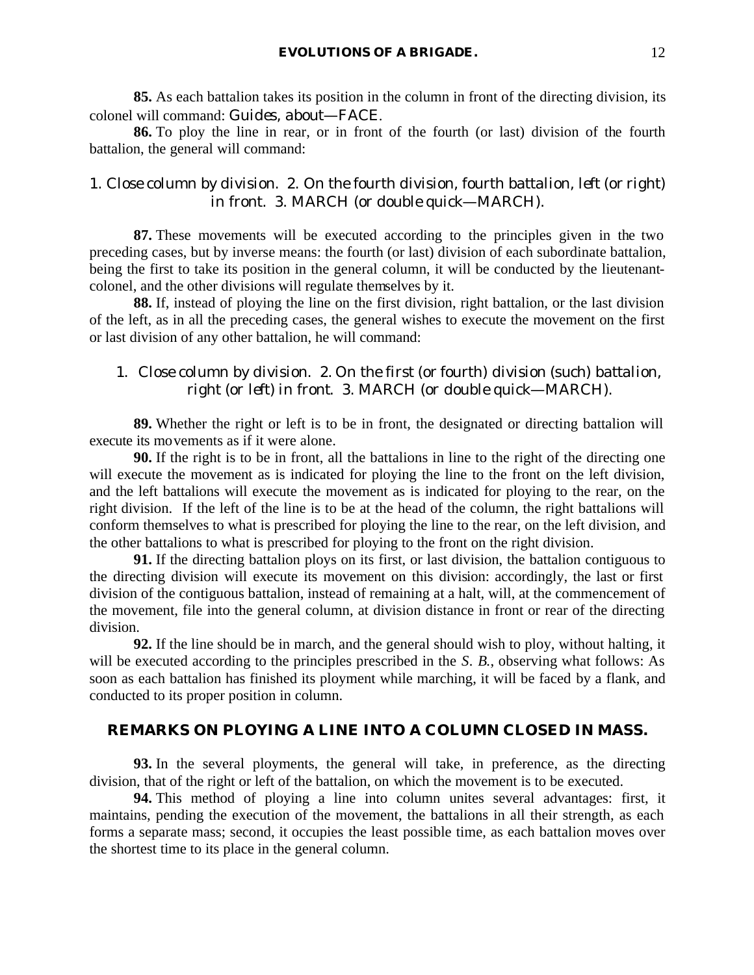**85.** As each battalion takes its position in the column in front of the directing division, its colonel will command: *Guides, about*—FACE.

**86.** To ploy the line in rear, or in front of the fourth (or last) division of the fourth battalion, the general will command:

## 1. *Close column by division*. 2. *On the fourth division, fourth battalion, left* (or *right*) *in front*. 3. MARCH (or *double quick*—MARCH).

**87.** These movements will be executed according to the principles given in the two preceding cases, but by inverse means: the fourth (or last) division of each subordinate battalion, being the first to take its position in the general column, it will be conducted by the lieutenantcolonel, and the other divisions will regulate themselves by it.

**88.** If, instead of ploying the line on the first division, right battalion, or the last division of the left, as in all the preceding cases, the general wishes to execute the movement on the first or last division of any other battalion, he will command:

## 1. *Close column by division*. 2. *On the first* (or *fourth*) *division* (such) *battalion, right* (or *left*) *in front*. 3. MARCH (or *double quick*—MARCH).

**89.** Whether the right or left is to be in front, the designated or directing battalion will execute its movements as if it were alone.

**90.** If the right is to be in front, all the battalions in line to the right of the directing one will execute the movement as is indicated for ploying the line to the front on the left division, and the left battalions will execute the movement as is indicated for ploying to the rear, on the right division. If the left of the line is to be at the head of the column, the right battalions will conform themselves to what is prescribed for ploying the line to the rear, on the left division, and the other battalions to what is prescribed for ploying to the front on the right division.

**91.** If the directing battalion ploys on its first, or last division, the battalion contiguous to the directing division will execute its movement on this division: accordingly, the last or first division of the contiguous battalion, instead of remaining at a halt, will, at the commencement of the movement, file into the general column, at division distance in front or rear of the directing division.

**92.** If the line should be in march, and the general should wish to ploy, without halting, it will be executed according to the principles prescribed in the *S. B.*, observing what follows: As soon as each battalion has finished its ployment while marching, it will be faced by a flank, and conducted to its proper position in column.

## **REMARKS ON PLOYING A LINE INTO A COLUMN CLOSED IN MASS.**

**93.** In the several ployments, the general will take, in preference, as the directing division, that of the right or left of the battalion, on which the movement is to be executed.

**94.** This method of ploying a line into column unites several advantages: first, it maintains, pending the execution of the movement, the battalions in all their strength, as each forms a separate mass; second, it occupies the least possible time, as each battalion moves over the shortest time to its place in the general column.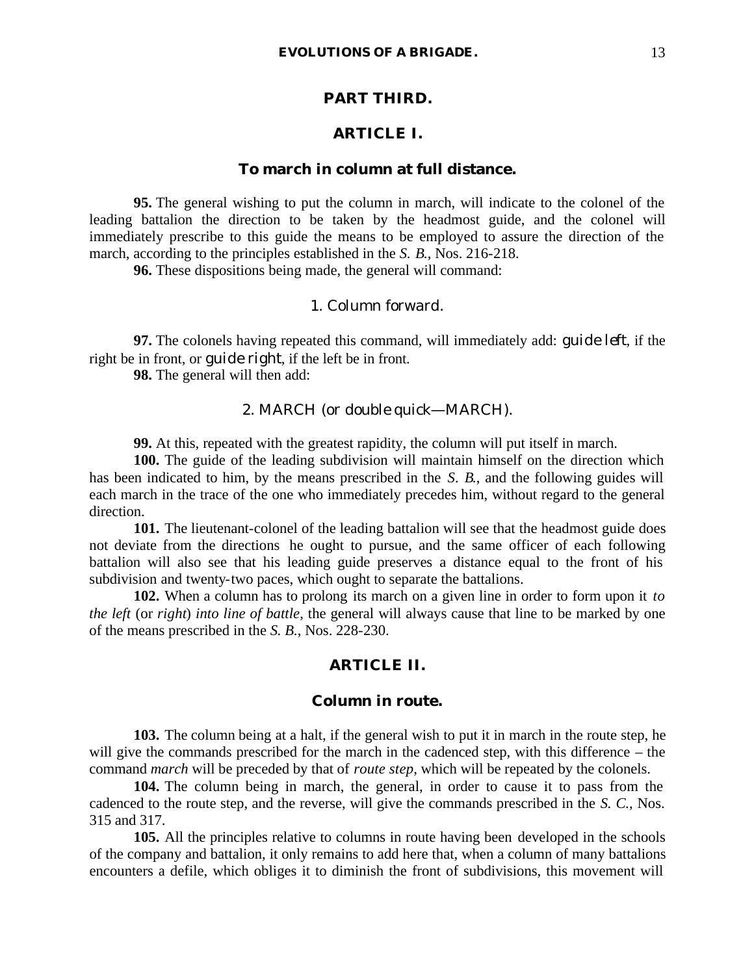### **PART THIRD.**

#### **ARTICLE I.**

## **To march in column at full distance.**

**95.** The general wishing to put the column in march, will indicate to the colonel of the leading battalion the direction to be taken by the headmost guide, and the colonel will immediately prescribe to this guide the means to be employed to assure the direction of the march, according to the principles established in the *S. B.*, Nos. 216-218.

**96.** These dispositions being made, the general will command:

## 1. *Column forward*.

**97.** The colonels having repeated this command, will immediately add: *guide left*, if the right be in front, or *guide right*, if the left be in front.

**98.** The general will then add:

#### 2. MARCH (or *double quick*—MARCH).

**99.** At this, repeated with the greatest rapidity, the column will put itself in march.

**100.** The guide of the leading subdivision will maintain himself on the direction which has been indicated to him, by the means prescribed in the *S. B.*, and the following guides will each march in the trace of the one who immediately precedes him, without regard to the general direction.

**101.** The lieutenant-colonel of the leading battalion will see that the headmost guide does not deviate from the directions he ought to pursue, and the same officer of each following battalion will also see that his leading guide preserves a distance equal to the front of his subdivision and twenty-two paces, which ought to separate the battalions.

**102.** When a column has to prolong its march on a given line in order to form upon it *to the left* (or *right*) *into line of battle*, the general will always cause that line to be marked by one of the means prescribed in the *S. B.*, Nos. 228-230.

## **ARTICLE II.**

#### **Column in route.**

**103.** The column being at a halt, if the general wish to put it in march in the route step, he will give the commands prescribed for the march in the cadenced step, with this difference – the command *march* will be preceded by that of *route step*, which will be repeated by the colonels.

**104.** The column being in march, the general, in order to cause it to pass from the cadenced to the route step, and the reverse, will give the commands prescribed in the *S. C.*, Nos. 315 and 317.

**105.** All the principles relative to columns in route having been developed in the schools of the company and battalion, it only remains to add here that, when a column of many battalions encounters a defile, which obliges it to diminish the front of subdivisions, this movement will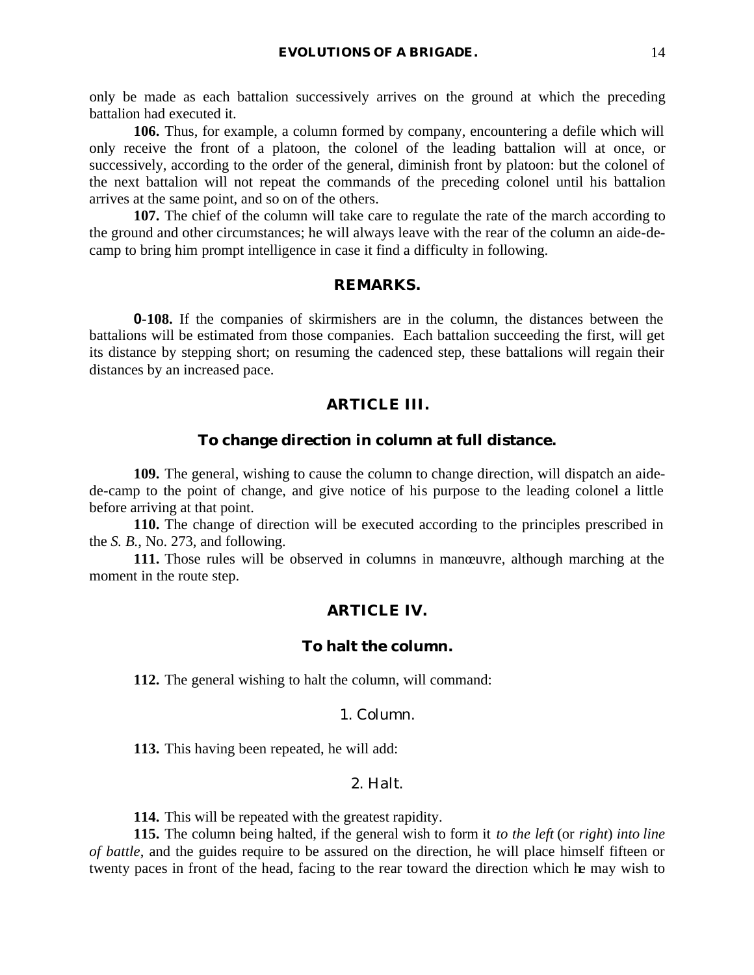only be made as each battalion successively arrives on the ground at which the preceding battalion had executed it.

**106.** Thus, for example, a column formed by company, encountering a defile which will only receive the front of a platoon, the colonel of the leading battalion will at once, or successively, according to the order of the general, diminish front by platoon: but the colonel of the next battalion will not repeat the commands of the preceding colonel until his battalion arrives at the same point, and so on of the others.

**107.** The chief of the column will take care to regulate the rate of the march according to the ground and other circumstances; he will always leave with the rear of the column an aide-decamp to bring him prompt intelligence in case it find a difficulty in following.

## **REMARKS.**

**0-108.** If the companies of skirmishers are in the column, the distances between the battalions will be estimated from those companies. Each battalion succeeding the first, will get its distance by stepping short; on resuming the cadenced step, these battalions will regain their distances by an increased pace.

#### **ARTICLE III.**

#### **To change direction in column at full distance.**

**109.** The general, wishing to cause the column to change direction, will dispatch an aidede-camp to the point of change, and give notice of his purpose to the leading colonel a little before arriving at that point.

**110.** The change of direction will be executed according to the principles prescribed in the *S. B.*, No. 273, and following.

**111.** Those rules will be observed in columns in manœuvre, although marching at the moment in the route step.

#### **ARTICLE IV.**

### **To halt the column.**

**112.** The general wishing to halt the column, will command:

#### 1. *Column*.

**113.** This having been repeated, he will add:

#### 2. *Halt*.

**114.** This will be repeated with the greatest rapidity.

**115.** The column being halted, if the general wish to form it *to the left* (or *right*) *into line of battle*, and the guides require to be assured on the direction, he will place himself fifteen or twenty paces in front of the head, facing to the rear toward the direction which he may wish to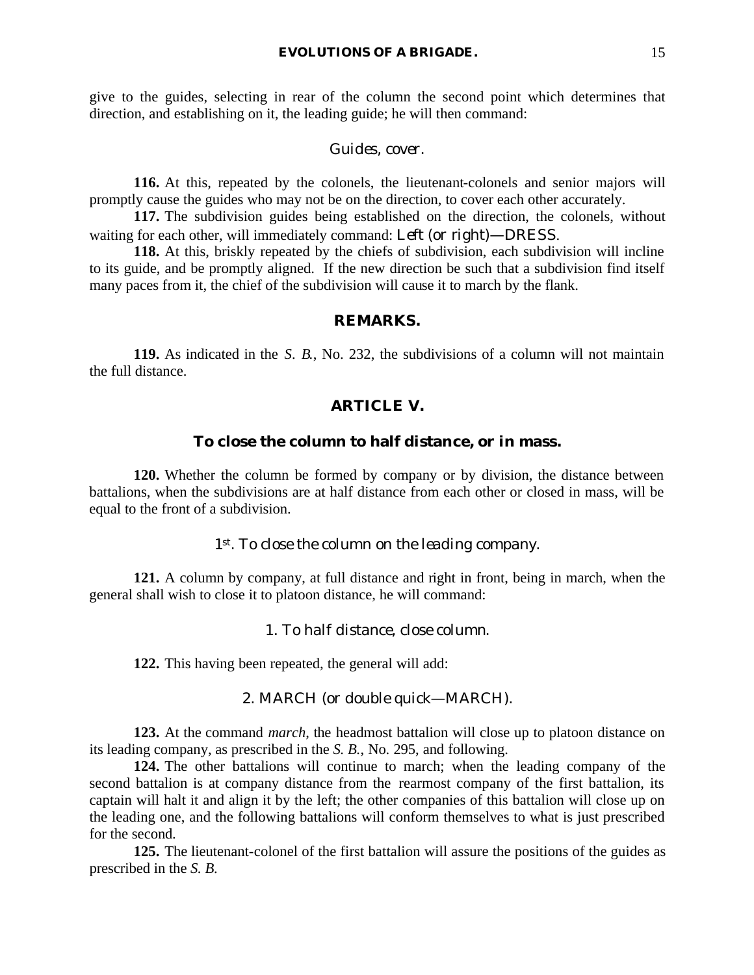give to the guides, selecting in rear of the column the second point which determines that direction, and establishing on it, the leading guide; he will then command:

#### *Guides, cover*.

**116.** At this, repeated by the colonels, the lieutenant-colonels and senior majors will promptly cause the guides who may not be on the direction, to cover each other accurately.

**117.** The subdivision guides being established on the direction, the colonels, without waiting for each other, will immediately command: *Left* (or *right*)—DRESS.

**118.** At this, briskly repeated by the chiefs of subdivision, each subdivision will incline to its guide, and be promptly aligned. If the new direction be such that a subdivision find itself many paces from it, the chief of the subdivision will cause it to march by the flank.

## **REMARKS.**

**119.** As indicated in the *S. B.*, No. 232, the subdivisions of a column will not maintain the full distance.

## **ARTICLE V.**

#### **To close the column to half distance, or in mass.**

**120.** Whether the column be formed by company or by division, the distance between battalions, when the subdivisions are at half distance from each other or closed in mass, will be equal to the front of a subdivision.

## *1st. To close the column on the leading company.*

**121.** A column by company, at full distance and right in front, being in march, when the general shall wish to close it to platoon distance, he will command:

## 1. *To half distance, close column*.

**122.** This having been repeated, the general will add:

#### 2. MARCH (or *double quick*—MARCH).

**123.** At the command *march*, the headmost battalion will close up to platoon distance on its leading company, as prescribed in the *S. B.*, No. 295, and following.

**124.** The other battalions will continue to march; when the leading company of the second battalion is at company distance from the rearmost company of the first battalion, its captain will halt it and align it by the left; the other companies of this battalion will close up on the leading one, and the following battalions will conform themselves to what is just prescribed for the second.

**125.** The lieutenant-colonel of the first battalion will assure the positions of the guides as prescribed in the *S. B.*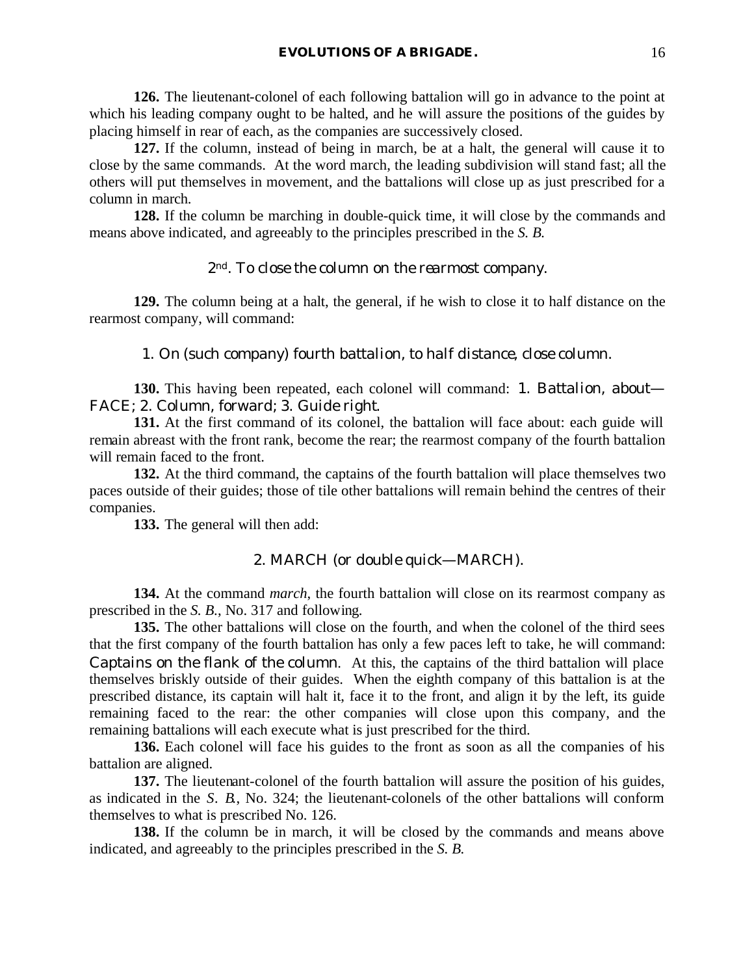**126.** The lieutenant-colonel of each following battalion will go in advance to the point at which his leading company ought to be halted, and he will assure the positions of the guides by placing himself in rear of each, as the companies are successively closed.

**127.** If the column, instead of being in march, be at a halt, the general will cause it to close by the same commands. At the word march, the leading subdivision will stand fast; all the others will put themselves in movement, and the battalions will close up as just prescribed for a column in march.

**128.** If the column be marching in double-quick time, it will close by the commands and means above indicated, and agreeably to the principles prescribed in the *S. B.*

#### *2nd. To close the column on the rearmost company.*

**129.** The column being at a halt, the general, if he wish to close it to half distance on the rearmost company, will command:

#### 1. *On* (*such company*) *fourth battalion, to half distance, close column*.

**130.** This having been repeated, each colonel will command: 1. *Battalion, about*— FACE; 2. *Column, forward*; 3. *Guide right*.

**131.** At the first command of its colonel, the battalion will face about: each guide will remain abreast with the front rank, become the rear; the rearmost company of the fourth battalion will remain faced to the front.

**132.** At the third command, the captains of the fourth battalion will place themselves two paces outside of their guides; those of tile other battalions will remain behind the centres of their companies.

**133.** The general will then add:

#### 2. MARCH (or *double quick*—MARCH).

**134.** At the command *march*, the fourth battalion will close on its rearmost company as prescribed in the *S. B.*, No. 317 and following.

**135.** The other battalions will close on the fourth, and when the colonel of the third sees that the first company of the fourth battalion has only a few paces left to take, he will command: *Captains on the flank of the column*. At this, the captains of the third battalion will place themselves briskly outside of their guides. When the eighth company of this battalion is at the prescribed distance, its captain will halt it, face it to the front, and align it by the left, its guide remaining faced to the rear: the other companies will close upon this company, and the remaining battalions will each execute what is just prescribed for the third.

**136.** Each colonel will face his guides to the front as soon as all the companies of his battalion are aligned.

**137.** The lieutenant-colonel of the fourth battalion will assure the position of his guides, as indicated in the *S. B.*, No. 324; the lieutenant-colonels of the other battalions will conform themselves to what is prescribed No. 126.

**138.** If the column be in march, it will be closed by the commands and means above indicated, and agreeably to the principles prescribed in the *S. B.*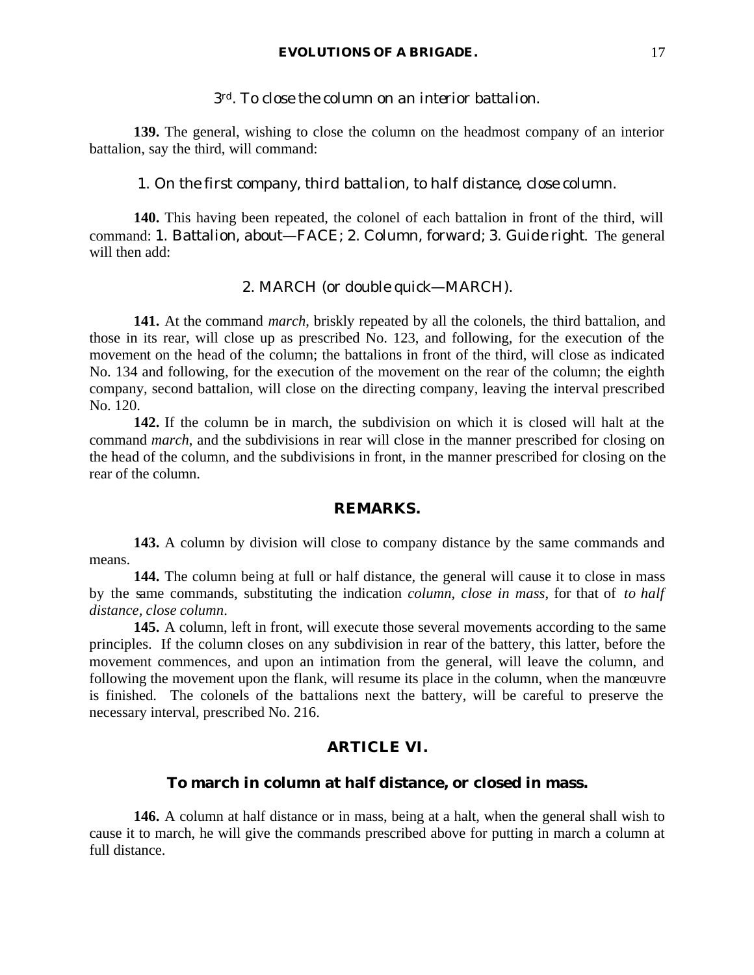#### **EVOLUTIONS OF A BRIGADE.** 17

#### *3rd. To close the column on an interior battalion.*

**139.** The general, wishing to close the column on the headmost company of an interior battalion, say the third, will command:

#### 1. *On the first company, third battalion, to half distance, close column*.

**140.** This having been repeated, the colonel of each battalion in front of the third, will command: 1. *Battalion, about*—FACE; 2. *Column, forward*; 3. *Guide right*. The general will then add:

#### 2. MARCH (or *double quick*—MARCH).

**141.** At the command *march*, briskly repeated by all the colonels, the third battalion, and those in its rear, will close up as prescribed No. 123, and following, for the execution of the movement on the head of the column; the battalions in front of the third, will close as indicated No. 134 and following, for the execution of the movement on the rear of the column; the eighth company, second battalion, will close on the directing company, leaving the interval prescribed No. 120.

**142.** If the column be in march, the subdivision on which it is closed will halt at the command *march*, and the subdivisions in rear will close in the manner prescribed for closing on the head of the column, and the subdivisions in front, in the manner prescribed for closing on the rear of the column.

#### **REMARKS.**

**143.** A column by division will close to company distance by the same commands and means.

**144.** The column being at full or half distance, the general will cause it to close in mass by the same commands, substituting the indication *column, close in mass*, for that of *to half distance, close column*.

**145.** A column, left in front, will execute those several movements according to the same principles. If the column closes on any subdivision in rear of the battery, this latter, before the movement commences, and upon an intimation from the general, will leave the column, and following the movement upon the flank, will resume its place in the column, when the manœuvre is finished. The colonels of the battalions next the battery, will be careful to preserve the necessary interval, prescribed No. 216.

## **ARTICLE VI.**

#### **To march in column at half distance, or closed in mass.**

**146.** A column at half distance or in mass, being at a halt, when the general shall wish to cause it to march, he will give the commands prescribed above for putting in march a column at full distance.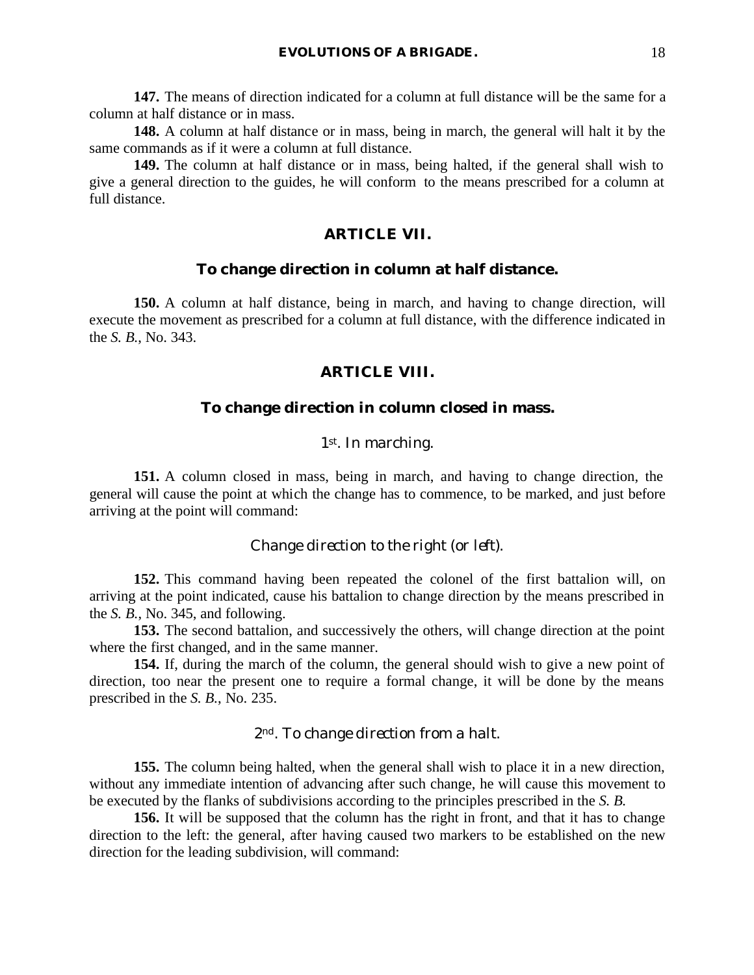**147.** The means of direction indicated for a column at full distance will be the same for a column at half distance or in mass.

**148.** A column at half distance or in mass, being in march, the general will halt it by the same commands as if it were a column at full distance.

**149.** The column at half distance or in mass, being halted, if the general shall wish to give a general direction to the guides, he will conform to the means prescribed for a column at full distance.

## **ARTICLE VII.**

#### **To change direction in column at half distance.**

**150.** A column at half distance, being in march, and having to change direction, will execute the movement as prescribed for a column at full distance, with the difference indicated in the *S. B.*, No. 343.

### **ARTICLE VIII.**

#### **To change direction in column closed in mass.**

## *1st. In marching.*

**151.** A column closed in mass, being in march, and having to change direction, the general will cause the point at which the change has to commence, to be marked, and just before arriving at the point will command:

#### *Change direction to the right* (or *left*).

**152.** This command having been repeated the colonel of the first battalion will, on arriving at the point indicated, cause his battalion to change direction by the means prescribed in the *S. B.*, No. 345, and following.

**153.** The second battalion, and successively the others, will change direction at the point where the first changed, and in the same manner.

**154.** If, during the march of the column, the general should wish to give a new point of direction, too near the present one to require a formal change, it will be done by the means prescribed in the *S. B.*, No. 235.

#### *2nd. To change direction from a halt.*

**155.** The column being halted, when the general shall wish to place it in a new direction, without any immediate intention of advancing after such change, he will cause this movement to be executed by the flanks of subdivisions according to the principles prescribed in the *S. B.*

**156.** It will be supposed that the column has the right in front, and that it has to change direction to the left: the general, after having caused two markers to be established on the new direction for the leading subdivision, will command: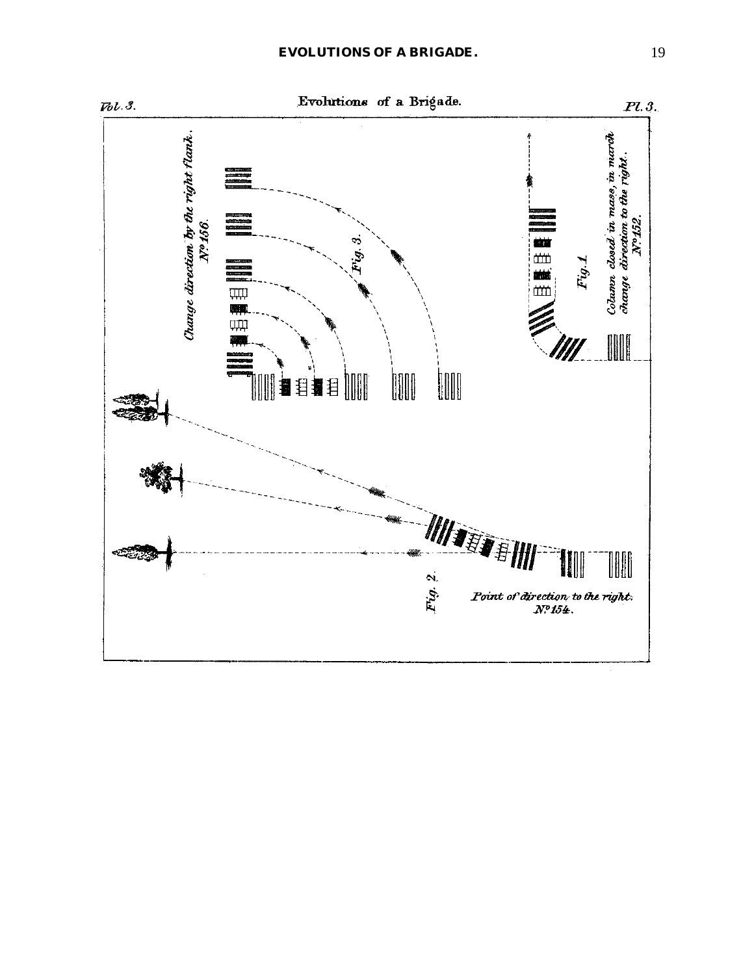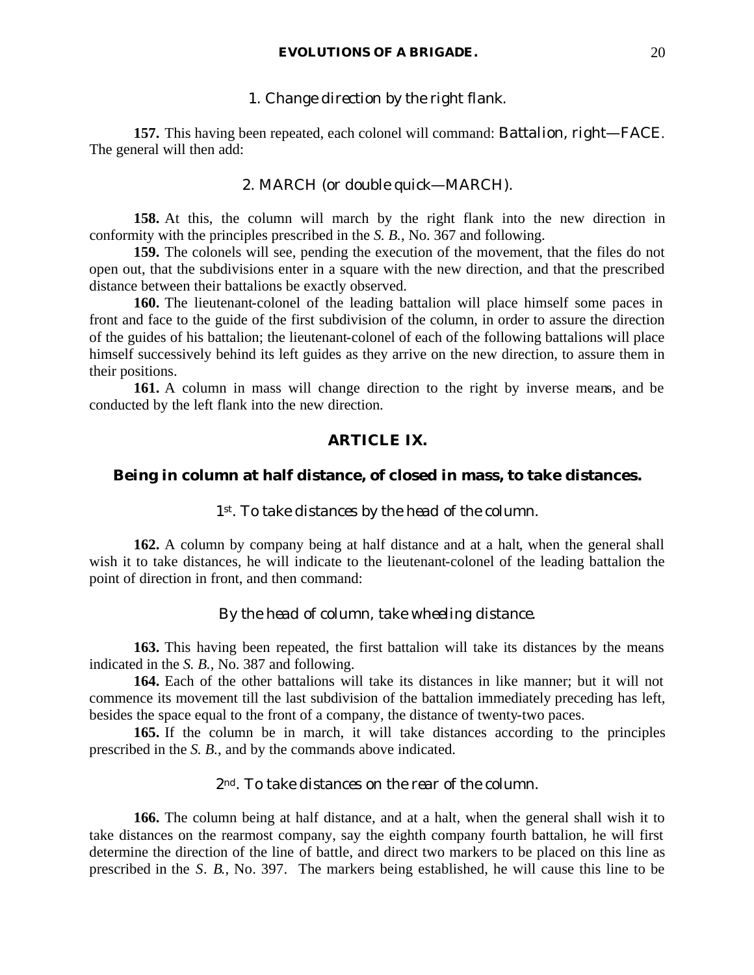#### 1. *Change direction by the right flank*.

**157.** This having been repeated, each colonel will command: *Battalion, right*—FACE. The general will then add:

#### 2. MARCH (or *double quick*—MARCH).

**158.** At this, the column will march by the right flank into the new direction in conformity with the principles prescribed in the *S. B.*, No. 367 and following.

**159.** The colonels will see, pending the execution of the movement, that the files do not open out, that the subdivisions enter in a square with the new direction, and that the prescribed distance between their battalions be exactly observed.

**160.** The lieutenant-colonel of the leading battalion will place himself some paces in front and face to the guide of the first subdivision of the column, in order to assure the direction of the guides of his battalion; the lieutenant-colonel of each of the following battalions will place himself successively behind its left guides as they arrive on the new direction, to assure them in their positions.

**161.** A column in mass will change direction to the right by inverse means, and be conducted by the left flank into the new direction.

## **ARTICLE IX.**

## **Being in column at half distance, of closed in mass, to take distances.**

#### *1st. To take distances by the head of the column.*

**162.** A column by company being at half distance and at a halt, when the general shall wish it to take distances, he will indicate to the lieutenant-colonel of the leading battalion the point of direction in front, and then command:

#### *By the head of column, take wheeling distance.*

**163.** This having been repeated, the first battalion will take its distances by the means indicated in the *S. B.*, No. 387 and following.

**164.** Each of the other battalions will take its distances in like manner; but it will not commence its movement till the last subdivision of the battalion immediately preceding has left, besides the space equal to the front of a company, the distance of twenty-two paces.

**165.** If the column be in march, it will take distances according to the principles prescribed in the *S. B.*, and by the commands above indicated.

## *2nd. To take distances on the rear of the column.*

**166.** The column being at half distance, and at a halt, when the general shall wish it to take distances on the rearmost company, say the eighth company fourth battalion, he will first determine the direction of the line of battle, and direct two markers to be placed on this line as prescribed in the *S. B.*, No. 397. The markers being established, he will cause this line to be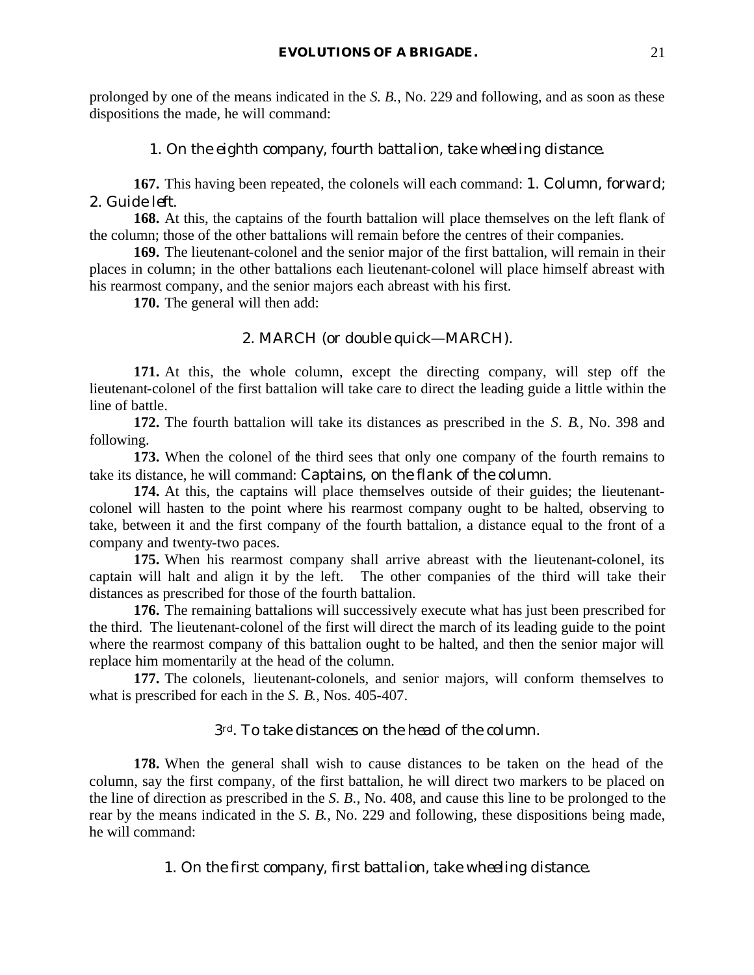prolonged by one of the means indicated in the *S. B.*, No. 229 and following, and as soon as these dispositions the made, he will command:

## 1. *On the eighth company, fourth battalion, take wheeling distance*.

**167.** This having been repeated, the colonels will each command: 1. *Column, forward*; 2. *Guide left*.

**168.** At this, the captains of the fourth battalion will place themselves on the left flank of the column; those of the other battalions will remain before the centres of their companies.

**169.** The lieutenant-colonel and the senior major of the first battalion, will remain in their places in column; in the other battalions each lieutenant-colonel will place himself abreast with his rearmost company, and the senior majors each abreast with his first.

**170.** The general will then add:

## 2. MARCH (or *double quick*—MARCH).

**171.** At this, the whole column, except the directing company, will step off the lieutenant-colonel of the first battalion will take care to direct the leading guide a little within the line of battle.

**172.** The fourth battalion will take its distances as prescribed in the *S. B.*, No. 398 and following.

**173.** When the colonel of the third sees that only one company of the fourth remains to take its distance, he will command: *Captains, on the flank of the column*.

**174.** At this, the captains will place themselves outside of their guides; the lieutenantcolonel will hasten to the point where his rearmost company ought to be halted, observing to take, between it and the first company of the fourth battalion, a distance equal to the front of a company and twenty-two paces.

**175.** When his rearmost company shall arrive abreast with the lieutenant-colonel, its captain will halt and align it by the left. The other companies of the third will take their distances as prescribed for those of the fourth battalion.

**176.** The remaining battalions will successively execute what has just been prescribed for the third. The lieutenant-colonel of the first will direct the march of its leading guide to the point where the rearmost company of this battalion ought to be halted, and then the senior major will replace him momentarily at the head of the column.

**177.** The colonels, lieutenant-colonels, and senior majors, will conform themselves to what is prescribed for each in the *S. B.*, Nos. 405-407.

## *3rd. To take distances on the head of the column.*

**178.** When the general shall wish to cause distances to be taken on the head of the column, say the first company, of the first battalion, he will direct two markers to be placed on the line of direction as prescribed in the *S. B.*, No. 408, and cause this line to be prolonged to the rear by the means indicated in the *S. B.*, No. 229 and following, these dispositions being made, he will command:

1. *On the first company, first battalion, take wheeling distance*.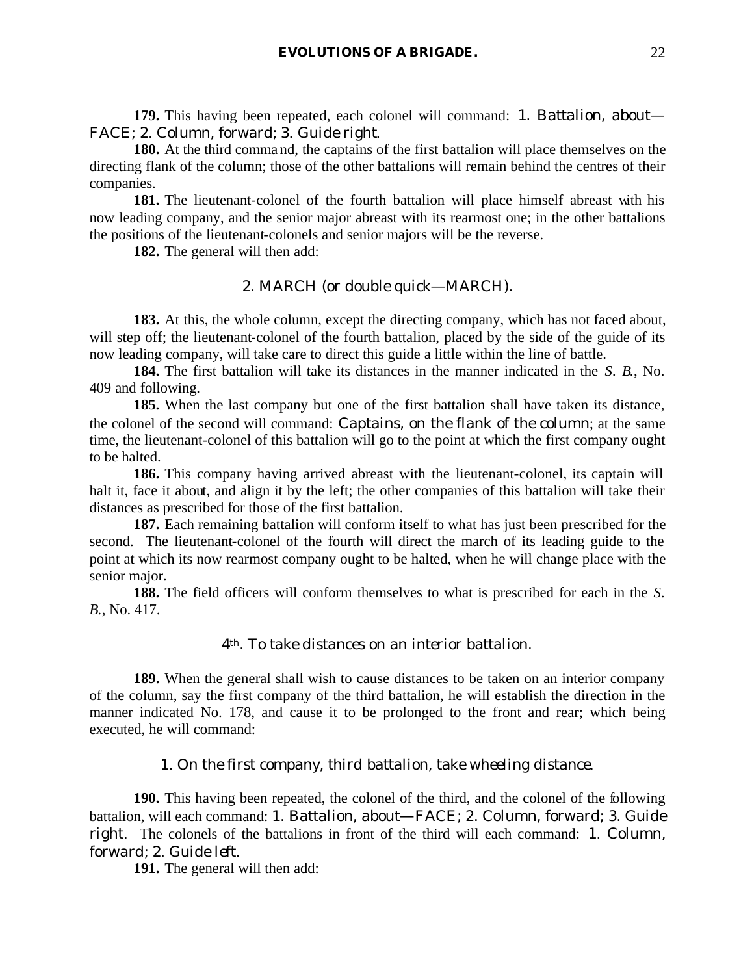**179.** This having been repeated, each colonel will command: 1. *Battalion, about*— FACE; 2. *Column, forward*; 3. *Guide right*.

**180.** At the third comma nd, the captains of the first battalion will place themselves on the directing flank of the column; those of the other battalions will remain behind the centres of their companies.

**181.** The lieutenant-colonel of the fourth battalion will place himself abreast with his now leading company, and the senior major abreast with its rearmost one; in the other battalions the positions of the lieutenant-colonels and senior majors will be the reverse.

**182.** The general will then add:

## 2. MARCH (or *double quick*—MARCH).

**183.** At this, the whole column, except the directing company, which has not faced about, will step off; the lieutenant-colonel of the fourth battalion, placed by the side of the guide of its now leading company, will take care to direct this guide a little within the line of battle.

**184.** The first battalion will take its distances in the manner indicated in the *S. B.*, No. 409 and following.

**185.** When the last company but one of the first battalion shall have taken its distance, the colonel of the second will command: *Captains, on the flank of the column*; at the same time, the lieutenant-colonel of this battalion will go to the point at which the first company ought to be halted.

**186.** This company having arrived abreast with the lieutenant-colonel, its captain will halt it, face it about, and align it by the left; the other companies of this battalion will take their distances as prescribed for those of the first battalion.

**187.** Each remaining battalion will conform itself to what has just been prescribed for the second. The lieutenant-colonel of the fourth will direct the march of its leading guide to the point at which its now rearmost company ought to be halted, when he will change place with the senior major.

**188.** The field officers will conform themselves to what is prescribed for each in the *S. B.*, No. 417.

#### *4th. To take distances on an interior battalion.*

**189.** When the general shall wish to cause distances to be taken on an interior company of the column, say the first company of the third battalion, he will establish the direction in the manner indicated No. 178, and cause it to be prolonged to the front and rear; which being executed, he will command:

## 1. *On the first company, third battalion, take wheeling distance*.

**190.** This having been repeated, the colonel of the third, and the colonel of the following battalion, will each command: 1. *Battalion, about*—FACE; 2. *Column, forward*; 3. *Guide right*. The colonels of the battalions in front of the third will each command: 1. *Column, forward*; 2. *Guide left*.

**191.** The general will then add: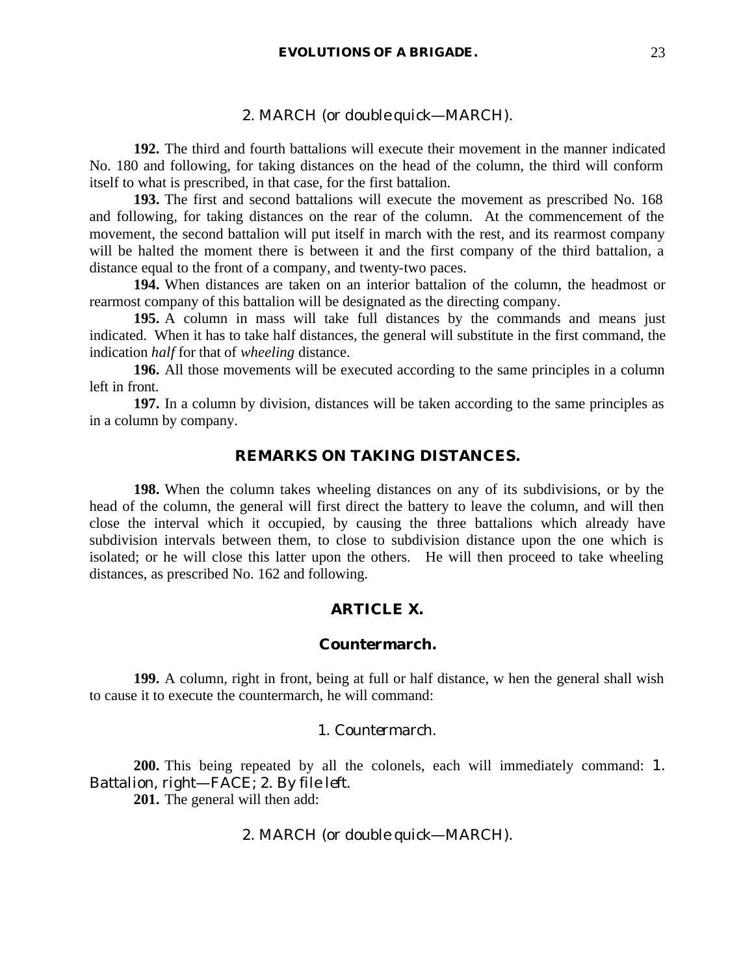#### 2. MARCH (or *double quick*—MARCH).

**192.** The third and fourth battalions will execute their movement in the manner indicated No. 180 and following, for taking distances on the head of the column, the third will conform itself to what is prescribed, in that case, for the first battalion.

**193.** The first and second battalions will execute the movement as prescribed No. 168 and following, for taking distances on the rear of the column. At the commencement of the movement, the second battalion will put itself in march with the rest, and its rearmost company will be halted the moment there is between it and the first company of the third battalion, a distance equal to the front of a company, and twenty-two paces.

**194.** When distances are taken on an interior battalion of the column, the headmost or rearmost company of this battalion will be designated as the directing company.

**195.** A column in mass will take full distances by the commands and means just indicated. When it has to take half distances, the general will substitute in the first command, the indication *half* for that of *wheeling* distance.

**196.** All those movements will be executed according to the same principles in a column left in front.

**197.** In a column by division, distances will be taken according to the same principles as in a column by company.

## **REMARKS ON TAKING DISTANCES.**

**198.** When the column takes wheeling distances on any of its subdivisions, or by the head of the column, the general will first direct the battery to leave the column, and will then close the interval which it occupied, by causing the three battalions which already have subdivision intervals between them, to close to subdivision distance upon the one which is isolated; or he will close this latter upon the others. He will then proceed to take wheeling distances, as prescribed No. 162 and following.

## **ARTICLE X.**

#### **Countermarch.**

**199.** A column, right in front, being at full or half distance, w hen the general shall wish to cause it to execute the countermarch, he will command:

#### 1. *Countermarch*.

**200.** This being repeated by all the colonels, each will immediately command: 1. *Battalion, right*—FACE; 2. *By file left*.

**201.** The general will then add:

## 2. MARCH (or *double quick*—MARCH).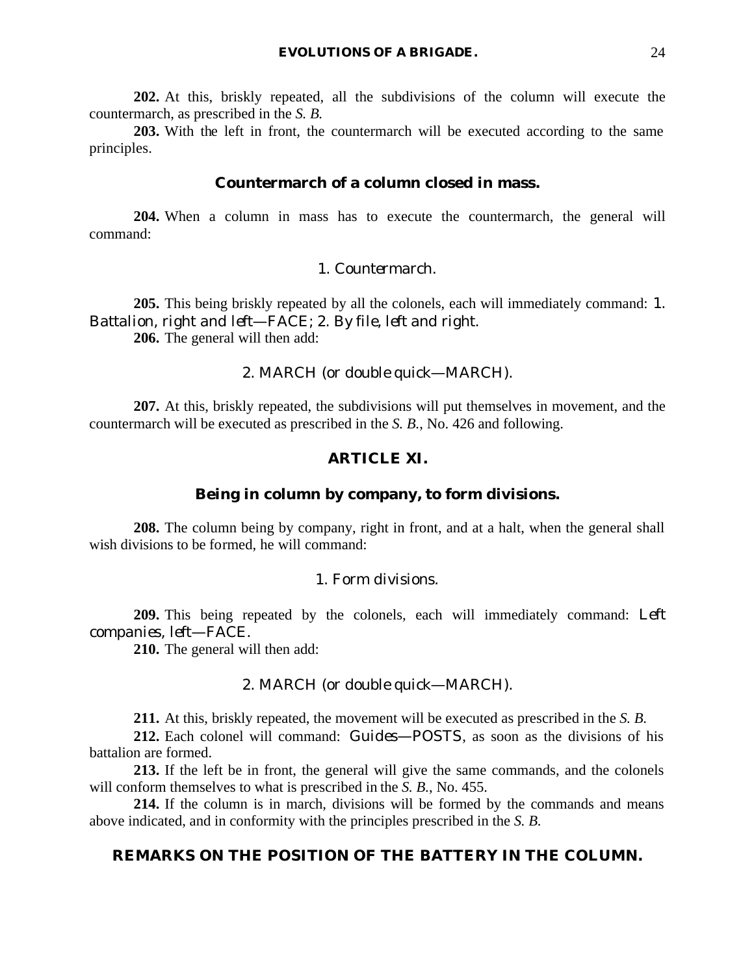**202.** At this, briskly repeated, all the subdivisions of the column will execute the countermarch, as prescribed in the *S. B.*

**203.** With the left in front, the countermarch will be executed according to the same principles.

## **Countermarch of a column closed in mass.**

**204.** When a column in mass has to execute the countermarch, the general will command:

#### 1. *Countermarch*.

**205.** This being briskly repeated by all the colonels, each will immediately command: 1. *Battalion, right and left*—FACE; 2. *By file, left and right*. **206.** The general will then add:

## 2. MARCH (or *double quick*—MARCH).

**207.** At this, briskly repeated, the subdivisions will put themselves in movement, and the countermarch will be executed as prescribed in the *S. B.*, No. 426 and following.

#### **ARTICLE XI.**

### **Being in column by company, to form divisions.**

**208.** The column being by company, right in front, and at a halt, when the general shall wish divisions to be formed, he will command:

## 1. *Form divisions*.

**209.** This being repeated by the colonels, each will immediately command: *Left companies, left*—FACE.

**210.** The general will then add:

#### 2. MARCH (or *double quick*—MARCH).

**211.** At this, briskly repeated, the movement will be executed as prescribed in the *S. B.*

**212.** Each colonel will command: *Guides*—POSTS, as soon as the divisions of his battalion are formed.

**213.** If the left be in front, the general will give the same commands, and the colonels will conform themselves to what is prescribed in the *S. B.*, No. 455.

**214.** If the column is in march, divisions will be formed by the commands and means above indicated, and in conformity with the principles prescribed in the *S. B.*

#### **REMARKS ON THE POSITION OF THE BATTERY IN THE COLUMN.**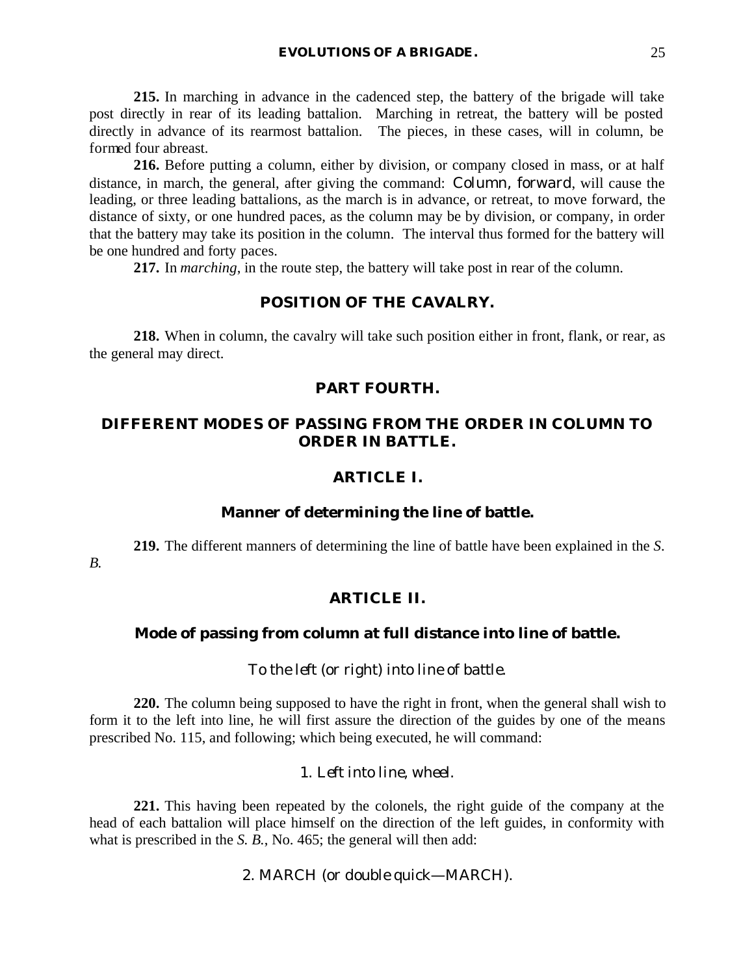**215.** In marching in advance in the cadenced step, the battery of the brigade will take post directly in rear of its leading battalion. Marching in retreat, the battery will be posted directly in advance of its rearmost battalion. The pieces, in these cases, will in column, be formed four abreast.

**216.** Before putting a column, either by division, or company closed in mass, or at half distance, in march, the general, after giving the command: *Column, forward*, will cause the leading, or three leading battalions, as the march is in advance, or retreat, to move forward, the distance of sixty, or one hundred paces, as the column may be by division, or company, in order that the battery may take its position in the column. The interval thus formed for the battery will be one hundred and forty paces.

**217.** In *marching*, in the route step, the battery will take post in rear of the column.

#### **POSITION OF THE CAVALRY.**

**218.** When in column, the cavalry will take such position either in front, flank, or rear, as the general may direct.

### **PART FOURTH.**

## **DIFFERENT MODES OF PASSING FROM THE ORDER IN COLUMN TO ORDER IN BATTLE.**

#### **ARTICLE I.**

#### **Manner of determining the line of battle.**

**219.** The different manners of determining the line of battle have been explained in the *S. B.*

## **ARTICLE II.**

#### **Mode of passing from column at full distance into line of battle.**

#### *To the left (or right) into line of battle.*

**220.** The column being supposed to have the right in front, when the general shall wish to form it to the left into line, he will first assure the direction of the guides by one of the means prescribed No. 115, and following; which being executed, he will command:

## 1. *Left into line, wheel*.

**221.** This having been repeated by the colonels, the right guide of the company at the head of each battalion will place himself on the direction of the left guides, in conformity with what is prescribed in the *S. B.*, No. 465; the general will then add:

2. MARCH (or *double qu*ick—MARCH).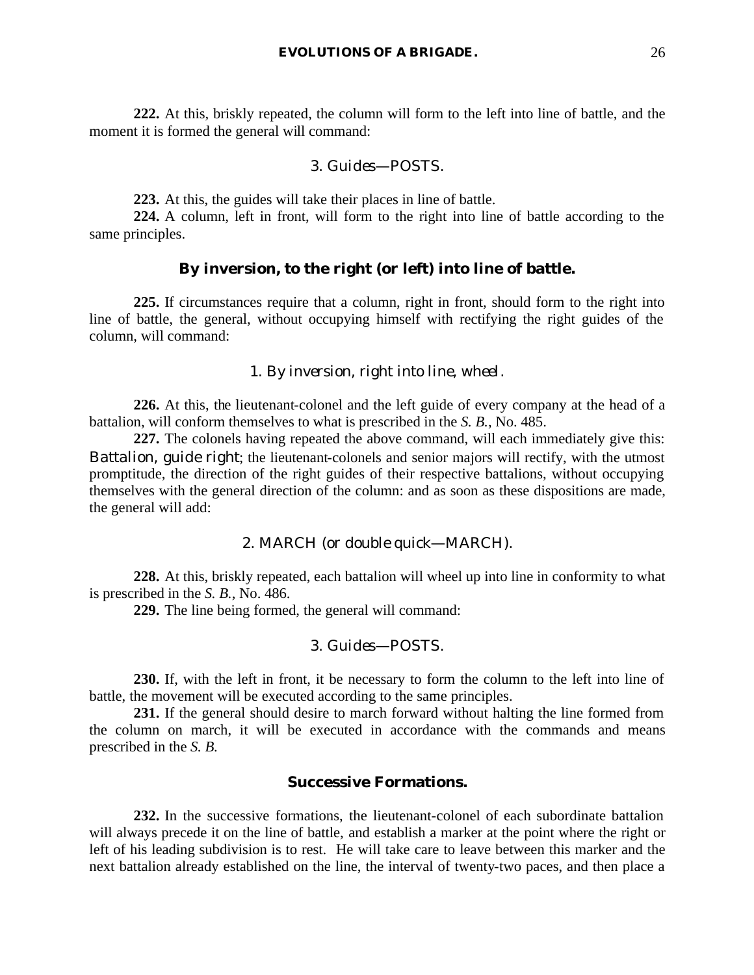**222.** At this, briskly repeated, the column will form to the left into line of battle, and the moment it is formed the general will command:

#### 3. *Guides*—POSTS.

**223.** At this, the guides will take their places in line of battle.

**224.** A column, left in front, will form to the right into line of battle according to the same principles.

#### **By inversion, to the right (or left) into line of battle.**

**225.** If circumstances require that a column, right in front, should form to the right into line of battle, the general, without occupying himself with rectifying the right guides of the column, will command:

#### 1. *By inversion, right into line, wheel*.

**226.** At this, the lieutenant-colonel and the left guide of every company at the head of a battalion, will conform themselves to what is prescribed in the *S. B.*, No. 485.

**227.** The colonels having repeated the above command, will each immediately give this: *Battalion, guide right*; the lieutenant-colonels and senior majors will rectify, with the utmost promptitude, the direction of the right guides of their respective battalions, without occupying themselves with the general direction of the column: and as soon as these dispositions are made, the general will add:

## 2. MARCH (or *double quick*—MARCH).

**228.** At this, briskly repeated, each battalion will wheel up into line in conformity to what is prescribed in the *S. B.*, No. 486.

**229.** The line being formed, the general will command:

#### 3. *Guides*—POSTS.

**230.** If, with the left in front, it be necessary to form the column to the left into line of battle, the movement will be executed according to the same principles.

**231.** If the general should desire to march forward without halting the line formed from the column on march, it will be executed in accordance with the commands and means prescribed in the *S. B.*

#### **Successive Formations.**

**232.** In the successive formations, the lieutenant-colonel of each subordinate battalion will always precede it on the line of battle, and establish a marker at the point where the right or left of his leading subdivision is to rest. He will take care to leave between this marker and the next battalion already established on the line, the interval of twenty-two paces, and then place a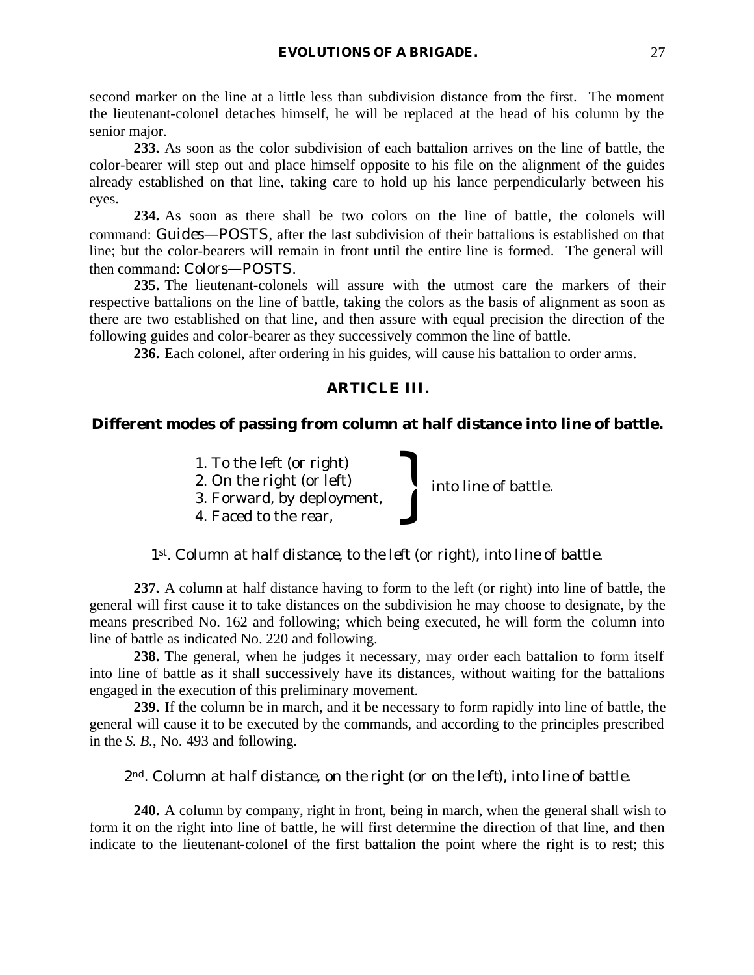second marker on the line at a little less than subdivision distance from the first. The moment the lieutenant-colonel detaches himself, he will be replaced at the head of his column by the senior major.

**233.** As soon as the color subdivision of each battalion arrives on the line of battle, the color-bearer will step out and place himself opposite to his file on the alignment of the guides already established on that line, taking care to hold up his lance perpendicularly between his eyes.

**234.** As soon as there shall be two colors on the line of battle, the colonels will command: *Guides*—POSTS, after the last subdivision of their battalions is established on that line; but the color-bearers will remain in front until the entire line is formed. The general will then command: *Colors*—POSTS.

**235.** The lieutenant-colonels will assure with the utmost care the markers of their respective battalions on the line of battle, taking the colors as the basis of alignment as soon as there are two established on that line, and then assure with equal precision the direction of the following guides and color-bearer as they successively common the line of battle.

**236.** Each colonel, after ordering in his guides, will cause his battalion to order arms.

## **ARTICLE III.**

## **Different modes of passing from column at half distance into line of battle.**

into line of battle.

- 1. To the left (or right)
- 2. On the right (or left)
- 3. Forward, by deployment, 1. To the left (or right)<br>2. On the right (or left)<br>3. Forward, by deployment,<br>4. Faced to the rear,
- 

*1st. Column at half distance, to the left (or right), into line of battle.*

**237.** A column at half distance having to form to the left (or right) into line of battle, the general will first cause it to take distances on the subdivision he may choose to designate, by the means prescribed No. 162 and following; which being executed, he will form the column into line of battle as indicated No. 220 and following.

**238.** The general, when he judges it necessary, may order each battalion to form itself into line of battle as it shall successively have its distances, without waiting for the battalions engaged in the execution of this preliminary movement.

**239.** If the column be in march, and it be necessary to form rapidly into line of battle, the general will cause it to be executed by the commands, and according to the principles prescribed in the *S. B.*, No. 493 and following.

## *2nd. Column at half distance, on the right* (or *on the left*)*, into line of battle.*

**240.** A column by company, right in front, being in march, when the general shall wish to form it on the right into line of battle, he will first determine the direction of that line, and then indicate to the lieutenant-colonel of the first battalion the point where the right is to rest; this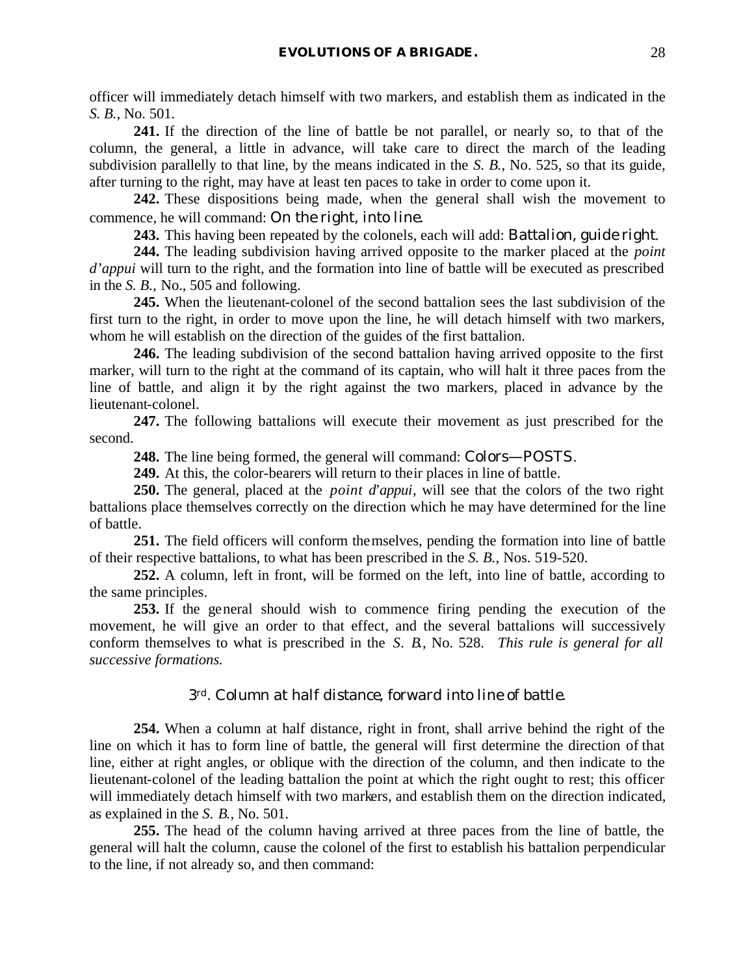officer will immediately detach himself with two markers, and establish them as indicated in the *S. B.*, No. 501.

**241.** If the direction of the line of battle be not parallel, or nearly so, to that of the column, the general, a little in advance, will take care to direct the march of the leading subdivision parallelly to that line, by the means indicated in the *S. B.*, No. 525, so that its guide, after turning to the right, may have at least ten paces to take in order to come upon it.

**242.** These dispositions being made, when the general shall wish the movement to commence, he will command: *On the right, into line.*

**243.** This having been repeated by the colonels, each will add: *Battalion, guide right*.

**244.** The leading subdivision having arrived opposite to the marker placed at the *point d'appui* will turn to the right, and the formation into line of battle will be executed as prescribed in the *S. B.*, No., 505 and following.

**245.** When the lieutenant-colonel of the second battalion sees the last subdivision of the first turn to the right, in order to move upon the line, he will detach himself with two markers, whom he will establish on the direction of the guides of the first battalion.

**246.** The leading subdivision of the second battalion having arrived opposite to the first marker, will turn to the right at the command of its captain, who will halt it three paces from the line of battle, and align it by the right against the two markers, placed in advance by the lieutenant-colonel.

**247.** The following battalions will execute their movement as just prescribed for the second.

**248.** The line being formed, the general will command: *Colors*—POSTS.

**249.** At this, the color-bearers will return to their places in line of battle.

**250.** The general, placed at the *point d'appui*, will see that the colors of the two right battalions place themselves correctly on the direction which he may have determined for the line of battle.

**251.** The field officers will conform themselves, pending the formation into line of battle of their respective battalions, to what has been prescribed in the *S. B.*, Nos. 519-520.

**252.** A column, left in front, will be formed on the left, into line of battle, according to the same principles.

**253.** If the general should wish to commence firing pending the execution of the movement, he will give an order to that effect, and the several battalions will successively conform themselves to what is prescribed in the *S. B.*, No. 528. *This rule is general for all successive formations.*

#### *3rd. Column at half distance, forward into line of battle.*

**254.** When a column at half distance, right in front, shall arrive behind the right of the line on which it has to form line of battle, the general will first determine the direction of that line, either at right angles, or oblique with the direction of the column, and then indicate to the lieutenant-colonel of the leading battalion the point at which the right ought to rest; this officer will immediately detach himself with two markers, and establish them on the direction indicated, as explained in the *S. B.*, No. 501.

**255.** The head of the column having arrived at three paces from the line of battle, the general will halt the column, cause the colonel of the first to establish his battalion perpendicular to the line, if not already so, and then command: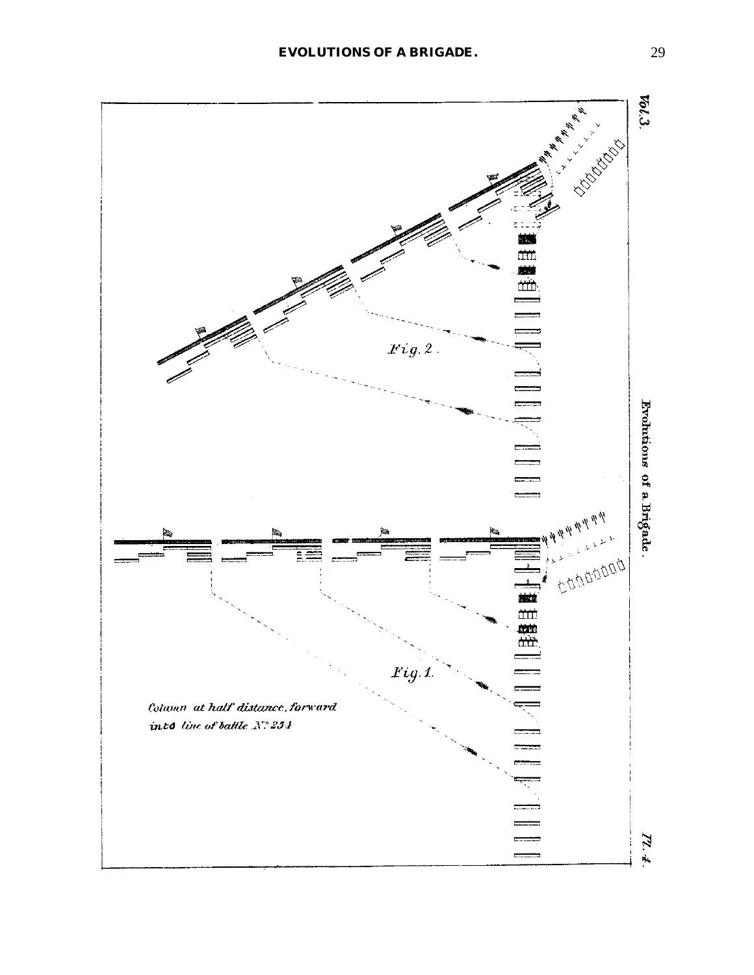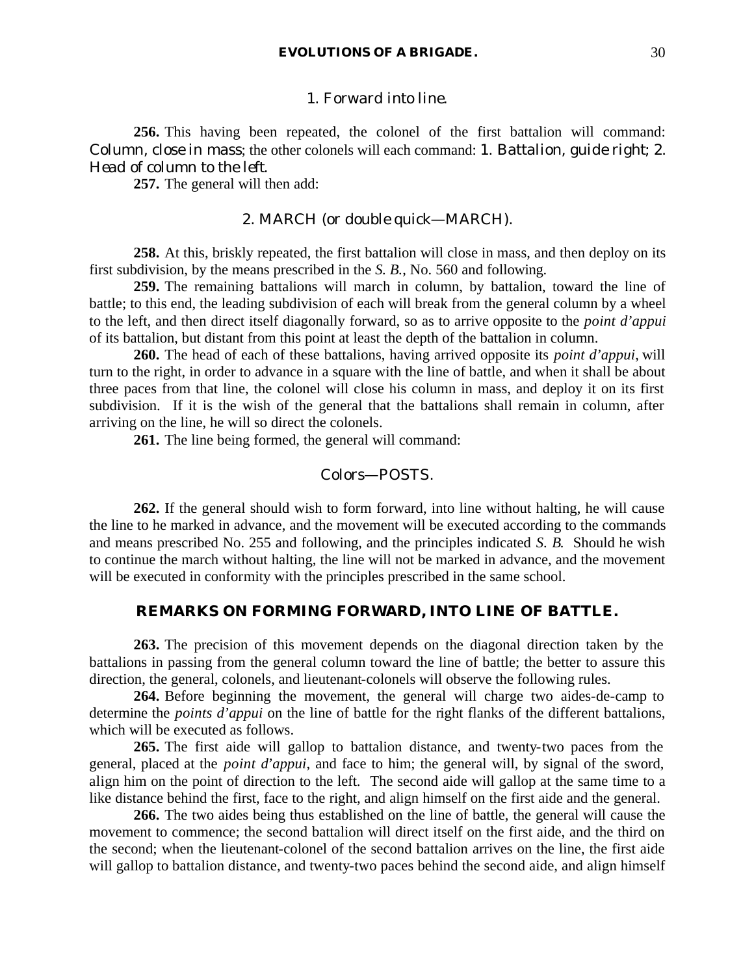#### 1. *Forward into line*.

**256.** This having been repeated, the colonel of the first battalion will command: *Column, close in mass*; the other colonels will each command: 1. *Battalion, guide right*; 2. *Head of column to the left*.

**257.** The general will then add:

## 2. MARCH (or *double quick*—MARCH).

**258.** At this, briskly repeated, the first battalion will close in mass, and then deploy on its first subdivision, by the means prescribed in the *S. B.*, No. 560 and following.

**259.** The remaining battalions will march in column, by battalion, toward the line of battle; to this end, the leading subdivision of each will break from the general column by a wheel to the left, and then direct itself diagonally forward, so as to arrive opposite to the *point d'appui* of its battalion, but distant from this point at least the depth of the battalion in column.

**260.** The head of each of these battalions, having arrived opposite its *point d'appui*, will turn to the right, in order to advance in a square with the line of battle, and when it shall be about three paces from that line, the colonel will close his column in mass, and deploy it on its first subdivision. If it is the wish of the general that the battalions shall remain in column, after arriving on the line, he will so direct the colonels.

**261.** The line being formed, the general will command:

#### *Colors*—POSTS.

**262.** If the general should wish to form forward, into line without halting, he will cause the line to he marked in advance, and the movement will be executed according to the commands and means prescribed No. 255 and following, and the principles indicated *S. B.* Should he wish to continue the march without halting, the line will not be marked in advance, and the movement will be executed in conformity with the principles prescribed in the same school.

#### **REMARKS ON FORMING FORWARD, INTO LINE OF BATTLE.**

**263.** The precision of this movement depends on the diagonal direction taken by the battalions in passing from the general column toward the line of battle; the better to assure this direction, the general, colonels, and lieutenant-colonels will observe the following rules.

**264.** Before beginning the movement, the general will charge two aides-de-camp to determine the *points d'appui* on the line of battle for the right flanks of the different battalions, which will be executed as follows.

**265.** The first aide will gallop to battalion distance, and twenty-two paces from the general, placed at the *point d'appui*, and face to him; the general will, by signal of the sword, align him on the point of direction to the left. The second aide will gallop at the same time to a like distance behind the first, face to the right, and align himself on the first aide and the general.

**266.** The two aides being thus established on the line of battle, the general will cause the movement to commence; the second battalion will direct itself on the first aide, and the third on the second; when the lieutenant-colonel of the second battalion arrives on the line, the first aide will gallop to battalion distance, and twenty-two paces behind the second aide, and align himself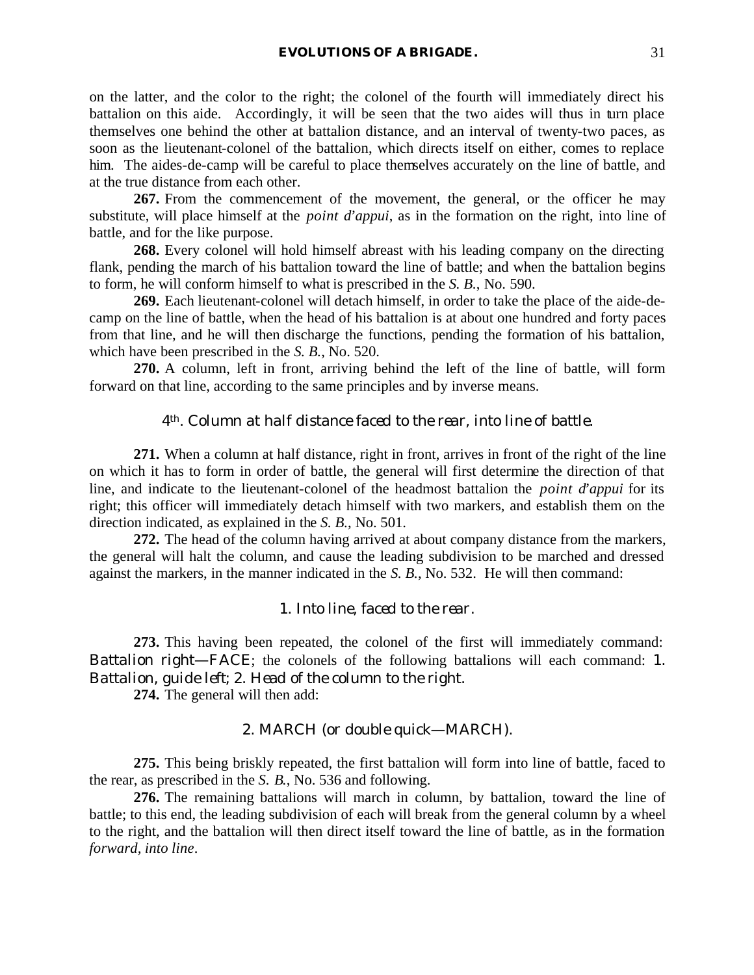on the latter, and the color to the right; the colonel of the fourth will immediately direct his battalion on this aide. Accordingly, it will be seen that the two aides will thus in turn place themselves one behind the other at battalion distance, and an interval of twenty-two paces, as soon as the lieutenant-colonel of the battalion, which directs itself on either, comes to replace him. The aides-de-camp will be careful to place themselves accurately on the line of battle, and at the true distance from each other.

**267.** From the commencement of the movement, the general, or the officer he may substitute, will place himself at the *point d'appui*, as in the formation on the right, into line of battle, and for the like purpose.

**268.** Every colonel will hold himself abreast with his leading company on the directing flank, pending the march of his battalion toward the line of battle; and when the battalion begins to form, he will conform himself to what is prescribed in the *S. B.*, No. 590.

**269.** Each lieutenant-colonel will detach himself, in order to take the place of the aide-decamp on the line of battle, when the head of his battalion is at about one hundred and forty paces from that line, and he will then discharge the functions, pending the formation of his battalion, which have been prescribed in the *S. B.*, No. 520.

**270.** A column, left in front, arriving behind the left of the line of battle, will form forward on that line, according to the same principles and by inverse means.

#### *4th. Column at half distance faced to the rear, into line of battle.*

**271.** When a column at half distance, right in front, arrives in front of the right of the line on which it has to form in order of battle, the general will first determine the direction of that line, and indicate to the lieutenant-colonel of the headmost battalion the *point d'appui* for its right; this officer will immediately detach himself with two markers, and establish them on the direction indicated, as explained in the *S. B.*, No. 501.

**272.** The head of the column having arrived at about company distance from the markers, the general will halt the column, and cause the leading subdivision to be marched and dressed against the markers, in the manner indicated in the *S. B.*, No. 532. He will then command:

#### 1. *Into line, faced to the rear*.

**273.** This having been repeated, the colonel of the first will immediately command: *Battalion right*—FACE; the colonels of the following battalions will each command: 1. *Battalion, guide left*; 2. *Head of the column to the right*.

**274.** The general will then add:

#### 2. MARCH (or *double quick*—MARCH).

**275.** This being briskly repeated, the first battalion will form into line of battle, faced to the rear, as prescribed in the *S. B.*, No. 536 and following.

**276.** The remaining battalions will march in column, by battalion, toward the line of battle; to this end, the leading subdivision of each will break from the general column by a wheel to the right, and the battalion will then direct itself toward the line of battle, as in the formation *forward, into line*.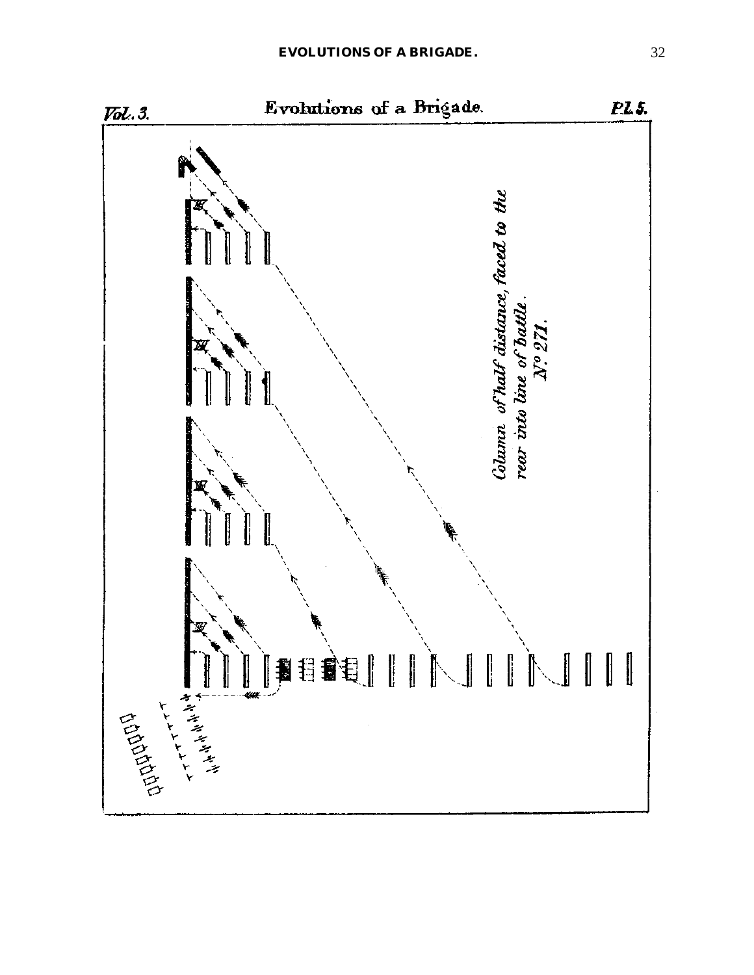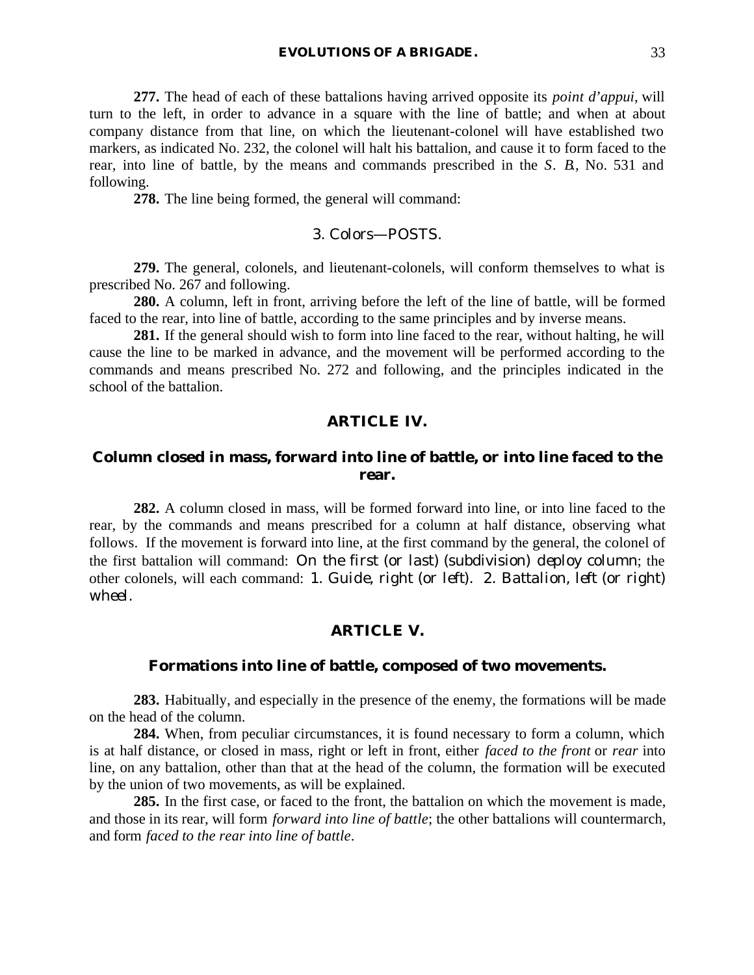**277.** The head of each of these battalions having arrived opposite its *point d'appui*, will turn to the left, in order to advance in a square with the line of battle; and when at about company distance from that line, on which the lieutenant-colonel will have established two markers, as indicated No. 232, the colonel will halt his battalion, and cause it to form faced to the rear, into line of battle, by the means and commands prescribed in the *S. B.*, No. 531 and following.

**278.** The line being formed, the general will command:

#### 3. *Colors*—POSTS.

**279.** The general, colonels, and lieutenant-colonels, will conform themselves to what is prescribed No. 267 and following.

**280.** A column, left in front, arriving before the left of the line of battle, will be formed faced to the rear, into line of battle, according to the same principles and by inverse means.

**281.** If the general should wish to form into line faced to the rear, without halting, he will cause the line to be marked in advance, and the movement will be performed according to the commands and means prescribed No. 272 and following, and the principles indicated in the school of the battalion.

#### **ARTICLE IV.**

## **Column closed in mass, forward into line of battle, or into line faced to the rear.**

**282.** A column closed in mass, will be formed forward into line, or into line faced to the rear, by the commands and means prescribed for a column at half distance, observing what follows. If the movement is forward into line, at the first command by the general, the colonel of the first battalion will command: *On the first* (or *last*) (subdivision) *deploy column*; the other colonels, will each command: 1. *Guide, right* (or *left*). 2. *Battalion, left* (or *right*) *wheel*.

#### **ARTICLE V.**

#### **Formations into line of battle, composed of two movements.**

**283.** Habitually, and especially in the presence of the enemy, the formations will be made on the head of the column.

**284.** When, from peculiar circumstances, it is found necessary to form a column, which is at half distance, or closed in mass, right or left in front, either *faced to the front* or *rear* into line, on any battalion, other than that at the head of the column, the formation will be executed by the union of two movements, as will be explained.

**285.** In the first case, or faced to the front, the battalion on which the movement is made, and those in its rear, will form *forward into line of battle*; the other battalions will countermarch, and form *faced to the rear into line of battle*.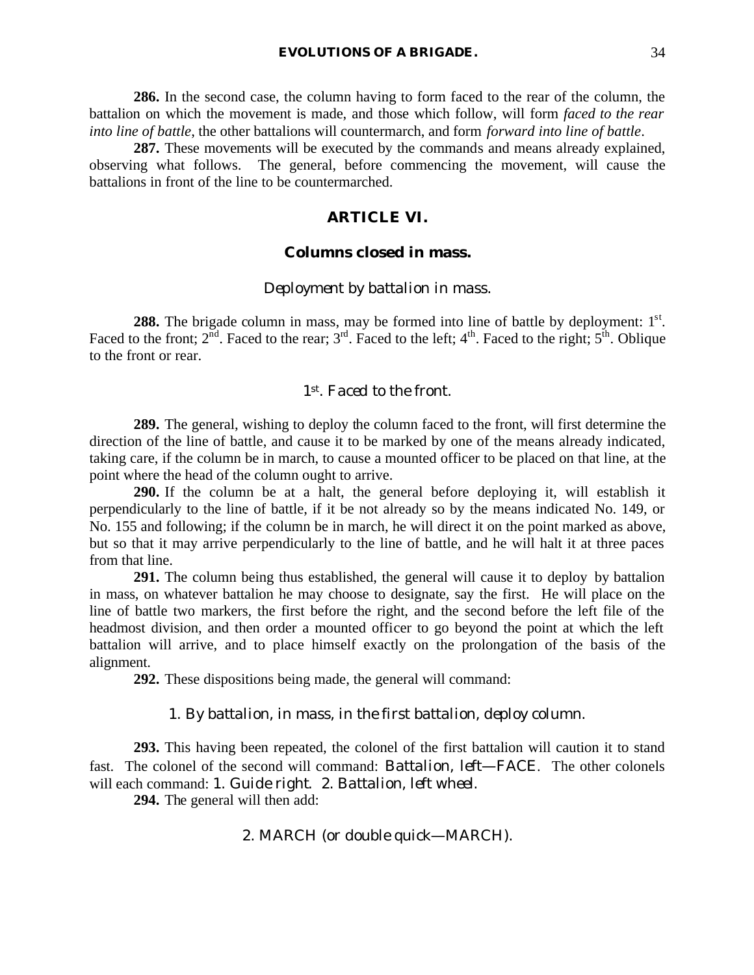**286.** In the second case, the column having to form faced to the rear of the column, the battalion on which the movement is made, and those which follow, will form *faced to the rear into line of battle*, the other battalions will countermarch, and form *forward into line of battle*.

**287.** These movements will be executed by the commands and means already explained, observing what follows. The general, before commencing the movement, will cause the battalions in front of the line to be countermarched.

## **ARTICLE VI.**

## **Columns closed in mass.**

#### *Deployment by battalion in mass.*

**288.** The brigade column in mass, may be formed into line of battle by deployment: 1<sup>st</sup>. Faced to the front;  $2^{nd}$ . Faced to the rear;  $3^{rd}$ . Faced to the left;  $4^{th}$ . Faced to the right;  $5^{th}$ . Oblique to the front or rear.

#### *1st. Faced to the front.*

**289.** The general, wishing to deploy the column faced to the front, will first determine the direction of the line of battle, and cause it to be marked by one of the means already indicated, taking care, if the column be in march, to cause a mounted officer to be placed on that line, at the point where the head of the column ought to arrive.

**290.** If the column be at a halt, the general before deploying it, will establish it perpendicularly to the line of battle, if it be not already so by the means indicated No. 149, or No. 155 and following; if the column be in march, he will direct it on the point marked as above, but so that it may arrive perpendicularly to the line of battle, and he will halt it at three paces from that line.

**291.** The column being thus established, the general will cause it to deploy by battalion in mass, on whatever battalion he may choose to designate, say the first. He will place on the line of battle two markers, the first before the right, and the second before the left file of the headmost division, and then order a mounted officer to go beyond the point at which the left battalion will arrive, and to place himself exactly on the prolongation of the basis of the alignment.

**292.** These dispositions being made, the general will command:

#### 1. *By battalion, in mass, in the first battalion, deploy column*.

**293.** This having been repeated, the colonel of the first battalion will caution it to stand fast. The colonel of the second will command: *Battalion, left*—FACE. The other colonels will each command: 1. *Guide right*. 2. *Battalion, left wheel*.

**294.** The general will then add:

## 2. MARCH (or *double quick*—MARCH).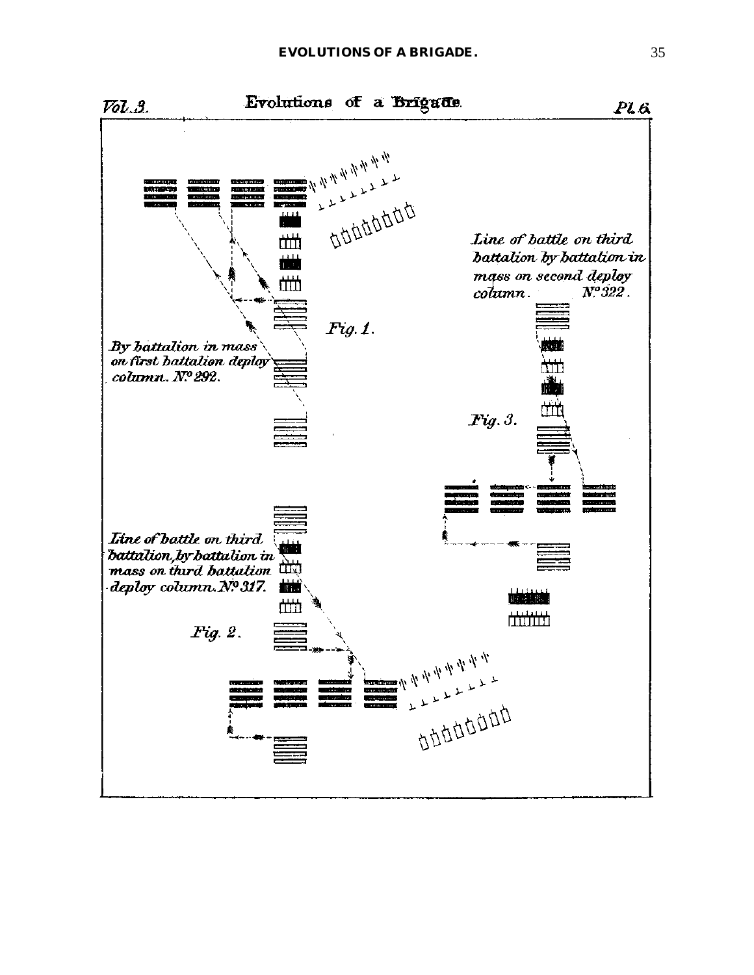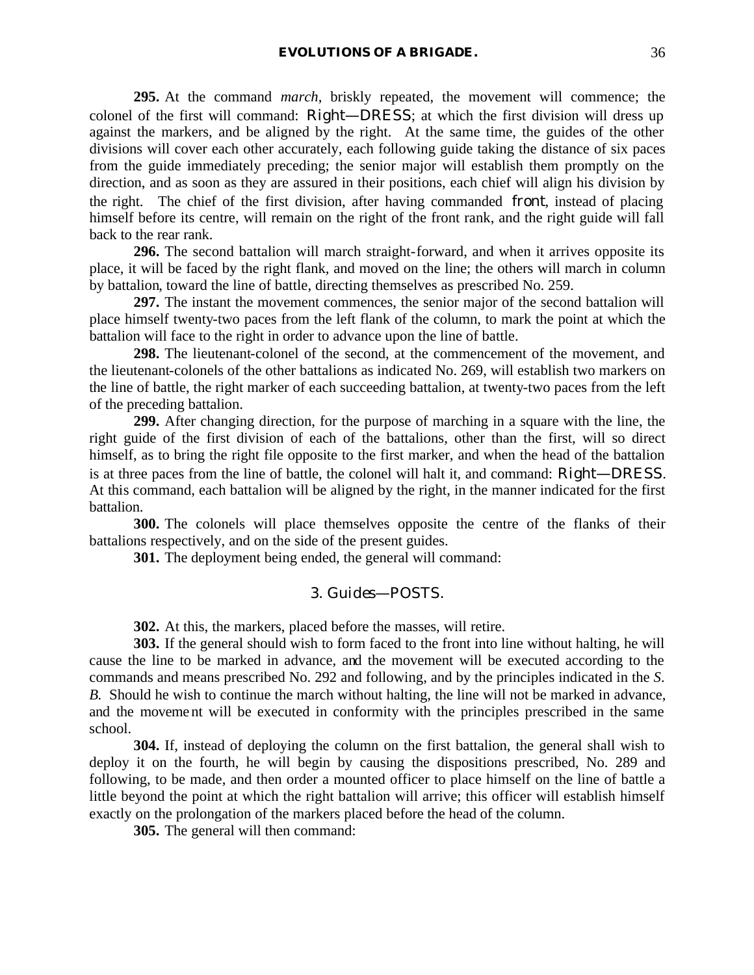**295.** At the command *march*, briskly repeated, the movement will commence; the colonel of the first will command: *Right*—DRESS; at which the first division will dress up against the markers, and be aligned by the right. At the same time, the guides of the other divisions will cover each other accurately, each following guide taking the distance of six paces from the guide immediately preceding; the senior major will establish them promptly on the direction, and as soon as they are assured in their positions, each chief will align his division by the right. The chief of the first division, after having commanded *front*, instead of placing himself before its centre, will remain on the right of the front rank, and the right guide will fall back to the rear rank.

**296.** The second battalion will march straight-forward, and when it arrives opposite its place, it will be faced by the right flank, and moved on the line; the others will march in column by battalion, toward the line of battle, directing themselves as prescribed No. 259.

**297.** The instant the movement commences, the senior major of the second battalion will place himself twenty-two paces from the left flank of the column, to mark the point at which the battalion will face to the right in order to advance upon the line of battle.

**298.** The lieutenant-colonel of the second, at the commencement of the movement, and the lieutenant-colonels of the other battalions as indicated No. 269, will establish two markers on the line of battle, the right marker of each succeeding battalion, at twenty-two paces from the left of the preceding battalion.

**299.** After changing direction, for the purpose of marching in a square with the line, the right guide of the first division of each of the battalions, other than the first, will so direct himself, as to bring the right file opposite to the first marker, and when the head of the battalion is at three paces from the line of battle, the colonel will halt it, and command: *Right*—DRESS. At this command, each battalion will be aligned by the right, in the manner indicated for the first battalion.

**300.** The colonels will place themselves opposite the centre of the flanks of their battalions respectively, and on the side of the present guides.

**301.** The deployment being ended, the general will command:

### 3. *Guides*—POSTS.

**302.** At this, the markers, placed before the masses, will retire.

**303.** If the general should wish to form faced to the front into line without halting, he will cause the line to be marked in advance, and the movement will be executed according to the commands and means prescribed No. 292 and following, and by the principles indicated in the *S. B.* Should he wish to continue the march without halting, the line will not be marked in advance, and the moveme nt will be executed in conformity with the principles prescribed in the same school.

**304.** If, instead of deploying the column on the first battalion, the general shall wish to deploy it on the fourth, he will begin by causing the dispositions prescribed, No. 289 and following, to be made, and then order a mounted officer to place himself on the line of battle a little beyond the point at which the right battalion will arrive; this officer will establish himself exactly on the prolongation of the markers placed before the head of the column.

**305.** The general will then command: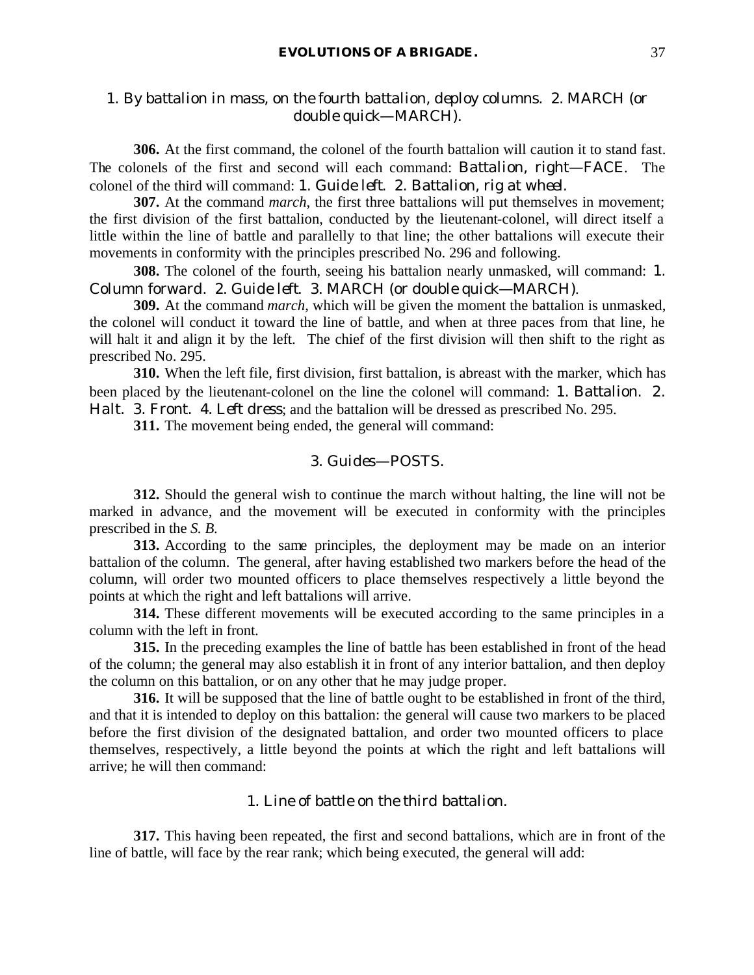# 1. *By battalion in mass, on the fourth battalion, deploy columns*. 2. MARCH (or *double quick*—MARCH).

**306.** At the first command, the colonel of the fourth battalion will caution it to stand fast. The colonels of the first and second will each command: *Battalion, right*—FACE. The colonel of the third will command: 1. *Guide left*. 2. *Battalion, rig at wheel*.

**307.** At the command *march*, the first three battalions will put themselves in movement; the first division of the first battalion, conducted by the lieutenant-colonel, will direct itself a little within the line of battle and parallelly to that line; the other battalions will execute their movements in conformity with the principles prescribed No. 296 and following.

**308.** The colonel of the fourth, seeing his battalion nearly unmasked, will command: 1. *Column forward*. 2. *Guide left*. 3. MARCH (or *double quick*—MARCH).

**309.** At the command *march*, which will be given the moment the battalion is unmasked, the colonel will conduct it toward the line of battle, and when at three paces from that line, he will halt it and align it by the left. The chief of the first division will then shift to the right as prescribed No. 295.

**310.** When the left file, first division, first battalion, is abreast with the marker, which has been placed by the lieutenant-colonel on the line the colonel will command: 1. *Battalion*. 2. *Halt*. 3. *Front*. 4. *Left dress*; and the battalion will be dressed as prescribed No. 295.

**311.** The movement being ended, the general will command:

### 3. *Guides*—POSTS.

**312.** Should the general wish to continue the march without halting, the line will not be marked in advance, and the movement will be executed in conformity with the principles prescribed in the *S. B.*

**313.** According to the same principles, the deployment may be made on an interior battalion of the column. The general, after having established two markers before the head of the column, will order two mounted officers to place themselves respectively a little beyond the points at which the right and left battalions will arrive.

**314.** These different movements will be executed according to the same principles in a column with the left in front.

**315.** In the preceding examples the line of battle has been established in front of the head of the column; the general may also establish it in front of any interior battalion, and then deploy the column on this battalion, or on any other that he may judge proper.

**316.** It will be supposed that the line of battle ought to be established in front of the third, and that it is intended to deploy on this battalion: the general will cause two markers to be placed before the first division of the designated battalion, and order two mounted officers to place themselves, respectively, a little beyond the points at which the right and left battalions will arrive; he will then command:

### 1. *Line of battle on the third battalion*.

**317.** This having been repeated, the first and second battalions, which are in front of the line of battle, will face by the rear rank; which being executed, the general will add: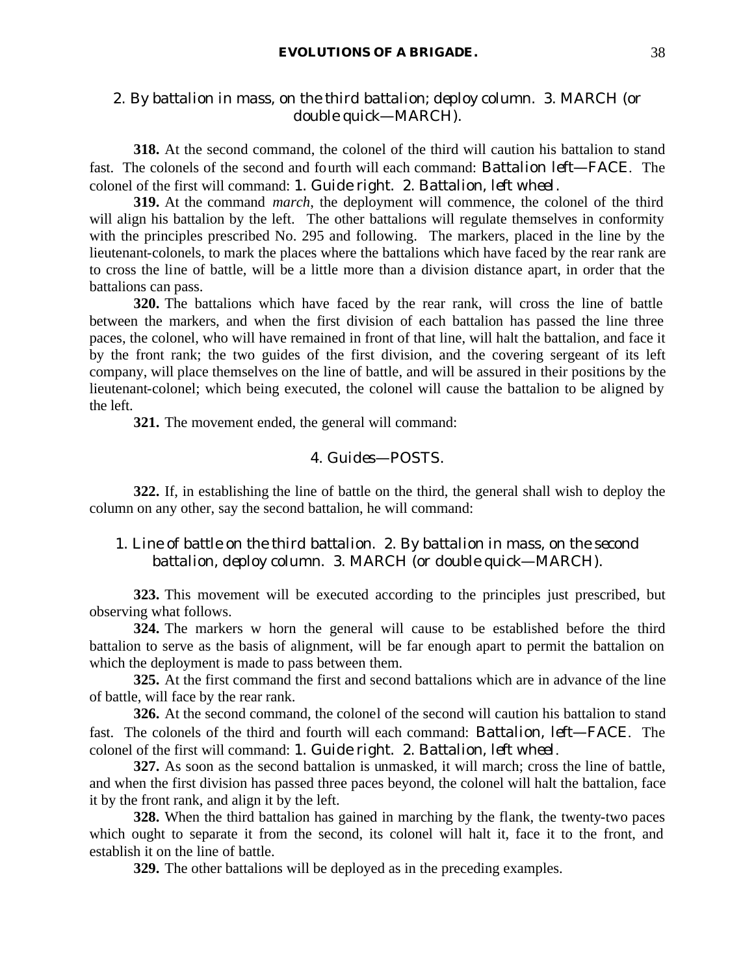# 2. *By battalion in mass, on the third battalion; deploy column*. 3. MARCH (or *double quick*—MARCH).

**318.** At the second command, the colonel of the third will caution his battalion to stand fast. The colonels of the second and fourth will each command: *Battalion left*—FACE. The colonel of the first will command: 1. *Guide right*. 2. *Battalion, left wheel*.

**319.** At the command *march*, the deployment will commence, the colonel of the third will align his battalion by the left. The other battalions will regulate themselves in conformity with the principles prescribed No. 295 and following. The markers, placed in the line by the lieutenant-colonels, to mark the places where the battalions which have faced by the rear rank are to cross the line of battle, will be a little more than a division distance apart, in order that the battalions can pass.

**320.** The battalions which have faced by the rear rank, will cross the line of battle between the markers, and when the first division of each battalion has passed the line three paces, the colonel, who will have remained in front of that line, will halt the battalion, and face it by the front rank; the two guides of the first division, and the covering sergeant of its left company, will place themselves on the line of battle, and will be assured in their positions by the lieutenant-colonel; which being executed, the colonel will cause the battalion to be aligned by the left.

**321.** The movement ended, the general will command:

### 4. *Guides*—POSTS.

**322.** If, in establishing the line of battle on the third, the general shall wish to deploy the column on any other, say the second battalion, he will command:

# 1. *Line of battle on the third battalion*. 2. *By battalion in mass, on the second battalion, deploy column*. 3. MARCH (or *double quick*—MARCH).

**323.** This movement will be executed according to the principles just prescribed, but observing what follows.

**324.** The markers w horn the general will cause to be established before the third battalion to serve as the basis of alignment, will be far enough apart to permit the battalion on which the deployment is made to pass between them.

**325.** At the first command the first and second battalions which are in advance of the line of battle, will face by the rear rank.

**326.** At the second command, the colonel of the second will caution his battalion to stand fast. The colonels of the third and fourth will each command: *Battalion, left*—FACE. The colonel of the first will command: 1. *Guide right*. 2. *Battalion, left wheel*.

**327.** As soon as the second battalion is unmasked, it will march; cross the line of battle, and when the first division has passed three paces beyond, the colonel will halt the battalion, face it by the front rank, and align it by the left.

**328.** When the third battalion has gained in marching by the flank, the twenty-two paces which ought to separate it from the second, its colonel will halt it, face it to the front, and establish it on the line of battle.

**329.** The other battalions will be deployed as in the preceding examples.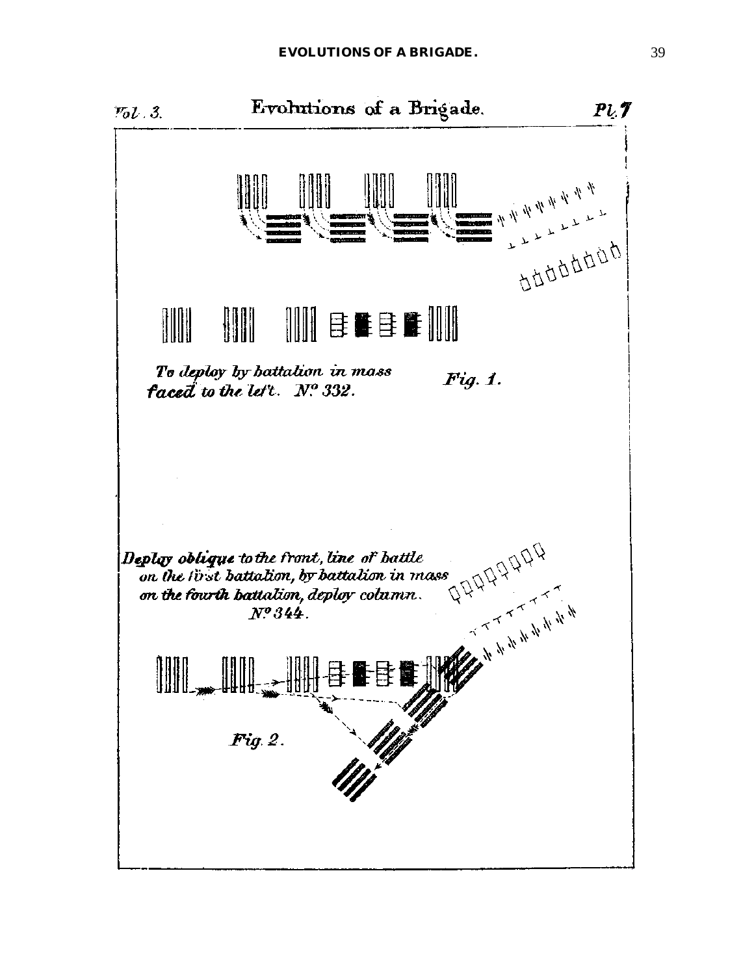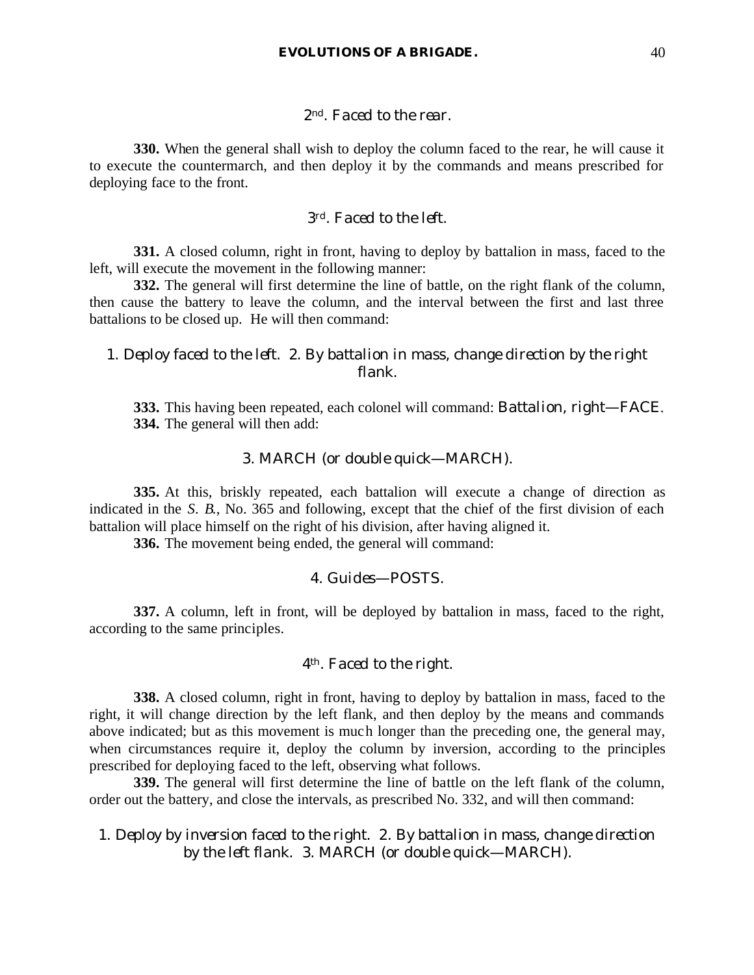### *2nd. Faced to the rear.*

**330.** When the general shall wish to deploy the column faced to the rear, he will cause it to execute the countermarch, and then deploy it by the commands and means prescribed for deploying face to the front.

### *3rd. Faced to the left.*

**331.** A closed column, right in front, having to deploy by battalion in mass, faced to the left, will execute the movement in the following manner:

**332.** The general will first determine the line of battle, on the right flank of the column, then cause the battery to leave the column, and the interval between the first and last three battalions to be closed up. He will then command:

# 1. *Deploy faced to the left*. 2. *By battalion in mass, change direction by the right flank*.

**333.** This having been repeated, each colonel will command: *Battalion, right*—FACE. **334.** The general will then add:

#### 3. MARCH (or *double quick*—MARCH).

**335.** At this, briskly repeated, each battalion will execute a change of direction as indicated in the *S. B.*, No. 365 and following, except that the chief of the first division of each battalion will place himself on the right of his division, after having aligned it.

**336.** The movement being ended, the general will command:

### 4. *Guides*—POSTS.

**337.** A column, left in front, will be deployed by battalion in mass, faced to the right, according to the same principles.

# *4th. Faced to the right.*

**338.** A closed column, right in front, having to deploy by battalion in mass, faced to the right, it will change direction by the left flank, and then deploy by the means and commands above indicated; but as this movement is much longer than the preceding one, the general may, when circumstances require it, deploy the column by inversion, according to the principles prescribed for deploying faced to the left, observing what follows.

**339.** The general will first determine the line of battle on the left flank of the column, order out the battery, and close the intervals, as prescribed No. 332, and will then command:

# 1. *Deploy by inversion faced to the right*. 2. *By battalion in mass, change direction by the left flank*. 3. MARCH (or *double quick*—MARCH).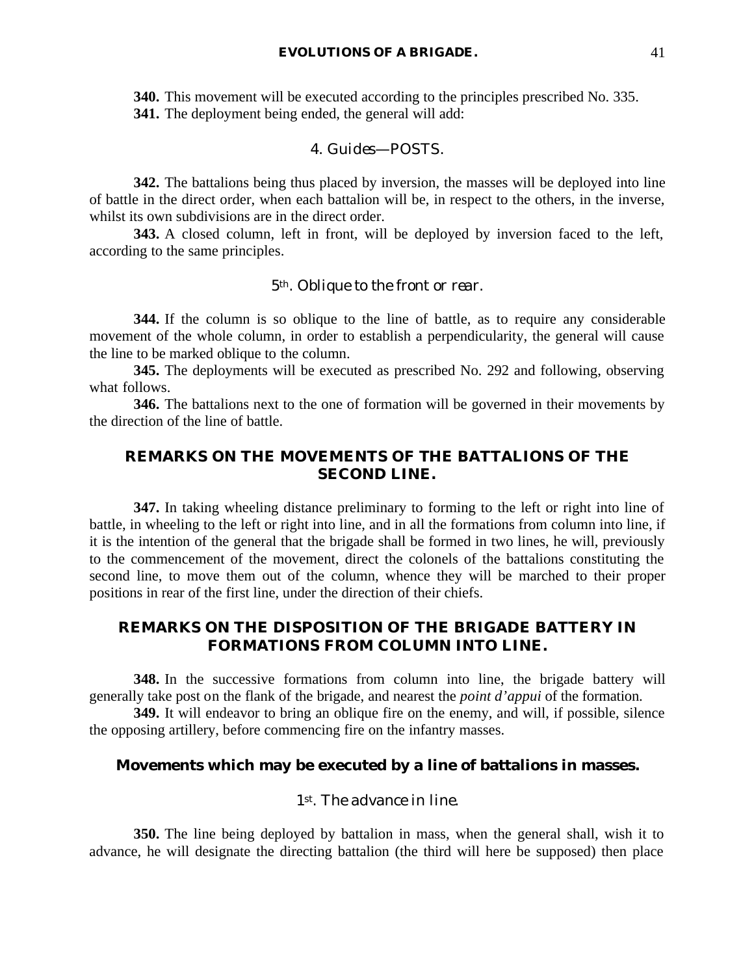**340.** This movement will be executed according to the principles prescribed No. 335. **341.** The deployment being ended, the general will add:

### 4. *Guides*—POSTS.

**342.** The battalions being thus placed by inversion, the masses will be deployed into line of battle in the direct order, when each battalion will be, in respect to the others, in the inverse, whilst its own subdivisions are in the direct order.

**343.** A closed column, left in front, will be deployed by inversion faced to the left, according to the same principles.

#### *5th. Oblique to the front or rear.*

**344.** If the column is so oblique to the line of battle, as to require any considerable movement of the whole column, in order to establish a perpendicularity, the general will cause the line to be marked oblique to the column.

**345.** The deployments will be executed as prescribed No. 292 and following, observing what follows.

**346.** The battalions next to the one of formation will be governed in their movements by the direction of the line of battle.

# **REMARKS ON THE MOVEMENTS OF THE BATTALIONS OF THE SECOND LINE.**

**347.** In taking wheeling distance preliminary to forming to the left or right into line of battle, in wheeling to the left or right into line, and in all the formations from column into line, if it is the intention of the general that the brigade shall be formed in two lines, he will, previously to the commencement of the movement, direct the colonels of the battalions constituting the second line, to move them out of the column, whence they will be marched to their proper positions in rear of the first line, under the direction of their chiefs.

# **REMARKS ON THE DISPOSITION OF THE BRIGADE BATTERY IN FORMATIONS FROM COLUMN INTO LINE.**

**348.** In the successive formations from column into line, the brigade battery will generally take post on the flank of the brigade, and nearest the *point d'appui* of the formation.

**349.** It will endeavor to bring an oblique fire on the enemy, and will, if possible, silence the opposing artillery, before commencing fire on the infantry masses.

## **Movements which may be executed by a line of battalions in masses.**

## *1st. The advance in line.*

**350.** The line being deployed by battalion in mass, when the general shall, wish it to advance, he will designate the directing battalion (the third will here be supposed) then place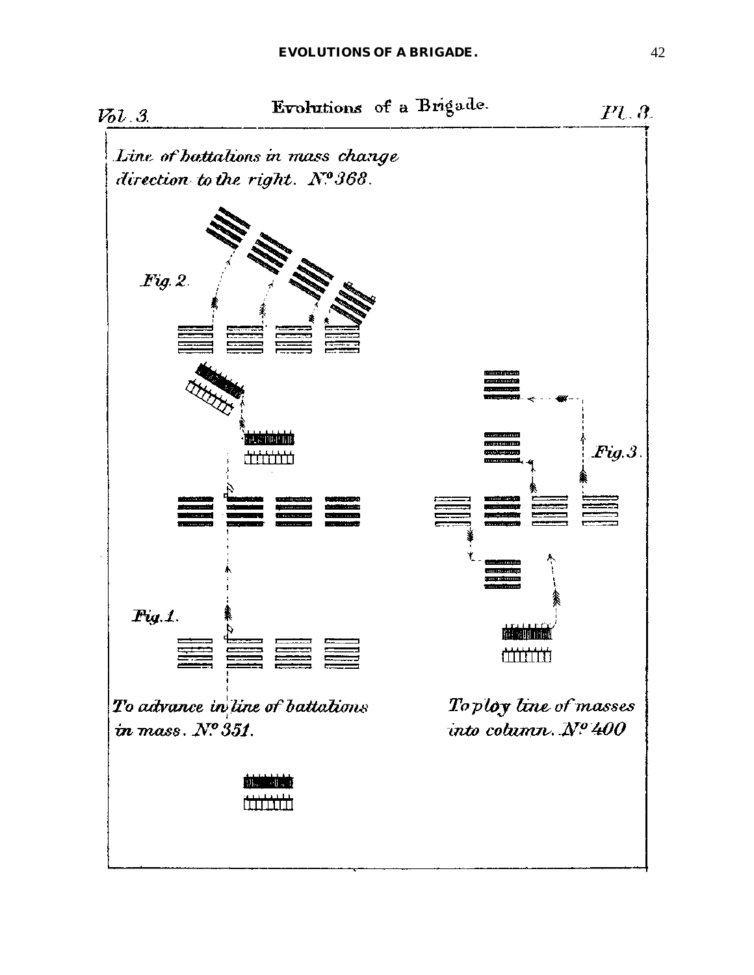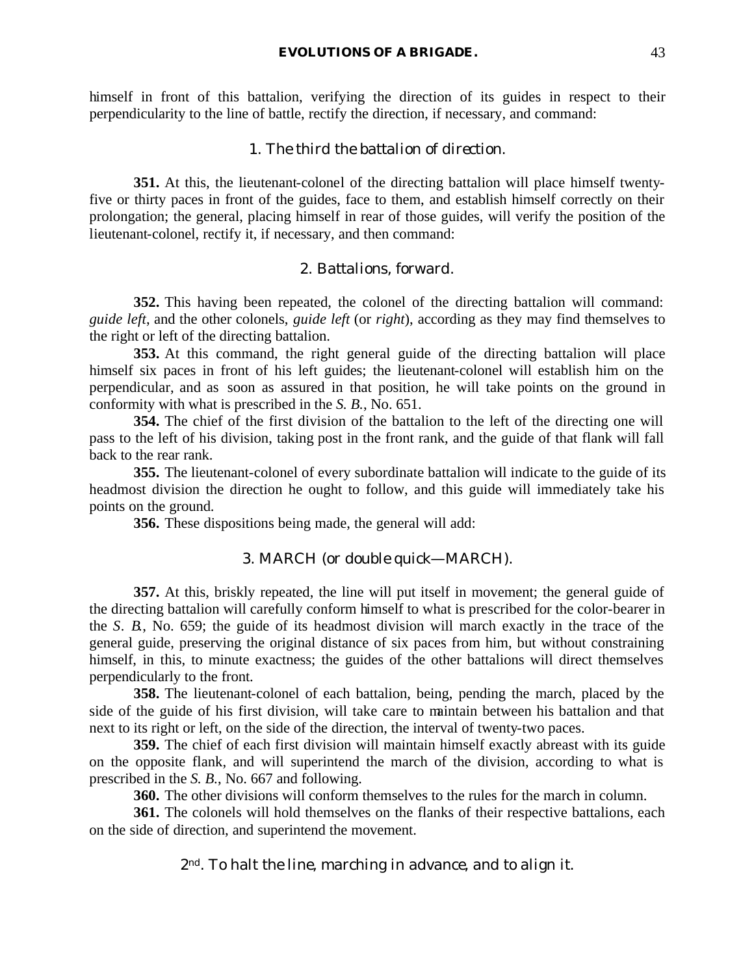himself in front of this battalion, verifying the direction of its guides in respect to their perpendicularity to the line of battle, rectify the direction, if necessary, and command:

## 1. *The third the battalion of direction*.

**351.** At this, the lieutenant-colonel of the directing battalion will place himself twentyfive or thirty paces in front of the guides, face to them, and establish himself correctly on their prolongation; the general, placing himself in rear of those guides, will verify the position of the lieutenant-colonel, rectify it, if necessary, and then command:

#### 2. *Battalions, forward*.

**352.** This having been repeated, the colonel of the directing battalion will command: *guide left*, and the other colonels, *guide left* (or *right*), according as they may find themselves to the right or left of the directing battalion.

**353.** At this command, the right general guide of the directing battalion will place himself six paces in front of his left guides; the lieutenant-colonel will establish him on the perpendicular, and as soon as assured in that position, he will take points on the ground in conformity with what is prescribed in the *S. B.*, No. 651.

**354.** The chief of the first division of the battalion to the left of the directing one will pass to the left of his division, taking post in the front rank, and the guide of that flank will fall back to the rear rank.

**355.** The lieutenant-colonel of every subordinate battalion will indicate to the guide of its headmost division the direction he ought to follow, and this guide will immediately take his points on the ground.

**356.** These dispositions being made, the general will add:

## 3. MARCH (or *double quick*—MARCH).

**357.** At this, briskly repeated, the line will put itself in movement; the general guide of the directing battalion will carefully conform himself to what is prescribed for the color-bearer in the *S. B.*, No. 659; the guide of its headmost division will march exactly in the trace of the general guide, preserving the original distance of six paces from him, but without constraining himself, in this, to minute exactness; the guides of the other battalions will direct themselves perpendicularly to the front.

**358.** The lieutenant-colonel of each battalion, being, pending the march, placed by the side of the guide of his first division, will take care to maintain between his battalion and that next to its right or left, on the side of the direction, the interval of twenty-two paces.

**359.** The chief of each first division will maintain himself exactly abreast with its guide on the opposite flank, and will superintend the march of the division, according to what is prescribed in the *S. B.*, No. 667 and following.

**360.** The other divisions will conform themselves to the rules for the march in column.

**361.** The colonels will hold themselves on the flanks of their respective battalions, each on the side of direction, and superintend the movement.

*2nd. To halt the line, marching in advance, and to align it.*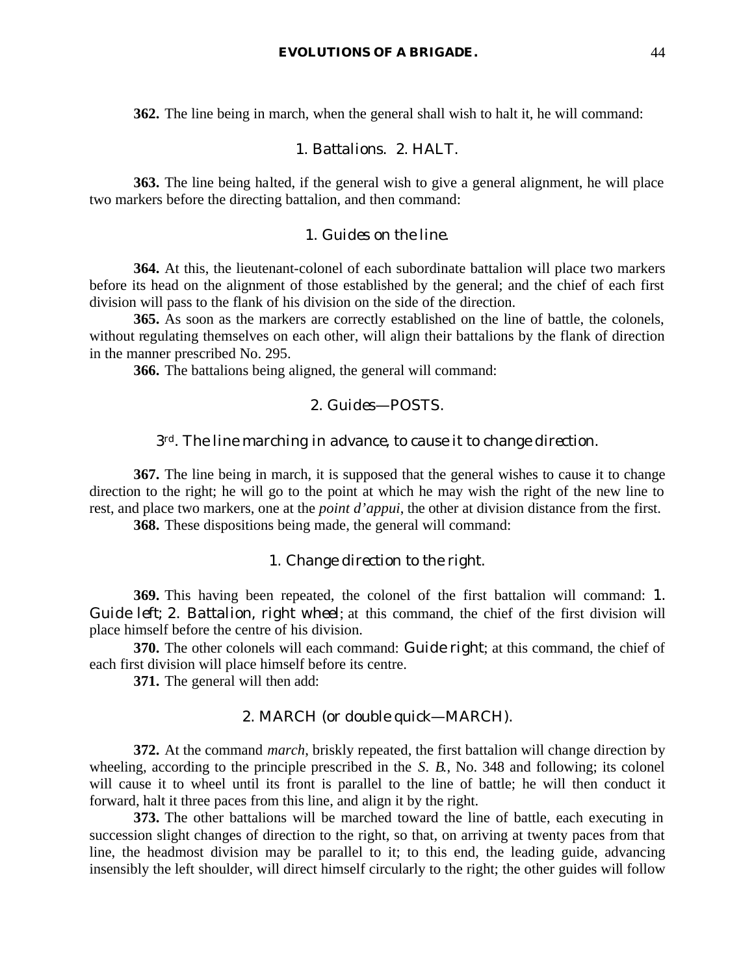**362.** The line being in march, when the general shall wish to halt it, he will command:

## 1. *Battalions*. 2. HALT.

**363.** The line being halted, if the general wish to give a general alignment, he will place two markers before the directing battalion, and then command:

### 1. *Guides on the line*.

**364.** At this, the lieutenant-colonel of each subordinate battalion will place two markers before its head on the alignment of those established by the general; and the chief of each first division will pass to the flank of his division on the side of the direction.

**365.** As soon as the markers are correctly established on the line of battle, the colonels, without regulating themselves on each other, will align their battalions by the flank of direction in the manner prescribed No. 295.

**366.** The battalions being aligned, the general will command:

## 2. *Guides*—POSTS.

#### *3rd. The line marching in advance, to cause it to change direction.*

**367.** The line being in march, it is supposed that the general wishes to cause it to change direction to the right; he will go to the point at which he may wish the right of the new line to rest, and place two markers, one at the *point d'appui*, the other at division distance from the first.

**368.** These dispositions being made, the general will command:

### 1. *Change direction to the right*.

**369.** This having been repeated, the colonel of the first battalion will command: 1. *Guide left*; 2. *Battalion, right wheel*; at this command, the chief of the first division will place himself before the centre of his division.

**370.** The other colonels will each command: *Guide right*; at this command, the chief of each first division will place himself before its centre.

**371.** The general will then add:

## 2. MARCH (or *double quick*—MARCH).

**372.** At the command *march*, briskly repeated, the first battalion will change direction by wheeling, according to the principle prescribed in the *S. B.*, No. 348 and following; its colonel will cause it to wheel until its front is parallel to the line of battle; he will then conduct it forward, halt it three paces from this line, and align it by the right.

**373.** The other battalions will be marched toward the line of battle, each executing in succession slight changes of direction to the right, so that, on arriving at twenty paces from that line, the headmost division may be parallel to it; to this end, the leading guide, advancing insensibly the left shoulder, will direct himself circularly to the right; the other guides will follow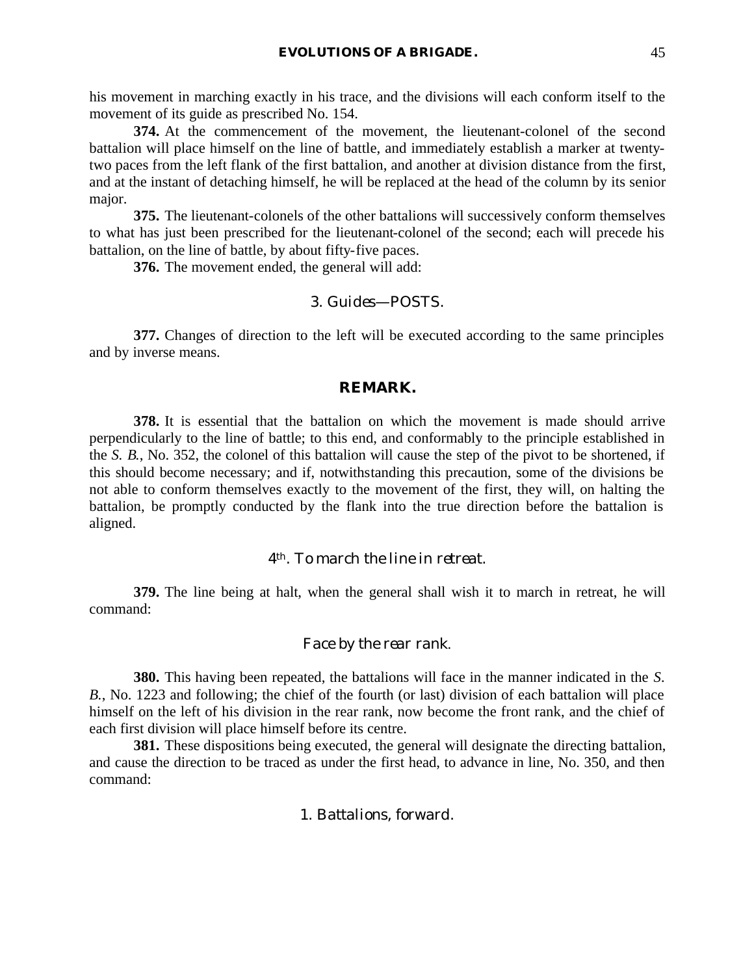his movement in marching exactly in his trace, and the divisions will each conform itself to the movement of its guide as prescribed No. 154.

**374.** At the commencement of the movement, the lieutenant-colonel of the second battalion will place himself on the line of battle, and immediately establish a marker at twentytwo paces from the left flank of the first battalion, and another at division distance from the first, and at the instant of detaching himself, he will be replaced at the head of the column by its senior major.

**375.** The lieutenant-colonels of the other battalions will successively conform themselves to what has just been prescribed for the lieutenant-colonel of the second; each will precede his battalion, on the line of battle, by about fifty-five paces.

**376.** The movement ended, the general will add:

## 3. *Guides*—POSTS.

**377.** Changes of direction to the left will be executed according to the same principles and by inverse means.

#### **REMARK.**

**378.** It is essential that the battalion on which the movement is made should arrive perpendicularly to the line of battle; to this end, and conformably to the principle established in the *S. B.*, No. 352, the colonel of this battalion will cause the step of the pivot to be shortened, if this should become necessary; and if, notwithstanding this precaution, some of the divisions be not able to conform themselves exactly to the movement of the first, they will, on halting the battalion, be promptly conducted by the flank into the true direction before the battalion is aligned.

# *4th. To march the line in retreat.*

**379.** The line being at halt, when the general shall wish it to march in retreat, he will command:

#### *Face by the rear rank*.

**380.** This having been repeated, the battalions will face in the manner indicated in the *S. B.*, No. 1223 and following; the chief of the fourth (or last) division of each battalion will place himself on the left of his division in the rear rank, now become the front rank, and the chief of each first division will place himself before its centre.

**381.** These dispositions being executed, the general will designate the directing battalion, and cause the direction to be traced as under the first head, to advance in line, No. 350, and then command:

# 1. *Battalions, forward*.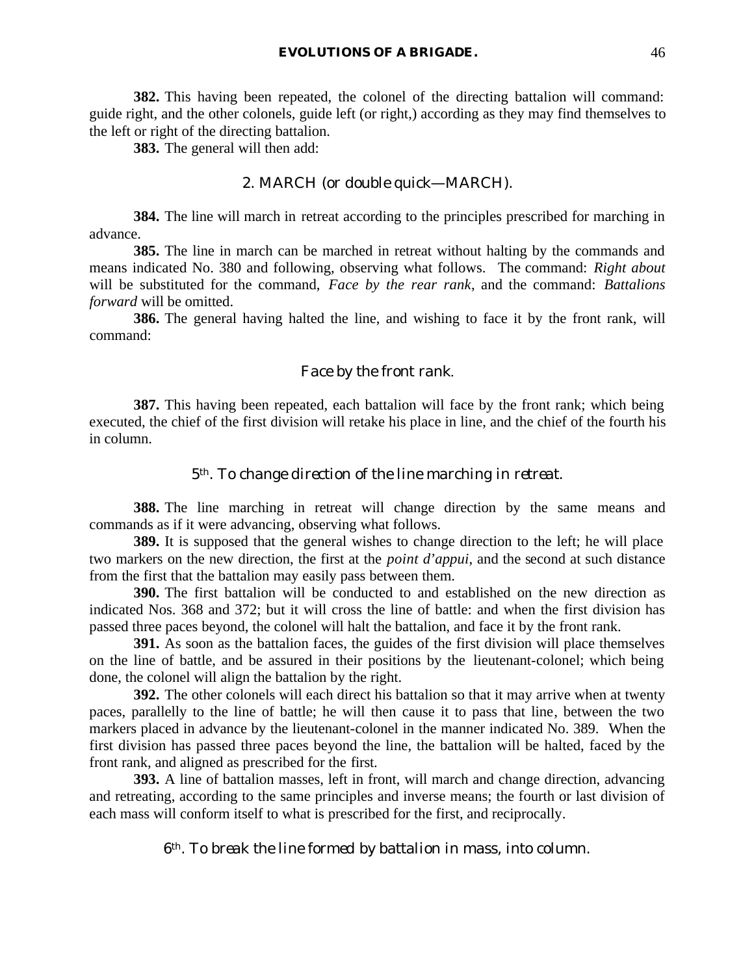**382.** This having been repeated, the colonel of the directing battalion will command: guide right, and the other colonels, guide left (or right,) according as they may find themselves to the left or right of the directing battalion.

**383.** The general will then add:

## 2. MARCH (or *double quick*—MARCH).

**384.** The line will march in retreat according to the principles prescribed for marching in advance.

**385.** The line in march can be marched in retreat without halting by the commands and means indicated No. 380 and following, observing what follows. The command: *Right about* will be substituted for the command, *Face by the rear rank*, and the command: *Battalions forward* will be omitted.

**386.** The general having halted the line, and wishing to face it by the front rank, will command:

### *Face by the front rank*.

**387.** This having been repeated, each battalion will face by the front rank; which being executed, the chief of the first division will retake his place in line, and the chief of the fourth his in column.

## *5th. To change direction of the line marching in retreat.*

**388.** The line marching in retreat will change direction by the same means and commands as if it were advancing, observing what follows.

**389.** It is supposed that the general wishes to change direction to the left; he will place two markers on the new direction, the first at the *point d'appui*, and the second at such distance from the first that the battalion may easily pass between them.

**390.** The first battalion will be conducted to and established on the new direction as indicated Nos. 368 and 372; but it will cross the line of battle: and when the first division has passed three paces beyond, the colonel will halt the battalion, and face it by the front rank.

**391.** As soon as the battalion faces, the guides of the first division will place themselves on the line of battle, and be assured in their positions by the lieutenant-colonel; which being done, the colonel will align the battalion by the right.

**392.** The other colonels will each direct his battalion so that it may arrive when at twenty paces, parallelly to the line of battle; he will then cause it to pass that line, between the two markers placed in advance by the lieutenant-colonel in the manner indicated No. 389. When the first division has passed three paces beyond the line, the battalion will be halted, faced by the front rank, and aligned as prescribed for the first.

**393.** A line of battalion masses, left in front, will march and change direction, advancing and retreating, according to the same principles and inverse means; the fourth or last division of each mass will conform itself to what is prescribed for the first, and reciprocally.

*6th. To break the line formed by battalion in mass, into column.*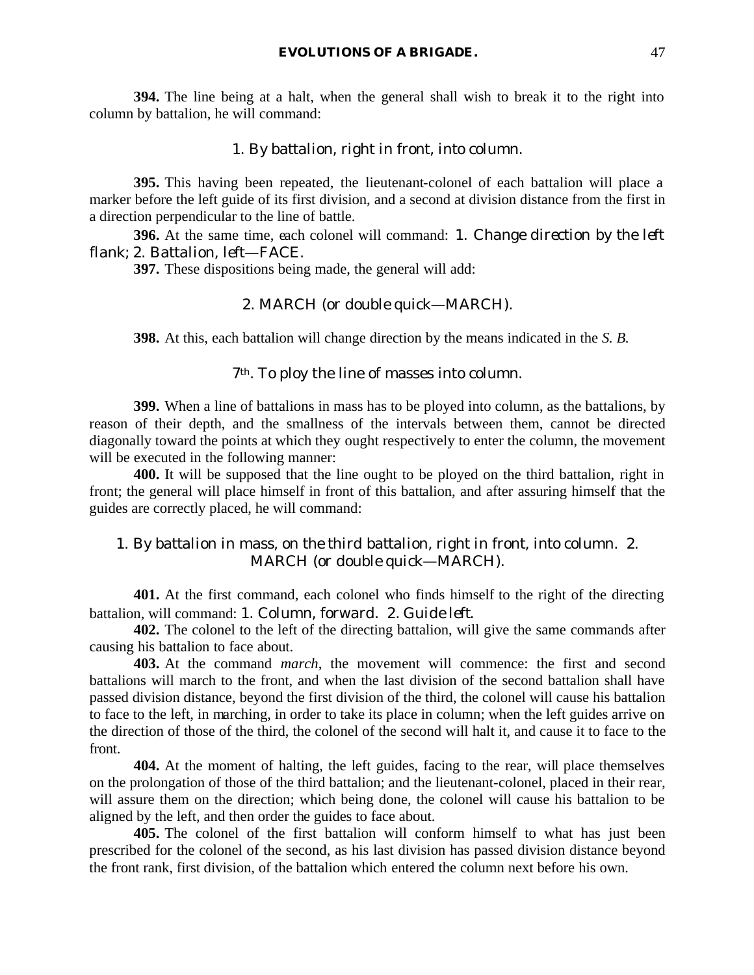**394.** The line being at a halt, when the general shall wish to break it to the right into column by battalion, he will command:

#### 1. *By battalion, right in front, into column*.

**395.** This having been repeated, the lieutenant-colonel of each battalion will place a marker before the left guide of its first division, and a second at division distance from the first in a direction perpendicular to the line of battle.

**396.** At the same time, each colonel will command: 1. *Change direction by the left flank*; 2. *Battalion, left*—FACE.

**397.** These dispositions being made, the general will add:

## 2. MARCH (or *double quick*—MARCH).

**398.** At this, each battalion will change direction by the means indicated in the *S. B.*

## 7th. To ploy the line of masses into column.

**399.** When a line of battalions in mass has to be ployed into column, as the battalions, by reason of their depth, and the smallness of the intervals between them, cannot be directed diagonally toward the points at which they ought respectively to enter the column, the movement will be executed in the following manner:

**400.** It will be supposed that the line ought to be ployed on the third battalion, right in front; the general will place himself in front of this battalion, and after assuring himself that the guides are correctly placed, he will command:

# 1. *By battalion in mass, on the third battalion, right in front, into column*. 2. MARCH (or *double quick*—MARCH).

**401.** At the first command, each colonel who finds himself to the right of the directing battalion, will command: 1. *Column, forward*. 2. *Guide left*.

**402.** The colonel to the left of the directing battalion, will give the same commands after causing his battalion to face about.

**403.** At the command *march*, the movement will commence: the first and second battalions will march to the front, and when the last division of the second battalion shall have passed division distance, beyond the first division of the third, the colonel will cause his battalion to face to the left, in marching, in order to take its place in column; when the left guides arrive on the direction of those of the third, the colonel of the second will halt it, and cause it to face to the front.

**404.** At the moment of halting, the left guides, facing to the rear, will place themselves on the prolongation of those of the third battalion; and the lieutenant-colonel, placed in their rear, will assure them on the direction; which being done, the colonel will cause his battalion to be aligned by the left, and then order the guides to face about.

**405.** The colonel of the first battalion will conform himself to what has just been prescribed for the colonel of the second, as his last division has passed division distance beyond the front rank, first division, of the battalion which entered the column next before his own.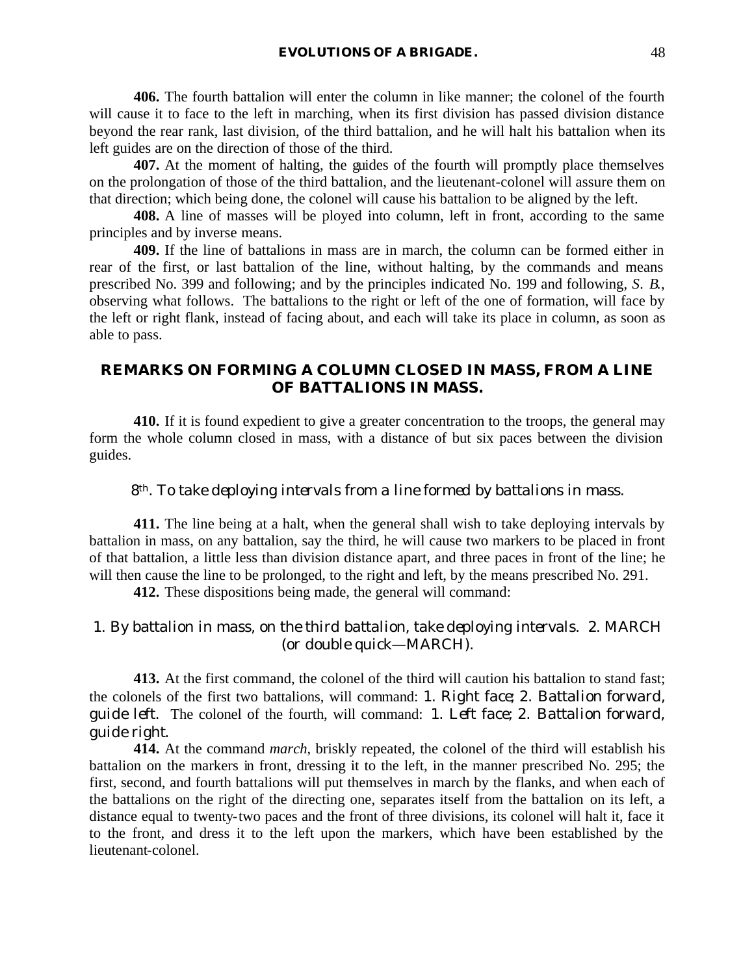**406.** The fourth battalion will enter the column in like manner; the colonel of the fourth will cause it to face to the left in marching, when its first division has passed division distance beyond the rear rank, last division, of the third battalion, and he will halt his battalion when its left guides are on the direction of those of the third.

**407.** At the moment of halting, the guides of the fourth will promptly place themselves on the prolongation of those of the third battalion, and the lieutenant-colonel will assure them on that direction; which being done, the colonel will cause his battalion to be aligned by the left.

**408.** A line of masses will be ployed into column, left in front, according to the same principles and by inverse means.

**409.** If the line of battalions in mass are in march, the column can be formed either in rear of the first, or last battalion of the line, without halting, by the commands and means prescribed No. 399 and following; and by the principles indicated No. 199 and following, *S. B.*, observing what follows. The battalions to the right or left of the one of formation, will face by the left or right flank, instead of facing about, and each will take its place in column, as soon as able to pass.

# **REMARKS ON FORMING A COLUMN CLOSED IN MASS, FROM A LINE OF BATTALIONS IN MASS.**

**410.** If it is found expedient to give a greater concentration to the troops, the general may form the whole column closed in mass, with a distance of but six paces between the division guides.

# *8th. To take deploying intervals from a line formed by battalions in mass.*

**411.** The line being at a halt, when the general shall wish to take deploying intervals by battalion in mass, on any battalion, say the third, he will cause two markers to be placed in front of that battalion, a little less than division distance apart, and three paces in front of the line; he will then cause the line to be prolonged, to the right and left, by the means prescribed No. 291.

**412.** These dispositions being made, the general will command:

# 1. *By battalion in mass, on the third battalion, take deploying intervals*. 2. MARCH (or *double quick*—MARCH).

**413.** At the first command, the colonel of the third will caution his battalion to stand fast; the colonels of the first two battalions, will command: 1. *Right face*; 2. *Battalion forward, guide left*. The colonel of the fourth, will command: 1. *Left face*; 2. *Battalion forward, guide right*.

**414.** At the command *march*, briskly repeated, the colonel of the third will establish his battalion on the markers in front, dressing it to the left, in the manner prescribed No. 295; the first, second, and fourth battalions will put themselves in march by the flanks, and when each of the battalions on the right of the directing one, separates itself from the battalion on its left, a distance equal to twenty-two paces and the front of three divisions, its colonel will halt it, face it to the front, and dress it to the left upon the markers, which have been established by the lieutenant-colonel.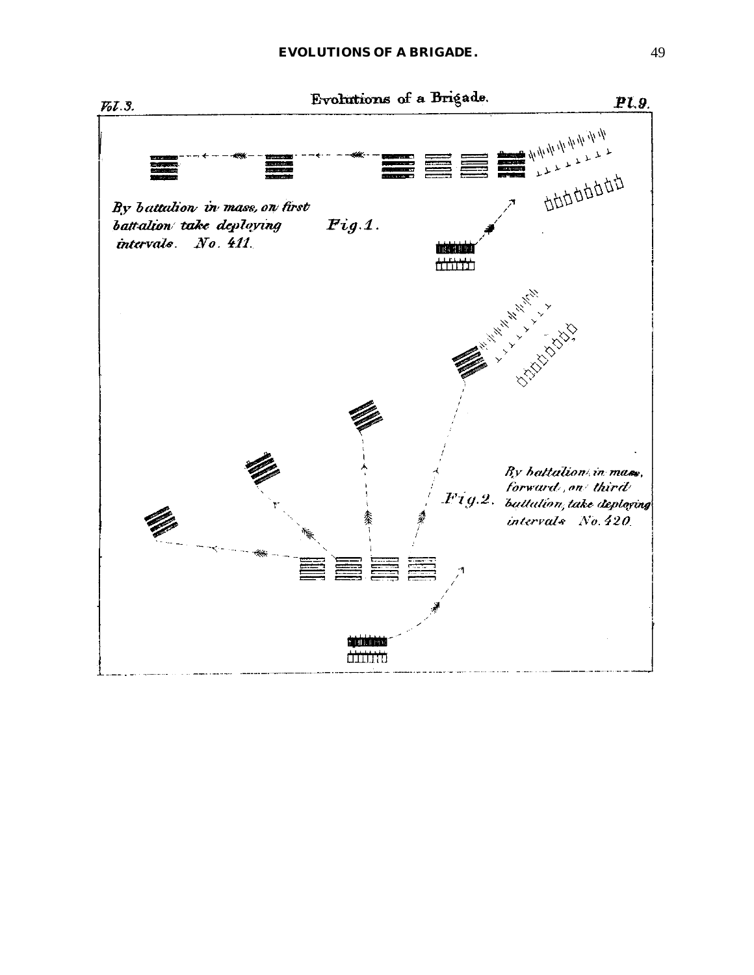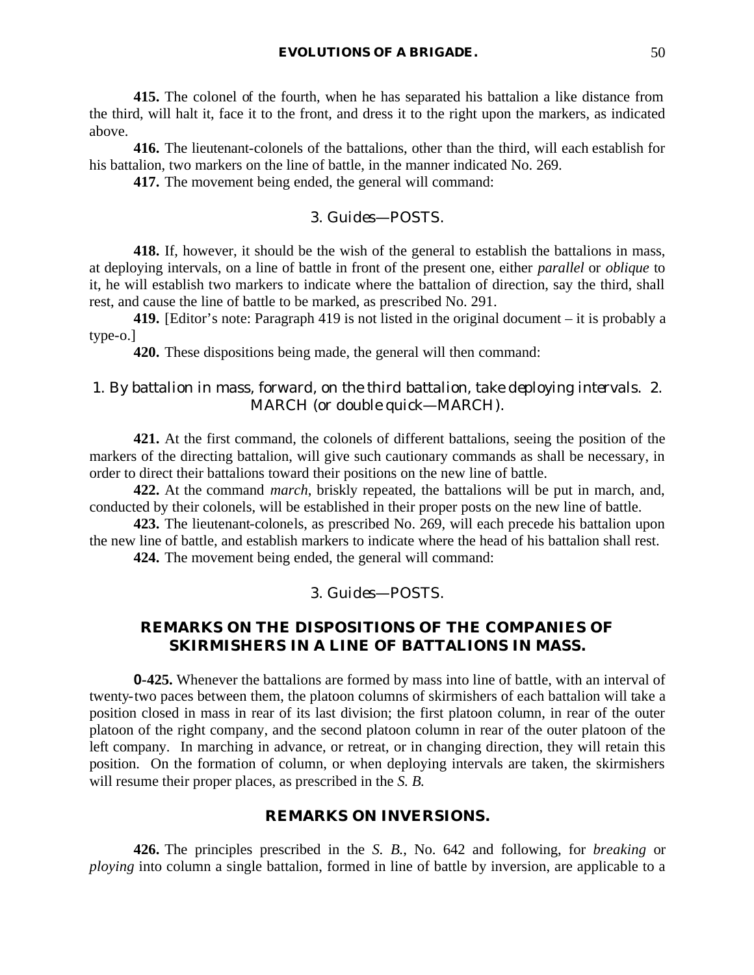**415.** The colonel of the fourth, when he has separated his battalion a like distance from the third, will halt it, face it to the front, and dress it to the right upon the markers, as indicated above.

**416.** The lieutenant-colonels of the battalions, other than the third, will each establish for his battalion, two markers on the line of battle, in the manner indicated No. 269.

**417.** The movement being ended, the general will command:

## 3. *Guides*—POSTS.

**418.** If, however, it should be the wish of the general to establish the battalions in mass, at deploying intervals, on a line of battle in front of the present one, either *parallel* or *oblique* to it, he will establish two markers to indicate where the battalion of direction, say the third, shall rest, and cause the line of battle to be marked, as prescribed No. 291.

**419.** [Editor's note: Paragraph 419 is not listed in the original document – it is probably a type-o.]

**420.** These dispositions being made, the general will then command:

# 1. *By battalion in mass, forward, on the third battalion, take deploying intervals*. 2. MARCH (or *double quick*—MARCH).

**421.** At the first command, the colonels of different battalions, seeing the position of the markers of the directing battalion, will give such cautionary commands as shall be necessary, in order to direct their battalions toward their positions on the new line of battle.

**422.** At the command *march*, briskly repeated, the battalions will be put in march, and, conducted by their colonels, will be established in their proper posts on the new line of battle.

**423.** The lieutenant-colonels, as prescribed No. 269, will each precede his battalion upon the new line of battle, and establish markers to indicate where the head of his battalion shall rest.

**424.** The movement being ended, the general will command:

## 3. *Guides*—POSTS.

# **REMARKS ON THE DISPOSITIONS OF THE COMPANIES OF SKIRMISHERS IN A LINE OF BATTALIONS IN MASS.**

**0-425.** Whenever the battalions are formed by mass into line of battle, with an interval of twenty-two paces between them, the platoon columns of skirmishers of each battalion will take a position closed in mass in rear of its last division; the first platoon column, in rear of the outer platoon of the right company, and the second platoon column in rear of the outer platoon of the left company. In marching in advance, or retreat, or in changing direction, they will retain this position. On the formation of column, or when deploying intervals are taken, the skirmishers will resume their proper places, as prescribed in the *S. B.*

#### **REMARKS ON INVERSIONS.**

**426.** The principles prescribed in the *S. B.*, No. 642 and following, for *breaking* or *ploying* into column a single battalion, formed in line of battle by inversion, are applicable to a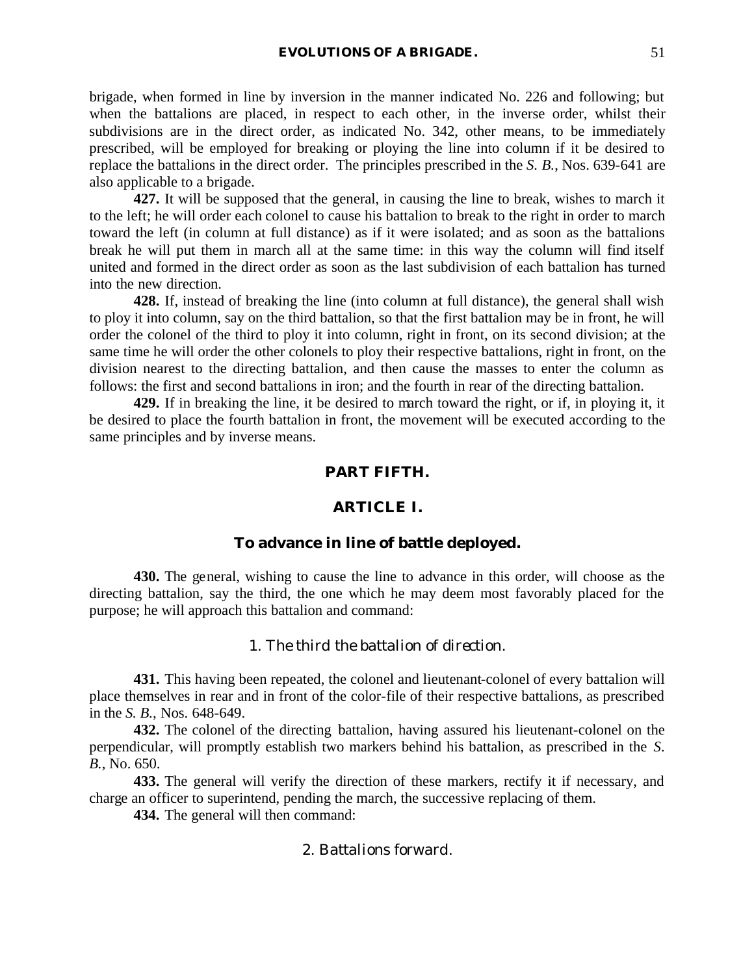brigade, when formed in line by inversion in the manner indicated No. 226 and following; but when the battalions are placed, in respect to each other, in the inverse order, whilst their subdivisions are in the direct order, as indicated No. 342, other means, to be immediately prescribed, will be employed for breaking or ploying the line into column if it be desired to replace the battalions in the direct order. The principles prescribed in the *S. B.*, Nos. 639-641 are also applicable to a brigade.

**427.** It will be supposed that the general, in causing the line to break, wishes to march it to the left; he will order each colonel to cause his battalion to break to the right in order to march toward the left (in column at full distance) as if it were isolated; and as soon as the battalions break he will put them in march all at the same time: in this way the column will find itself united and formed in the direct order as soon as the last subdivision of each battalion has turned into the new direction.

**428.** If, instead of breaking the line (into column at full distance), the general shall wish to ploy it into column, say on the third battalion, so that the first battalion may be in front, he will order the colonel of the third to ploy it into column, right in front, on its second division; at the same time he will order the other colonels to ploy their respective battalions, right in front, on the division nearest to the directing battalion, and then cause the masses to enter the column as follows: the first and second battalions in iron; and the fourth in rear of the directing battalion.

**429.** If in breaking the line, it be desired to march toward the right, or if, in ploying it, it be desired to place the fourth battalion in front, the movement will be executed according to the same principles and by inverse means.

## **PART FIFTH.**

## **ARTICLE I.**

## **To advance in line of battle deployed.**

**430.** The general, wishing to cause the line to advance in this order, will choose as the directing battalion, say the third, the one which he may deem most favorably placed for the purpose; he will approach this battalion and command:

### 1. *The third the battalion of direction*.

**431.** This having been repeated, the colonel and lieutenant-colonel of every battalion will place themselves in rear and in front of the color-file of their respective battalions, as prescribed in the *S. B.*, Nos. 648-649.

**432.** The colonel of the directing battalion, having assured his lieutenant-colonel on the perpendicular, will promptly establish two markers behind his battalion, as prescribed in the *S. B.*, No. 650.

**433.** The general will verify the direction of these markers, rectify it if necessary, and charge an officer to superintend, pending the march, the successive replacing of them.

**434.** The general will then command:

# 2. *Battalions forward*.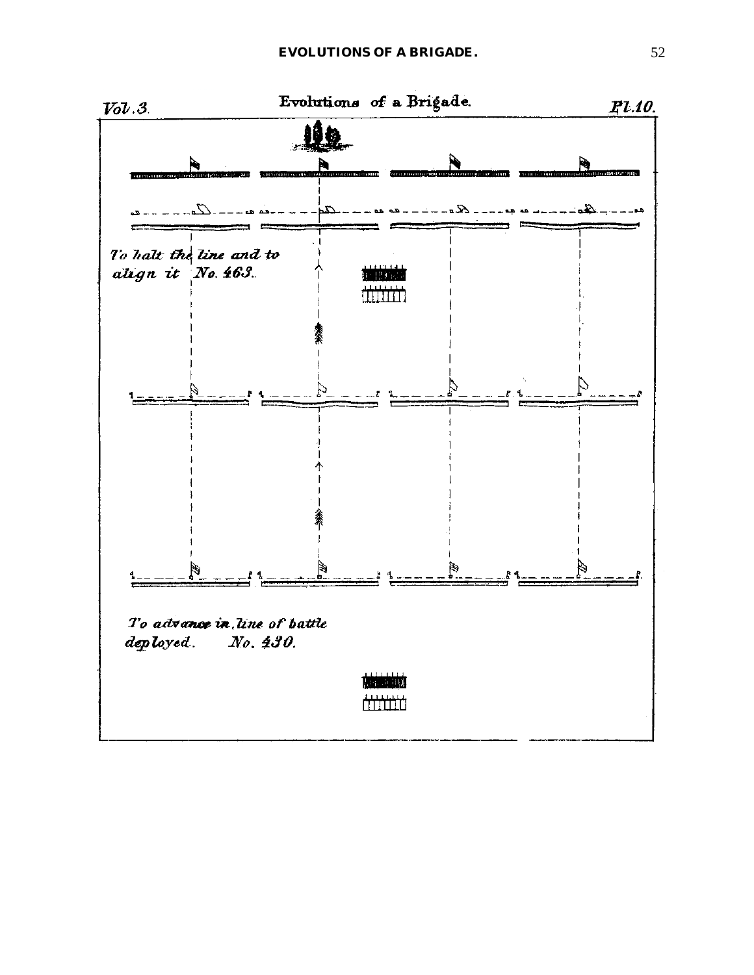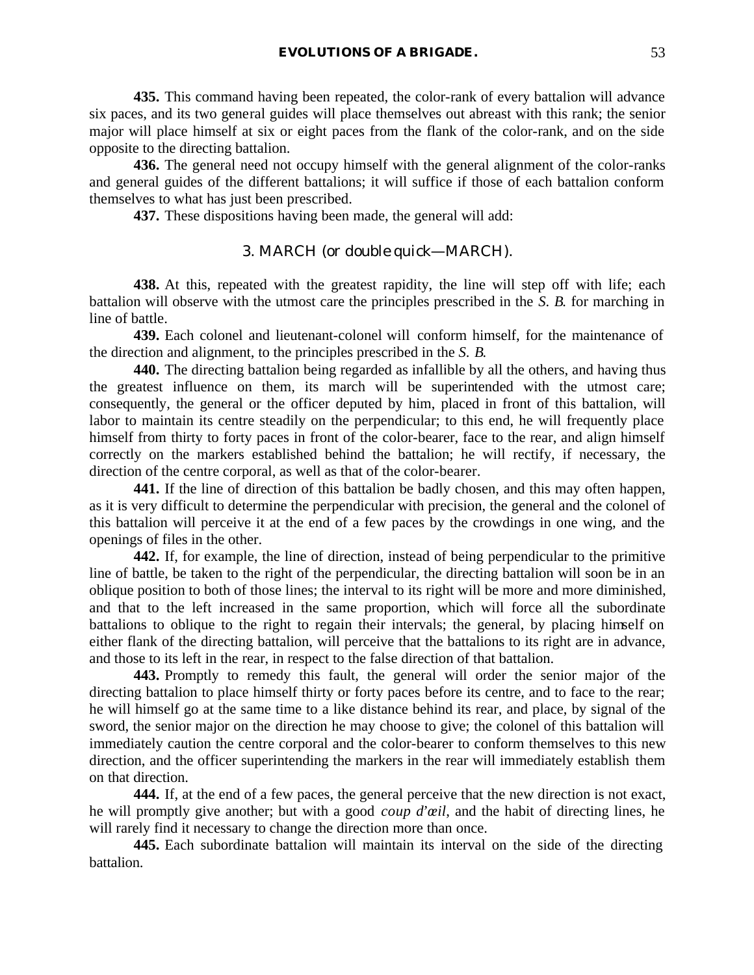**435.** This command having been repeated, the color-rank of every battalion will advance six paces, and its two general guides will place themselves out abreast with this rank; the senior major will place himself at six or eight paces from the flank of the color-rank, and on the side opposite to the directing battalion.

**436.** The general need not occupy himself with the general alignment of the color-ranks and general guides of the different battalions; it will suffice if those of each battalion conform themselves to what has just been prescribed.

**437.** These dispositions having been made, the general will add:

# 3. MARCH (or *double quick*—MARCH).

**438.** At this, repeated with the greatest rapidity, the line will step off with life; each battalion will observe with the utmost care the principles prescribed in the *S. B.* for marching in line of battle.

**439.** Each colonel and lieutenant-colonel will conform himself, for the maintenance of the direction and alignment, to the principles prescribed in the *S. B.*

**440.** The directing battalion being regarded as infallible by all the others, and having thus the greatest influence on them, its march will be superintended with the utmost care; consequently, the general or the officer deputed by him, placed in front of this battalion, will labor to maintain its centre steadily on the perpendicular; to this end, he will frequently place himself from thirty to forty paces in front of the color-bearer, face to the rear, and align himself correctly on the markers established behind the battalion; he will rectify, if necessary, the direction of the centre corporal, as well as that of the color-bearer.

**441.** If the line of direction of this battalion be badly chosen, and this may often happen, as it is very difficult to determine the perpendicular with precision, the general and the colonel of this battalion will perceive it at the end of a few paces by the crowdings in one wing, and the openings of files in the other.

**442.** If, for example, the line of direction, instead of being perpendicular to the primitive line of battle, be taken to the right of the perpendicular, the directing battalion will soon be in an oblique position to both of those lines; the interval to its right will be more and more diminished, and that to the left increased in the same proportion, which will force all the subordinate battalions to oblique to the right to regain their intervals; the general, by placing himself on either flank of the directing battalion, will perceive that the battalions to its right are in advance, and those to its left in the rear, in respect to the false direction of that battalion.

**443.** Promptly to remedy this fault, the general will order the senior major of the directing battalion to place himself thirty or forty paces before its centre, and to face to the rear; he will himself go at the same time to a like distance behind its rear, and place, by signal of the sword, the senior major on the direction he may choose to give; the colonel of this battalion will immediately caution the centre corporal and the color-bearer to conform themselves to this new direction, and the officer superintending the markers in the rear will immediately establish them on that direction.

**444.** If, at the end of a few paces, the general perceive that the new direction is not exact, he will promptly give another; but with a good *coup d'œil*, and the habit of directing lines, he will rarely find it necessary to change the direction more than once.

**445.** Each subordinate battalion will maintain its interval on the side of the directing battalion.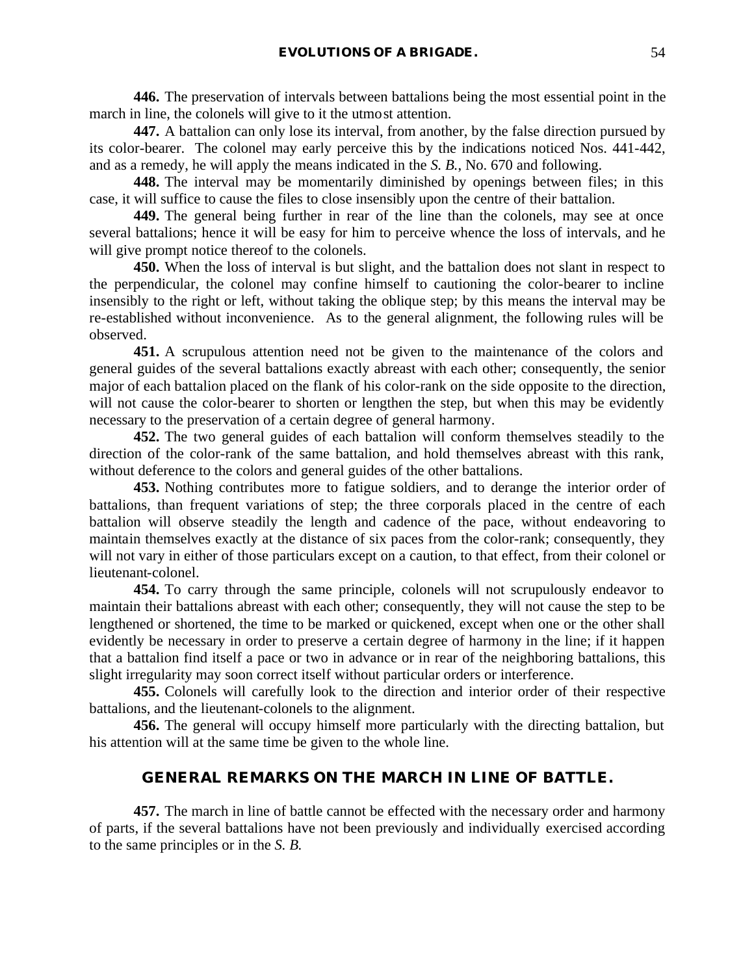**446.** The preservation of intervals between battalions being the most essential point in the march in line, the colonels will give to it the utmost attention.

**447.** A battalion can only lose its interval, from another, by the false direction pursued by its color-bearer. The colonel may early perceive this by the indications noticed Nos. 441-442, and as a remedy, he will apply the means indicated in the *S. B.*, No. 670 and following.

**448.** The interval may be momentarily diminished by openings between files; in this case, it will suffice to cause the files to close insensibly upon the centre of their battalion.

**449.** The general being further in rear of the line than the colonels, may see at once several battalions; hence it will be easy for him to perceive whence the loss of intervals, and he will give prompt notice thereof to the colonels.

**450.** When the loss of interval is but slight, and the battalion does not slant in respect to the perpendicular, the colonel may confine himself to cautioning the color-bearer to incline insensibly to the right or left, without taking the oblique step; by this means the interval may be re-established without inconvenience. As to the general alignment, the following rules will be observed.

**451.** A scrupulous attention need not be given to the maintenance of the colors and general guides of the several battalions exactly abreast with each other; consequently, the senior major of each battalion placed on the flank of his color-rank on the side opposite to the direction, will not cause the color-bearer to shorten or lengthen the step, but when this may be evidently necessary to the preservation of a certain degree of general harmony.

**452.** The two general guides of each battalion will conform themselves steadily to the direction of the color-rank of the same battalion, and hold themselves abreast with this rank, without deference to the colors and general guides of the other battalions.

**453.** Nothing contributes more to fatigue soldiers, and to derange the interior order of battalions, than frequent variations of step; the three corporals placed in the centre of each battalion will observe steadily the length and cadence of the pace, without endeavoring to maintain themselves exactly at the distance of six paces from the color-rank; consequently, they will not vary in either of those particulars except on a caution, to that effect, from their colonel or lieutenant-colonel.

**454.** To carry through the same principle, colonels will not scrupulously endeavor to maintain their battalions abreast with each other; consequently, they will not cause the step to be lengthened or shortened, the time to be marked or quickened, except when one or the other shall evidently be necessary in order to preserve a certain degree of harmony in the line; if it happen that a battalion find itself a pace or two in advance or in rear of the neighboring battalions, this slight irregularity may soon correct itself without particular orders or interference.

**455.** Colonels will carefully look to the direction and interior order of their respective battalions, and the lieutenant-colonels to the alignment.

**456.** The general will occupy himself more particularly with the directing battalion, but his attention will at the same time be given to the whole line.

### **GENERAL REMARKS ON THE MARCH IN LINE OF BATTLE.**

**457.** The march in line of battle cannot be effected with the necessary order and harmony of parts, if the several battalions have not been previously and individually exercised according to the same principles or in the *S. B.*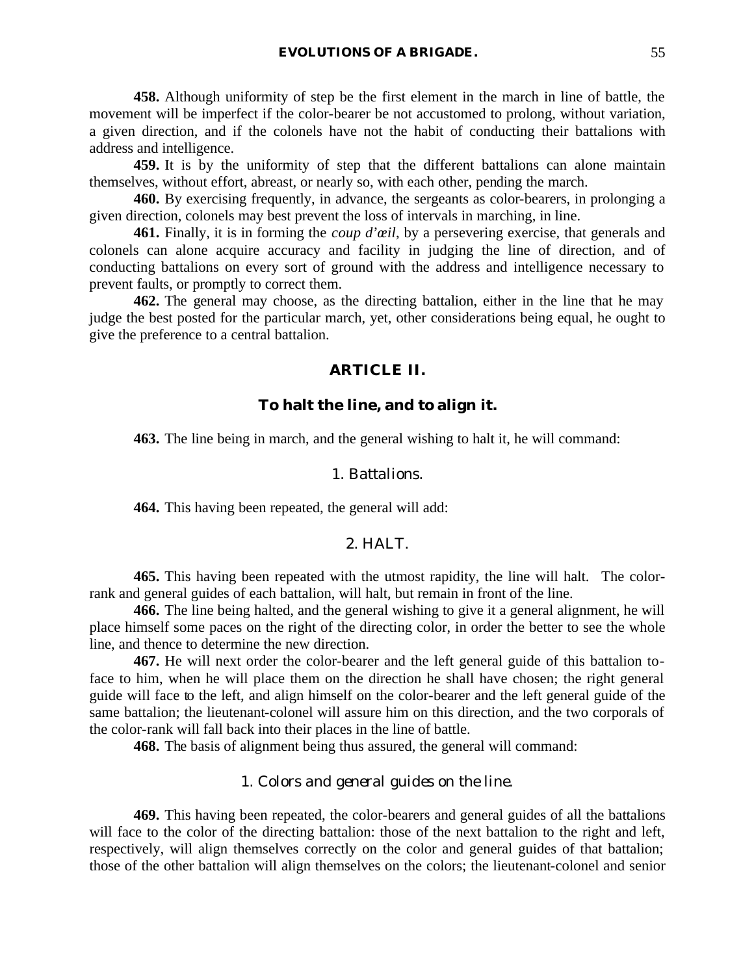**458.** Although uniformity of step be the first element in the march in line of battle, the movement will be imperfect if the color-bearer be not accustomed to prolong, without variation, a given direction, and if the colonels have not the habit of conducting their battalions with address and intelligence.

**459.** It is by the uniformity of step that the different battalions can alone maintain themselves, without effort, abreast, or nearly so, with each other, pending the march.

**460.** By exercising frequently, in advance, the sergeants as color-bearers, in prolonging a given direction, colonels may best prevent the loss of intervals in marching, in line.

**461.** Finally, it is in forming the *coup d'œil*, by a persevering exercise, that generals and colonels can alone acquire accuracy and facility in judging the line of direction, and of conducting battalions on every sort of ground with the address and intelligence necessary to prevent faults, or promptly to correct them.

**462.** The general may choose, as the directing battalion, either in the line that he may judge the best posted for the particular march, yet, other considerations being equal, he ought to give the preference to a central battalion.

## **ARTICLE II.**

# **To halt the line, and to align it.**

**463.** The line being in march, and the general wishing to halt it, he will command:

### 1. *Battalions*.

**464.** This having been repeated, the general will add:

### 2. HALT.

**465.** This having been repeated with the utmost rapidity, the line will halt. The colorrank and general guides of each battalion, will halt, but remain in front of the line.

**466.** The line being halted, and the general wishing to give it a general alignment, he will place himself some paces on the right of the directing color, in order the better to see the whole line, and thence to determine the new direction.

**467.** He will next order the color-bearer and the left general guide of this battalion toface to him, when he will place them on the direction he shall have chosen; the right general guide will face to the left, and align himself on the color-bearer and the left general guide of the same battalion; the lieutenant-colonel will assure him on this direction, and the two corporals of the color-rank will fall back into their places in the line of battle.

**468.** The basis of alignment being thus assured, the general will command:

# 1. *Colors and general guides on the line*.

**469.** This having been repeated, the color-bearers and general guides of all the battalions will face to the color of the directing battalion: those of the next battalion to the right and left, respectively, will align themselves correctly on the color and general guides of that battalion; those of the other battalion will align themselves on the colors; the lieutenant-colonel and senior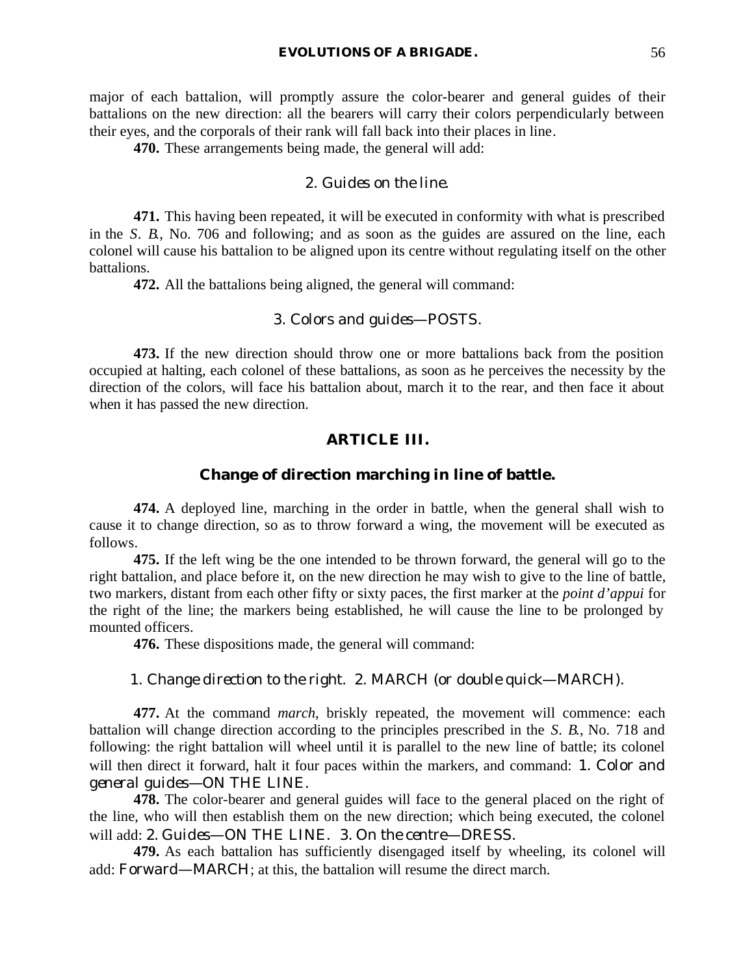major of each battalion, will promptly assure the color-bearer and general guides of their battalions on the new direction: all the bearers will carry their colors perpendicularly between their eyes, and the corporals of their rank will fall back into their places in line.

**470.** These arrangements being made, the general will add:

## 2. *Guides on the line*.

**471.** This having been repeated, it will be executed in conformity with what is prescribed in the *S. B.*, No. 706 and following; and as soon as the guides are assured on the line, each colonel will cause his battalion to be aligned upon its centre without regulating itself on the other battalions.

**472.** All the battalions being aligned, the general will command:

## 3. *Colors and guides*—POSTS.

**473.** If the new direction should throw one or more battalions back from the position occupied at halting, each colonel of these battalions, as soon as he perceives the necessity by the direction of the colors, will face his battalion about, march it to the rear, and then face it about when it has passed the new direction.

# **ARTICLE III.**

# **Change of direction marching in line of battle.**

**474.** A deployed line, marching in the order in battle, when the general shall wish to cause it to change direction, so as to throw forward a wing, the movement will be executed as follows.

**475.** If the left wing be the one intended to be thrown forward, the general will go to the right battalion, and place before it, on the new direction he may wish to give to the line of battle, two markers, distant from each other fifty or sixty paces, the first marker at the *point d'appui* for the right of the line; the markers being established, he will cause the line to be prolonged by mounted officers.

**476.** These dispositions made, the general will command:

### 1. *Change direction to the right*. 2. MARCH (or *double quick*—MARCH).

**477.** At the command *march*, briskly repeated, the movement will commence: each battalion will change direction according to the principles prescribed in the *S. B.*, No. 718 and following: the right battalion will wheel until it is parallel to the new line of battle; its colonel will then direct it forward, halt it four paces within the markers, and command: 1. *Color and general guides*—ON THE LINE.

**478.** The color-bearer and general guides will face to the general placed on the right of the line, who will then establish them on the new direction; which being executed, the colonel will add: 2. *Guides*—ON THE LINE. 3. *On the centre*—DRESS.

**479.** As each battalion has sufficiently disengaged itself by wheeling, its colonel will add: *Forward*—MARCH; at this, the battalion will resume the direct march.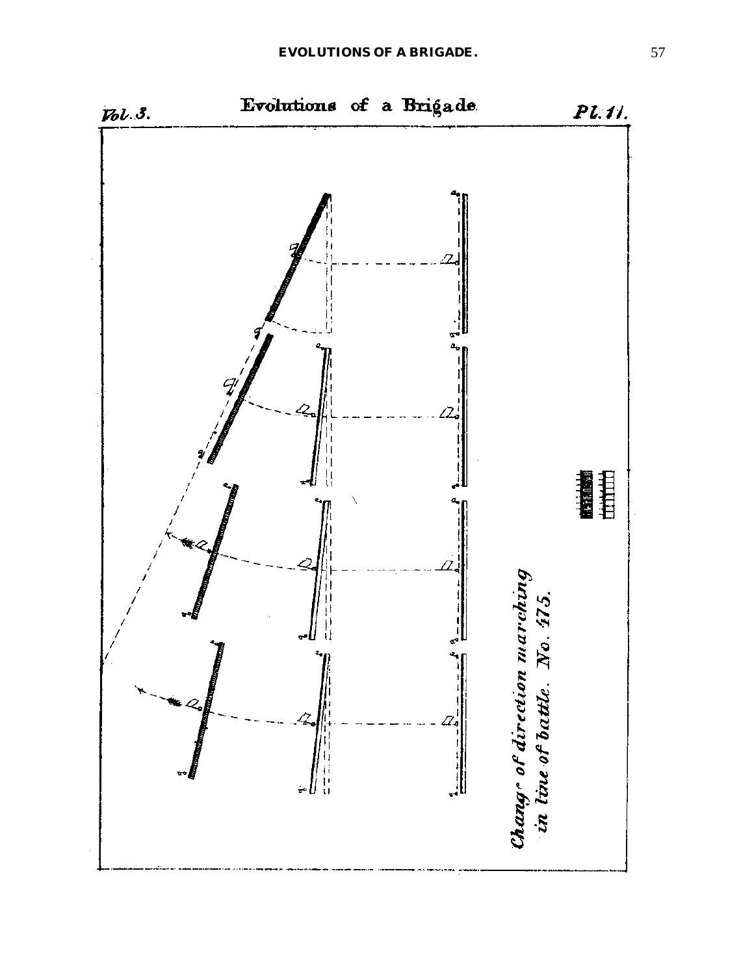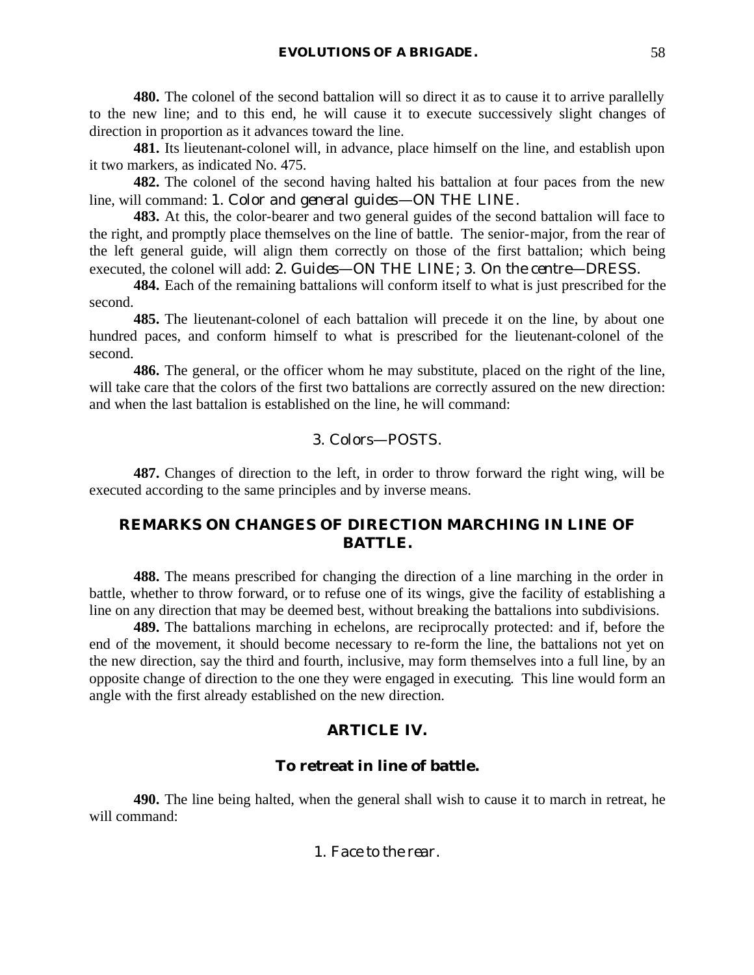**480.** The colonel of the second battalion will so direct it as to cause it to arrive parallelly to the new line; and to this end, he will cause it to execute successively slight changes of direction in proportion as it advances toward the line.

**481.** Its lieutenant-colonel will, in advance, place himself on the line, and establish upon it two markers, as indicated No. 475.

**482.** The colonel of the second having halted his battalion at four paces from the new line, will command: 1. *Color and general guides*—ON THE LINE.

**483.** At this, the color-bearer and two general guides of the second battalion will face to the right, and promptly place themselves on the line of battle. The senior-major, from the rear of the left general guide, will align them correctly on those of the first battalion; which being executed, the colonel will add: 2. *Guides*—ON THE LINE; 3. *On the centre*—DRESS.

**484.** Each of the remaining battalions will conform itself to what is just prescribed for the second.

**485.** The lieutenant-colonel of each battalion will precede it on the line, by about one hundred paces, and conform himself to what is prescribed for the lieutenant-colonel of the second.

**486.** The general, or the officer whom he may substitute, placed on the right of the line, will take care that the colors of the first two battalions are correctly assured on the new direction: and when the last battalion is established on the line, he will command:

## 3. *Colors*—POSTS.

**487.** Changes of direction to the left, in order to throw forward the right wing, will be executed according to the same principles and by inverse means.

# **REMARKS ON CHANGES OF DIRECTION MARCHING IN LINE OF BATTLE.**

**488.** The means prescribed for changing the direction of a line marching in the order in battle, whether to throw forward, or to refuse one of its wings, give the facility of establishing a line on any direction that may be deemed best, without breaking the battalions into subdivisions.

**489.** The battalions marching in echelons, are reciprocally protected: and if, before the end of the movement, it should become necessary to re-form the line, the battalions not yet on the new direction, say the third and fourth, inclusive, may form themselves into a full line, by an opposite change of direction to the one they were engaged in executing. This line would form an angle with the first already established on the new direction.

# **ARTICLE IV.**

# **To retreat in line of battle.**

**490.** The line being halted, when the general shall wish to cause it to march in retreat, he will command:

1. *Face to the rear*.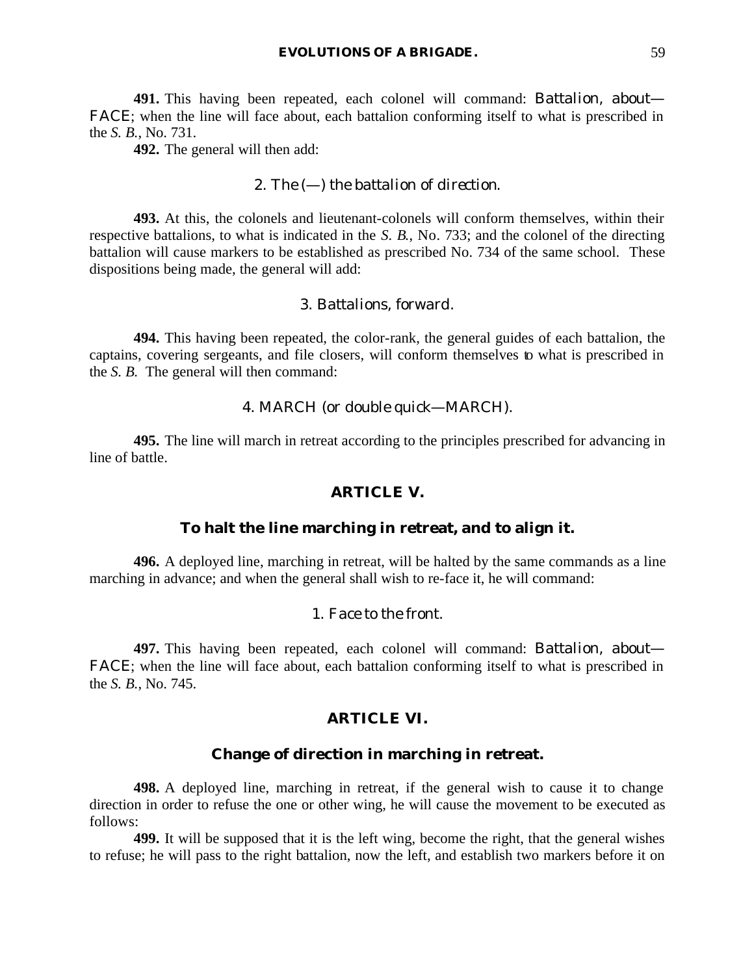**491.** This having been repeated, each colonel will command: *Battalion, about*— FACE; when the line will face about, each battalion conforming itself to what is prescribed in the *S. B.*, No. 731.

**492.** The general will then add:

## 2. *The* (—) *the battalion of direction*.

**493.** At this, the colonels and lieutenant-colonels will conform themselves, within their respective battalions, to what is indicated in the *S. B.*, No. 733; and the colonel of the directing battalion will cause markers to be established as prescribed No. 734 of the same school. These dispositions being made, the general will add:

## 3. *Battalions, forward*.

**494.** This having been repeated, the color-rank, the general guides of each battalion, the captains, covering sergeants, and file closers, will conform themselves to what is prescribed in the *S. B.* The general will then command:

## 4. MARCH (or *double quick*—MARCH).

**495.** The line will march in retreat according to the principles prescribed for advancing in line of battle.

#### **ARTICLE V.**

## **To halt the line marching in retreat, and to align it.**

**496.** A deployed line, marching in retreat, will be halted by the same commands as a line marching in advance; and when the general shall wish to re-face it, he will command:

## 1. *Face to the front*.

**497.** This having been repeated, each colonel will command: *Battalion, about*— FACE; when the line will face about, each battalion conforming itself to what is prescribed in the *S. B.*, No. 745.

# **ARTICLE VI.**

#### **Change of direction in marching in retreat.**

**498.** A deployed line, marching in retreat, if the general wish to cause it to change direction in order to refuse the one or other wing, he will cause the movement to be executed as follows:

**499.** It will be supposed that it is the left wing, become the right, that the general wishes to refuse; he will pass to the right battalion, now the left, and establish two markers before it on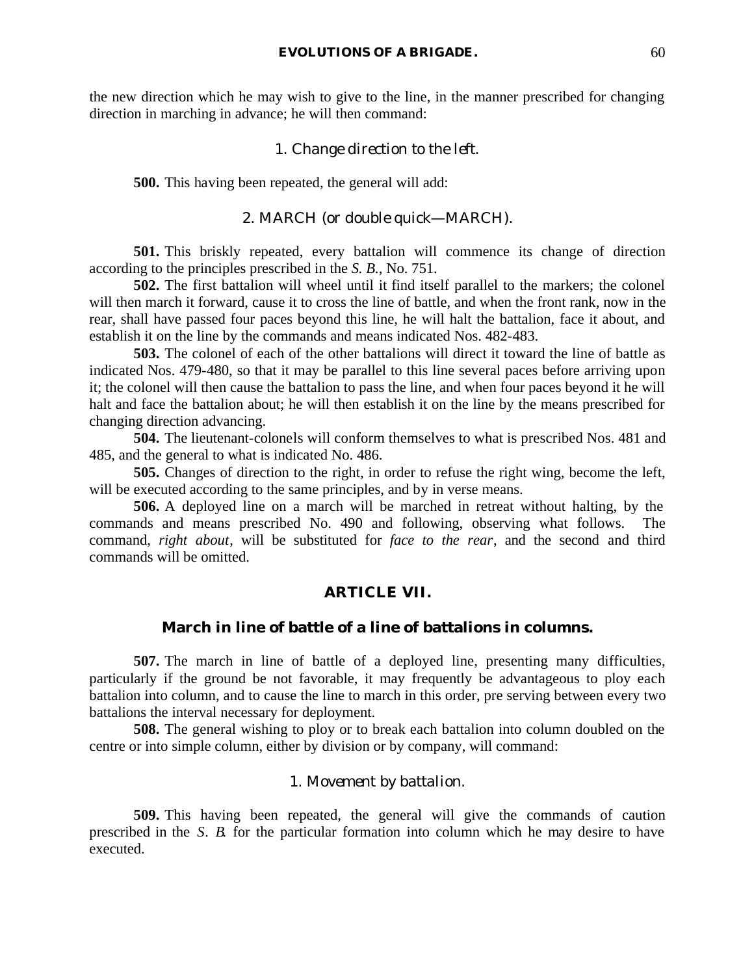the new direction which he may wish to give to the line, in the manner prescribed for changing direction in marching in advance; he will then command:

#### 1. *Change direction to the left*.

**500.** This having been repeated, the general will add:

## 2. MARCH (or *double quick*—MARCH).

**501.** This briskly repeated, every battalion will commence its change of direction according to the principles prescribed in the *S. B.*, No. 751.

**502.** The first battalion will wheel until it find itself parallel to the markers; the colonel will then march it forward, cause it to cross the line of battle, and when the front rank, now in the rear, shall have passed four paces beyond this line, he will halt the battalion, face it about, and establish it on the line by the commands and means indicated Nos. 482-483.

**503.** The colonel of each of the other battalions will direct it toward the line of battle as indicated Nos. 479-480, so that it may be parallel to this line several paces before arriving upon it; the colonel will then cause the battalion to pass the line, and when four paces beyond it he will halt and face the battalion about; he will then establish it on the line by the means prescribed for changing direction advancing.

**504.** The lieutenant-colonels will conform themselves to what is prescribed Nos. 481 and 485, and the general to what is indicated No. 486.

**505.** Changes of direction to the right, in order to refuse the right wing, become the left, will be executed according to the same principles, and by in verse means.

**506.** A deployed line on a march will be marched in retreat without halting, by the commands and means prescribed No. 490 and following, observing what follows. The command, *right about*, will be substituted for *face to the rear*, and the second and third commands will be omitted.

#### **ARTICLE VII.**

## **March in line of battle of a line of battalions in columns.**

**507.** The march in line of battle of a deployed line, presenting many difficulties, particularly if the ground be not favorable, it may frequently be advantageous to ploy each battalion into column, and to cause the line to march in this order, pre serving between every two battalions the interval necessary for deployment.

**508.** The general wishing to ploy or to break each battalion into column doubled on the centre or into simple column, either by division or by company, will command:

# 1. *Movement by battalion*.

**509.** This having been repeated, the general will give the commands of caution prescribed in the *S. B.* for the particular formation into column which he may desire to have executed.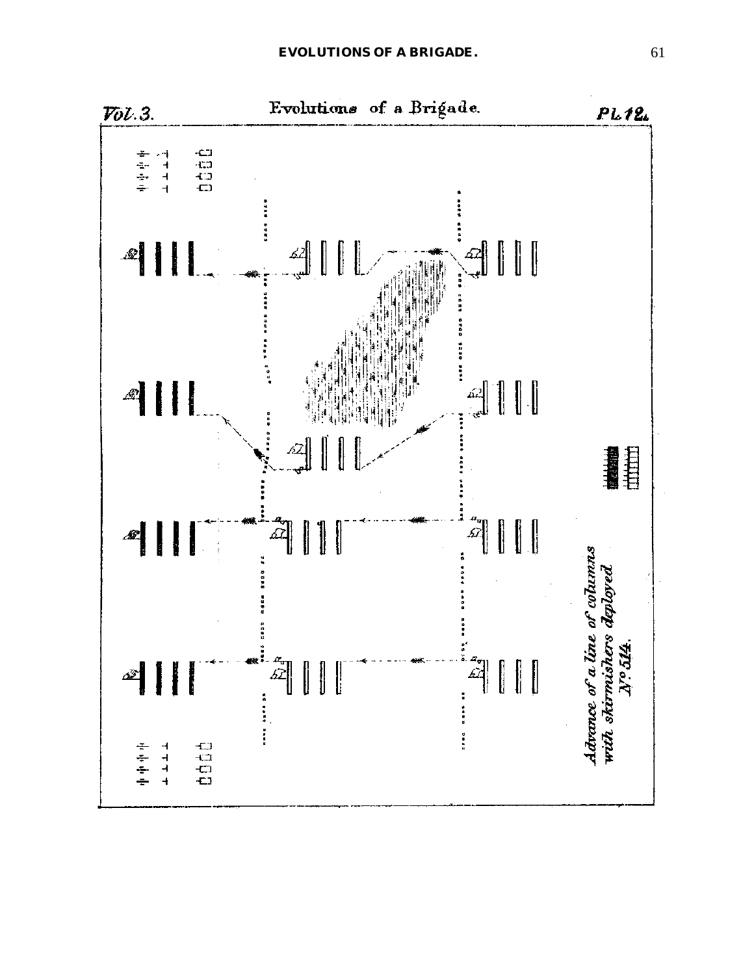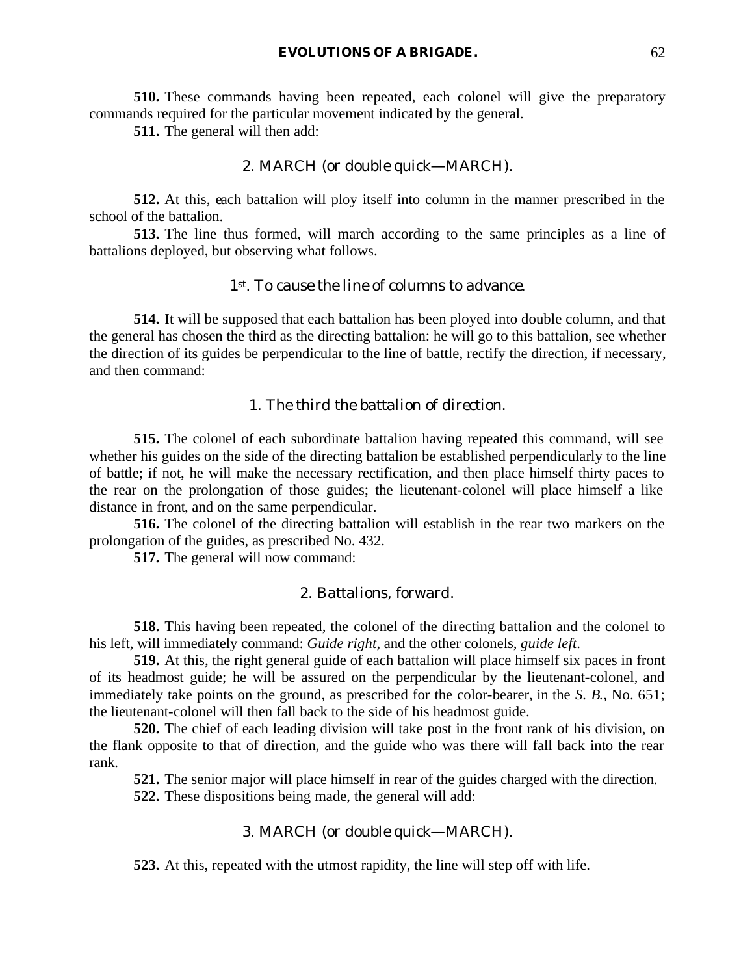**510.** These commands having been repeated, each colonel will give the preparatory commands required for the particular movement indicated by the general.

**511.** The general will then add:

### 2. MARCH (or *double quick*—MARCH).

**512.** At this, each battalion will ploy itself into column in the manner prescribed in the school of the battalion.

**513.** The line thus formed, will march according to the same principles as a line of battalions deployed, but observing what follows.

# *1st. To cause the line of columns to advance.*

**514.** It will be supposed that each battalion has been ployed into double column, and that the general has chosen the third as the directing battalion: he will go to this battalion, see whether the direction of its guides be perpendicular to the line of battle, rectify the direction, if necessary, and then command:

## 1. *The third the battalion of direction*.

**515.** The colonel of each subordinate battalion having repeated this command, will see whether his guides on the side of the directing battalion be established perpendicularly to the line of battle; if not, he will make the necessary rectification, and then place himself thirty paces to the rear on the prolongation of those guides; the lieutenant-colonel will place himself a like distance in front, and on the same perpendicular.

**516.** The colonel of the directing battalion will establish in the rear two markers on the prolongation of the guides, as prescribed No. 432.

**517.** The general will now command:

## 2. *Battalions, forward*.

**518.** This having been repeated, the colonel of the directing battalion and the colonel to his left, will immediately command: *Guide right*, and the other colonels, *guide left*.

**519.** At this, the right general guide of each battalion will place himself six paces in front of its headmost guide; he will be assured on the perpendicular by the lieutenant-colonel, and immediately take points on the ground, as prescribed for the color-bearer, in the *S. B.*, No. 651; the lieutenant-colonel will then fall back to the side of his headmost guide.

**520.** The chief of each leading division will take post in the front rank of his division, on the flank opposite to that of direction, and the guide who was there will fall back into the rear rank.

**521.** The senior major will place himself in rear of the guides charged with the direction.

**522.** These dispositions being made, the general will add:

#### 3. MARCH (or *double quick*—MARCH).

**523.** At this, repeated with the utmost rapidity, the line will step off with life.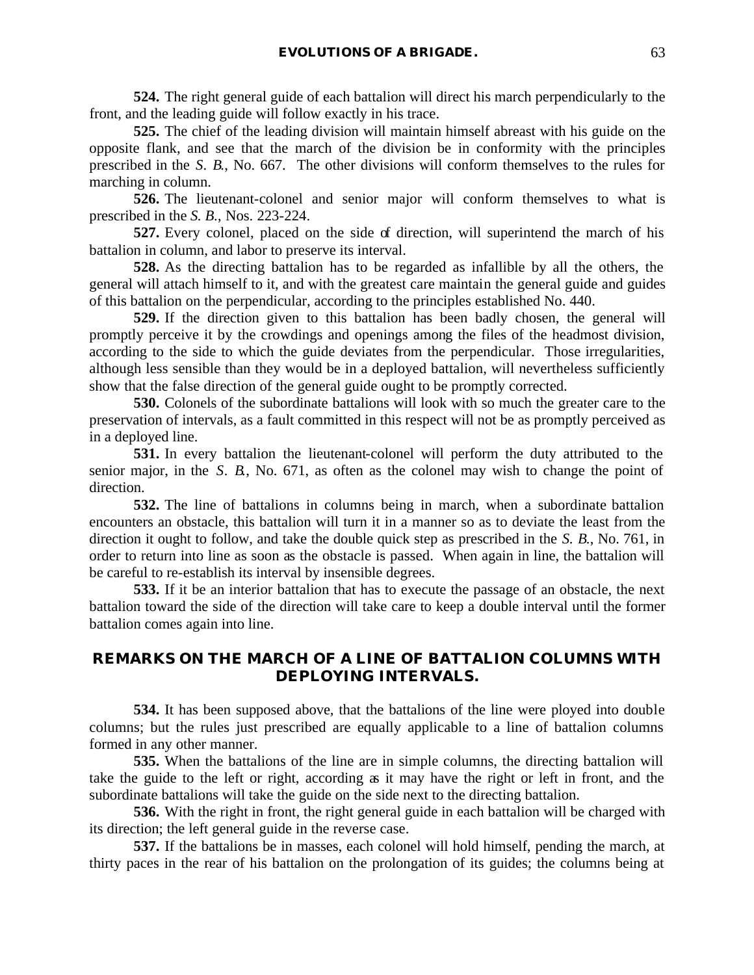**524.** The right general guide of each battalion will direct his march perpendicularly to the front, and the leading guide will follow exactly in his trace.

**525.** The chief of the leading division will maintain himself abreast with his guide on the opposite flank, and see that the march of the division be in conformity with the principles prescribed in the *S. B.*, No. 667. The other divisions will conform themselves to the rules for marching in column.

**526.** The lieutenant-colonel and senior major will conform themselves to what is prescribed in the *S. B.*, Nos. 223-224.

**527.** Every colonel, placed on the side of direction, will superintend the march of his battalion in column, and labor to preserve its interval.

**528.** As the directing battalion has to be regarded as infallible by all the others, the general will attach himself to it, and with the greatest care maintain the general guide and guides of this battalion on the perpendicular, according to the principles established No. 440.

**529.** If the direction given to this battalion has been badly chosen, the general will promptly perceive it by the crowdings and openings among the files of the headmost division, according to the side to which the guide deviates from the perpendicular. Those irregularities, although less sensible than they would be in a deployed battalion, will nevertheless sufficiently show that the false direction of the general guide ought to be promptly corrected.

**530.** Colonels of the subordinate battalions will look with so much the greater care to the preservation of intervals, as a fault committed in this respect will not be as promptly perceived as in a deployed line.

**531.** In every battalion the lieutenant-colonel will perform the duty attributed to the senior major, in the *S. B.*, No. 671, as often as the colonel may wish to change the point of direction.

**532.** The line of battalions in columns being in march, when a subordinate battalion encounters an obstacle, this battalion will turn it in a manner so as to deviate the least from the direction it ought to follow, and take the double quick step as prescribed in the *S. B.*, No. 761, in order to return into line as soon as the obstacle is passed. When again in line, the battalion will be careful to re-establish its interval by insensible degrees.

**533.** If it be an interior battalion that has to execute the passage of an obstacle, the next battalion toward the side of the direction will take care to keep a double interval until the former battalion comes again into line.

# **REMARKS ON THE MARCH OF A LINE OF BATTALION COLUMNS WITH DEPLOYING INTERVALS.**

**534.** It has been supposed above, that the battalions of the line were ployed into double columns; but the rules just prescribed are equally applicable to a line of battalion columns formed in any other manner.

**535.** When the battalions of the line are in simple columns, the directing battalion will take the guide to the left or right, according as it may have the right or left in front, and the subordinate battalions will take the guide on the side next to the directing battalion.

**536.** With the right in front, the right general guide in each battalion will be charged with its direction; the left general guide in the reverse case.

**537.** If the battalions be in masses, each colonel will hold himself, pending the march, at thirty paces in the rear of his battalion on the prolongation of its guides; the columns being at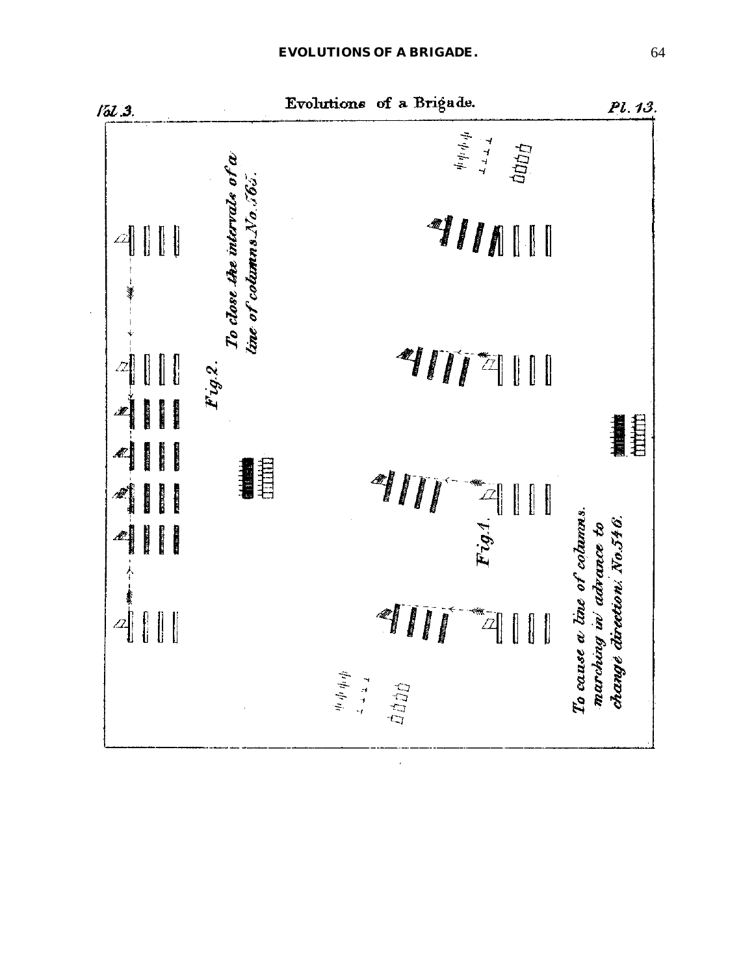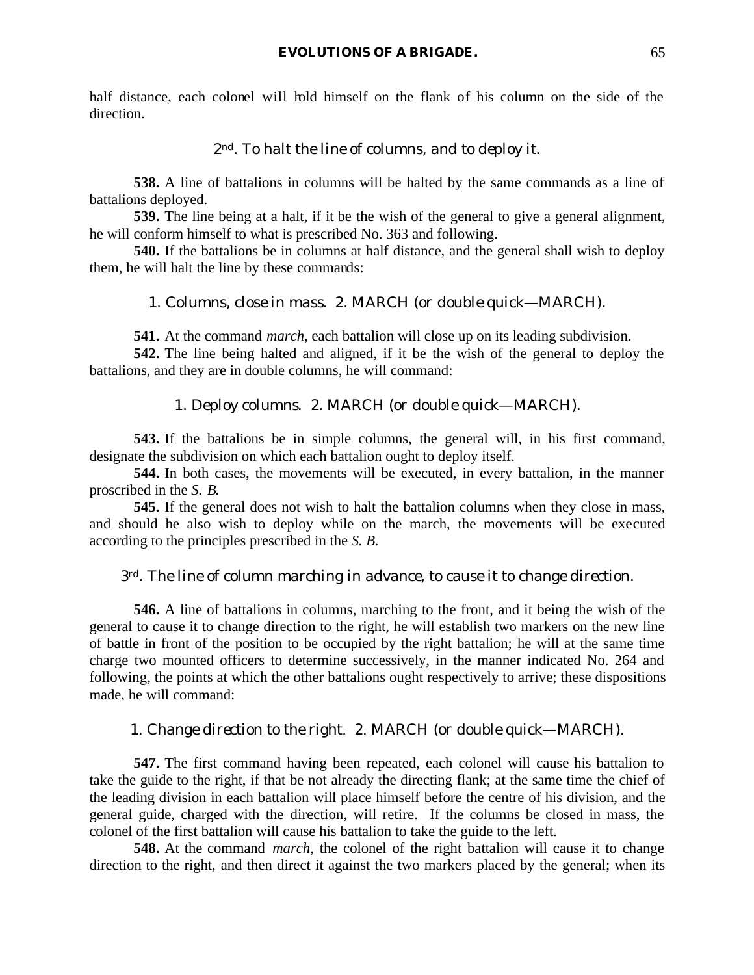half distance, each colonel will hold himself on the flank of his column on the side of the direction.

### *2nd. To halt the line of columns, and to deploy it.*

**538.** A line of battalions in columns will be halted by the same commands as a line of battalions deployed.

**539.** The line being at a halt, if it be the wish of the general to give a general alignment, he will conform himself to what is prescribed No. 363 and following.

**540.** If the battalions be in columns at half distance, and the general shall wish to deploy them, he will halt the line by these commands:

#### 1. *Columns, close in mass*. 2. MARCH (or *double quick*—MARCH).

**541.** At the command *march*, each battalion will close up on its leading subdivision.

**542.** The line being halted and aligned, if it be the wish of the general to deploy the battalions, and they are in double columns, he will command:

## 1. *Deploy columns*. 2. MARCH (or *double quick*—MARCH).

**543.** If the battalions be in simple columns, the general will, in his first command, designate the subdivision on which each battalion ought to deploy itself.

**544.** In both cases, the movements will be executed, in every battalion, in the manner proscribed in the *S. B.*

**545.** If the general does not wish to halt the battalion columns when they close in mass, and should he also wish to deploy while on the march, the movements will be executed according to the principles prescribed in the *S. B.*

#### *3rd. The line of column marching in advance, to cause it to change direction.*

**546.** A line of battalions in columns, marching to the front, and it being the wish of the general to cause it to change direction to the right, he will establish two markers on the new line of battle in front of the position to be occupied by the right battalion; he will at the same time charge two mounted officers to determine successively, in the manner indicated No. 264 and following, the points at which the other battalions ought respectively to arrive; these dispositions made, he will command:

#### 1. *Change direction to the right*. 2. MARCH (or *double quick*—MARCH).

**547.** The first command having been repeated, each colonel will cause his battalion to take the guide to the right, if that be not already the directing flank; at the same time the chief of the leading division in each battalion will place himself before the centre of his division, and the general guide, charged with the direction, will retire. If the columns be closed in mass, the colonel of the first battalion will cause his battalion to take the guide to the left.

**548.** At the command *march*, the colonel of the right battalion will cause it to change direction to the right, and then direct it against the two markers placed by the general; when its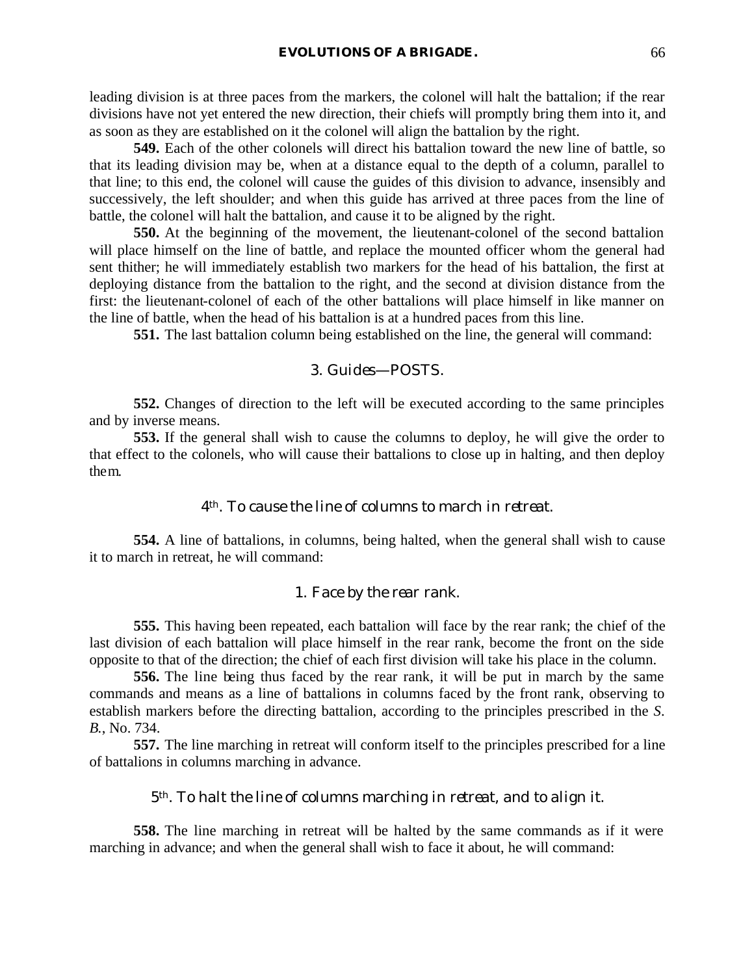leading division is at three paces from the markers, the colonel will halt the battalion; if the rear divisions have not yet entered the new direction, their chiefs will promptly bring them into it, and as soon as they are established on it the colonel will align the battalion by the right.

**549.** Each of the other colonels will direct his battalion toward the new line of battle, so that its leading division may be, when at a distance equal to the depth of a column, parallel to that line; to this end, the colonel will cause the guides of this division to advance, insensibly and successively, the left shoulder; and when this guide has arrived at three paces from the line of battle, the colonel will halt the battalion, and cause it to be aligned by the right.

**550.** At the beginning of the movement, the lieutenant-colonel of the second battalion will place himself on the line of battle, and replace the mounted officer whom the general had sent thither; he will immediately establish two markers for the head of his battalion, the first at deploying distance from the battalion to the right, and the second at division distance from the first: the lieutenant-colonel of each of the other battalions will place himself in like manner on the line of battle, when the head of his battalion is at a hundred paces from this line.

**551.** The last battalion column being established on the line, the general will command:

### 3. *Guides*—POSTS.

**552.** Changes of direction to the left will be executed according to the same principles and by inverse means.

**553.** If the general shall wish to cause the columns to deploy, he will give the order to that effect to the colonels, who will cause their battalions to close up in halting, and then deploy them.

### *4th. To cause the line of columns to march in retreat.*

**554.** A line of battalions, in columns, being halted, when the general shall wish to cause it to march in retreat, he will command:

### 1. *Face by the rear rank*.

**555.** This having been repeated, each battalion will face by the rear rank; the chief of the last division of each battalion will place himself in the rear rank, become the front on the side opposite to that of the direction; the chief of each first division will take his place in the column.

**556.** The line being thus faced by the rear rank, it will be put in march by the same commands and means as a line of battalions in columns faced by the front rank, observing to establish markers before the directing battalion, according to the principles prescribed in the *S. B.*, No. 734.

**557.** The line marching in retreat will conform itself to the principles prescribed for a line of battalions in columns marching in advance.

#### *5th. To halt the line of columns marching in retreat, and to align it.*

**558.** The line marching in retreat will be halted by the same commands as if it were marching in advance; and when the general shall wish to face it about, he will command: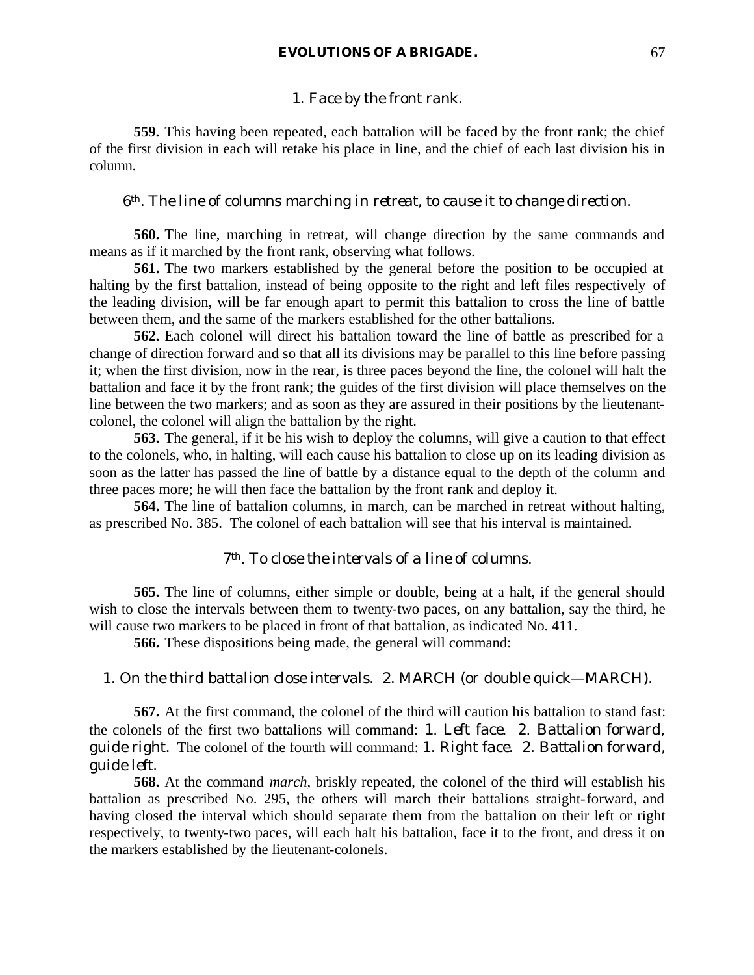### 1. *Face by the front rank*.

**559.** This having been repeated, each battalion will be faced by the front rank; the chief of the first division in each will retake his place in line, and the chief of each last division his in column.

### *6th. The line of columns marching in retreat, to cause it to change direction.*

**560.** The line, marching in retreat, will change direction by the same commands and means as if it marched by the front rank, observing what follows.

**561.** The two markers established by the general before the position to be occupied at halting by the first battalion, instead of being opposite to the right and left files respectively of the leading division, will be far enough apart to permit this battalion to cross the line of battle between them, and the same of the markers established for the other battalions.

**562.** Each colonel will direct his battalion toward the line of battle as prescribed for a change of direction forward and so that all its divisions may be parallel to this line before passing it; when the first division, now in the rear, is three paces beyond the line, the colonel will halt the battalion and face it by the front rank; the guides of the first division will place themselves on the line between the two markers; and as soon as they are assured in their positions by the lieutenantcolonel, the colonel will align the battalion by the right.

**563.** The general, if it be his wish to deploy the columns, will give a caution to that effect to the colonels, who, in halting, will each cause his battalion to close up on its leading division as soon as the latter has passed the line of battle by a distance equal to the depth of the column and three paces more; he will then face the battalion by the front rank and deploy it.

**564.** The line of battalion columns, in march, can be marched in retreat without halting, as prescribed No. 385. The colonel of each battalion will see that his interval is maintained.

# *7th. To close the intervals of a line of columns.*

**565.** The line of columns, either simple or double, being at a halt, if the general should wish to close the intervals between them to twenty-two paces, on any battalion, say the third, he will cause two markers to be placed in front of that battalion, as indicated No. 411.

**566.** These dispositions being made, the general will command:

# 1. *On the third battalion close intervals*. 2. MARCH (or *double quick*—MARCH).

**567.** At the first command, the colonel of the third will caution his battalion to stand fast: the colonels of the first two battalions will command: 1. *Left face*. 2. *Battalion forward, guide right*. The colonel of the fourth will command: 1. *Right face*. 2. *Battalion forward, guide left*.

**568.** At the command *march*, briskly repeated, the colonel of the third will establish his battalion as prescribed No. 295, the others will march their battalions straight-forward, and having closed the interval which should separate them from the battalion on their left or right respectively, to twenty-two paces, will each halt his battalion, face it to the front, and dress it on the markers established by the lieutenant-colonels.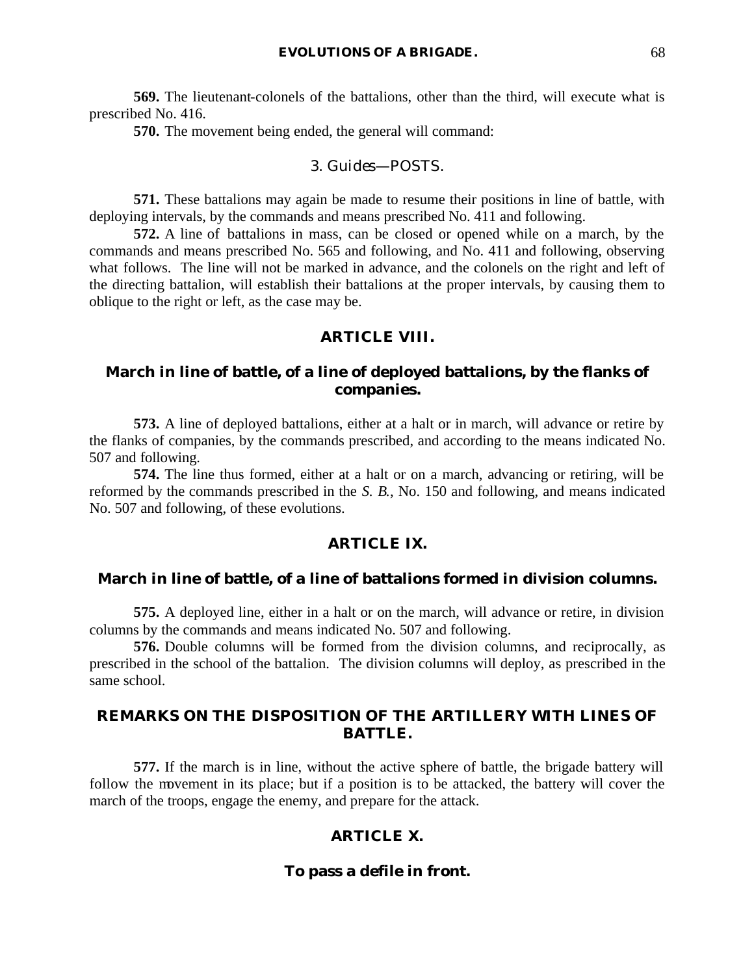**569.** The lieutenant-colonels of the battalions, other than the third, will execute what is prescribed No. 416.

**570.** The movement being ended, the general will command:

#### 3. *Guides*—POSTS.

**571.** These battalions may again be made to resume their positions in line of battle, with deploying intervals, by the commands and means prescribed No. 411 and following.

**572.** A line of battalions in mass, can be closed or opened while on a march, by the commands and means prescribed No. 565 and following, and No. 411 and following, observing what follows. The line will not be marked in advance, and the colonels on the right and left of the directing battalion, will establish their battalions at the proper intervals, by causing them to oblique to the right or left, as the case may be.

# **ARTICLE VIII.**

# **March in line of battle, of a line of deployed battalions, by the flanks of companies.**

**573.** A line of deployed battalions, either at a halt or in march, will advance or retire by the flanks of companies, by the commands prescribed, and according to the means indicated No. 507 and following.

**574.** The line thus formed, either at a halt or on a march, advancing or retiring, will be reformed by the commands prescribed in the *S. B.*, No. 150 and following, and means indicated No. 507 and following, of these evolutions.

## **ARTICLE IX.**

#### **March in line of battle, of a line of battalions formed in division columns.**

**575.** A deployed line, either in a halt or on the march, will advance or retire, in division columns by the commands and means indicated No. 507 and following.

**576.** Double columns will be formed from the division columns, and reciprocally, as prescribed in the school of the battalion. The division columns will deploy, as prescribed in the same school.

# **REMARKS ON THE DISPOSITION OF THE ARTILLERY WITH LINES OF BATTLE.**

**577.** If the march is in line, without the active sphere of battle, the brigade battery will follow the movement in its place; but if a position is to be attacked, the battery will cover the march of the troops, engage the enemy, and prepare for the attack.

### **ARTICLE X.**

#### **To pass a defile in front.**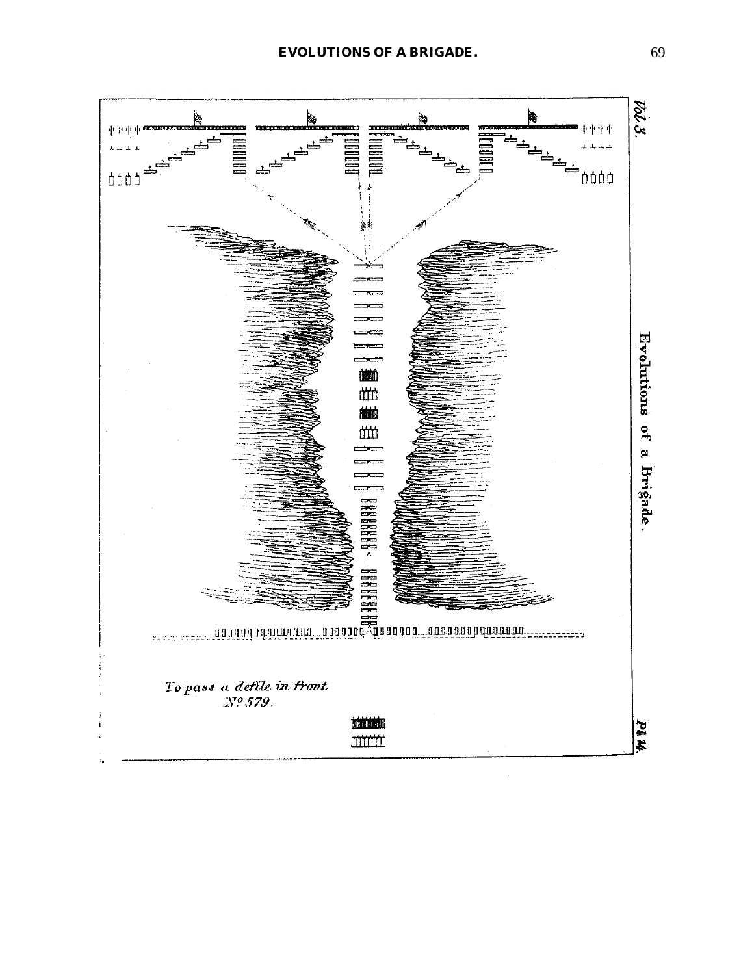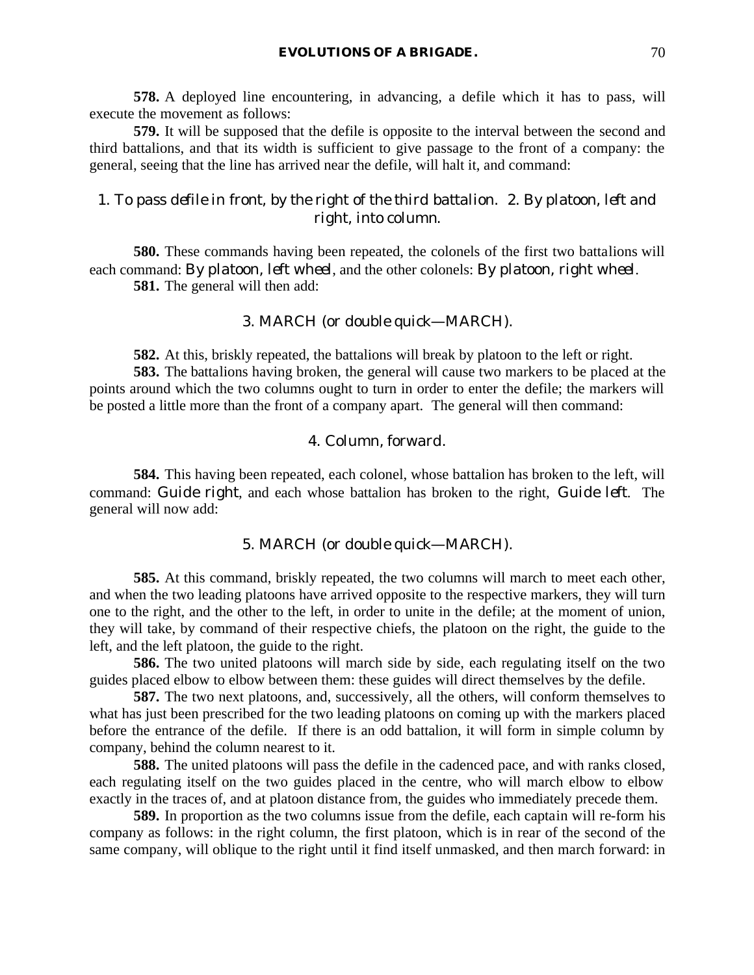**578.** A deployed line encountering, in advancing, a defile which it has to pass, will execute the movement as follows:

**579.** It will be supposed that the defile is opposite to the interval between the second and third battalions, and that its width is sufficient to give passage to the front of a company: the general, seeing that the line has arrived near the defile, will halt it, and command:

# 1. *To pass defile in front, by the right of the third battalion*. 2. *By platoon, left and right, into column*.

**580.** These commands having been repeated, the colonels of the first two battalions will each command: *By platoon, left wheel*, and the other colonels: *By platoon, right wheel*. **581.** The general will then add:

### 3. MARCH (or *double quick*—MARCH).

**582.** At this, briskly repeated, the battalions will break by platoon to the left or right.

**583.** The battalions having broken, the general will cause two markers to be placed at the points around which the two columns ought to turn in order to enter the defile; the markers will be posted a little more than the front of a company apart. The general will then command:

## 4. *Column, forward*.

**584.** This having been repeated, each colonel, whose battalion has broken to the left, will command: *Guide right*, and each whose battalion has broken to the right, *Guide left*. The general will now add:

# 5. MARCH (or *double quick*—MARCH).

**585.** At this command, briskly repeated, the two columns will march to meet each other, and when the two leading platoons have arrived opposite to the respective markers, they will turn one to the right, and the other to the left, in order to unite in the defile; at the moment of union, they will take, by command of their respective chiefs, the platoon on the right, the guide to the left, and the left platoon, the guide to the right.

**586.** The two united platoons will march side by side, each regulating itself on the two guides placed elbow to elbow between them: these guides will direct themselves by the defile.

**587.** The two next platoons, and, successively, all the others, will conform themselves to what has just been prescribed for the two leading platoons on coming up with the markers placed before the entrance of the defile. If there is an odd battalion, it will form in simple column by company, behind the column nearest to it.

**588.** The united platoons will pass the defile in the cadenced pace, and with ranks closed, each regulating itself on the two guides placed in the centre, who will march elbow to elbow exactly in the traces of, and at platoon distance from, the guides who immediately precede them.

**589.** In proportion as the two columns issue from the defile, each captain will re-form his company as follows: in the right column, the first platoon, which is in rear of the second of the same company, will oblique to the right until it find itself unmasked, and then march forward: in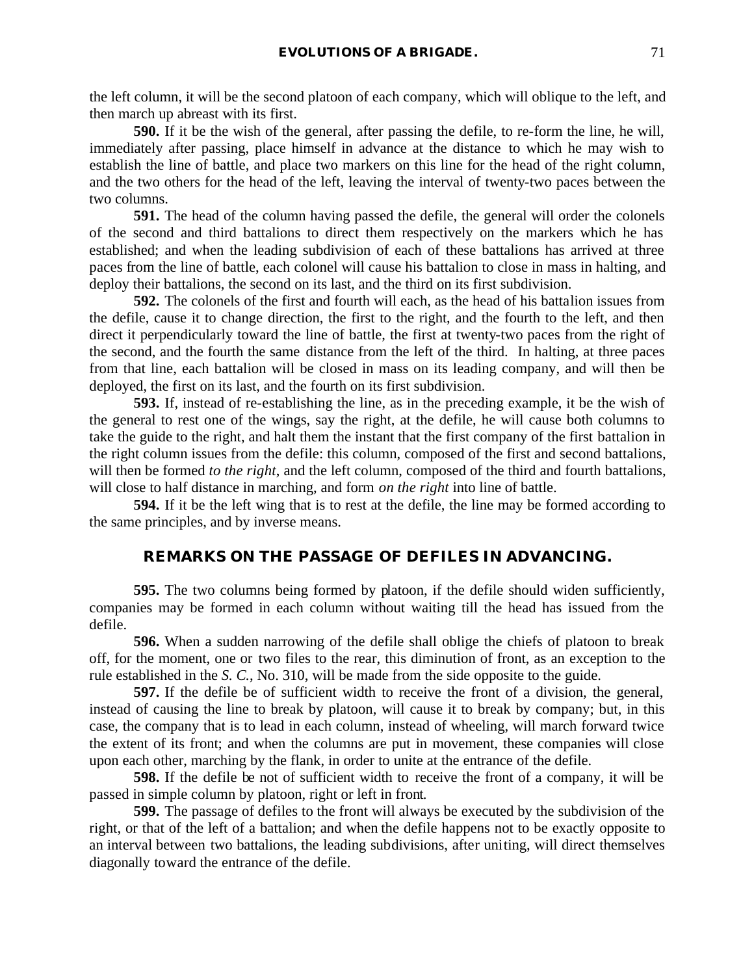the left column, it will be the second platoon of each company, which will oblique to the left, and then march up abreast with its first.

**590.** If it be the wish of the general, after passing the defile, to re-form the line, he will, immediately after passing, place himself in advance at the distance to which he may wish to establish the line of battle, and place two markers on this line for the head of the right column, and the two others for the head of the left, leaving the interval of twenty-two paces between the two columns.

**591.** The head of the column having passed the defile, the general will order the colonels of the second and third battalions to direct them respectively on the markers which he has established; and when the leading subdivision of each of these battalions has arrived at three paces from the line of battle, each colonel will cause his battalion to close in mass in halting, and deploy their battalions, the second on its last, and the third on its first subdivision.

**592.** The colonels of the first and fourth will each, as the head of his battalion issues from the defile, cause it to change direction, the first to the right, and the fourth to the left, and then direct it perpendicularly toward the line of battle, the first at twenty-two paces from the right of the second, and the fourth the same distance from the left of the third. In halting, at three paces from that line, each battalion will be closed in mass on its leading company, and will then be deployed, the first on its last, and the fourth on its first subdivision.

**593.** If, instead of re-establishing the line, as in the preceding example, it be the wish of the general to rest one of the wings, say the right, at the defile, he will cause both columns to take the guide to the right, and halt them the instant that the first company of the first battalion in the right column issues from the defile: this column, composed of the first and second battalions, will then be formed *to the right*, and the left column, composed of the third and fourth battalions, will close to half distance in marching, and form *on the right* into line of battle.

**594.** If it be the left wing that is to rest at the defile, the line may be formed according to the same principles, and by inverse means.

# **REMARKS ON THE PASSAGE OF DEFILES IN ADVANCING.**

**595.** The two columns being formed by platoon, if the defile should widen sufficiently, companies may be formed in each column without waiting till the head has issued from the defile.

**596.** When a sudden narrowing of the defile shall oblige the chiefs of platoon to break off, for the moment, one or two files to the rear, this diminution of front, as an exception to the rule established in the *S. C.*, No. 310, will be made from the side opposite to the guide.

**597.** If the defile be of sufficient width to receive the front of a division, the general, instead of causing the line to break by platoon, will cause it to break by company; but, in this case, the company that is to lead in each column, instead of wheeling, will march forward twice the extent of its front; and when the columns are put in movement, these companies will close upon each other, marching by the flank, in order to unite at the entrance of the defile.

**598.** If the defile be not of sufficient width to receive the front of a company, it will be passed in simple column by platoon, right or left in front.

**599.** The passage of defiles to the front will always be executed by the subdivision of the right, or that of the left of a battalion; and when the defile happens not to be exactly opposite to an interval between two battalions, the leading subdivisions, after uniting, will direct themselves diagonally toward the entrance of the defile.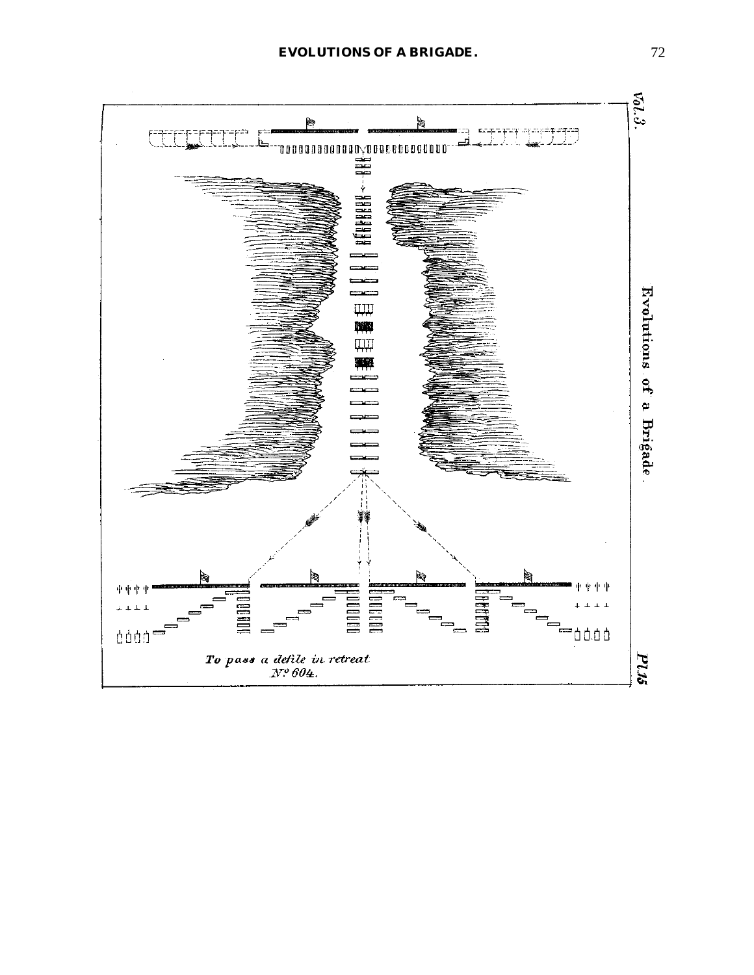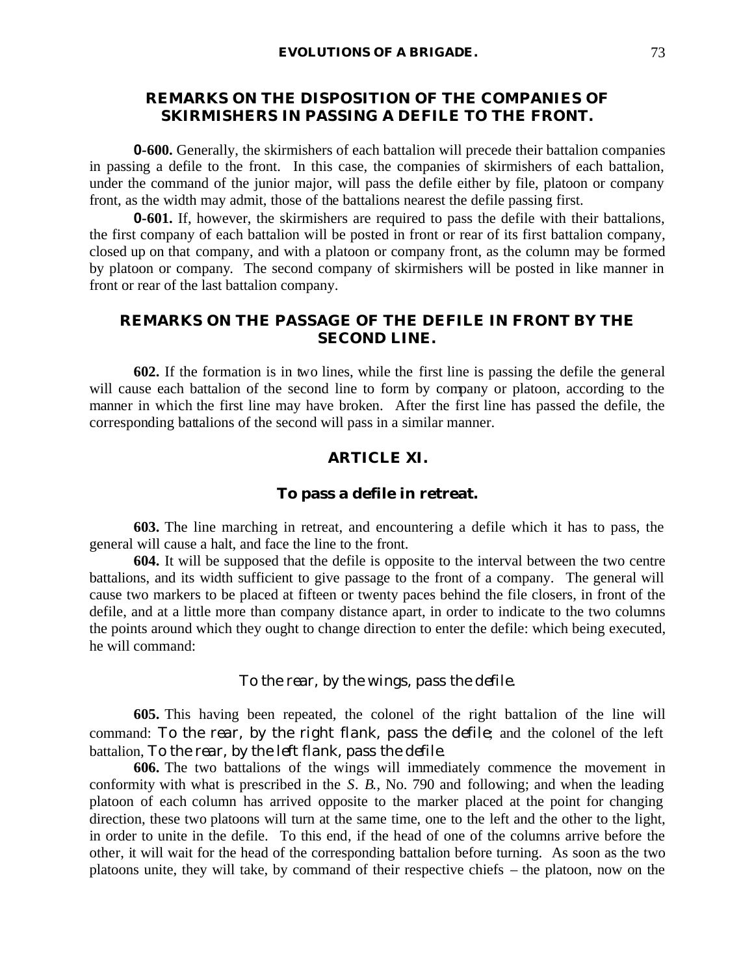# **REMARKS ON THE DISPOSITION OF THE COMPANIES OF SKIRMISHERS IN PASSING A DEFILE TO THE FRONT.**

**0-600.** Generally, the skirmishers of each battalion will precede their battalion companies in passing a defile to the front. In this case, the companies of skirmishers of each battalion, under the command of the junior major, will pass the defile either by file, platoon or company front, as the width may admit, those of the battalions nearest the defile passing first.

**0-601.** If, however, the skirmishers are required to pass the defile with their battalions, the first company of each battalion will be posted in front or rear of its first battalion company, closed up on that company, and with a platoon or company front, as the column may be formed by platoon or company. The second company of skirmishers will be posted in like manner in front or rear of the last battalion company.

# **REMARKS ON THE PASSAGE OF THE DEFILE IN FRONT BY THE SECOND LINE.**

**602.** If the formation is in two lines, while the first line is passing the defile the general will cause each battalion of the second line to form by company or platoon, according to the manner in which the first line may have broken. After the first line has passed the defile, the corresponding battalions of the second will pass in a similar manner.

# **ARTICLE XI.**

#### **To pass a defile in retreat.**

**603.** The line marching in retreat, and encountering a defile which it has to pass, the general will cause a halt, and face the line to the front.

**604.** It will be supposed that the defile is opposite to the interval between the two centre battalions, and its width sufficient to give passage to the front of a company. The general will cause two markers to be placed at fifteen or twenty paces behind the file closers, in front of the defile, and at a little more than company distance apart, in order to indicate to the two columns the points around which they ought to change direction to enter the defile: which being executed, he will command:

## *To the rear, by the wings, pass the defile.*

**605.** This having been repeated, the colonel of the right battalion of the line will command: *To the rear, by the right flank, pass the defile*; and the colonel of the left battalion, *To the rear, by the left flank, pass the defile*.

**606.** The two battalions of the wings will immediately commence the movement in conformity with what is prescribed in the *S. B.*, No. 790 and following; and when the leading platoon of each column has arrived opposite to the marker placed at the point for changing direction, these two platoons will turn at the same time, one to the left and the other to the light, in order to unite in the defile. To this end, if the head of one of the columns arrive before the other, it will wait for the head of the corresponding battalion before turning. As soon as the two platoons unite, they will take, by command of their respective chiefs – the platoon, now on the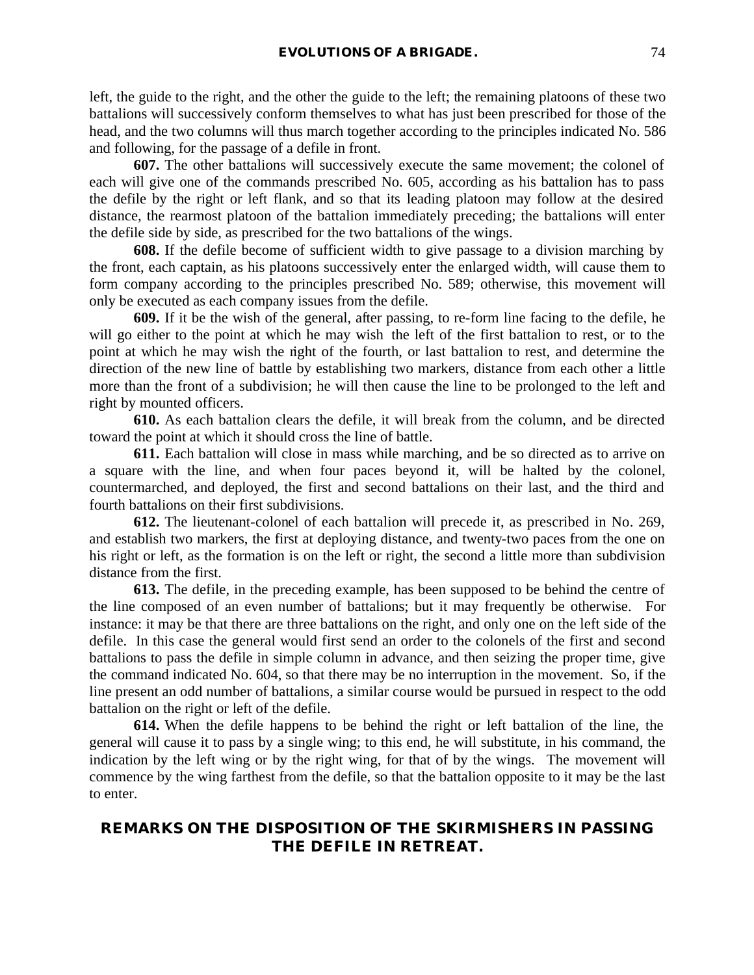left, the guide to the right, and the other the guide to the left; the remaining platoons of these two battalions will successively conform themselves to what has just been prescribed for those of the head, and the two columns will thus march together according to the principles indicated No. 586 and following, for the passage of a defile in front.

**607.** The other battalions will successively execute the same movement; the colonel of each will give one of the commands prescribed No. 605, according as his battalion has to pass the defile by the right or left flank, and so that its leading platoon may follow at the desired distance, the rearmost platoon of the battalion immediately preceding; the battalions will enter the defile side by side, as prescribed for the two battalions of the wings.

**608.** If the defile become of sufficient width to give passage to a division marching by the front, each captain, as his platoons successively enter the enlarged width, will cause them to form company according to the principles prescribed No. 589; otherwise, this movement will only be executed as each company issues from the defile.

**609.** If it be the wish of the general, after passing, to re-form line facing to the defile, he will go either to the point at which he may wish the left of the first battalion to rest, or to the point at which he may wish the right of the fourth, or last battalion to rest, and determine the direction of the new line of battle by establishing two markers, distance from each other a little more than the front of a subdivision; he will then cause the line to be prolonged to the left and right by mounted officers.

**610.** As each battalion clears the defile, it will break from the column, and be directed toward the point at which it should cross the line of battle.

**611.** Each battalion will close in mass while marching, and be so directed as to arrive on a square with the line, and when four paces beyond it, will be halted by the colonel, countermarched, and deployed, the first and second battalions on their last, and the third and fourth battalions on their first subdivisions.

**612.** The lieutenant-colonel of each battalion will precede it, as prescribed in No. 269, and establish two markers, the first at deploying distance, and twenty-two paces from the one on his right or left, as the formation is on the left or right, the second a little more than subdivision distance from the first.

**613.** The defile, in the preceding example, has been supposed to be behind the centre of the line composed of an even number of battalions; but it may frequently be otherwise. For instance: it may be that there are three battalions on the right, and only one on the left side of the defile. In this case the general would first send an order to the colonels of the first and second battalions to pass the defile in simple column in advance, and then seizing the proper time, give the command indicated No. 604, so that there may be no interruption in the movement. So, if the line present an odd number of battalions, a similar course would be pursued in respect to the odd battalion on the right or left of the defile.

**614.** When the defile happens to be behind the right or left battalion of the line, the general will cause it to pass by a single wing; to this end, he will substitute, in his command, the indication by the left wing or by the right wing, for that of by the wings. The movement will commence by the wing farthest from the defile, so that the battalion opposite to it may be the last to enter.

# **REMARKS ON THE DISPOSITION OF THE SKIRMISHERS IN PASSING THE DEFILE IN RETREAT.**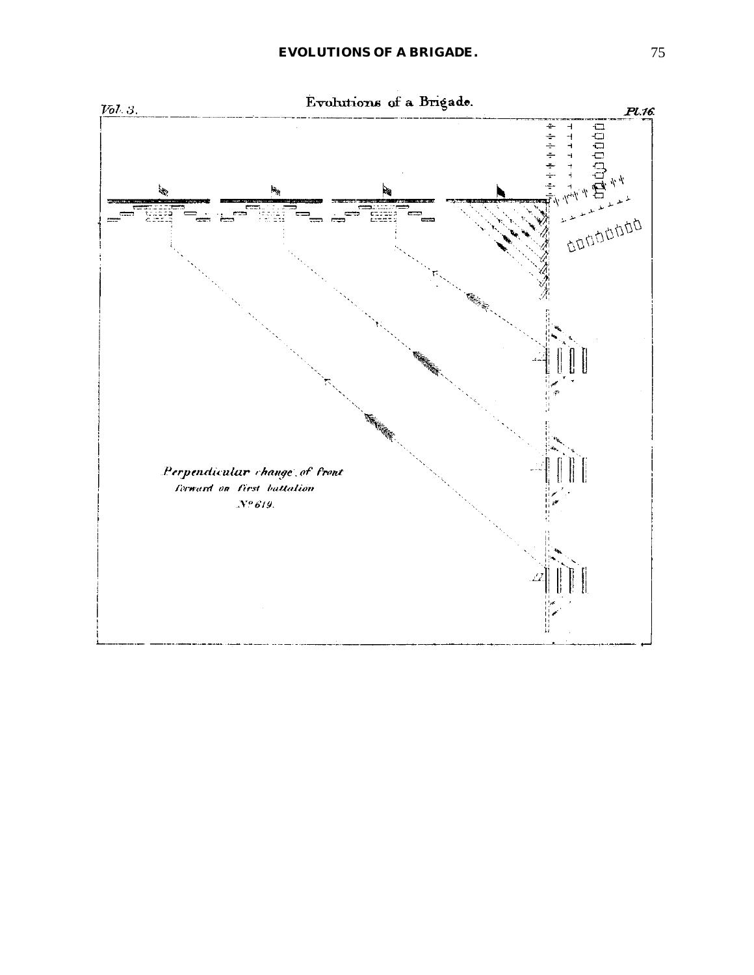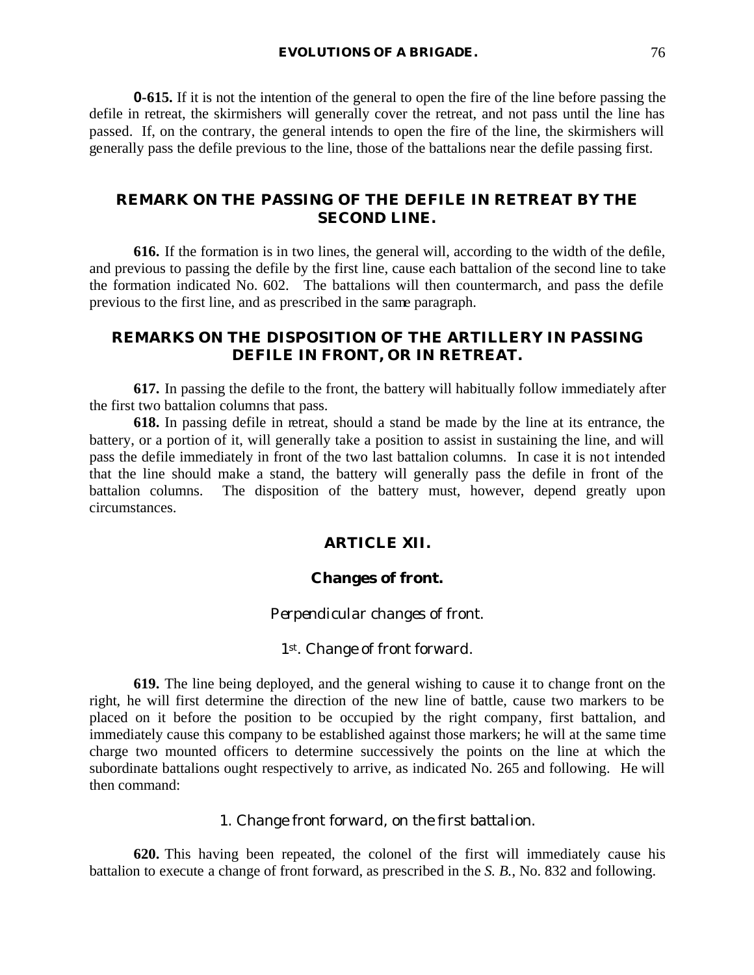**0-615.** If it is not the intention of the general to open the fire of the line before passing the defile in retreat, the skirmishers will generally cover the retreat, and not pass until the line has passed. If, on the contrary, the general intends to open the fire of the line, the skirmishers will generally pass the defile previous to the line, those of the battalions near the defile passing first.

# **REMARK ON THE PASSING OF THE DEFILE IN RETREAT BY THE SECOND LINE.**

**616.** If the formation is in two lines, the general will, according to the width of the defile, and previous to passing the defile by the first line, cause each battalion of the second line to take the formation indicated No. 602. The battalions will then countermarch, and pass the defile previous to the first line, and as prescribed in the same paragraph.

# **REMARKS ON THE DISPOSITION OF THE ARTILLERY IN PASSING DEFILE IN FRONT, OR IN RETREAT.**

**617.** In passing the defile to the front, the battery will habitually follow immediately after the first two battalion columns that pass.

**618.** In passing defile in retreat, should a stand be made by the line at its entrance, the battery, or a portion of it, will generally take a position to assist in sustaining the line, and will pass the defile immediately in front of the two last battalion columns. In case it is not intended that the line should make a stand, the battery will generally pass the defile in front of the battalion columns. The disposition of the battery must, however, depend greatly upon circumstances.

## **ARTICLE XII.**

## **Changes of front.**

#### *Perpendicular changes of front.*

#### *1st . Change of front forward.*

**619.** The line being deployed, and the general wishing to cause it to change front on the right, he will first determine the direction of the new line of battle, cause two markers to be placed on it before the position to be occupied by the right company, first battalion, and immediately cause this company to be established against those markers; he will at the same time charge two mounted officers to determine successively the points on the line at which the subordinate battalions ought respectively to arrive, as indicated No. 265 and following. He will then command:

## 1. *Change front forward, on the first battalion*.

**620.** This having been repeated, the colonel of the first will immediately cause his battalion to execute a change of front forward, as prescribed in the *S. B.*, No. 832 and following.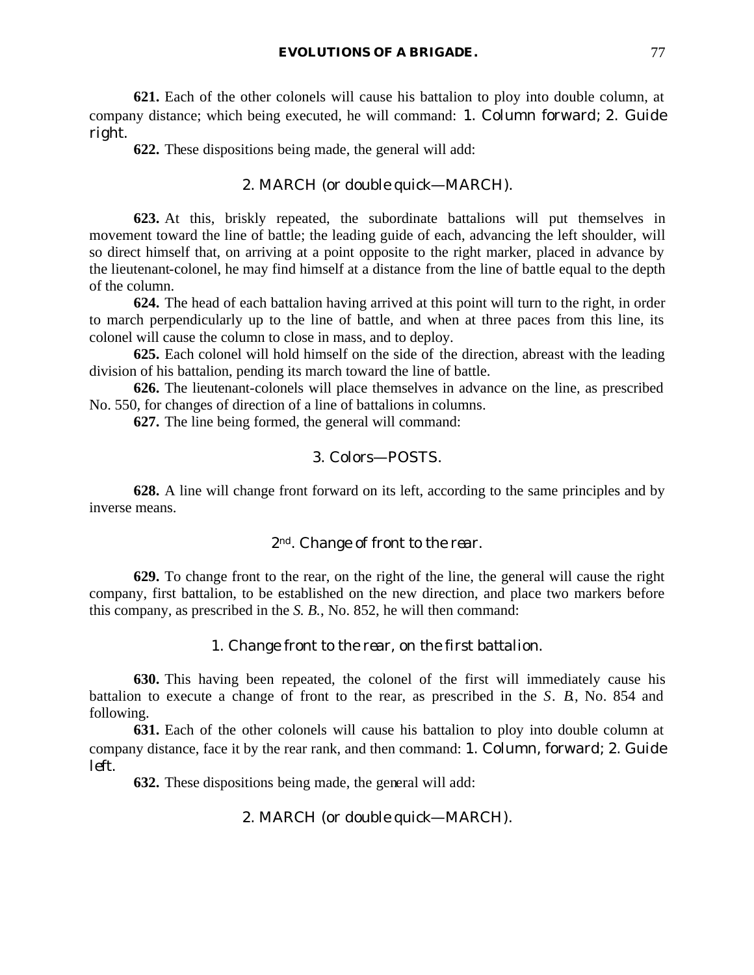**621.** Each of the other colonels will cause his battalion to ploy into double column, at company distance; which being executed, he will command: 1. *Column forward*; 2. *Guide right*.

**622.** These dispositions being made, the general will add:

## 2. MARCH (or *double quick*—MARCH).

**623.** At this, briskly repeated, the subordinate battalions will put themselves in movement toward the line of battle; the leading guide of each, advancing the left shoulder, will so direct himself that, on arriving at a point opposite to the right marker, placed in advance by the lieutenant-colonel, he may find himself at a distance from the line of battle equal to the depth of the column.

**624.** The head of each battalion having arrived at this point will turn to the right, in order to march perpendicularly up to the line of battle, and when at three paces from this line, its colonel will cause the column to close in mass, and to deploy.

**625.** Each colonel will hold himself on the side of the direction, abreast with the leading division of his battalion, pending its march toward the line of battle.

**626.** The lieutenant-colonels will place themselves in advance on the line, as prescribed No. 550, for changes of direction of a line of battalions in columns.

**627.** The line being formed, the general will command:

#### 3. *Colors*—POSTS.

**628.** A line will change front forward on its left, according to the same principles and by inverse means.

### *2nd. Change of front to the rear.*

**629.** To change front to the rear, on the right of the line, the general will cause the right company, first battalion, to be established on the new direction, and place two markers before this company, as prescribed in the *S. B.*, No. 852, he will then command:

# 1. *Change front to the rear, on the first battalion*.

**630.** This having been repeated, the colonel of the first will immediately cause his battalion to execute a change of front to the rear, as prescribed in the *S. B.*, No. 854 and following.

**631.** Each of the other colonels will cause his battalion to ploy into double column at company distance, face it by the rear rank, and then command: 1. *Column, forward*; 2. *Guide left*.

**632.** These dispositions being made, the general will add:

#### 2. MARCH (or *double quick*—MARCH).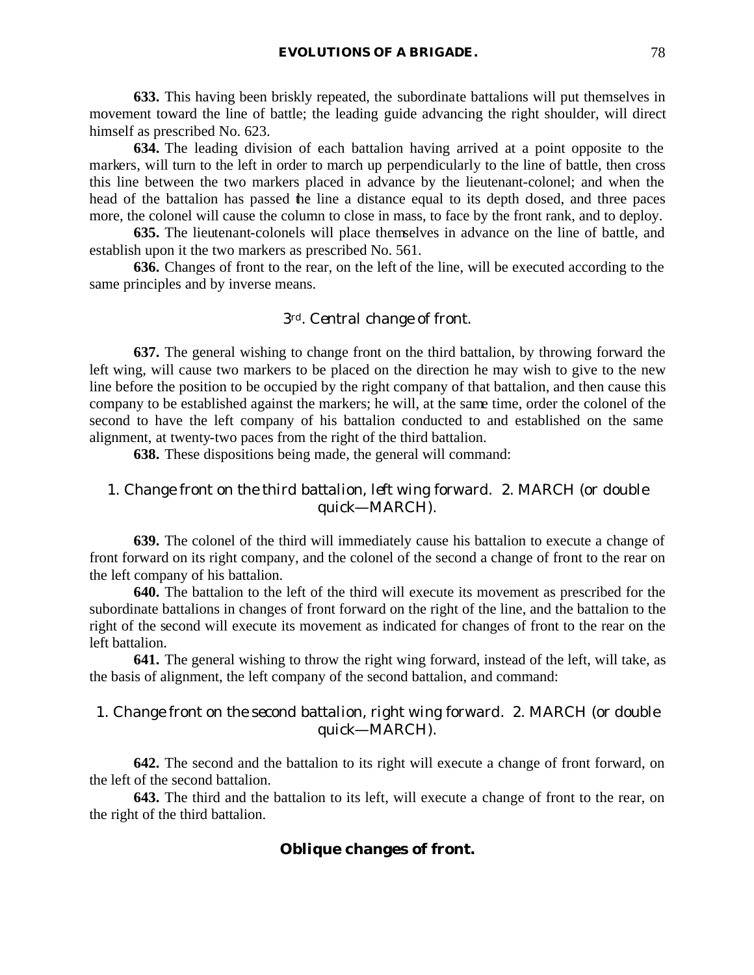**633.** This having been briskly repeated, the subordinate battalions will put themselves in movement toward the line of battle; the leading guide advancing the right shoulder, will direct himself as prescribed No. 623.

**634.** The leading division of each battalion having arrived at a point opposite to the markers, will turn to the left in order to march up perpendicularly to the line of battle, then cross this line between the two markers placed in advance by the lieutenant-colonel; and when the head of the battalion has passed the line a distance equal to its depth dosed, and three paces more, the colonel will cause the column to close in mass, to face by the front rank, and to deploy.

**635.** The lieutenant-colonels will place themselves in advance on the line of battle, and establish upon it the two markers as prescribed No. 561.

**636.** Changes of front to the rear, on the left of the line, will be executed according to the same principles and by inverse means.

## *3rd. Central change of front.*

**637.** The general wishing to change front on the third battalion, by throwing forward the left wing, will cause two markers to be placed on the direction he may wish to give to the new line before the position to be occupied by the right company of that battalion, and then cause this company to be established against the markers; he will, at the same time, order the colonel of the second to have the left company of his battalion conducted to and established on the same alignment, at twenty-two paces from the right of the third battalion.

**638.** These dispositions being made, the general will command:

# 1. *Change front on the third battalion, left wing forward*. 2. MARCH (or *double quick*—MARCH).

**639.** The colonel of the third will immediately cause his battalion to execute a change of front forward on its right company, and the colonel of the second a change of front to the rear on the left company of his battalion.

**640.** The battalion to the left of the third will execute its movement as prescribed for the subordinate battalions in changes of front forward on the right of the line, and the battalion to the right of the second will execute its movement as indicated for changes of front to the rear on the left battalion.

**641.** The general wishing to throw the right wing forward, instead of the left, will take, as the basis of alignment, the left company of the second battalion, and command:

## 1. *Change front on the second battalion, right wing forward*. 2. MARCH (or *double quick*—MARCH).

**642.** The second and the battalion to its right will execute a change of front forward, on the left of the second battalion.

**643.** The third and the battalion to its left, will execute a change of front to the rear, on the right of the third battalion.

# **Oblique changes of front.**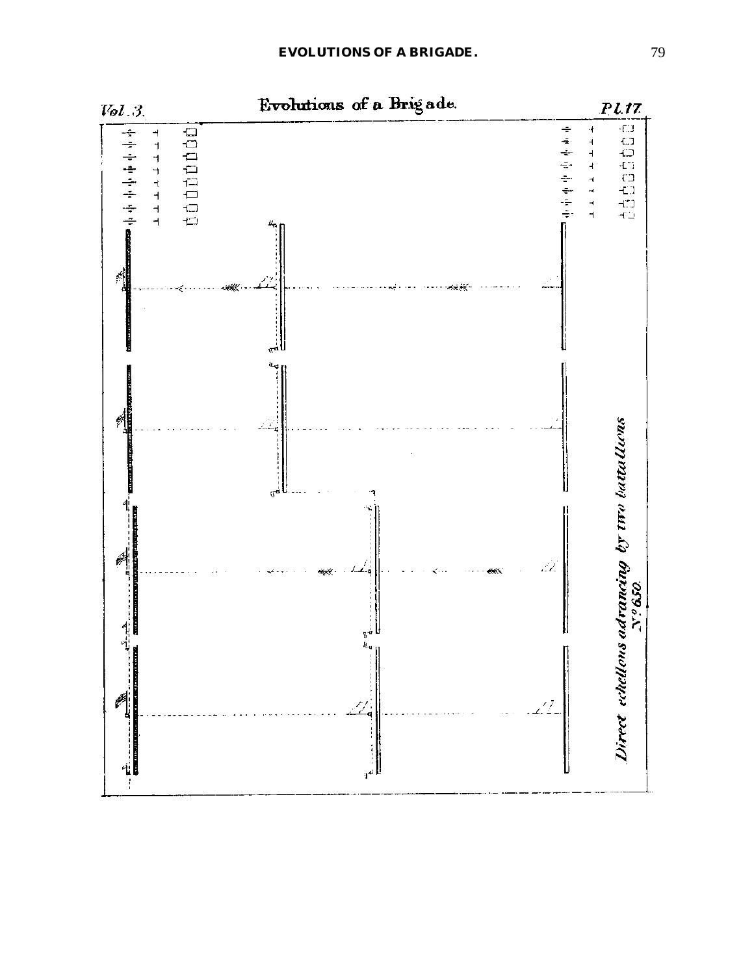

Evolutions of a Brigade.

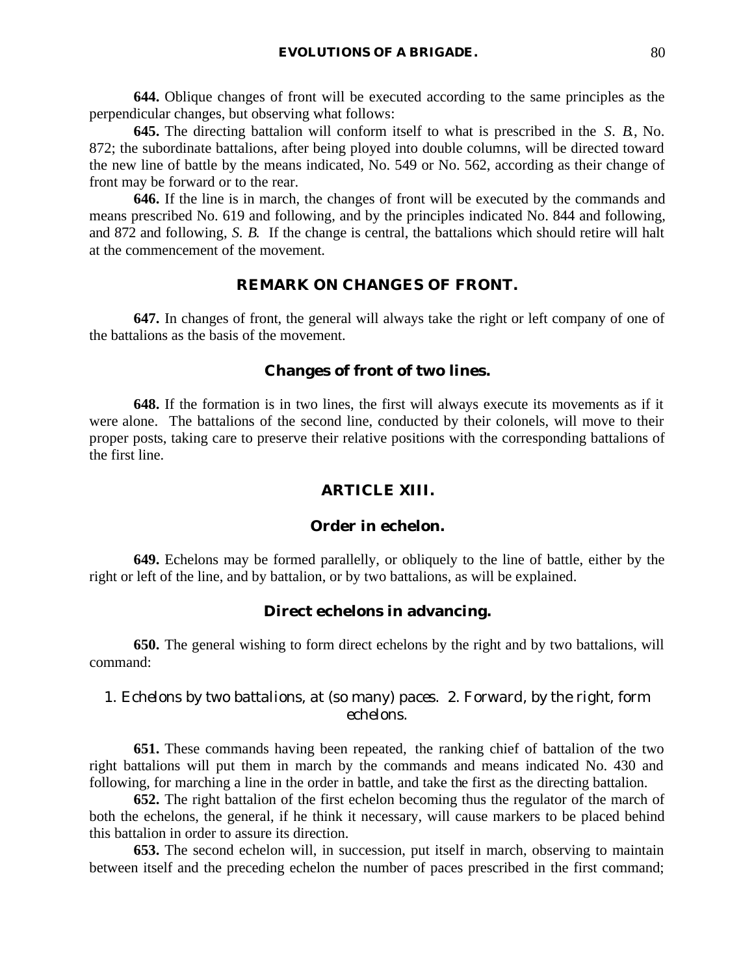**644.** Oblique changes of front will be executed according to the same principles as the perpendicular changes, but observing what follows:

**645.** The directing battalion will conform itself to what is prescribed in the *S. B.*, No. 872; the subordinate battalions, after being ployed into double columns, will be directed toward the new line of battle by the means indicated, No. 549 or No. 562, according as their change of front may be forward or to the rear.

**646.** If the line is in march, the changes of front will be executed by the commands and means prescribed No. 619 and following, and by the principles indicated No. 844 and following, and 872 and following, *S. B.* If the change is central, the battalions which should retire will halt at the commencement of the movement.

# **REMARK ON CHANGES OF FRONT.**

**647.** In changes of front, the general will always take the right or left company of one of the battalions as the basis of the movement.

#### **Changes of front of two lines.**

**648.** If the formation is in two lines, the first will always execute its movements as if it were alone. The battalions of the second line, conducted by their colonels, will move to their proper posts, taking care to preserve their relative positions with the corresponding battalions of the first line.

## **ARTICLE XIII.**

#### **Order in echelon.**

**649.** Echelons may be formed parallelly, or obliquely to the line of battle, either by the right or left of the line, and by battalion, or by two battalions, as will be explained.

#### **Direct echelons in advancing.**

**650.** The general wishing to form direct echelons by the right and by two battalions, will command:

# 1. *Echelons by two battalions, at* (so many) *paces*. 2. *Forward, by the right, form echelons*.

**651.** These commands having been repeated, the ranking chief of battalion of the two right battalions will put them in march by the commands and means indicated No. 430 and following, for marching a line in the order in battle, and take the first as the directing battalion.

**652.** The right battalion of the first echelon becoming thus the regulator of the march of both the echelons, the general, if he think it necessary, will cause markers to be placed behind this battalion in order to assure its direction.

**653.** The second echelon will, in succession, put itself in march, observing to maintain between itself and the preceding echelon the number of paces prescribed in the first command;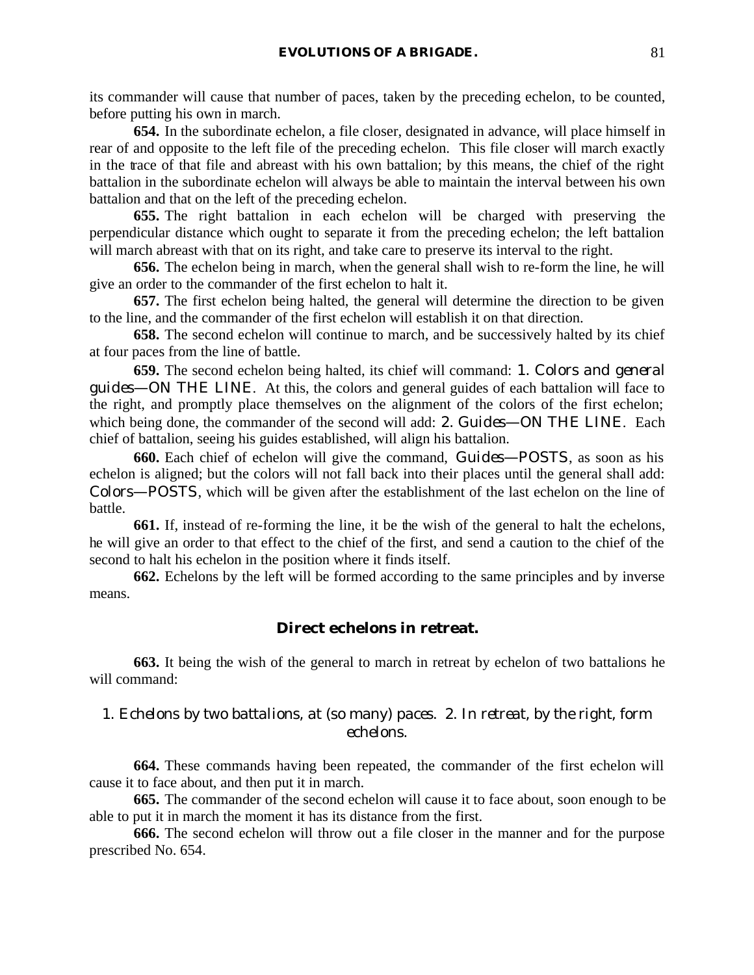its commander will cause that number of paces, taken by the preceding echelon, to be counted, before putting his own in march.

**654.** In the subordinate echelon, a file closer, designated in advance, will place himself in rear of and opposite to the left file of the preceding echelon. This file closer will march exactly in the trace of that file and abreast with his own battalion; by this means, the chief of the right battalion in the subordinate echelon will always be able to maintain the interval between his own battalion and that on the left of the preceding echelon.

**655.** The right battalion in each echelon will be charged with preserving the perpendicular distance which ought to separate it from the preceding echelon; the left battalion will march abreast with that on its right, and take care to preserve its interval to the right.

**656.** The echelon being in march, when the general shall wish to re-form the line, he will give an order to the commander of the first echelon to halt it.

**657.** The first echelon being halted, the general will determine the direction to be given to the line, and the commander of the first echelon will establish it on that direction.

**658.** The second echelon will continue to march, and be successively halted by its chief at four paces from the line of battle.

**659.** The second echelon being halted, its chief will command: 1. *Colors and general guides*—ON THE LINE. At this, the colors and general guides of each battalion will face to the right, and promptly place themselves on the alignment of the colors of the first echelon; which being done, the commander of the second will add: 2. *Guides*—ON THE LINE. Each chief of battalion, seeing his guides established, will align his battalion.

**660.** Each chief of echelon will give the command, *Guides*—POSTS, as soon as his echelon is aligned; but the colors will not fall back into their places until the general shall add: *Colors*—POSTS, which will be given after the establishment of the last echelon on the line of battle.

**661.** If, instead of re-forming the line, it be the wish of the general to halt the echelons, he will give an order to that effect to the chief of the first, and send a caution to the chief of the second to halt his echelon in the position where it finds itself.

**662.** Echelons by the left will be formed according to the same principles and by inverse means.

# **Direct echelons in retreat.**

**663.** It being the wish of the general to march in retreat by echelon of two battalions he will command:

# 1. *Echelons by two battalions, at* (so many) *paces*. 2. *In retreat, by the right, form echelons*.

**664.** These commands having been repeated, the commander of the first echelon will cause it to face about, and then put it in march.

**665.** The commander of the second echelon will cause it to face about, soon enough to be able to put it in march the moment it has its distance from the first.

**666.** The second echelon will throw out a file closer in the manner and for the purpose prescribed No. 654.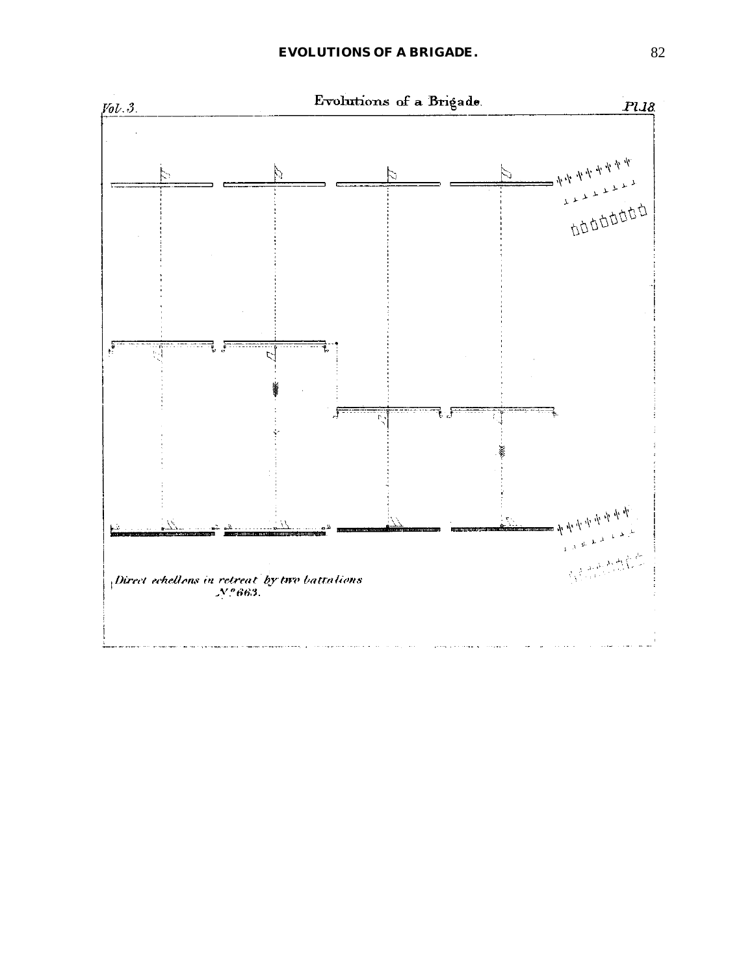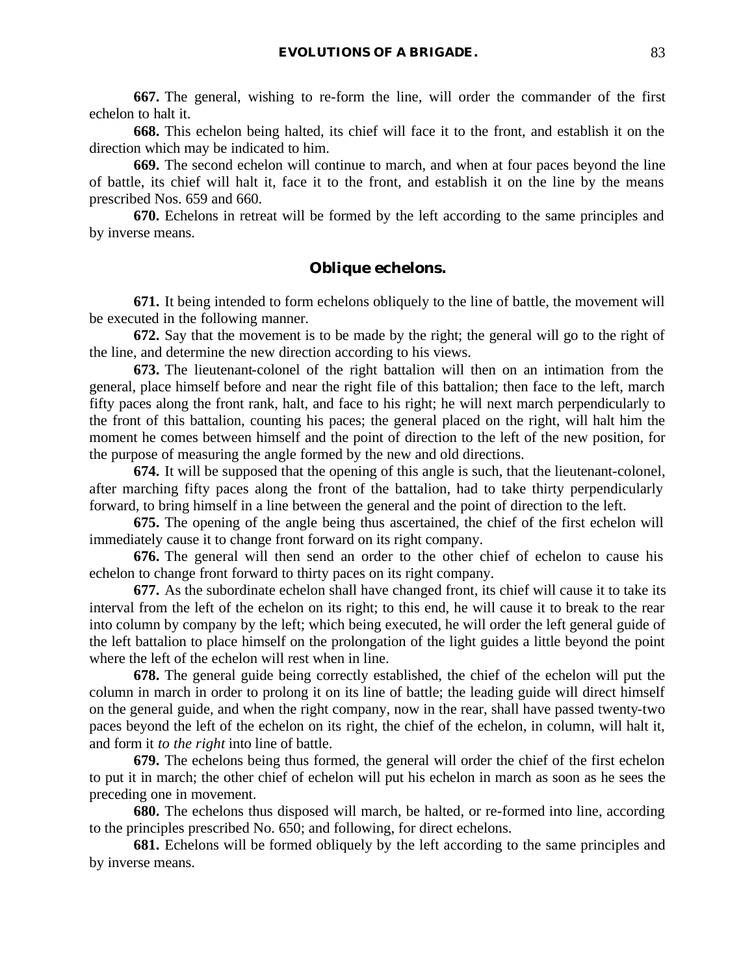**667.** The general, wishing to re-form the line, will order the commander of the first echelon to halt it.

**668.** This echelon being halted, its chief will face it to the front, and establish it on the direction which may be indicated to him.

**669.** The second echelon will continue to march, and when at four paces beyond the line of battle, its chief will halt it, face it to the front, and establish it on the line by the means prescribed Nos. 659 and 660.

**670.** Echelons in retreat will be formed by the left according to the same principles and by inverse means.

## **Oblique echelons.**

**671.** It being intended to form echelons obliquely to the line of battle, the movement will be executed in the following manner.

**672.** Say that the movement is to be made by the right; the general will go to the right of the line, and determine the new direction according to his views.

**673.** The lieutenant-colonel of the right battalion will then on an intimation from the general, place himself before and near the right file of this battalion; then face to the left, march fifty paces along the front rank, halt, and face to his right; he will next march perpendicularly to the front of this battalion, counting his paces; the general placed on the right, will halt him the moment he comes between himself and the point of direction to the left of the new position, for the purpose of measuring the angle formed by the new and old directions.

**674.** It will be supposed that the opening of this angle is such, that the lieutenant-colonel, after marching fifty paces along the front of the battalion, had to take thirty perpendicularly forward, to bring himself in a line between the general and the point of direction to the left.

**675.** The opening of the angle being thus ascertained, the chief of the first echelon will immediately cause it to change front forward on its right company.

**676.** The general will then send an order to the other chief of echelon to cause his echelon to change front forward to thirty paces on its right company.

**677.** As the subordinate echelon shall have changed front, its chief will cause it to take its interval from the left of the echelon on its right; to this end, he will cause it to break to the rear into column by company by the left; which being executed, he will order the left general guide of the left battalion to place himself on the prolongation of the light guides a little beyond the point where the left of the echelon will rest when in line.

**678.** The general guide being correctly established, the chief of the echelon will put the column in march in order to prolong it on its line of battle; the leading guide will direct himself on the general guide, and when the right company, now in the rear, shall have passed twenty-two paces beyond the left of the echelon on its right, the chief of the echelon, in column, will halt it, and form it *to the right* into line of battle.

**679.** The echelons being thus formed, the general will order the chief of the first echelon to put it in march; the other chief of echelon will put his echelon in march as soon as he sees the preceding one in movement.

**680.** The echelons thus disposed will march, be halted, or re-formed into line, according to the principles prescribed No. 650; and following, for direct echelons.

**681.** Echelons will be formed obliquely by the left according to the same principles and by inverse means.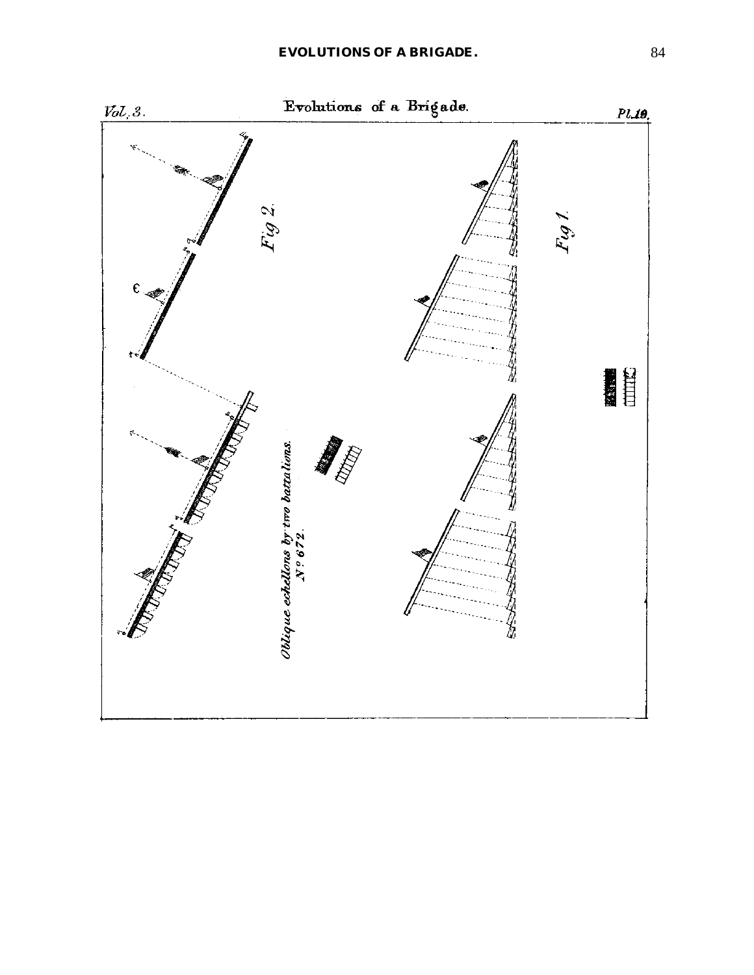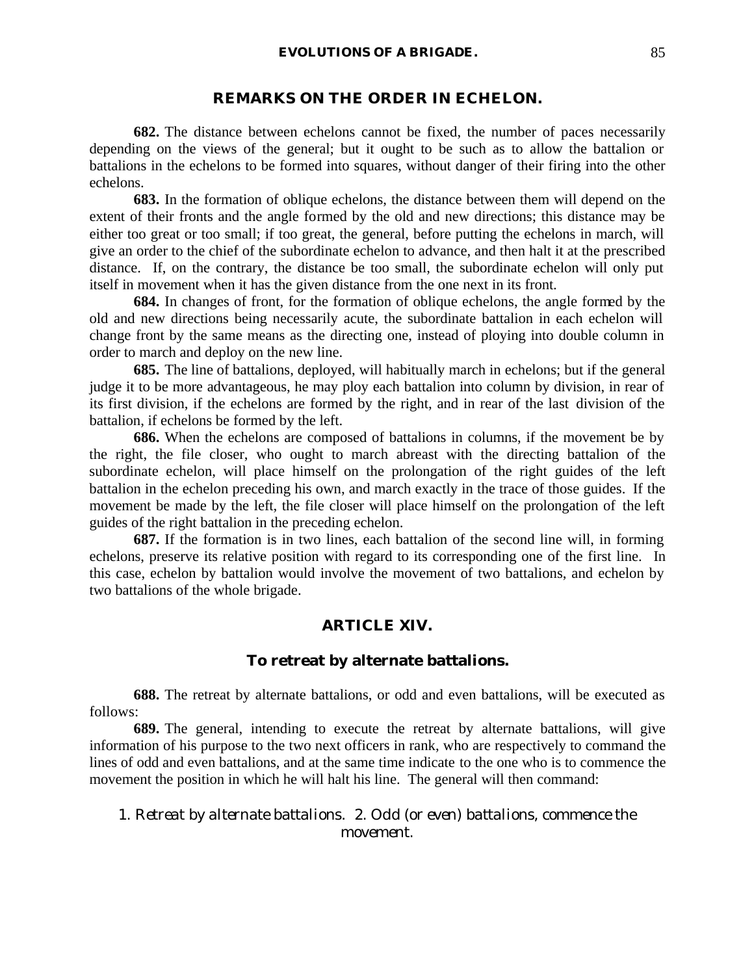#### **REMARKS ON THE ORDER IN ECHELON.**

**682.** The distance between echelons cannot be fixed, the number of paces necessarily depending on the views of the general; but it ought to be such as to allow the battalion or battalions in the echelons to be formed into squares, without danger of their firing into the other echelons.

**683.** In the formation of oblique echelons, the distance between them will depend on the extent of their fronts and the angle formed by the old and new directions; this distance may be either too great or too small; if too great, the general, before putting the echelons in march, will give an order to the chief of the subordinate echelon to advance, and then halt it at the prescribed distance. If, on the contrary, the distance be too small, the subordinate echelon will only put itself in movement when it has the given distance from the one next in its front.

**684.** In changes of front, for the formation of oblique echelons, the angle formed by the old and new directions being necessarily acute, the subordinate battalion in each echelon will change front by the same means as the directing one, instead of ploying into double column in order to march and deploy on the new line.

**685.** The line of battalions, deployed, will habitually march in echelons; but if the general judge it to be more advantageous, he may ploy each battalion into column by division, in rear of its first division, if the echelons are formed by the right, and in rear of the last division of the battalion, if echelons be formed by the left.

**686.** When the echelons are composed of battalions in columns, if the movement be by the right, the file closer, who ought to march abreast with the directing battalion of the subordinate echelon, will place himself on the prolongation of the right guides of the left battalion in the echelon preceding his own, and march exactly in the trace of those guides. If the movement be made by the left, the file closer will place himself on the prolongation of the left guides of the right battalion in the preceding echelon.

**687.** If the formation is in two lines, each battalion of the second line will, in forming echelons, preserve its relative position with regard to its corresponding one of the first line. In this case, echelon by battalion would involve the movement of two battalions, and echelon by two battalions of the whole brigade.

#### **ARTICLE XIV.**

#### **To retreat by alternate battalions.**

**688.** The retreat by alternate battalions, or odd and even battalions, will be executed as follows:

**689.** The general, intending to execute the retreat by alternate battalions, will give information of his purpose to the two next officers in rank, who are respectively to command the lines of odd and even battalions, and at the same time indicate to the one who is to commence the movement the position in which he will halt his line. The general will then command:

# 1. *Retreat by alternate battalions*. 2. *Odd* (or *even*) *battalions, commence the movement*.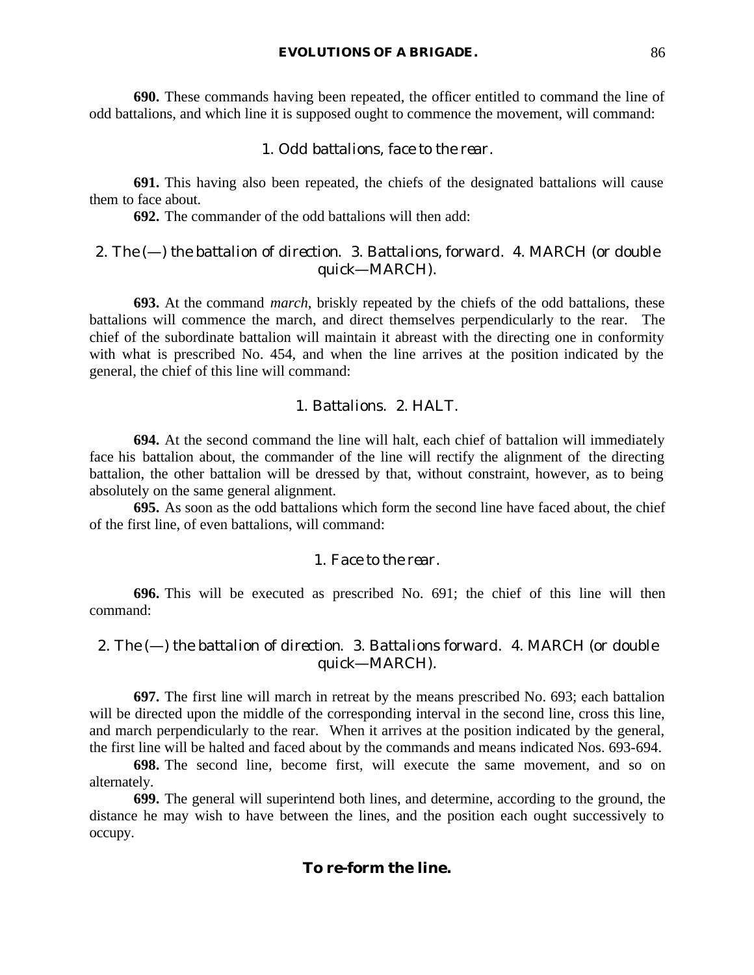**690.** These commands having been repeated, the officer entitled to command the line of odd battalions, and which line it is supposed ought to commence the movement, will command:

# 1. *Odd battalions, face to the rear*.

**691.** This having also been repeated, the chiefs of the designated battalions will cause them to face about.

**692.** The commander of the odd battalions will then add:

# 2. *The* (—) *the battalion of direction*. 3. *Battalions, forward*. 4. MARCH (or *double quick*—MARCH).

**693.** At the command *march*, briskly repeated by the chiefs of the odd battalions, these battalions will commence the march, and direct themselves perpendicularly to the rear. The chief of the subordinate battalion will maintain it abreast with the directing one in conformity with what is prescribed No. 454, and when the line arrives at the position indicated by the general, the chief of this line will command:

# 1. *Battalions*. 2. HALT.

**694.** At the second command the line will halt, each chief of battalion will immediately face his battalion about, the commander of the line will rectify the alignment of the directing battalion, the other battalion will be dressed by that, without constraint, however, as to being absolutely on the same general alignment.

**695.** As soon as the odd battalions which form the second line have faced about, the chief of the first line, of even battalions, will command:

#### 1. *Face to the rear*.

**696.** This will be executed as prescribed No. 691; the chief of this line will then command:

# 2. *The* (—) *the battalion of direction*. 3. *Battalions forward*. 4. MARCH (or *double quick*—MARCH).

**697.** The first line will march in retreat by the means prescribed No. 693; each battalion will be directed upon the middle of the corresponding interval in the second line, cross this line, and march perpendicularly to the rear. When it arrives at the position indicated by the general, the first line will be halted and faced about by the commands and means indicated Nos. 693-694.

**698.** The second line, become first, will execute the same movement, and so on alternately.

**699.** The general will superintend both lines, and determine, according to the ground, the distance he may wish to have between the lines, and the position each ought successively to occupy.

# **To re-form the line.**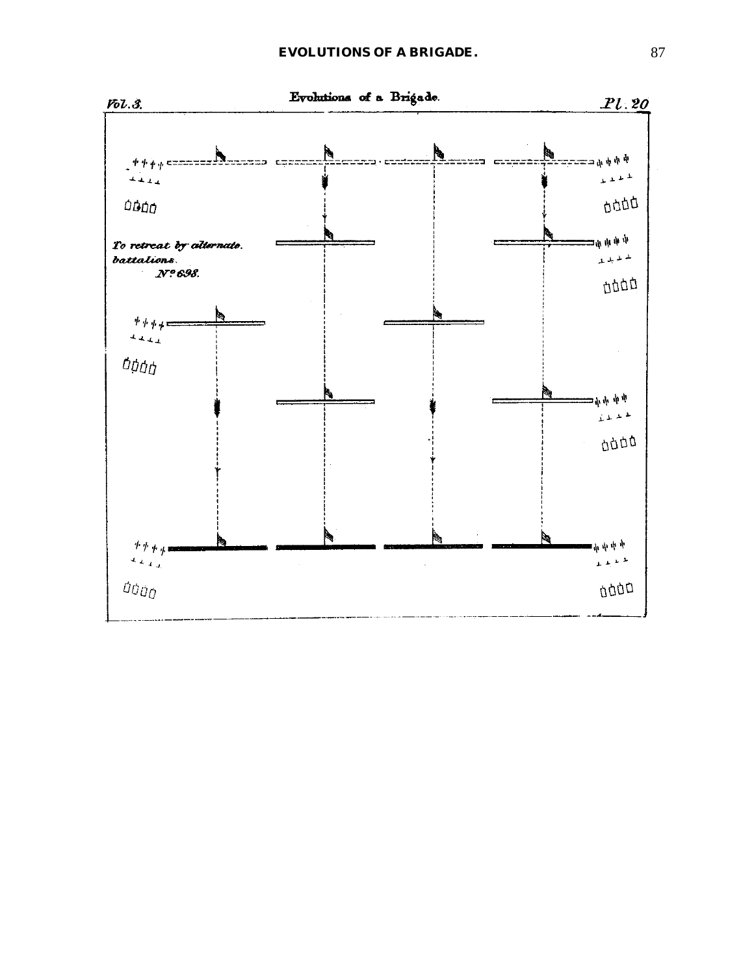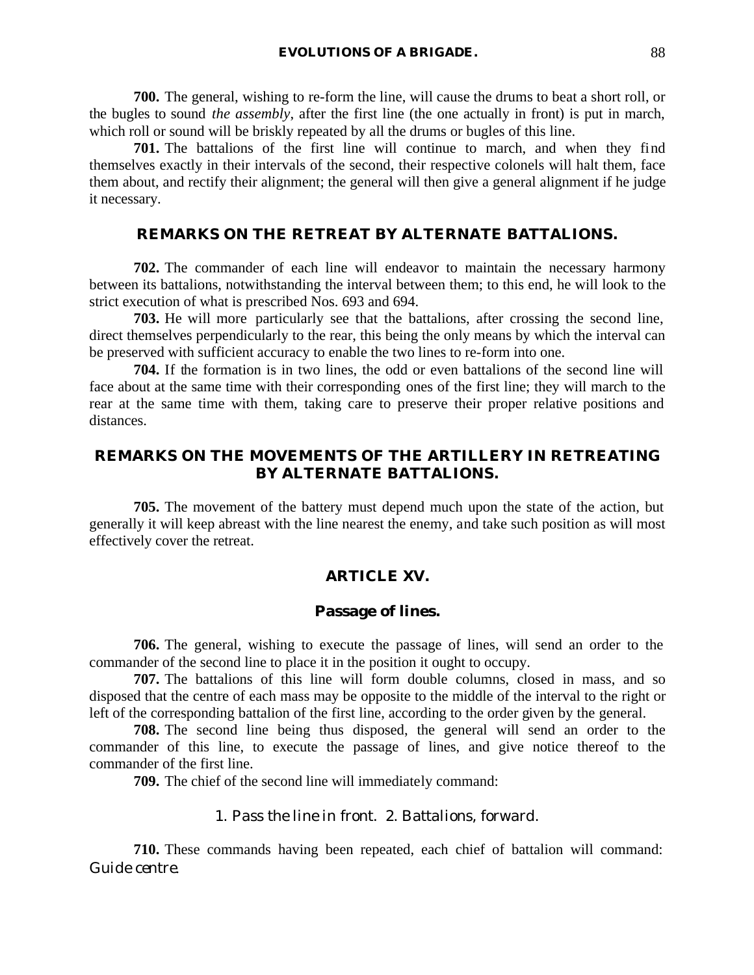**700.** The general, wishing to re-form the line, will cause the drums to beat a short roll, or the bugles to sound *the assembly*, after the first line (the one actually in front) is put in march, which roll or sound will be briskly repeated by all the drums or bugles of this line.

**701.** The battalions of the first line will continue to march, and when they find themselves exactly in their intervals of the second, their respective colonels will halt them, face them about, and rectify their alignment; the general will then give a general alignment if he judge it necessary.

# **REMARKS ON THE RETREAT BY ALTERNATE BATTALIONS.**

**702.** The commander of each line will endeavor to maintain the necessary harmony between its battalions, notwithstanding the interval between them; to this end, he will look to the strict execution of what is prescribed Nos. 693 and 694.

**703.** He will more particularly see that the battalions, after crossing the second line, direct themselves perpendicularly to the rear, this being the only means by which the interval can be preserved with sufficient accuracy to enable the two lines to re-form into one.

**704.** If the formation is in two lines, the odd or even battalions of the second line will face about at the same time with their corresponding ones of the first line; they will march to the rear at the same time with them, taking care to preserve their proper relative positions and distances.

# **REMARKS ON THE MOVEMENTS OF THE ARTILLERY IN RETREATING BY ALTERNATE BATTALIONS.**

**705.** The movement of the battery must depend much upon the state of the action, but generally it will keep abreast with the line nearest the enemy, and take such position as will most effectively cover the retreat.

## **ARTICLE XV.**

## **Passage of lines.**

**706.** The general, wishing to execute the passage of lines, will send an order to the commander of the second line to place it in the position it ought to occupy.

**707.** The battalions of this line will form double columns, closed in mass, and so disposed that the centre of each mass may be opposite to the middle of the interval to the right or left of the corresponding battalion of the first line, according to the order given by the general.

**708.** The second line being thus disposed, the general will send an order to the commander of this line, to execute the passage of lines, and give notice thereof to the commander of the first line.

**709.** The chief of the second line will immediately command:

### 1. *Pass the line in front*. 2. *Battalions, forward*.

**710.** These commands having been repeated, each chief of battalion will command: *Guide centre*.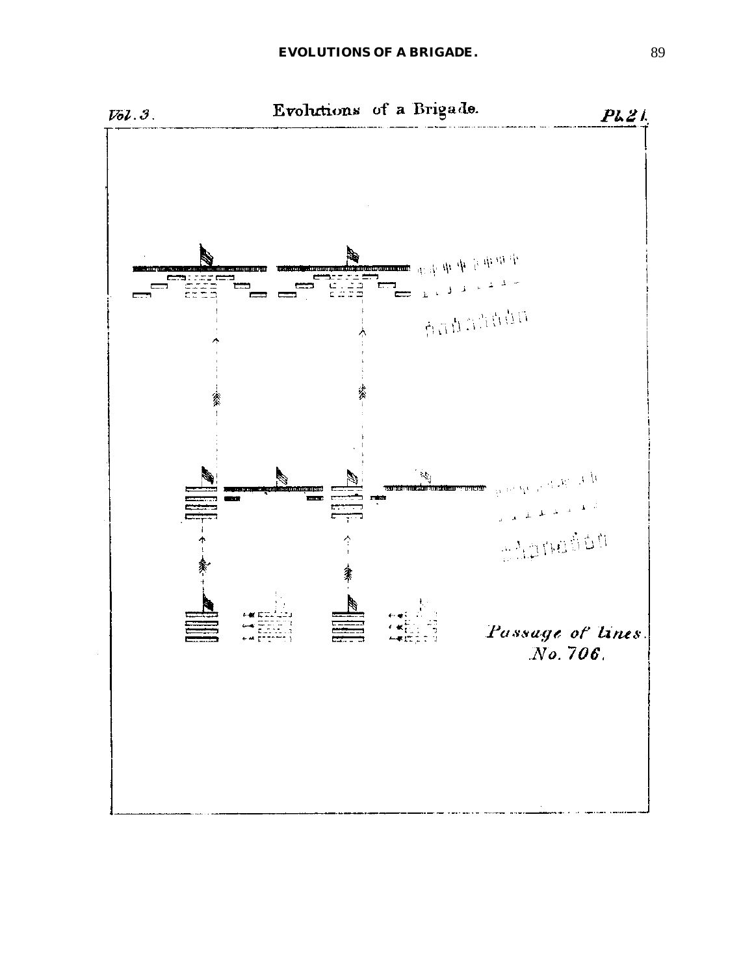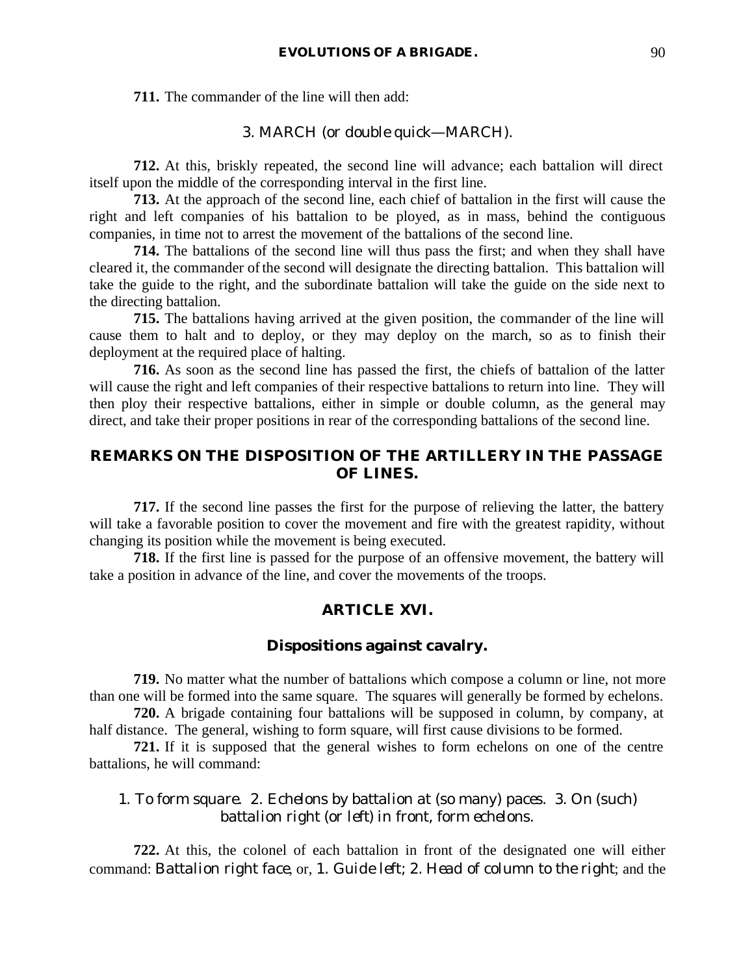**711.** The commander of the line will then add:

#### 3. MARCH (or *double quick*—MARCH).

**712.** At this, briskly repeated, the second line will advance; each battalion will direct itself upon the middle of the corresponding interval in the first line.

**713.** At the approach of the second line, each chief of battalion in the first will cause the right and left companies of his battalion to be ployed, as in mass, behind the contiguous companies, in time not to arrest the movement of the battalions of the second line.

**714.** The battalions of the second line will thus pass the first; and when they shall have cleared it, the commander of the second will designate the directing battalion. This battalion will take the guide to the right, and the subordinate battalion will take the guide on the side next to the directing battalion.

**715.** The battalions having arrived at the given position, the commander of the line will cause them to halt and to deploy, or they may deploy on the march, so as to finish their deployment at the required place of halting.

**716.** As soon as the second line has passed the first, the chiefs of battalion of the latter will cause the right and left companies of their respective battalions to return into line. They will then ploy their respective battalions, either in simple or double column, as the general may direct, and take their proper positions in rear of the corresponding battalions of the second line.

# **REMARKS ON THE DISPOSITION OF THE ARTILLERY IN THE PASSAGE OF LINES.**

**717.** If the second line passes the first for the purpose of relieving the latter, the battery will take a favorable position to cover the movement and fire with the greatest rapidity, without changing its position while the movement is being executed.

**718.** If the first line is passed for the purpose of an offensive movement, the battery will take a position in advance of the line, and cover the movements of the troops.

# **ARTICLE XVI.**

# **Dispositions against cavalry.**

**719.** No matter what the number of battalions which compose a column or line, not more than one will be formed into the same square. The squares will generally be formed by echelons.

**720.** A brigade containing four battalions will be supposed in column, by company, at half distance. The general, wishing to form square, will first cause divisions to be formed.

**721.** If it is supposed that the general wishes to form echelons on one of the centre battalions, he will command:

# 1. *To form square*. 2. *Echelons by battalion at* (so many) *paces*. 3. *On* (such) *battalion right* (or *left*) *in front, form echelons*.

**722.** At this, the colonel of each battalion in front of the designated one will either command: *Battalion right face*, or, 1. *Guide left*; 2. *Head of column to the right*; and the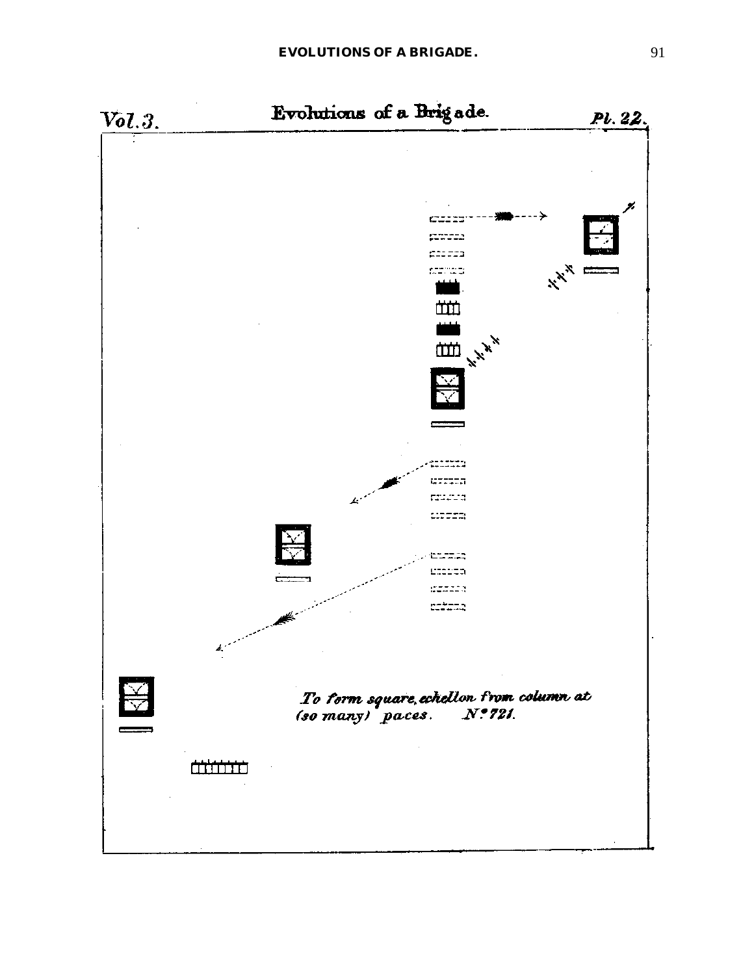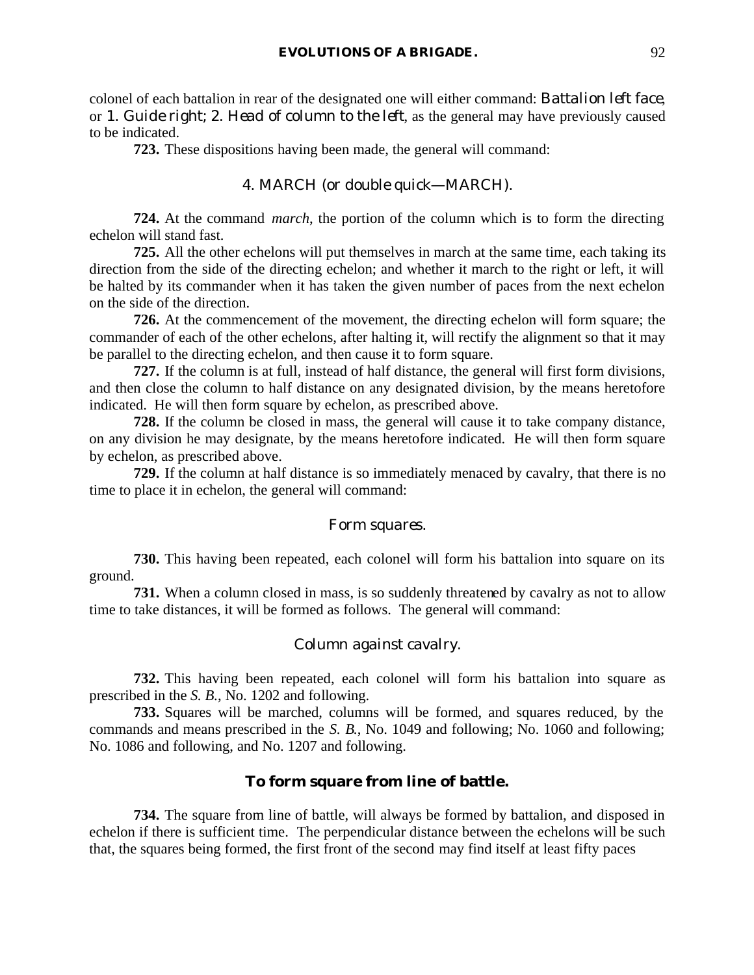colonel of each battalion in rear of the designated one will either command: *Battalion left face*, or 1. *Guide right*; 2. *Head of column to the left*, as the general may have previously caused to be indicated.

**723.** These dispositions having been made, the general will command:

## 4. MARCH (or *double quick*—MARCH).

**724.** At the command *march*, the portion of the column which is to form the directing echelon will stand fast.

**725.** All the other echelons will put themselves in march at the same time, each taking its direction from the side of the directing echelon; and whether it march to the right or left, it will be halted by its commander when it has taken the given number of paces from the next echelon on the side of the direction.

**726.** At the commencement of the movement, the directing echelon will form square; the commander of each of the other echelons, after halting it, will rectify the alignment so that it may be parallel to the directing echelon, and then cause it to form square.

**727.** If the column is at full, instead of half distance, the general will first form divisions, and then close the column to half distance on any designated division, by the means heretofore indicated. He will then form square by echelon, as prescribed above.

**728.** If the column be closed in mass, the general will cause it to take company distance, on any division he may designate, by the means heretofore indicated. He will then form square by echelon, as prescribed above.

**729.** If the column at half distance is so immediately menaced by cavalry, that there is no time to place it in echelon, the general will command:

#### *Form squares.*

**730.** This having been repeated, each colonel will form his battalion into square on its ground.

**731.** When a column closed in mass, is so suddenly threatened by cavalry as not to allow time to take distances, it will be formed as follows. The general will command:

## *Column against cavalry.*

**732.** This having been repeated, each colonel will form his battalion into square as prescribed in the *S. B.*, No. 1202 and following.

**733.** Squares will be marched, columns will be formed, and squares reduced, by the commands and means prescribed in the *S. B.*, No. 1049 and following; No. 1060 and following; No. 1086 and following, and No. 1207 and following.

#### **To form square from line of battle.**

**734.** The square from line of battle, will always be formed by battalion, and disposed in echelon if there is sufficient time. The perpendicular distance between the echelons will be such that, the squares being formed, the first front of the second may find itself at least fifty paces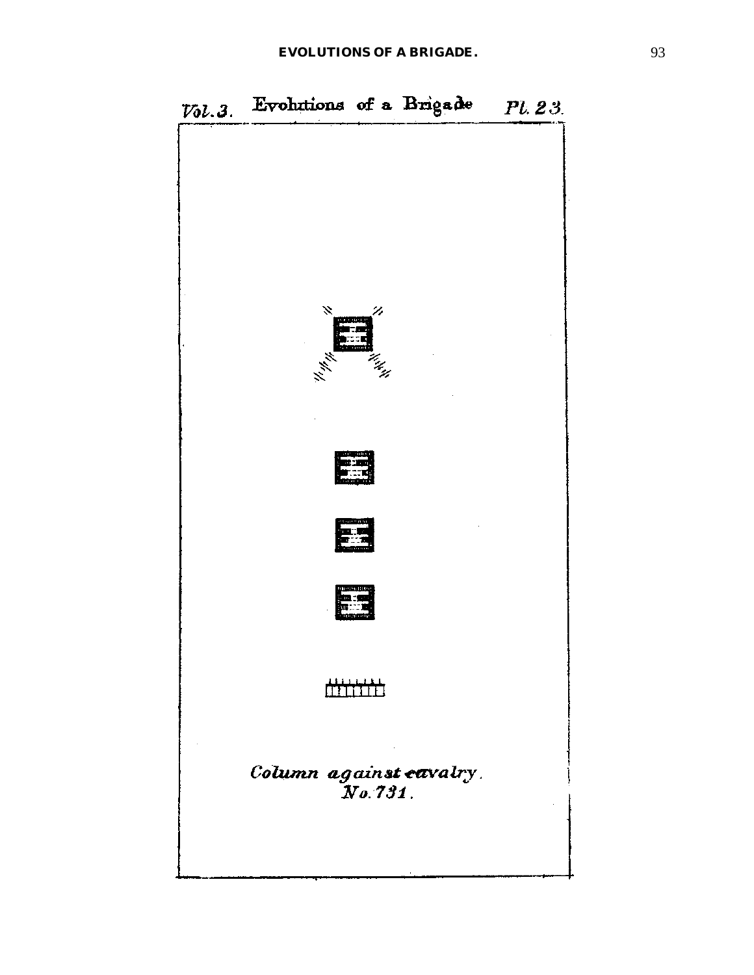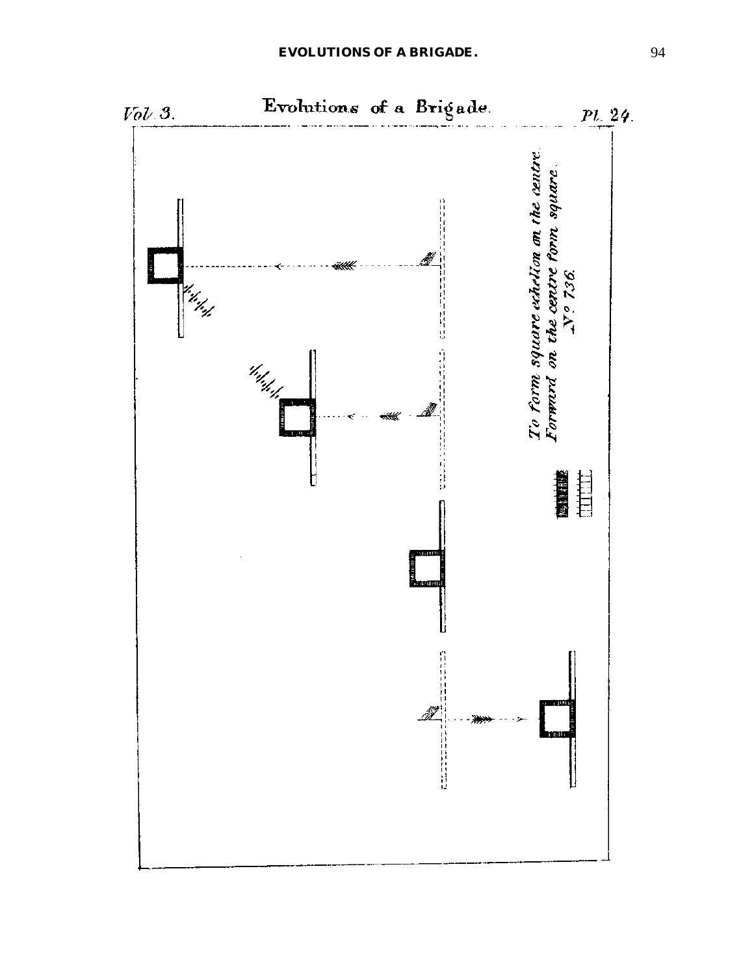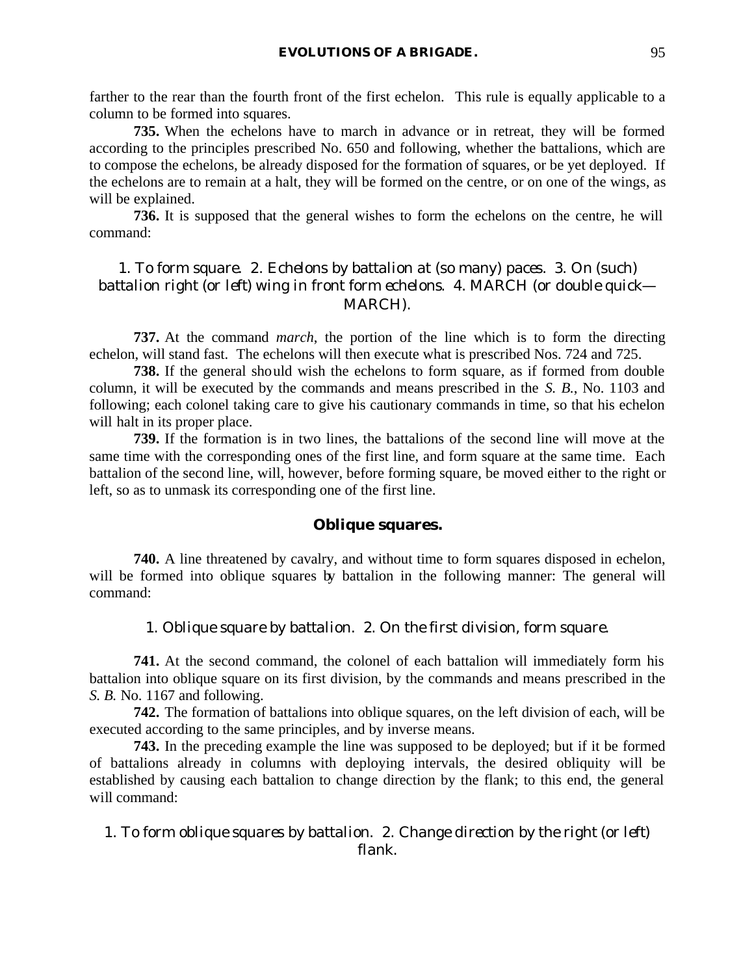farther to the rear than the fourth front of the first echelon. This rule is equally applicable to a column to be formed into squares.

**735.** When the echelons have to march in advance or in retreat, they will be formed according to the principles prescribed No. 650 and following, whether the battalions, which are to compose the echelons, be already disposed for the formation of squares, or be yet deployed. If the echelons are to remain at a halt, they will be formed on the centre, or on one of the wings, as will be explained.

**736.** It is supposed that the general wishes to form the echelons on the centre, he will command:

# 1. *To form square*. 2. *Echelons by battalion at* (so many) *paces*. 3. *On* (such) *battalion right* (or *left*) *wing in front form echelons*. 4. MARCH (or *double quick*— MARCH).

**737.** At the command *march*, the portion of the line which is to form the directing echelon, will stand fast. The echelons will then execute what is prescribed Nos. 724 and 725.

**738.** If the general should wish the echelons to form square, as if formed from double column, it will be executed by the commands and means prescribed in the *S. B.*, No. 1103 and following; each colonel taking care to give his cautionary commands in time, so that his echelon will halt in its proper place.

**739.** If the formation is in two lines, the battalions of the second line will move at the same time with the corresponding ones of the first line, and form square at the same time. Each battalion of the second line, will, however, before forming square, be moved either to the right or left, so as to unmask its corresponding one of the first line.

#### **Oblique squares.**

**740.** A line threatened by cavalry, and without time to form squares disposed in echelon, will be formed into oblique squares by battalion in the following manner: The general will command:

#### 1. *Oblique square by battalion*. 2. *On the first division, form square*.

**741.** At the second command, the colonel of each battalion will immediately form his battalion into oblique square on its first division, by the commands and means prescribed in the *S. B.* No. 1167 and following.

**742.** The formation of battalions into oblique squares, on the left division of each, will be executed according to the same principles, and by inverse means.

**743.** In the preceding example the line was supposed to be deployed; but if it be formed of battalions already in columns with deploying intervals, the desired obliquity will be established by causing each battalion to change direction by the flank; to this end, the general will command:

# 1. *To form oblique squares by battalion*. 2. *Change direction by the right* (or *left*) *flank*.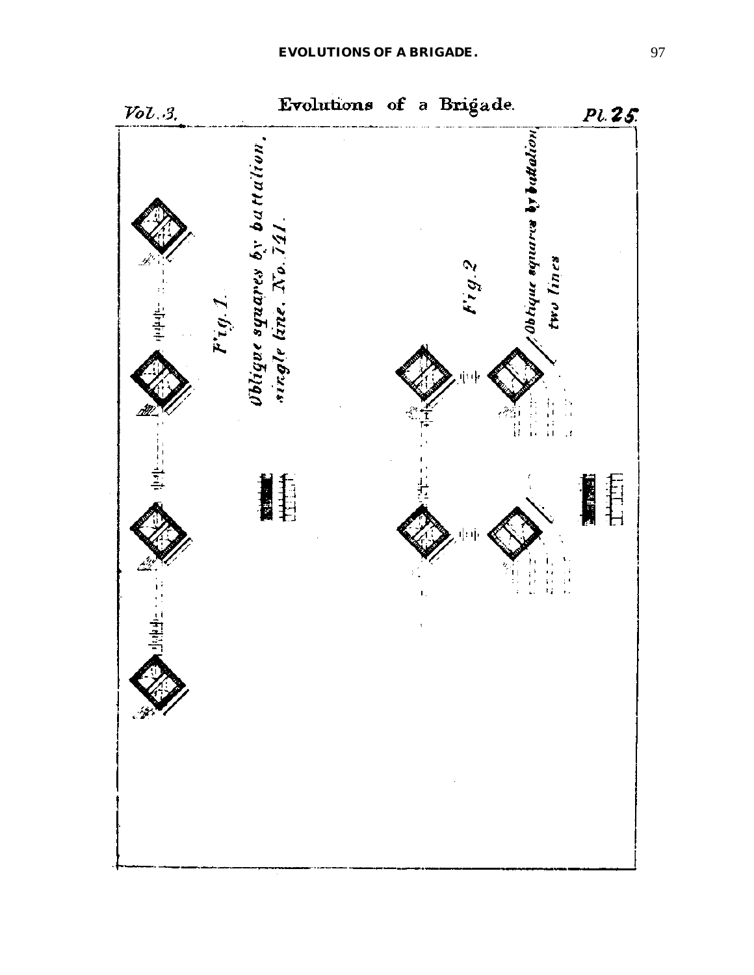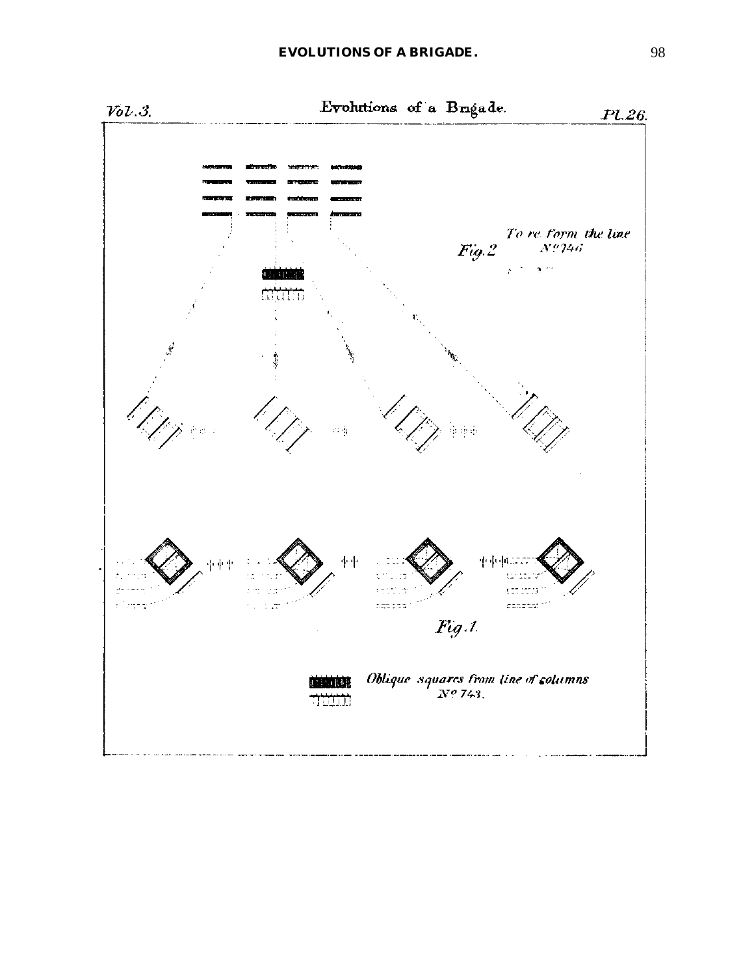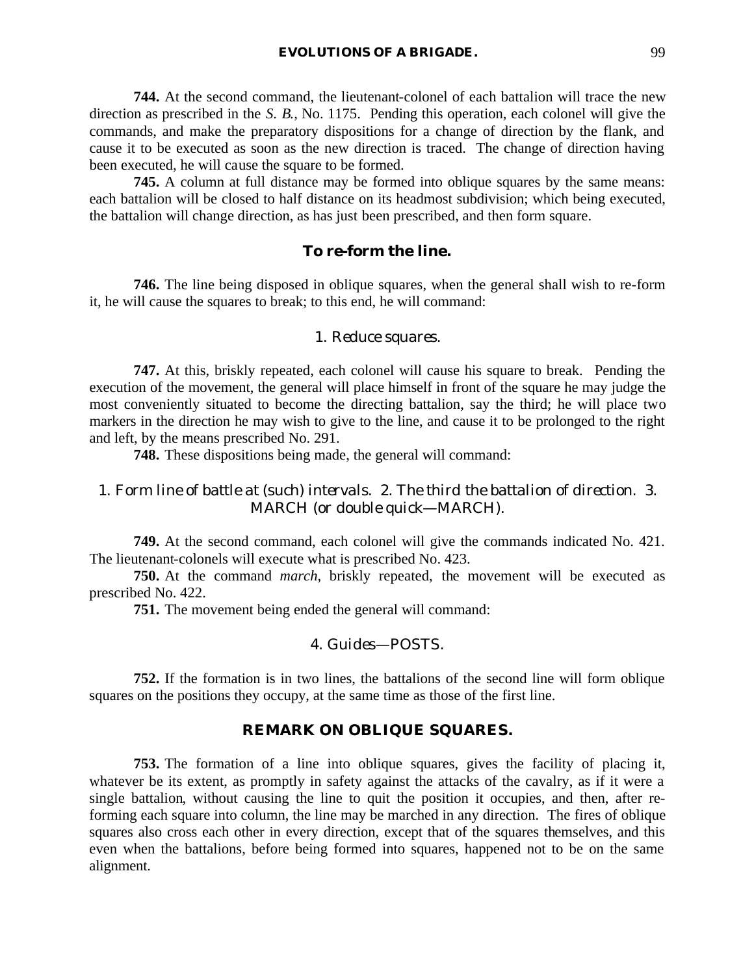**744.** At the second command, the lieutenant-colonel of each battalion will trace the new direction as prescribed in the *S. B.*, No. 1175. Pending this operation, each colonel will give the commands, and make the preparatory dispositions for a change of direction by the flank, and cause it to be executed as soon as the new direction is traced. The change of direction having been executed, he will cause the square to be formed.

**745.** A column at full distance may be formed into oblique squares by the same means: each battalion will be closed to half distance on its headmost subdivision; which being executed, the battalion will change direction, as has just been prescribed, and then form square.

## **To re-form the line.**

**746.** The line being disposed in oblique squares, when the general shall wish to re-form it, he will cause the squares to break; to this end, he will command:

#### 1. *Reduce squares*.

**747.** At this, briskly repeated, each colonel will cause his square to break. Pending the execution of the movement, the general will place himself in front of the square he may judge the most conveniently situated to become the directing battalion, say the third; he will place two markers in the direction he may wish to give to the line, and cause it to be prolonged to the right and left, by the means prescribed No. 291.

**748.** These dispositions being made, the general will command:

# 1. *Form line of battle at* (such) *intervals*. 2. *The third the battalion of direction*. 3. MARCH (or *double quick*—MARCH).

**749.** At the second command, each colonel will give the commands indicated No. 421. The lieutenant-colonels will execute what is prescribed No. 423.

**750.** At the command *march*, briskly repeated, the movement will be executed as prescribed No. 422.

**751.** The movement being ended the general will command:

#### 4. *Guides*—POSTS.

**752.** If the formation is in two lines, the battalions of the second line will form oblique squares on the positions they occupy, at the same time as those of the first line.

# **REMARK ON OBLIQUE SQUARES.**

**753.** The formation of a line into oblique squares, gives the facility of placing it, whatever be its extent, as promptly in safety against the attacks of the cavalry, as if it were a single battalion, without causing the line to quit the position it occupies, and then, after reforming each square into column, the line may be marched in any direction. The fires of oblique squares also cross each other in every direction, except that of the squares themselves, and this even when the battalions, before being formed into squares, happened not to be on the same alignment.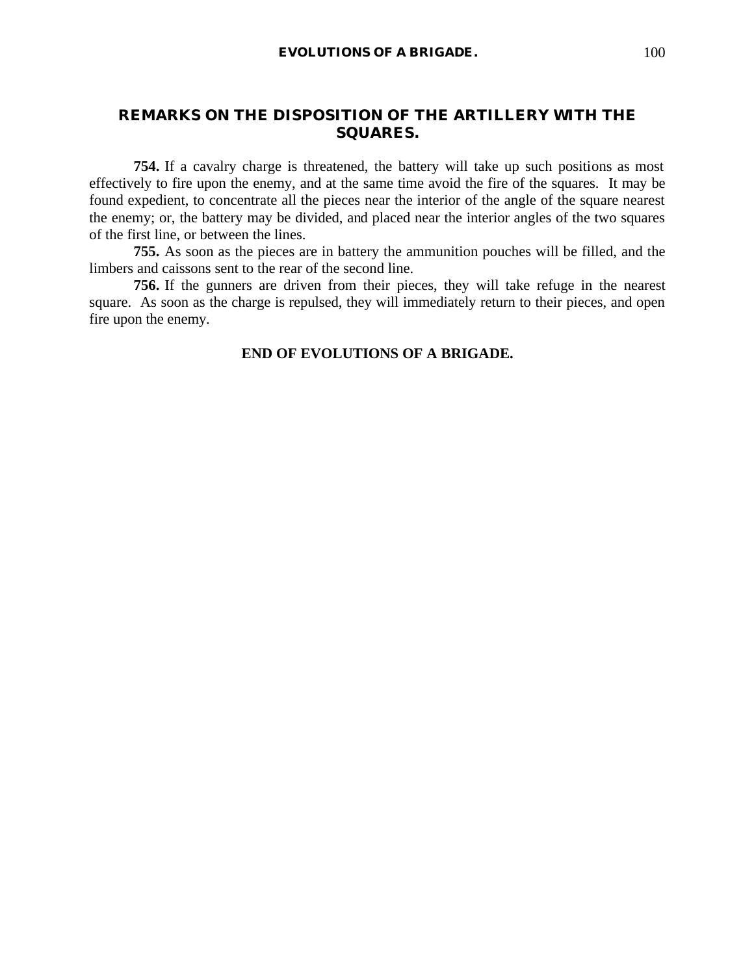# **REMARKS ON THE DISPOSITION OF THE ARTILLERY WITH THE SQUARES.**

**754.** If a cavalry charge is threatened, the battery will take up such positions as most effectively to fire upon the enemy, and at the same time avoid the fire of the squares. It may be found expedient, to concentrate all the pieces near the interior of the angle of the square nearest the enemy; or, the battery may be divided, and placed near the interior angles of the two squares of the first line, or between the lines.

**755.** As soon as the pieces are in battery the ammunition pouches will be filled, and the limbers and caissons sent to the rear of the second line.

**756.** If the gunners are driven from their pieces, they will take refuge in the nearest square. As soon as the charge is repulsed, they will immediately return to their pieces, and open fire upon the enemy.

## **END OF EVOLUTIONS OF A BRIGADE.**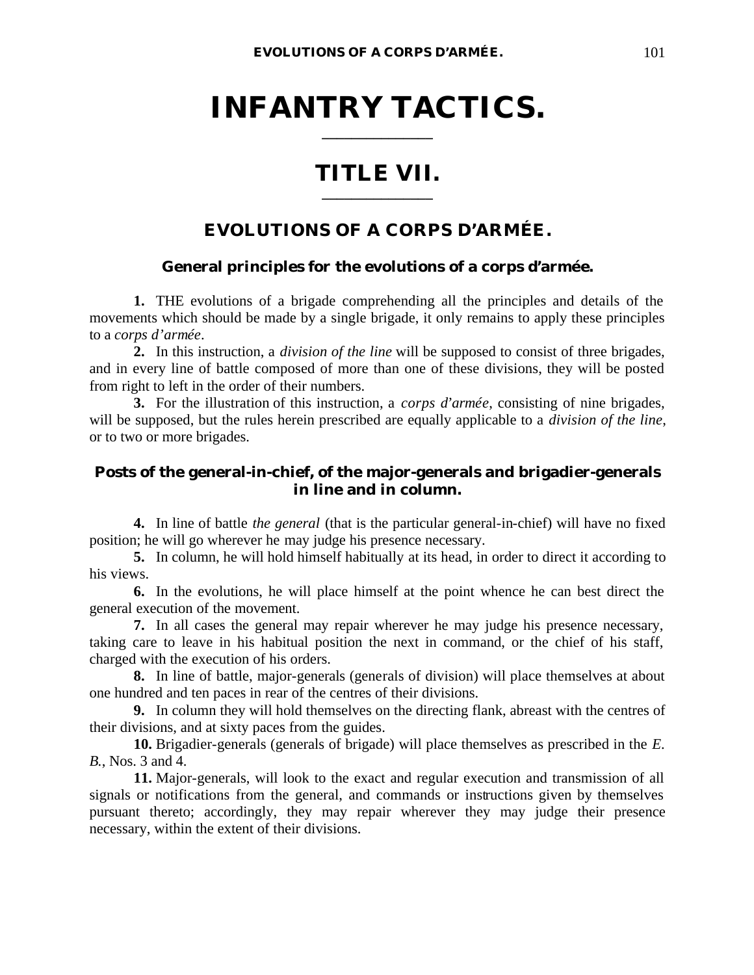# **INFANTRY TACTICS. \_\_\_\_\_\_\_\_\_\_\_\_\_\_\_**

# **TITLE VII. \_\_\_\_\_\_\_\_\_\_\_\_\_\_\_**

# **EVOLUTIONS OF A CORPS D'ARMÉE.**

# **General principles for the evolutions of a corps d'armée.**

**1.** THE evolutions of a brigade comprehending all the principles and details of the movements which should be made by a single brigade, it only remains to apply these principles to a *corps d'armée*.

**2.** In this instruction, a *division of the line* will be supposed to consist of three brigades, and in every line of battle composed of more than one of these divisions, they will be posted from right to left in the order of their numbers.

**3.** For the illustration of this instruction, a *corps d'armée*, consisting of nine brigades, will be supposed, but the rules herein prescribed are equally applicable to a *division of the line*, or to two or more brigades.

# **Posts of the general-in-chief, of the major-generals and brigadier-generals in line and in column.**

**4.** In line of battle *the general* (that is the particular general-in-chief) will have no fixed position; he will go wherever he may judge his presence necessary.

**5.** In column, he will hold himself habitually at its head, in order to direct it according to his views.

**6.** In the evolutions, he will place himself at the point whence he can best direct the general execution of the movement.

**7.** In all cases the general may repair wherever he may judge his presence necessary, taking care to leave in his habitual position the next in command, or the chief of his staff, charged with the execution of his orders.

**8.** In line of battle, major-generals (generals of division) will place themselves at about one hundred and ten paces in rear of the centres of their divisions.

**9.** In column they will hold themselves on the directing flank, abreast with the centres of their divisions, and at sixty paces from the guides.

**10.** Brigadier-generals (generals of brigade) will place themselves as prescribed in the *E. B.*, Nos. 3 and 4.

**11.** Major-generals, will look to the exact and regular execution and transmission of all signals or notifications from the general, and commands or instructions given by themselves pursuant thereto; accordingly, they may repair wherever they may judge their presence necessary, within the extent of their divisions.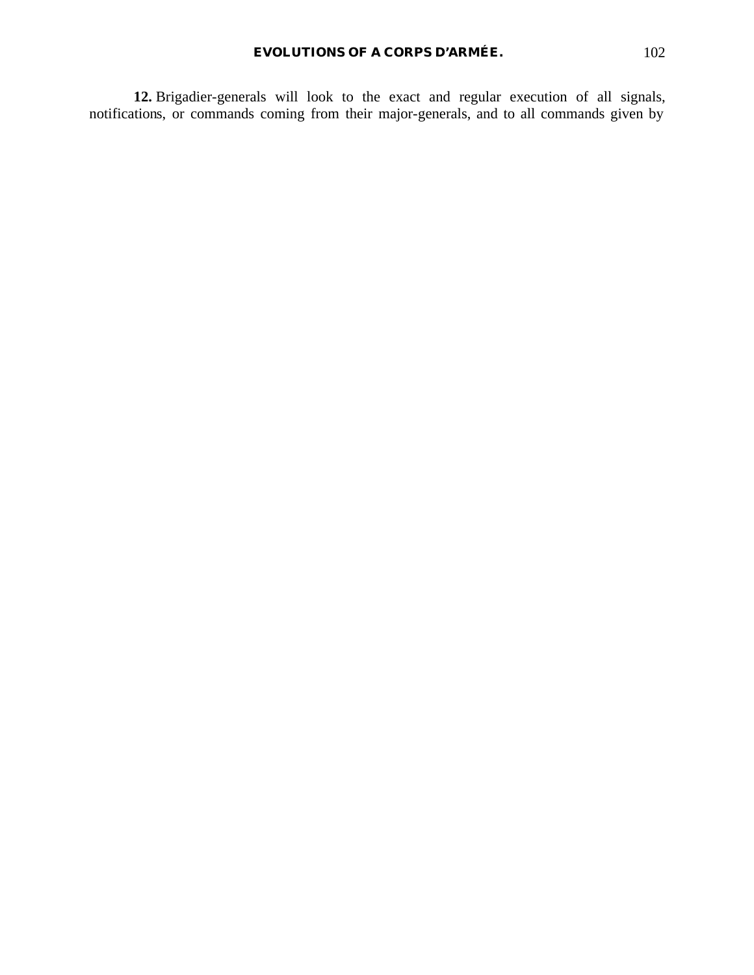**12.** Brigadier-generals will look to the exact and regular execution of all signals, notifications, or commands coming from their major-generals, and to all commands given by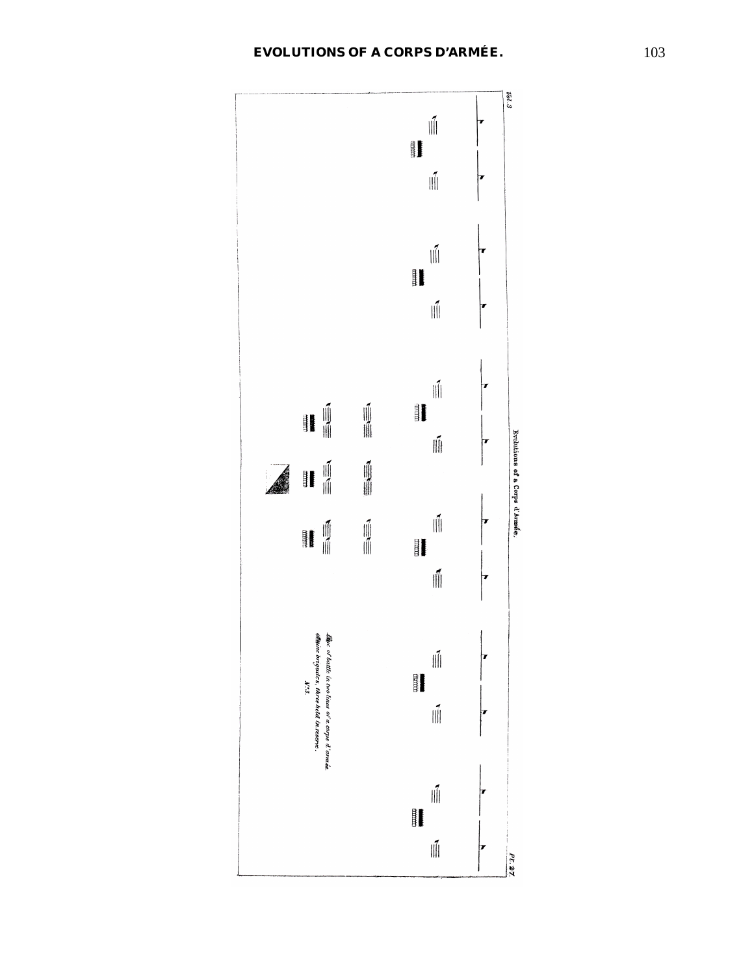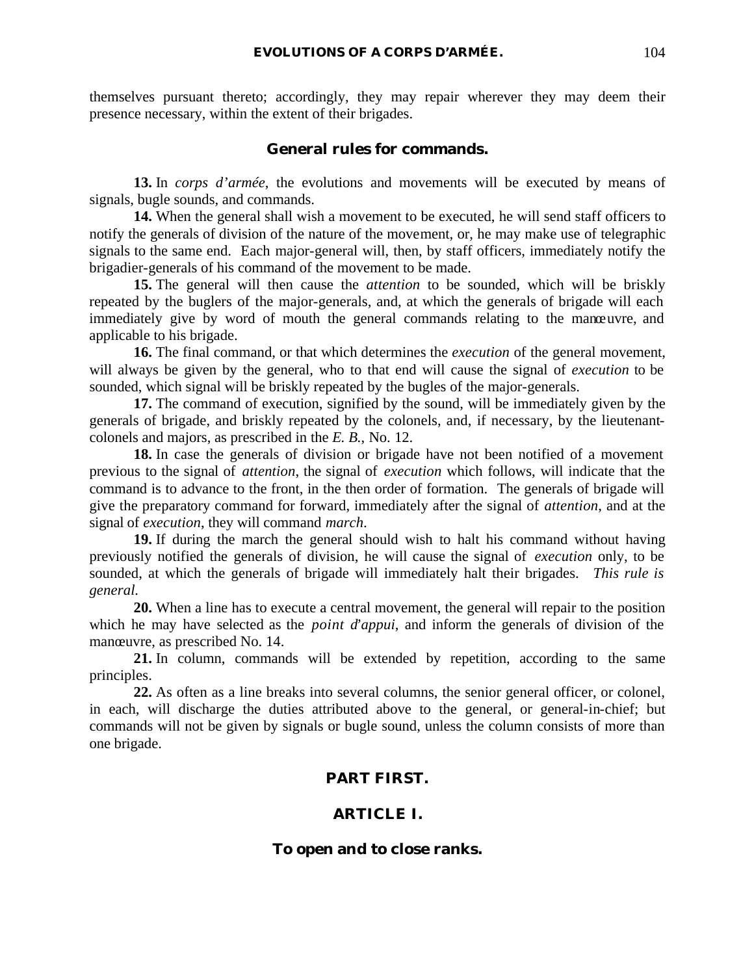themselves pursuant thereto; accordingly, they may repair wherever they may deem their presence necessary, within the extent of their brigades.

#### **General rules for commands.**

**13.** In *corps d'armée*, the evolutions and movements will be executed by means of signals, bugle sounds, and commands.

**14.** When the general shall wish a movement to be executed, he will send staff officers to notify the generals of division of the nature of the movement, or, he may make use of telegraphic signals to the same end. Each major-general will, then, by staff officers, immediately notify the brigadier-generals of his command of the movement to be made.

**15.** The general will then cause the *attention* to be sounded, which will be briskly repeated by the buglers of the major-generals, and, at which the generals of brigade will each immediately give by word of mouth the general commands relating to the manœuvre, and applicable to his brigade.

**16.** The final command, or that which determines the *execution* of the general movement, will always be given by the general, who to that end will cause the signal of *execution* to be sounded, which signal will be briskly repeated by the bugles of the major-generals.

**17.** The command of execution, signified by the sound, will be immediately given by the generals of brigade, and briskly repeated by the colonels, and, if necessary, by the lieutenantcolonels and majors, as prescribed in the *E. B.*, No. 12.

**18.** In case the generals of division or brigade have not been notified of a movement previous to the signal of *attention*, the signal of *execution* which follows, will indicate that the command is to advance to the front, in the then order of formation. The generals of brigade will give the preparatory command for forward, immediately after the signal of *attention*, and at the signal of *execution*, they will command *march*.

**19.** If during the march the general should wish to halt his command without having previously notified the generals of division, he will cause the signal of *execution* only, to be sounded, at which the generals of brigade will immediately halt their brigades. *This rule is general.*

**20.** When a line has to execute a central movement, the general will repair to the position which he may have selected as the *point d'appui*, and inform the generals of division of the manœuvre, as prescribed No. 14.

**21.** In column, commands will be extended by repetition, according to the same principles.

**22.** As often as a line breaks into several columns, the senior general officer, or colonel, in each, will discharge the duties attributed above to the general, or general-in-chief; but commands will not be given by signals or bugle sound, unless the column consists of more than one brigade.

# **PART FIRST.**

## **ARTICLE I.**

#### **To open and to close ranks.**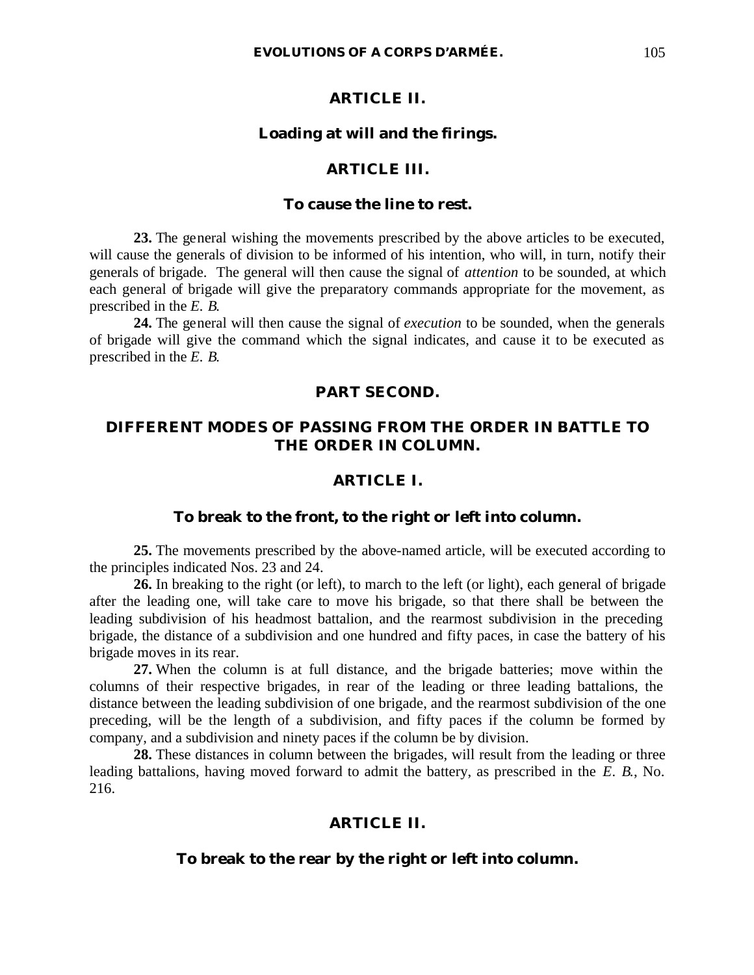#### **ARTICLE II.**

#### **Loading at will and the firings.**

## **ARTICLE III.**

## **To cause the line to rest.**

**23.** The general wishing the movements prescribed by the above articles to be executed, will cause the generals of division to be informed of his intention, who will, in turn, notify their generals of brigade. The general will then cause the signal of *attention* to be sounded, at which each general of brigade will give the preparatory commands appropriate for the movement, as prescribed in the *E. B.*

**24.** The general will then cause the signal of *execution* to be sounded, when the generals of brigade will give the command which the signal indicates, and cause it to be executed as prescribed in the *E. B.*

#### **PART SECOND.**

# **DIFFERENT MODES OF PASSING FROM THE ORDER IN BATTLE TO THE ORDER IN COLUMN.**

## **ARTICLE I.**

#### **To break to the front, to the right or left into column.**

**25.** The movements prescribed by the above-named article, will be executed according to the principles indicated Nos. 23 and 24.

**26.** In breaking to the right (or left), to march to the left (or light), each general of brigade after the leading one, will take care to move his brigade, so that there shall be between the leading subdivision of his headmost battalion, and the rearmost subdivision in the preceding brigade, the distance of a subdivision and one hundred and fifty paces, in case the battery of his brigade moves in its rear.

**27.** When the column is at full distance, and the brigade batteries; move within the columns of their respective brigades, in rear of the leading or three leading battalions, the distance between the leading subdivision of one brigade, and the rearmost subdivision of the one preceding, will be the length of a subdivision, and fifty paces if the column be formed by company, and a subdivision and ninety paces if the column be by division.

**28.** These distances in column between the brigades, will result from the leading or three leading battalions, having moved forward to admit the battery, as prescribed in the *E. B.*, No. 216.

#### **ARTICLE II.**

#### **To break to the rear by the right or left into column.**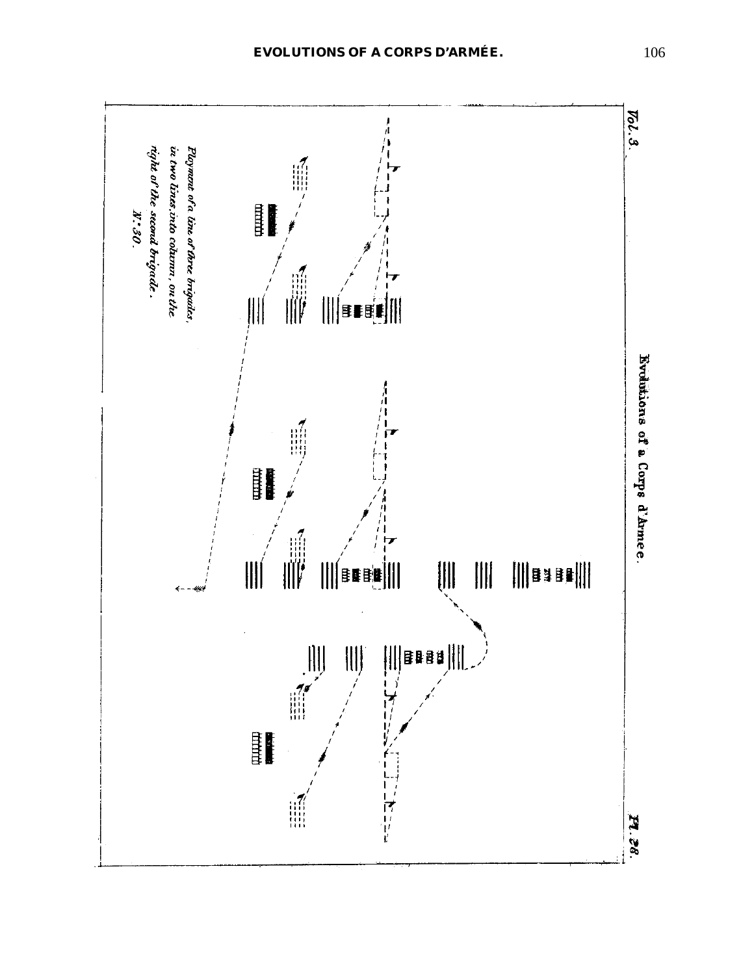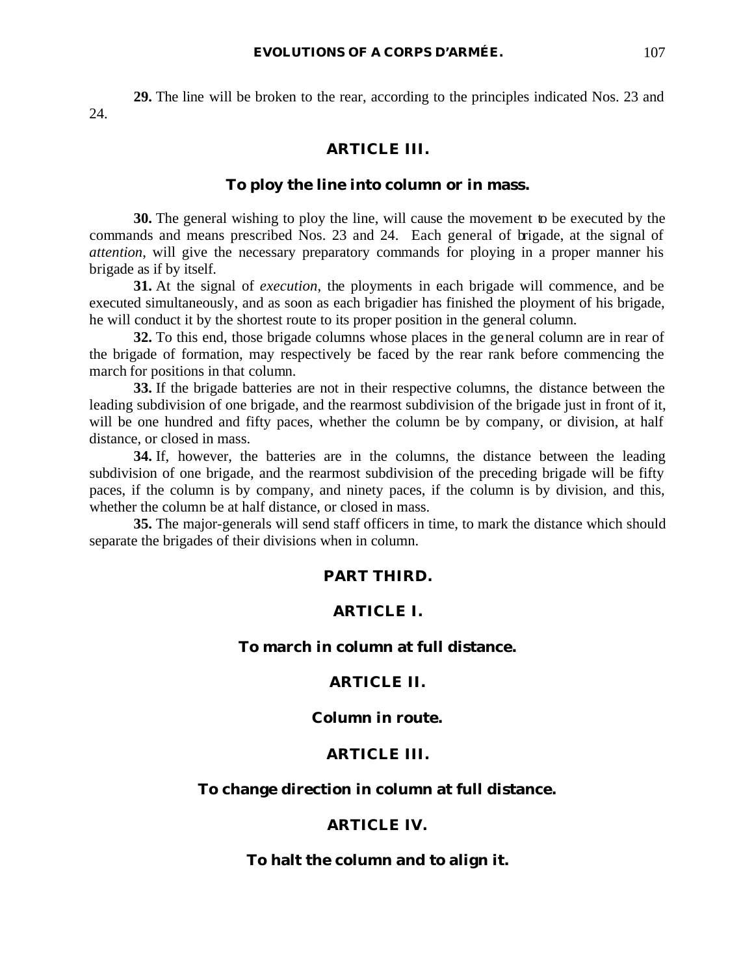**29.** The line will be broken to the rear, according to the principles indicated Nos. 23 and 24.

### **ARTICLE III.**

### **To ploy the line into column or in mass.**

**30.** The general wishing to ploy the line, will cause the movement to be executed by the commands and means prescribed Nos. 23 and 24. Each general of brigade, at the signal of *attention*, will give the necessary preparatory commands for ploying in a proper manner his brigade as if by itself.

**31.** At the signal of *execution*, the ployments in each brigade will commence, and be executed simultaneously, and as soon as each brigadier has finished the ployment of his brigade, he will conduct it by the shortest route to its proper position in the general column.

**32.** To this end, those brigade columns whose places in the general column are in rear of the brigade of formation, may respectively be faced by the rear rank before commencing the march for positions in that column.

**33.** If the brigade batteries are not in their respective columns, the distance between the leading subdivision of one brigade, and the rearmost subdivision of the brigade just in front of it, will be one hundred and fifty paces, whether the column be by company, or division, at half distance, or closed in mass.

**34.** If, however, the batteries are in the columns, the distance between the leading subdivision of one brigade, and the rearmost subdivision of the preceding brigade will be fifty paces, if the column is by company, and ninety paces, if the column is by division, and this, whether the column be at half distance, or closed in mass.

**35.** The major-generals will send staff officers in time, to mark the distance which should separate the brigades of their divisions when in column.

### **PART THIRD.**

### **ARTICLE I.**

### **To march in column at full distance.**

#### **ARTICLE II.**

### **Column in route.**

### **ARTICLE III.**

### **To change direction in column at full distance.**

#### **ARTICLE IV.**

### **To halt the column and to align it.**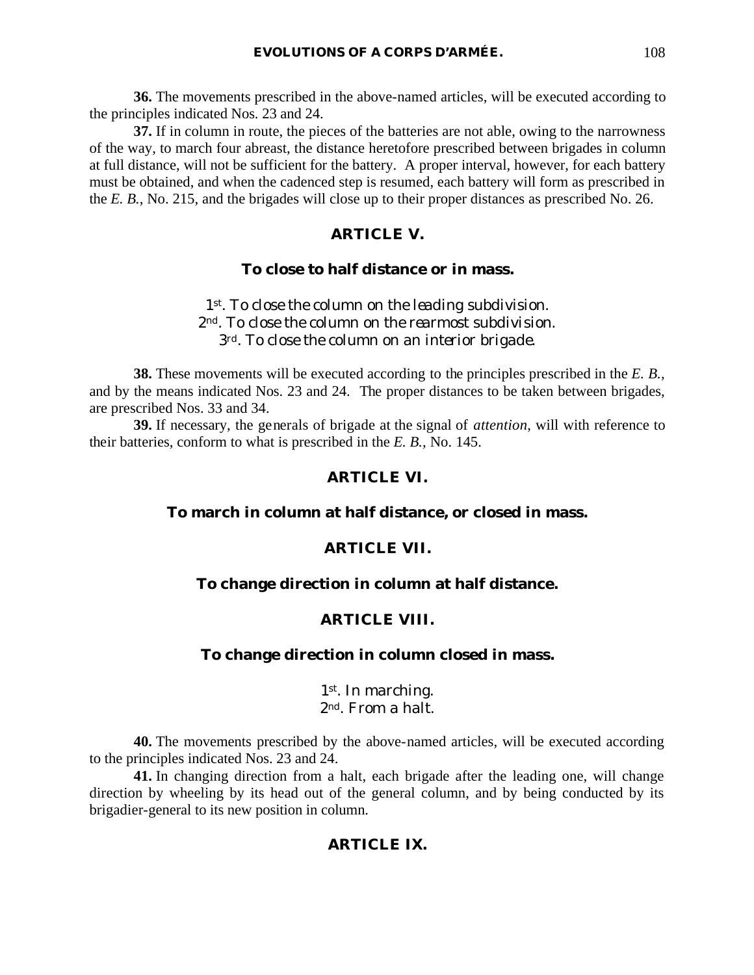**36.** The movements prescribed in the above-named articles, will be executed according to the principles indicated Nos. 23 and 24.

**37.** If in column in route, the pieces of the batteries are not able, owing to the narrowness of the way, to march four abreast, the distance heretofore prescribed between brigades in column at full distance, will not be sufficient for the battery. A proper interval, however, for each battery must be obtained, and when the cadenced step is resumed, each battery will form as prescribed in the *E. B.*, No. 215, and the brigades will close up to their proper distances as prescribed No. 26.

# **ARTICLE V.**

### **To close to half distance or in mass.**

*1st. To close the column on the leading subdivision. 2nd. To close the column on the rearmost subdivision. 3rd. To close the column on an interior brigade.*

**38.** These movements will be executed according to the principles prescribed in the *E. B.*, and by the means indicated Nos. 23 and 24. The proper distances to be taken between brigades, are prescribed Nos. 33 and 34.

**39.** If necessary, the generals of brigade at the signal of *attention*, will with reference to their batteries, conform to what is prescribed in the *E. B.*, No. 145.

### **ARTICLE VI.**

# **To march in column at half distance, or closed in mass.**

### **ARTICLE VII.**

### **To change direction in column at half distance.**

### **ARTICLE VIII.**

### **To change direction in column closed in mass.**

### *1st. In marching. 2nd. From a halt.*

**40.** The movements prescribed by the above-named articles, will be executed according to the principles indicated Nos. 23 and 24.

**41.** In changing direction from a halt, each brigade after the leading one, will change direction by wheeling by its head out of the general column, and by being conducted by its brigadier-general to its new position in column.

### **ARTICLE IX.**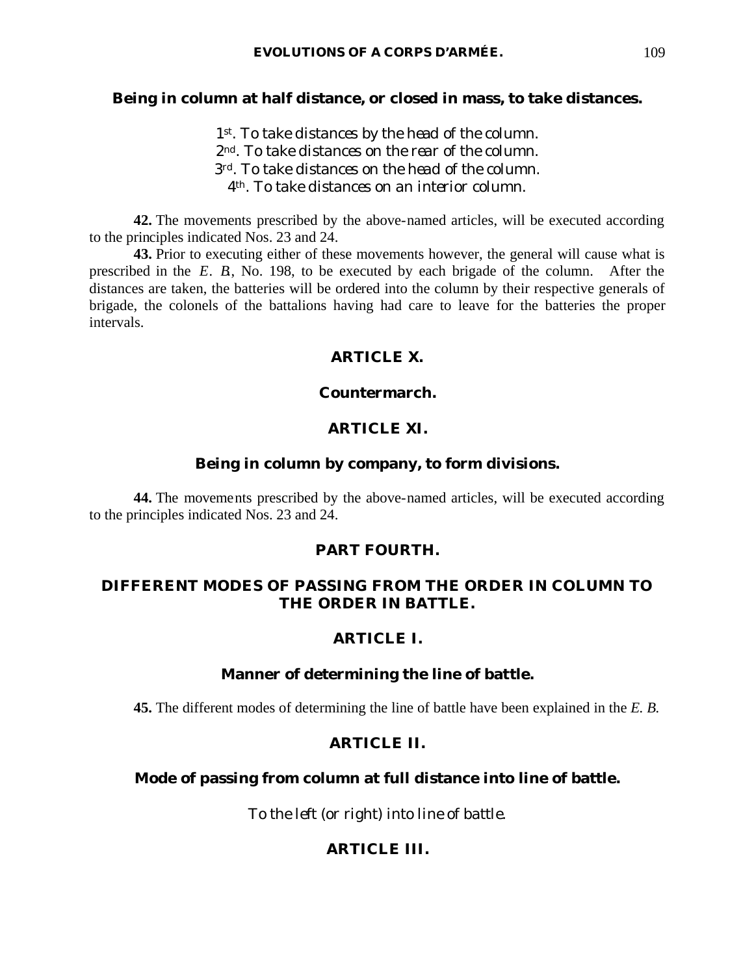### **Being in column at half distance, or closed in mass, to take distances.**

*st. To take distances by the head of the column. nd. To take distances on the rear of the column. rd. To take distances on the head of the column. th. To take distances on an interior column.*

**42.** The movements prescribed by the above-named articles, will be executed according to the principles indicated Nos. 23 and 24.

**43.** Prior to executing either of these movements however, the general will cause what is prescribed in the *E. B.*, No. 198, to be executed by each brigade of the column. After the distances are taken, the batteries will be ordered into the column by their respective generals of brigade, the colonels of the battalions having had care to leave for the batteries the proper intervals.

### **ARTICLE X.**

### **Countermarch.**

### **ARTICLE XI.**

### **Being in column by company, to form divisions.**

**44.** The movements prescribed by the above-named articles, will be executed according to the principles indicated Nos. 23 and 24.

### **PART FOURTH.**

# **DIFFERENT MODES OF PASSING FROM THE ORDER IN COLUMN TO THE ORDER IN BATTLE.**

### **ARTICLE I.**

### **Manner of determining the line of battle.**

**45.** The different modes of determining the line of battle have been explained in the *E. B.*

### **ARTICLE II.**

### **Mode of passing from column at full distance into line of battle.**

*To the left (or right) into line of battle.*

# **ARTICLE III.**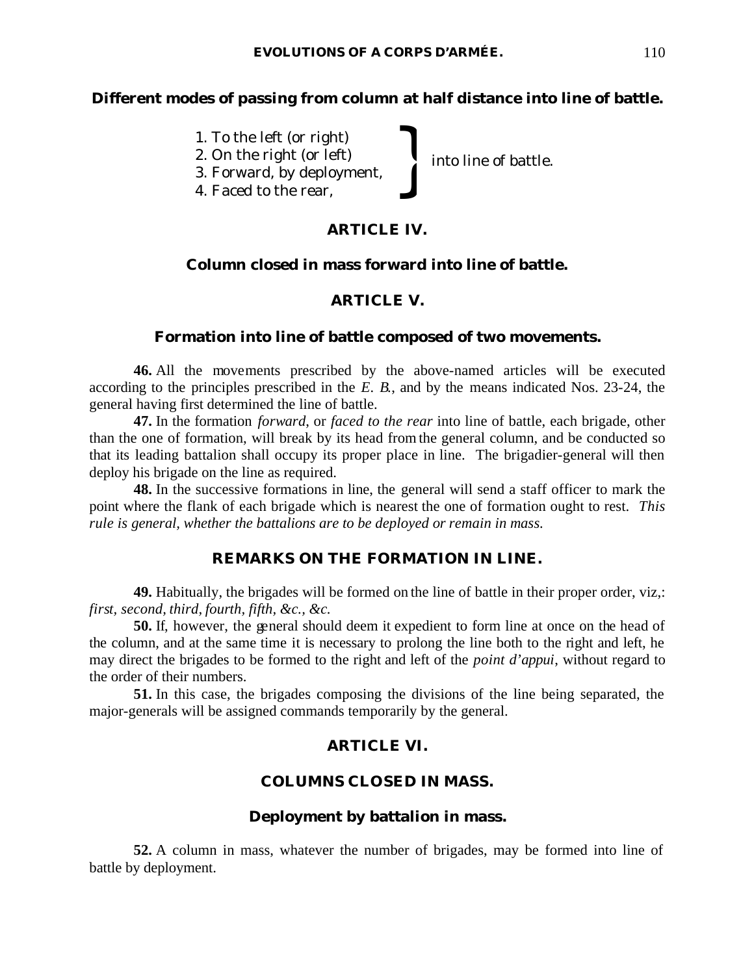# **Different modes of passing from column at half distance into line of battle.**

into line of battle.

- 1. To the left (or right)
- 2. On the right (or left) 1. To the left (or right)<br>2. On the right (or left)<br>3. Forward, by deployment,<br>4. Faced to the rear,
- 3. Forward, by deployment,
- 

# **ARTICLE IV.**

# **Column closed in mass forward into line of battle.**

# **ARTICLE V.**

## **Formation into line of battle composed of two movements.**

**46.** All the movements prescribed by the above-named articles will be executed according to the principles prescribed in the *E. B.*, and by the means indicated Nos. 23-24, the general having first determined the line of battle.

**47.** In the formation *forward*, or *faced to the rear* into line of battle, each brigade, other than the one of formation, will break by its head fromthe general column, and be conducted so that its leading battalion shall occupy its proper place in line. The brigadier-general will then deploy his brigade on the line as required.

**48.** In the successive formations in line, the general will send a staff officer to mark the point where the flank of each brigade which is nearest the one of formation ought to rest. *This rule is general, whether the battalions are to be deployed or remain in mass.*

# **REMARKS ON THE FORMATION IN LINE.**

**49.** Habitually, the brigades will be formed on the line of battle in their proper order, viz,: *first, second, third, fourth, fifth, &c., &c.*

**50.** If, however, the general should deem it expedient to form line at once on the head of the column, and at the same time it is necessary to prolong the line both to the right and left, he may direct the brigades to be formed to the right and left of the *point d'appui*, without regard to the order of their numbers.

**51.** In this case, the brigades composing the divisions of the line being separated, the major-generals will be assigned commands temporarily by the general.

## **ARTICLE VI.**

## **COLUMNS CLOSED IN MASS.**

### **Deployment by battalion in mass.**

**52.** A column in mass, whatever the number of brigades, may be formed into line of battle by deployment.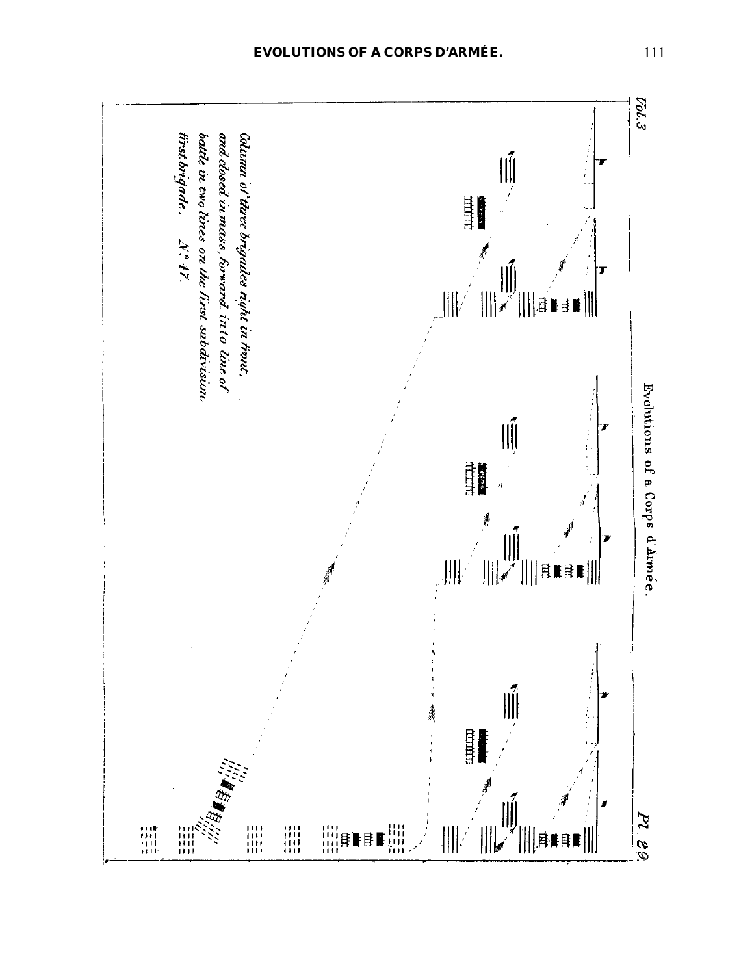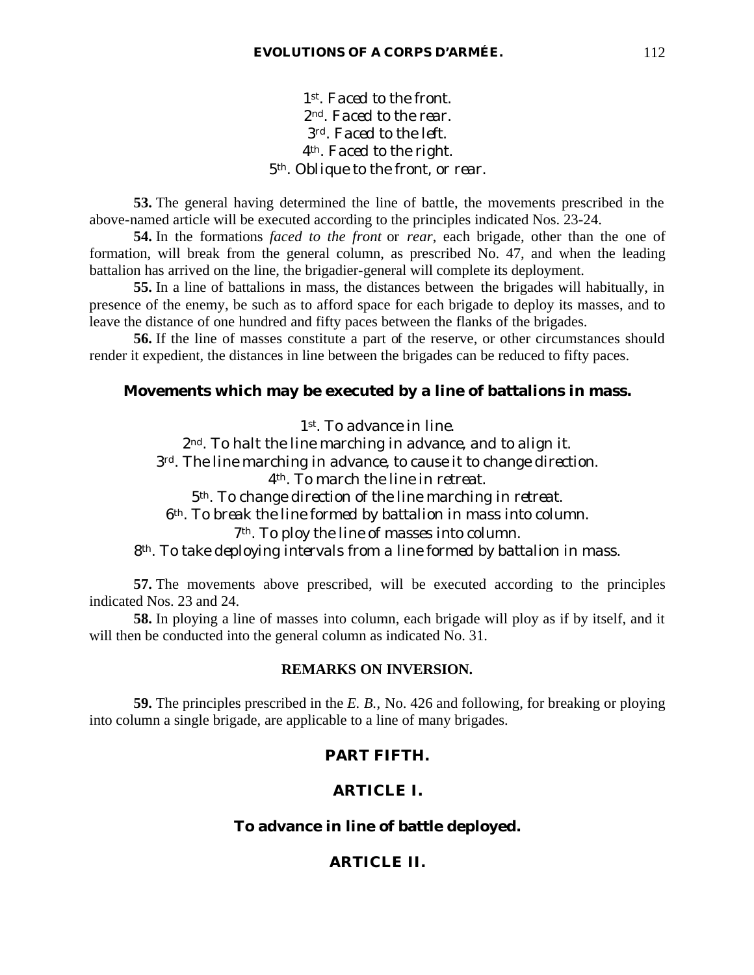*st. Faced to the front. nd. Faced to the rear. rd. Faced to the left. th. Faced to the right. th. Oblique to the front, or rear.*

**53.** The general having determined the line of battle, the movements prescribed in the above-named article will be executed according to the principles indicated Nos. 23-24.

**54.** In the formations *faced to the front* or *rear*, each brigade, other than the one of formation, will break from the general column, as prescribed No. 47, and when the leading battalion has arrived on the line, the brigadier-general will complete its deployment.

**55.** In a line of battalions in mass, the distances between the brigades will habitually, in presence of the enemy, be such as to afford space for each brigade to deploy its masses, and to leave the distance of one hundred and fifty paces between the flanks of the brigades.

**56.** If the line of masses constitute a part of the reserve, or other circumstances should render it expedient, the distances in line between the brigades can be reduced to fifty paces.

### **Movements which may be executed by a line of battalions in mass.**

*st. To advance in line. nd. To halt the line marching in advance, and to align it. rd. The line marching in advance, to cause it to change direction. th. To march the line in retreat. th. To change direction of the line marching in retreat. th. To break the line formed by battalion in mass into column. th. To ploy the line of masses into column. th. To take deploying intervals from a line formed by battalion in mass.*

**57.** The movements above prescribed, will be executed according to the principles indicated Nos. 23 and 24.

**58.** In ploying a line of masses into column, each brigade will ploy as if by itself, and it will then be conducted into the general column as indicated No. 31.

### **REMARKS ON INVERSION.**

**59.** The principles prescribed in the *E. B.*, No. 426 and following, for breaking or ploying into column a single brigade, are applicable to a line of many brigades.

### **PART FIFTH.**

### **ARTICLE I.**

### **To advance in line of battle deployed.**

### **ARTICLE II.**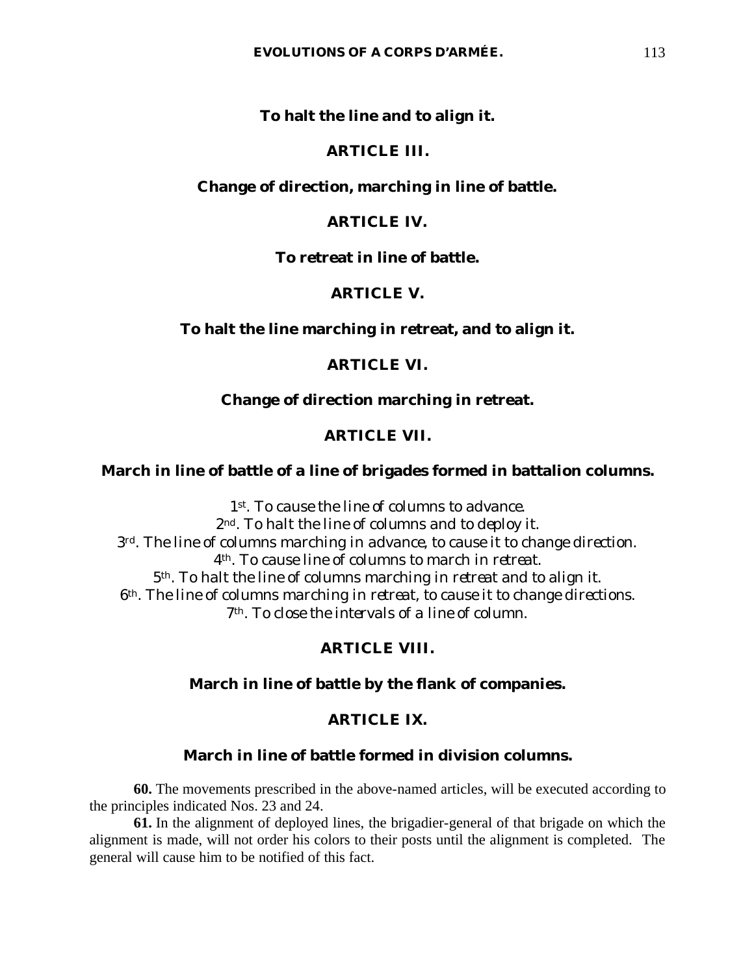### **To halt the line and to align it.**

### **ARTICLE III.**

### **Change of direction, marching in line of battle.**

### **ARTICLE IV.**

### **To retreat in line of battle.**

### **ARTICLE V.**

### **To halt the line marching in retreat, and to align it.**

### **ARTICLE VI.**

### **Change of direction marching in retreat.**

### **ARTICLE VII.**

### **March in line of battle of a line of brigades formed in battalion columns.**

*st. To cause the line of columns to advance. nd. To halt the line of columns and to deploy it. rd. The line of columns marching in advance, to cause it to change direction. th. To cause line of columns to march in retreat. th. To halt the line of columns marching in retreat and to align it. th. The line of columns marching in retreat, to cause it to change directions. th. To close the intervals of a line of column.*

# **ARTICLE VIII.**

### **March in line of battle by the flank of companies.**

# **ARTICLE IX.**

### **March in line of battle formed in division columns.**

**60.** The movements prescribed in the above-named articles, will be executed according to the principles indicated Nos. 23 and 24.

**61.** In the alignment of deployed lines, the brigadier-general of that brigade on which the alignment is made, will not order his colors to their posts until the alignment is completed. The general will cause him to be notified of this fact.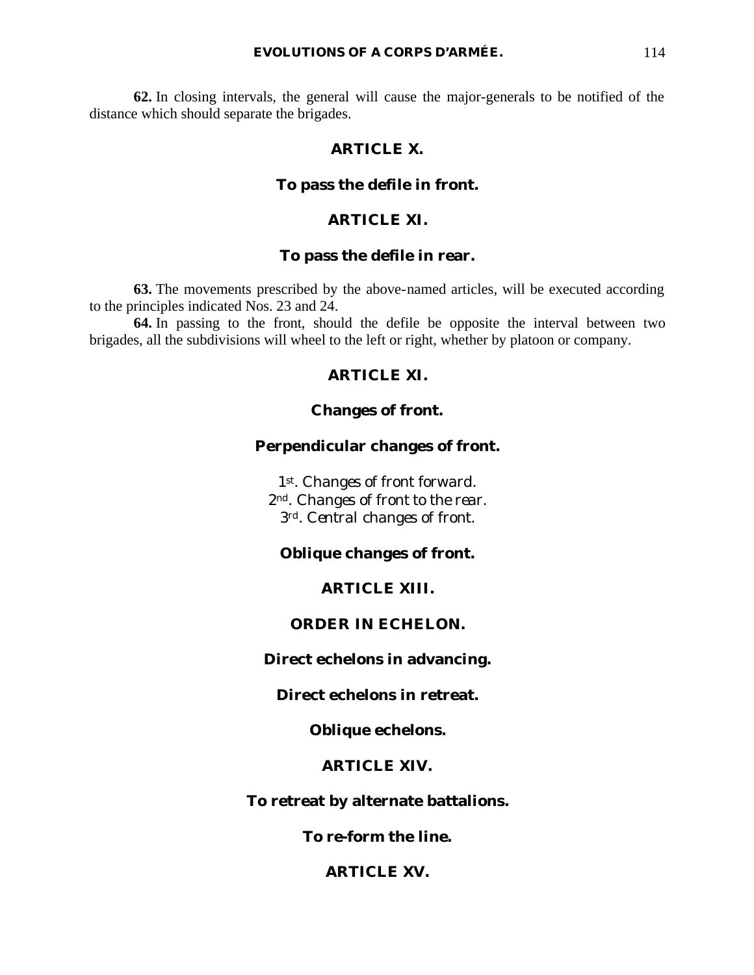#### **EVOLUTIONS OF A CORPS D'ARMÉE.** 114

**62.** In closing intervals, the general will cause the major-generals to be notified of the distance which should separate the brigades.

### **ARTICLE X.**

### **To pass the defile in front.**

### **ARTICLE XI.**

### **To pass the defile in rear.**

**63.** The movements prescribed by the above-named articles, will be executed according to the principles indicated Nos. 23 and 24.

**64.** In passing to the front, should the defile be opposite the interval between two brigades, all the subdivisions will wheel to the left or right, whether by platoon or company.

# **ARTICLE XI.**

### **Changes of front.**

# **Perpendicular changes of front.**

*1st. Changes of front forward. 2nd. Changes of front to the rear. 3rd. Central changes of front.*

### **Oblique changes of front.**

### **ARTICLE XIII.**

### **ORDER IN ECHELON.**

**Direct echelons in advancing.**

### **Direct echelons in retreat.**

**Oblique echelons.**

### **ARTICLE XIV.**

### **To retreat by alternate battalions.**

**To re-form the line.**

### **ARTICLE XV.**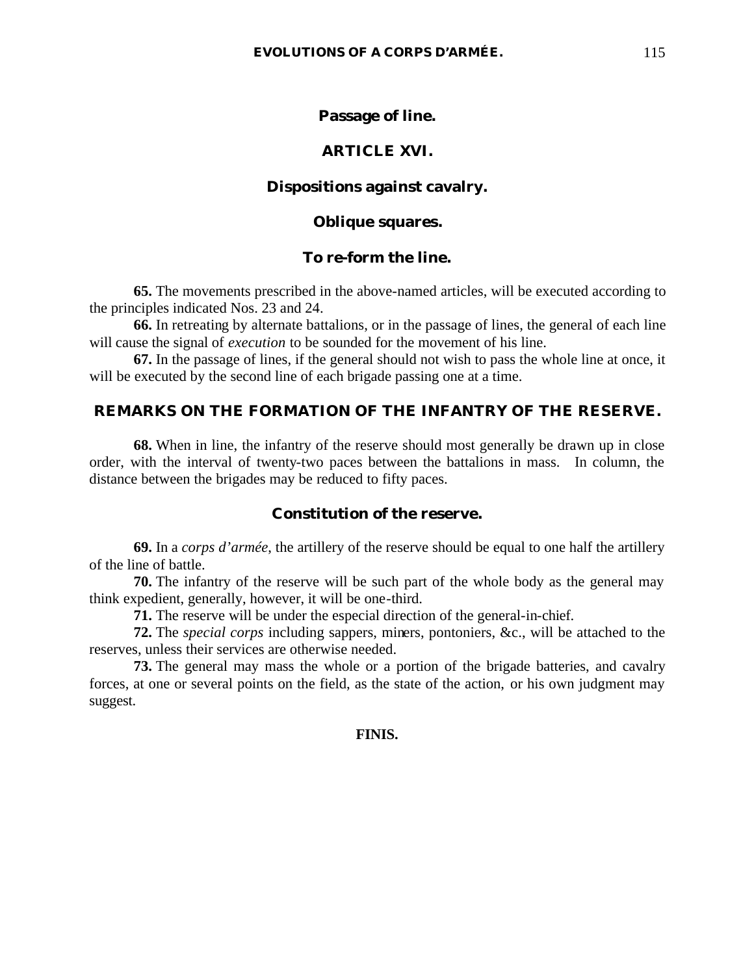### **Passage of line.**

### **ARTICLE XVI.**

### **Dispositions against cavalry.**

### **Oblique squares.**

### **To re-form the line.**

**65.** The movements prescribed in the above-named articles, will be executed according to the principles indicated Nos. 23 and 24.

**66.** In retreating by alternate battalions, or in the passage of lines, the general of each line will cause the signal of *execution* to be sounded for the movement of his line.

**67.** In the passage of lines, if the general should not wish to pass the whole line at once, it will be executed by the second line of each brigade passing one at a time.

### **REMARKS ON THE FORMATION OF THE INFANTRY OF THE RESERVE.**

**68.** When in line, the infantry of the reserve should most generally be drawn up in close order, with the interval of twenty-two paces between the battalions in mass. In column, the distance between the brigades may be reduced to fifty paces.

### **Constitution of the reserve.**

**69.** In a *corps d'armée*, the artillery of the reserve should be equal to one half the artillery of the line of battle.

**70.** The infantry of the reserve will be such part of the whole body as the general may think expedient, generally, however, it will be one-third.

**71.** The reserve will be under the especial direction of the general-in-chief.

**72.** The *special corps* including sappers, miners, pontoniers, &c., will be attached to the reserves, unless their services are otherwise needed.

**73.** The general may mass the whole or a portion of the brigade batteries, and cavalry forces, at one or several points on the field, as the state of the action, or his own judgment may suggest.

### **FINIS.**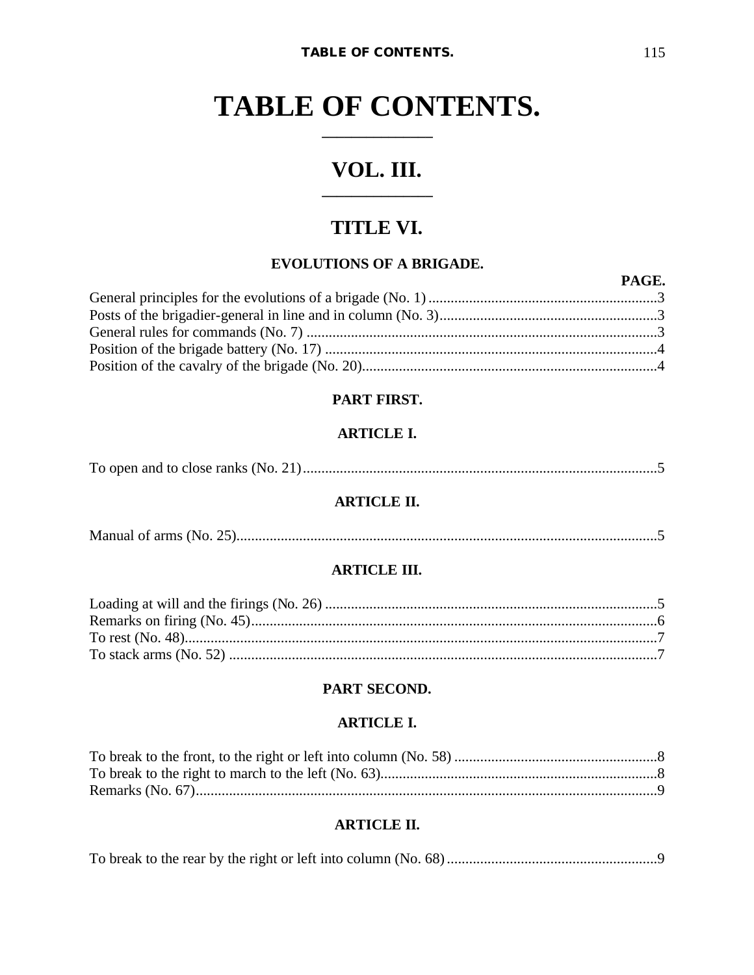# VOL. III.

# TITLE VI.

# **EVOLUTIONS OF A BRIGADE.**

| PAGE. |
|-------|
|       |
|       |
|       |
|       |
|       |

# PART FIRST.

# **ARTICLE I.**

|--|--|--|

# **ARTICLE II.**

|--|

# **ARTICLE III.**

# PART SECOND.

### **ARTICLE I.**

### **ARTICLE II.**

|--|--|--|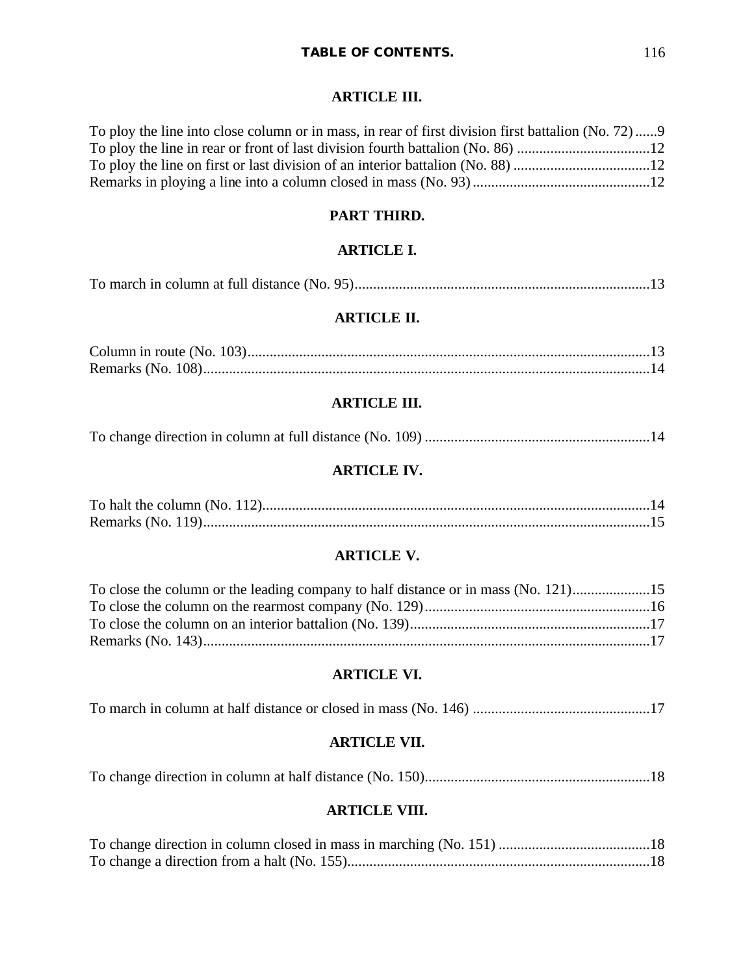# **ARTICLE III.**

| To ploy the line into close column or in mass, in rear of first division first battalion (No. 72)9 |  |
|----------------------------------------------------------------------------------------------------|--|
|                                                                                                    |  |
|                                                                                                    |  |
|                                                                                                    |  |

### **PART THIRD.**

# **ARTICLE I.**

|--|--|--|--|--|

# **ARTICLE II.**

# **ARTICLE III.**

# **ARTICLE IV.**

### **ARTICLE V.**

| To close the column or the leading company to half distance or in mass (No. 121)15 |  |
|------------------------------------------------------------------------------------|--|
|                                                                                    |  |
|                                                                                    |  |
|                                                                                    |  |

# **ARTICLE VI.**

### **ARTICLE VII.**

# **ARTICLE VIII.**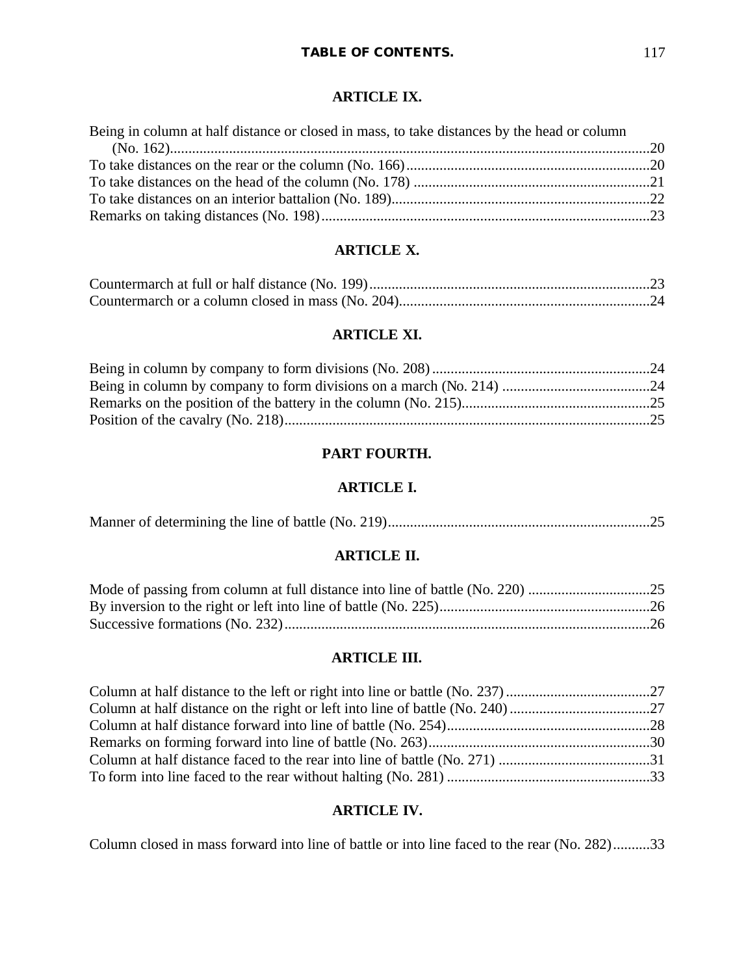# **ARTICLE IX.**

| Being in column at half distance or closed in mass, to take distances by the head or column |  |
|---------------------------------------------------------------------------------------------|--|
|                                                                                             |  |
|                                                                                             |  |
|                                                                                             |  |
|                                                                                             |  |
|                                                                                             |  |

# **ARTICLE X.**

### **ARTICLE XI.**

# **PART FOURTH.**

# **ARTICLE I.**

|--|--|

# **ARTICLE II.**

# **ARTICLE III.**

# **ARTICLE IV.**

Column closed in mass forward into line of battle or into line faced to the rear (No. 282)..........33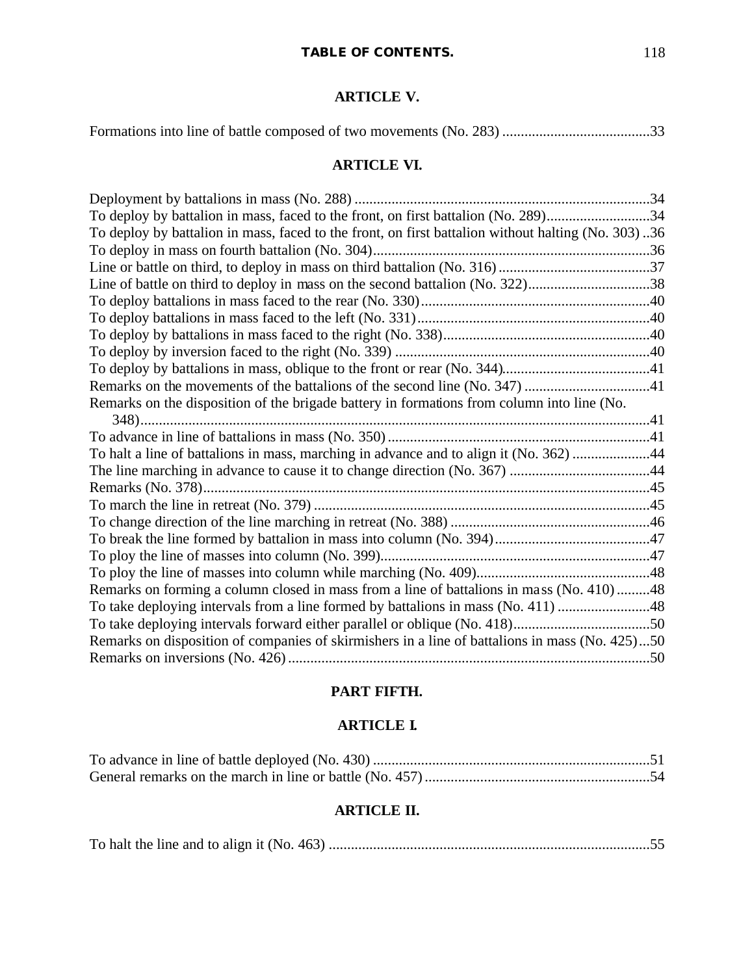# **ARTICLE V.**

|--|--|--|--|--|

# **ARTICLE VI.**

| To deploy by battalion in mass, faced to the front, on first battalion (No. 289)34                 |  |
|----------------------------------------------------------------------------------------------------|--|
| To deploy by battalion in mass, faced to the front, on first battalion without halting (No. 303)36 |  |
|                                                                                                    |  |
|                                                                                                    |  |
| Line of battle on third to deploy in mass on the second battalion (No. 322)38                      |  |
|                                                                                                    |  |
|                                                                                                    |  |
|                                                                                                    |  |
|                                                                                                    |  |
|                                                                                                    |  |
| Remarks on the movements of the battalions of the second line (No. 347) 41                         |  |
| Remarks on the disposition of the brigade battery in formations from column into line (No.         |  |
|                                                                                                    |  |
|                                                                                                    |  |
| To halt a line of battalions in mass, marching in advance and to align it (No. 362) 44             |  |
|                                                                                                    |  |
|                                                                                                    |  |
|                                                                                                    |  |
|                                                                                                    |  |
|                                                                                                    |  |
|                                                                                                    |  |
|                                                                                                    |  |
| Remarks on forming a column closed in mass from a line of battalions in mass (No. 410)48           |  |
| To take deploying intervals from a line formed by battalions in mass (No. 411) 48                  |  |
|                                                                                                    |  |
| Remarks on disposition of companies of skirmishers in a line of battalions in mass (No. 425)50     |  |
|                                                                                                    |  |

# **PART FIFTH.**

# **ARTICLE I.**

# **ARTICLE II.**

|--|--|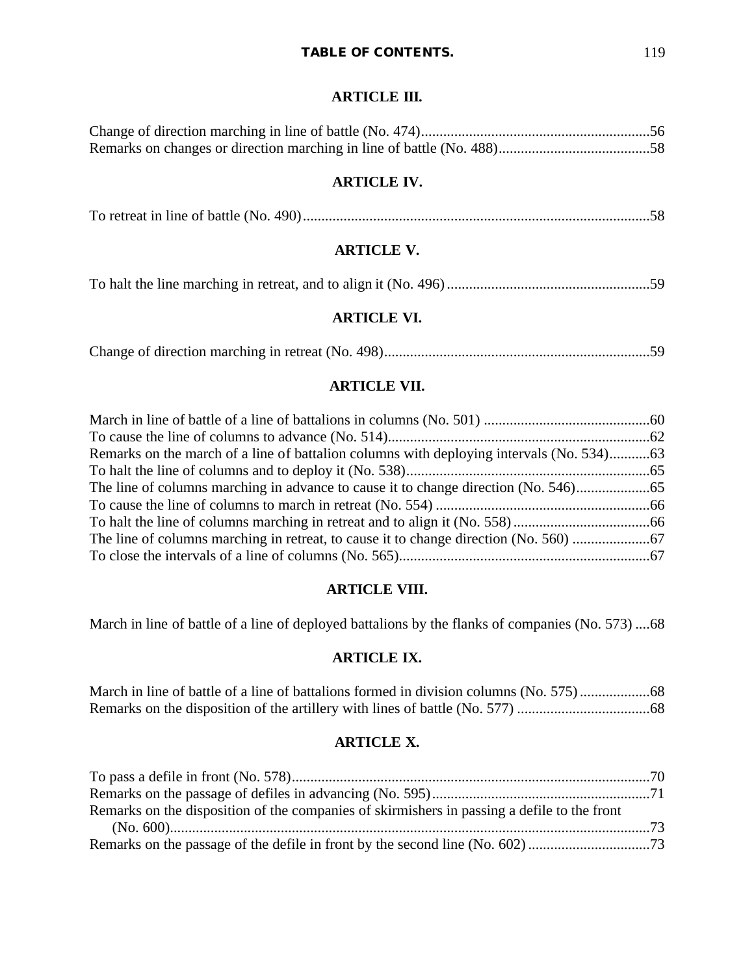# **ARTICLE III.**

# **ARTICLE IV.**

|--|--|--|

# **ARTICLE V.**

|--|--|--|--|

# **ARTICLE VI.**

Change of direction marching in retreat (No. 498)........................................................................59

# **ARTICLE VII.**

| Remarks on the march of a line of battalion columns with deploying intervals (No. 534) |  |
|----------------------------------------------------------------------------------------|--|
|                                                                                        |  |
|                                                                                        |  |
|                                                                                        |  |
|                                                                                        |  |
|                                                                                        |  |
|                                                                                        |  |

# **ARTICLE VIII.**

March in line of battle of a line of deployed battalions by the flanks of companies (No. 573) ....68

# **ARTICLE IX.**

# **ARTICLE X.**

| Remarks on the disposition of the companies of skirmishers in passing a defile to the front |  |
|---------------------------------------------------------------------------------------------|--|
|                                                                                             |  |
|                                                                                             |  |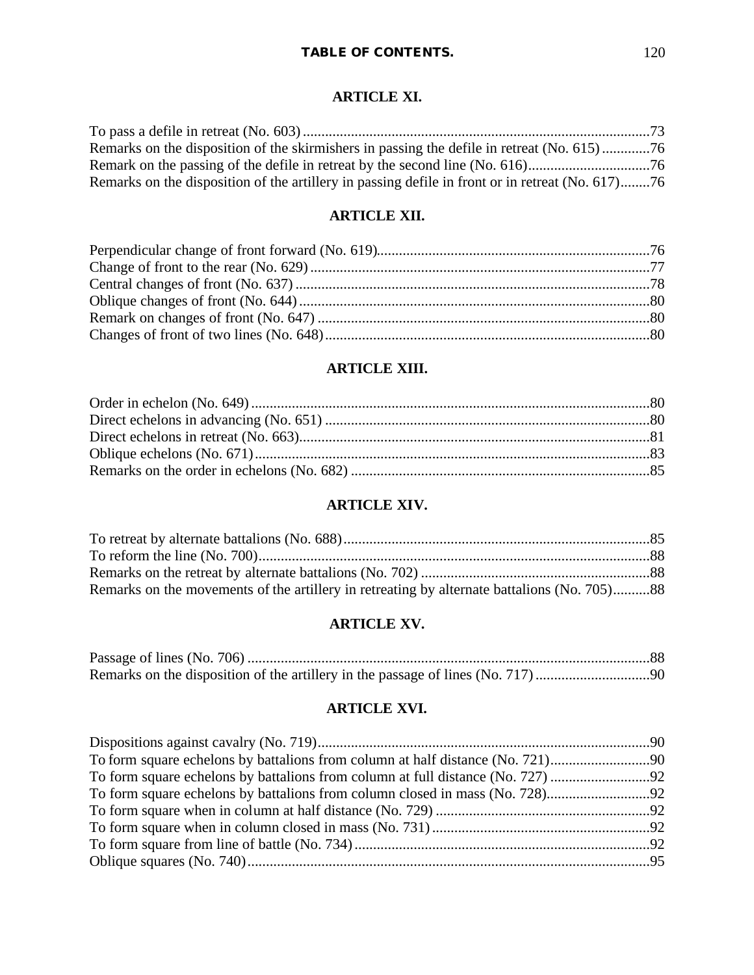### **ARTICLE XI.**

| Remarks on the disposition of the skirmishers in passing the defile in retreat (No. 615)76       |  |
|--------------------------------------------------------------------------------------------------|--|
|                                                                                                  |  |
| Remarks on the disposition of the artillery in passing defile in front or in retreat (No. 617)76 |  |

### **ARTICLE XII.**

# **ARTICLE XIII.**

# **ARTICLE XIV.**

| Remarks on the movements of the artillery in retreating by alternate battalions (No. 705)88 |  |
|---------------------------------------------------------------------------------------------|--|

# **ARTICLE XV.**

# **ARTICLE XVI.**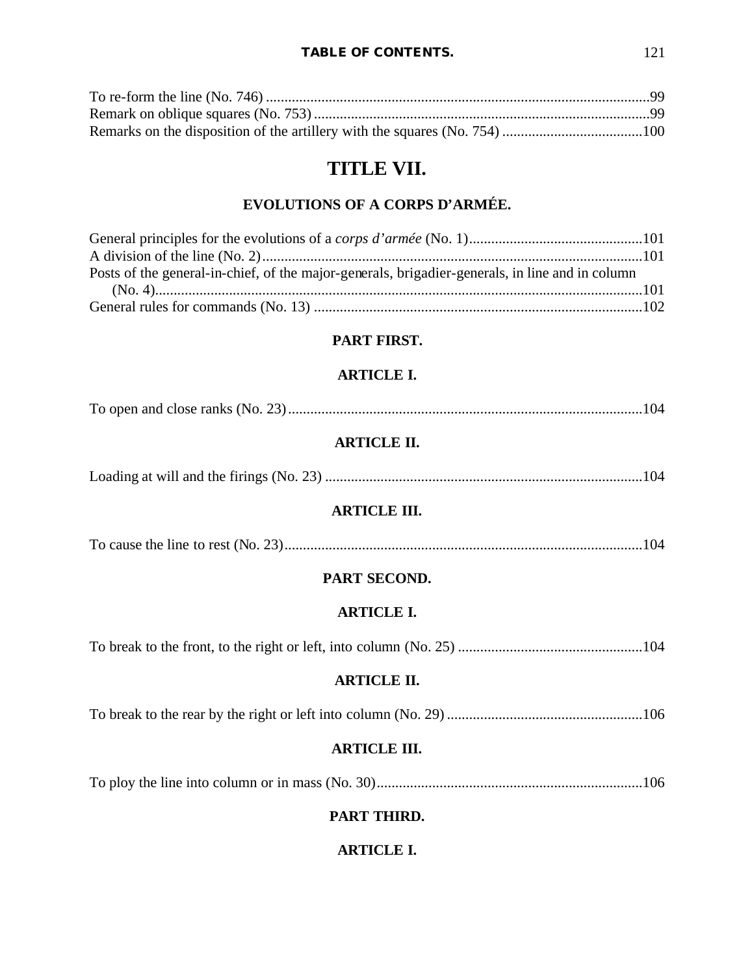# **TITLE VII.**

# **EVOLUTIONS OF A CORPS D'ARMÉE.**

| Posts of the general-in-chief, of the major-generals, brigadier-generals, in line and in column |  |
|-------------------------------------------------------------------------------------------------|--|
|                                                                                                 |  |
|                                                                                                 |  |

# **PART FIRST.**

## **ARTICLE I.**

|--|--|

# **ARTICLE II.**

|--|--|--|--|

## **ARTICLE III.**

|--|--|

# **PART SECOND.**

## **ARTICLE I.**

To break to the front, to the right or left, into column (No. 25) ..................................................104

# **ARTICLE II.**

|--|--|

## **ARTICLE III.**

To ploy the line into column or in mass (No. 30)........................................................................106

# **PART THIRD.**

# **ARTICLE I.**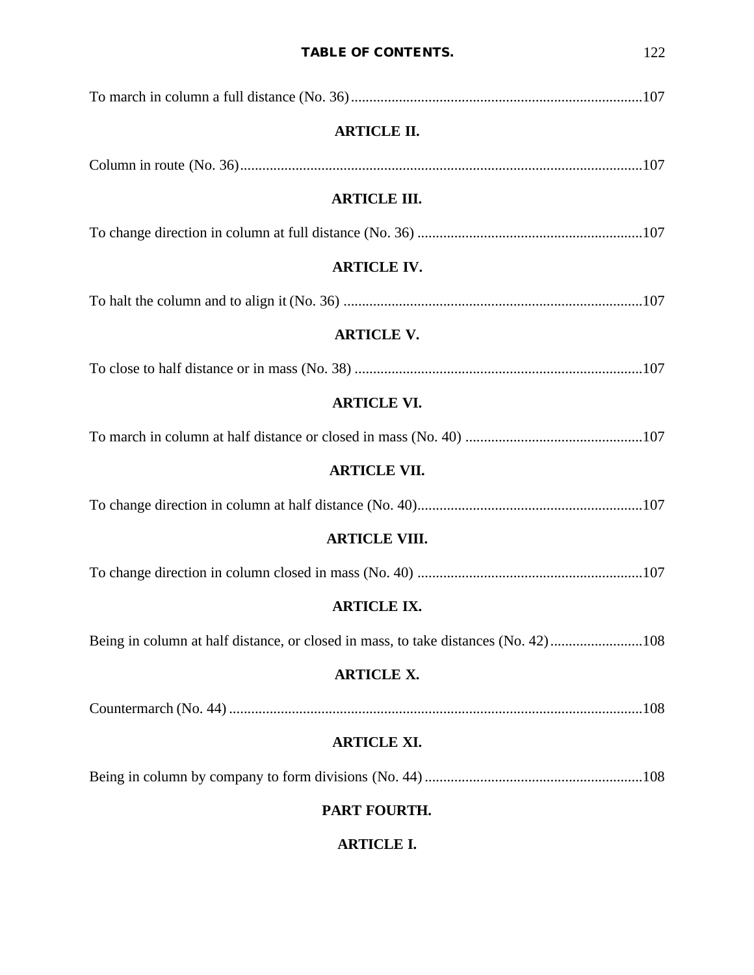| <b>ARTICLE II.</b>                                                                 |  |
|------------------------------------------------------------------------------------|--|
|                                                                                    |  |
| <b>ARTICLE III.</b>                                                                |  |
|                                                                                    |  |
| <b>ARTICLE IV.</b>                                                                 |  |
|                                                                                    |  |
| <b>ARTICLE V.</b>                                                                  |  |
|                                                                                    |  |
| <b>ARTICLE VI.</b>                                                                 |  |
|                                                                                    |  |
| <b>ARTICLE VII.</b>                                                                |  |
|                                                                                    |  |
| <b>ARTICLE VIII.</b>                                                               |  |
|                                                                                    |  |
| <b>ARTICLE IX.</b>                                                                 |  |
| Being in column at half distance, or closed in mass, to take distances (No. 42)108 |  |
| <b>ARTICLE X.</b>                                                                  |  |
|                                                                                    |  |
| <b>ARTICLE XI.</b>                                                                 |  |
|                                                                                    |  |
| PART FOURTH.                                                                       |  |
| <b>ARTICLE I.</b>                                                                  |  |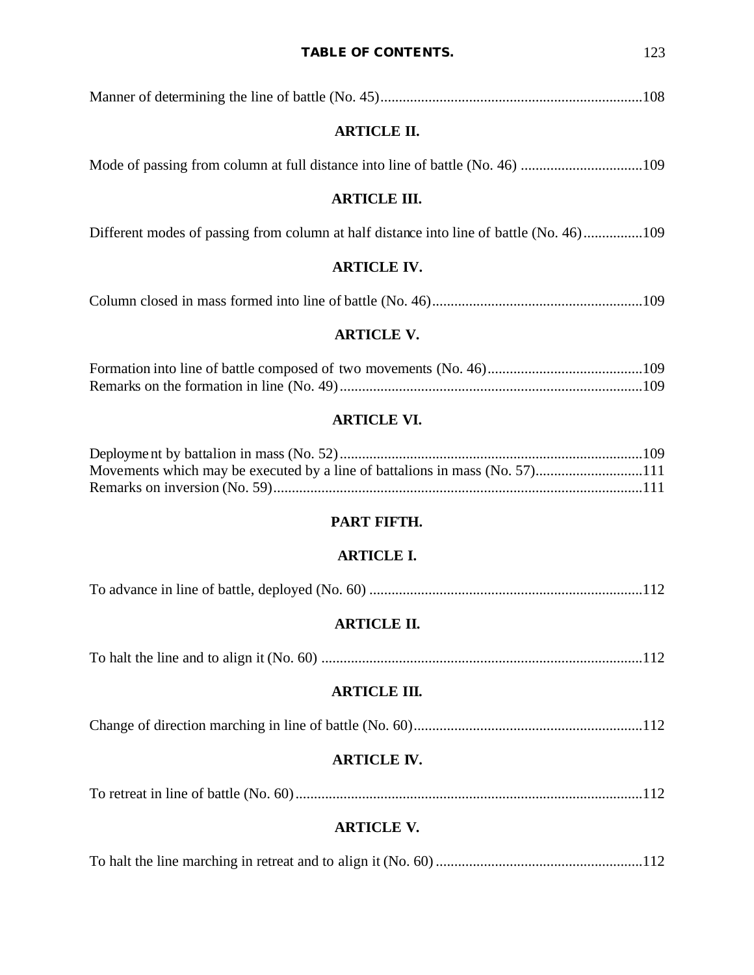| <b>ARTICLE II.</b>                                                                      |
|-----------------------------------------------------------------------------------------|
|                                                                                         |
| <b>ARTICLE III.</b>                                                                     |
| Different modes of passing from column at half distance into line of battle (No. 46)109 |
| <b>ARTICLE IV.</b>                                                                      |
|                                                                                         |
| <b>ARTICLE V.</b>                                                                       |
|                                                                                         |

# **ARTICLE VI.**

### **PART FIFTH.**

# **ARTICLE I.**

|--|--|--|

# **ARTICLE II.**

|--|--|

# **ARTICLE III.**

# **ARTICLE IV.**

|--|--|--|

# **ARTICLE V.**